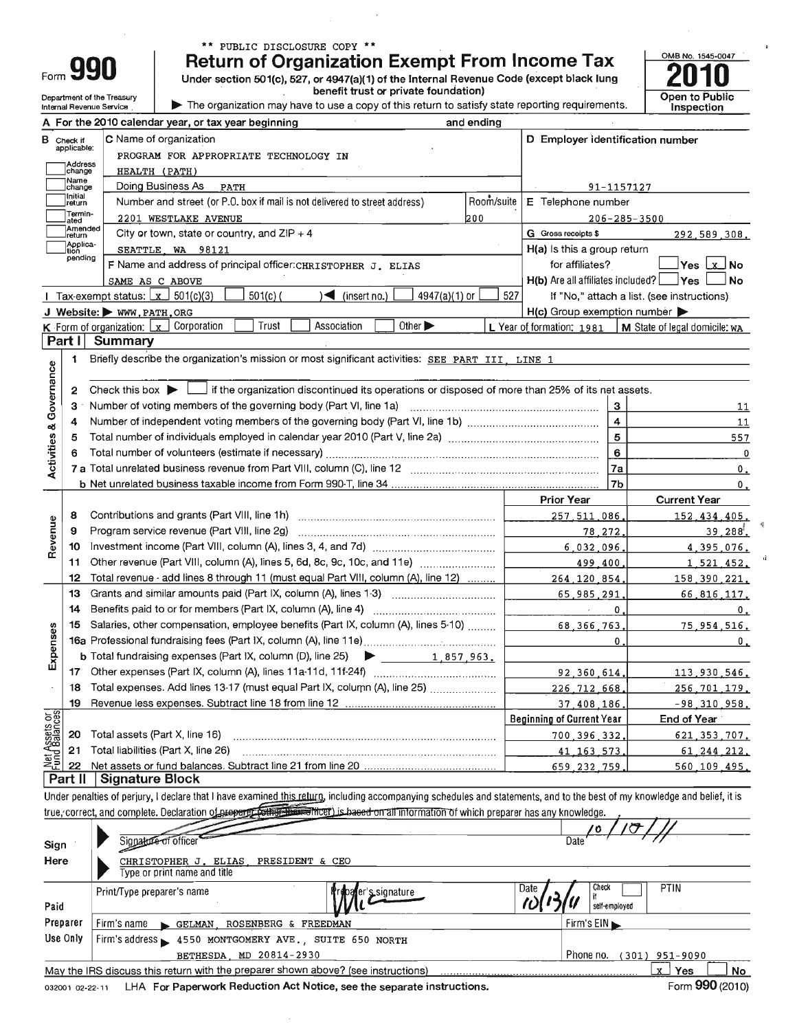| 1 O I<br>Ш |
|------------|

Department of the Treasury

Internal Revenue Service

### \*\* PUBLIC DISCLOSURE COPY \*\*

**Return of Organization Exempt From Income Tax** 

Under section 501(c), 527, or 4947(a)(1) of the Internal Revenue Code (except black lung benefit trust or private foundation)

The organization may have to use a copy of this return to satisfy state reporting requirements.

|                         |                     | A For the 2010 calendar year, or tax year beginning                                                                                         | and ending                                                                                       |                                                     |                                            |  |  |  |  |
|-------------------------|---------------------|---------------------------------------------------------------------------------------------------------------------------------------------|--------------------------------------------------------------------------------------------------|-----------------------------------------------------|--------------------------------------------|--|--|--|--|
|                         | <b>B</b> Check if   | <b>C</b> Name of organization                                                                                                               |                                                                                                  | D Employer identification number                    |                                            |  |  |  |  |
|                         | applicable:         | PROGRAM FOR APPROPRIATE TECHNOLOGY IN                                                                                                       |                                                                                                  |                                                     |                                            |  |  |  |  |
|                         | Address<br>change   | HEALTH (PATH)                                                                                                                               |                                                                                                  |                                                     |                                            |  |  |  |  |
|                         | Name<br>change      | 91-1157127                                                                                                                                  |                                                                                                  |                                                     |                                            |  |  |  |  |
|                         | ∣Initial<br>∣return | E Telephone number                                                                                                                          |                                                                                                  |                                                     |                                            |  |  |  |  |
|                         | Termin-<br>ated     | 200<br>2201 WESTLAKE AVENUE                                                                                                                 | $206 - 285 - 3500$                                                                               |                                                     |                                            |  |  |  |  |
|                         | Amended<br>return   | City or town, state or country, and $ZIP + 4$                                                                                               |                                                                                                  | G Gross receipts \$                                 | 292,589,308.                               |  |  |  |  |
|                         | Applica-<br>tion    | SEATTLE WA 98121                                                                                                                            |                                                                                                  | H(a) Is this a group return                         |                                            |  |  |  |  |
|                         | pending             | F Name and address of principal officer: CHRISTOPHER J. ELIAS                                                                               |                                                                                                  | for affiliates?                                     | Yes Lx⊥No                                  |  |  |  |  |
|                         |                     | SAME AS C ABOVE                                                                                                                             |                                                                                                  | $H(b)$ Are all affiliates included? $\Box$ Yes      | <b>No</b>                                  |  |  |  |  |
|                         |                     | $501(c)$ (<br>4947(a)(1) or<br>Tax-exempt status: $\boxed{x}$ 501(c)(3)<br>$(\mathsf{insert}\,\mathsf{no.})$                                | 527                                                                                              |                                                     | If "No," attach a list. (see instructions) |  |  |  |  |
|                         |                     | J Website: WWW.PATH.ORG                                                                                                                     |                                                                                                  | $H(c)$ Group exemption number $\blacktriangleright$ |                                            |  |  |  |  |
|                         |                     | Trust<br>Association<br>Other $\blacktriangleright$<br>K Form of organization: [x] Corporation                                              |                                                                                                  | L Year of formation: 1981                           | M State of legal domicile: wa              |  |  |  |  |
|                         | Part I              | <b>Summary</b>                                                                                                                              |                                                                                                  |                                                     |                                            |  |  |  |  |
|                         | 1                   | Briefly describe the organization's mission or most significant activities: SEE PART III, LINE 1                                            |                                                                                                  |                                                     |                                            |  |  |  |  |
|                         |                     |                                                                                                                                             |                                                                                                  |                                                     |                                            |  |  |  |  |
|                         | 2                   | Check this box $\blacktriangleright$ $\Box$ if the organization discontinued its operations or disposed of more than 25% of its net assets. |                                                                                                  |                                                     |                                            |  |  |  |  |
|                         | з                   | Number of voting members of the governing body (Part VI, line 1a)                                                                           |                                                                                                  | 3                                                   | <u>11</u>                                  |  |  |  |  |
|                         | 4                   |                                                                                                                                             | $\overline{4}$                                                                                   | 11                                                  |                                            |  |  |  |  |
|                         | 5                   |                                                                                                                                             | 5                                                                                                | 557                                                 |                                            |  |  |  |  |
|                         | 6                   |                                                                                                                                             |                                                                                                  | 6                                                   | 0                                          |  |  |  |  |
| Activities & Governance |                     |                                                                                                                                             | 7a                                                                                               | $\mathfrak o$ .                                     |                                            |  |  |  |  |
|                         |                     |                                                                                                                                             |                                                                                                  | 7b                                                  | 0.                                         |  |  |  |  |
|                         |                     |                                                                                                                                             |                                                                                                  | <b>Prior Year</b>                                   | <b>Current Year</b>                        |  |  |  |  |
|                         | 8                   | Contributions and grants (Part VIII, line 1h)                                                                                               |                                                                                                  | 257.511.086                                         | 152.434.405.                               |  |  |  |  |
| Revenue                 | 9                   | Program service revenue (Part VIII, line 2g)                                                                                                |                                                                                                  | 78, 272,                                            | 39.288.                                    |  |  |  |  |
|                         | 10                  |                                                                                                                                             | 6.032.096<br>Other revenue (Part VIII, column (A), lines 5, 6d, 8c, 9c, 10c, and 11e)<br>499.400 |                                                     |                                            |  |  |  |  |
|                         | 11                  |                                                                                                                                             |                                                                                                  |                                                     |                                            |  |  |  |  |
|                         | 12                  | Total revenue - add lines 8 through 11 (must equal Part VIII, column (A), line 12)                                                          | 264.120.854                                                                                      | 158, 390, 221,                                      |                                            |  |  |  |  |
|                         | 13                  | Grants and similar amounts paid (Part IX, column (A), lines 1-3)                                                                            |                                                                                                  | 65,985,291                                          | 66,816,117.                                |  |  |  |  |
|                         | 14                  |                                                                                                                                             |                                                                                                  | 0<br>Ù.                                             | 0.                                         |  |  |  |  |
|                         | 15                  | Salaries, other compensation, employee benefits (Part IX, column (A), lines 5-10)                                                           |                                                                                                  | 68.366.763                                          | 75.954.516.                                |  |  |  |  |
|                         |                     |                                                                                                                                             | $\Omega$                                                                                         | 0.                                                  |                                            |  |  |  |  |
| Expenses                |                     | <b>b</b> Total fundraising expenses (Part IX, column (D), line 25) $\triangleright$<br>1,857,963.                                           |                                                                                                  |                                                     |                                            |  |  |  |  |
|                         | 17                  |                                                                                                                                             |                                                                                                  | 92.360.614                                          | 113,930,546,                               |  |  |  |  |
|                         | 18                  | Total expenses. Add lines 13-17 (must equal Part IX, column (A), line 25)                                                                   |                                                                                                  | 226.712.668.                                        | 256.701.179.                               |  |  |  |  |
|                         | 19                  |                                                                                                                                             |                                                                                                  | 37,408,186                                          | $-98, 310, 958.$                           |  |  |  |  |
| Net Assets or           |                     |                                                                                                                                             |                                                                                                  | Beginning of Current Year                           | End of Year                                |  |  |  |  |
|                         | 20                  | Total assets (Part X, line 16)                                                                                                              |                                                                                                  | 700.396.332                                         | 621 353 707.                               |  |  |  |  |
|                         | 21                  | Total liabilities (Part X, line 26)                                                                                                         |                                                                                                  | 41, 163, 573                                        | 61.244.212.                                |  |  |  |  |
|                         | 22                  |                                                                                                                                             |                                                                                                  | 659 232 759                                         | 560.109.495.                               |  |  |  |  |
|                         | Part II             | <b>Signature Block</b>                                                                                                                      |                                                                                                  |                                                     |                                            |  |  |  |  |

Under penalties of perjury, I declare that I have examined this returg, including accompanying schedules and statements, and to the best of my knowledge and belief, it is true, correct, and complete. Declaration of property collection the material information of which preparer has any knowledge.

| Sign<br>Here | Signature of officer<br>CHRISTOPHER J. ELIAS, PRESIDENT & CEO<br>l voe or print name and title l | Date                                   |
|--------------|--------------------------------------------------------------------------------------------------|----------------------------------------|
| Paid         | Date<br>Print/Type preparer's name<br>baler's signature                                          | <b>PTIN</b><br>Check<br>self-employed  |
| Preparer     | $Firm's name \rightarrow GELMAN$ , ROSENBERG & FREEDMAN                                          | $F$ irm's $E$ IN $\blacktriangleright$ |
| Use Only     | Firm's address = 4550 MONTGOMERY AVE., SUITE 650 NORTH                                           |                                        |
|              | BETHESDA, MD 20814-2930                                                                          | Phone no.<br>(301) 951-9090            |
|              | May the IRS discuss this return with the preparer shown above? (see instructions)                | Yes<br>No<br>X.                        |

032001 02-22-11 LHA For Paperwork Reduction Act Notice, see the separate instructions.

OMB No. 1545-0047

**Open to Public** 

Inspection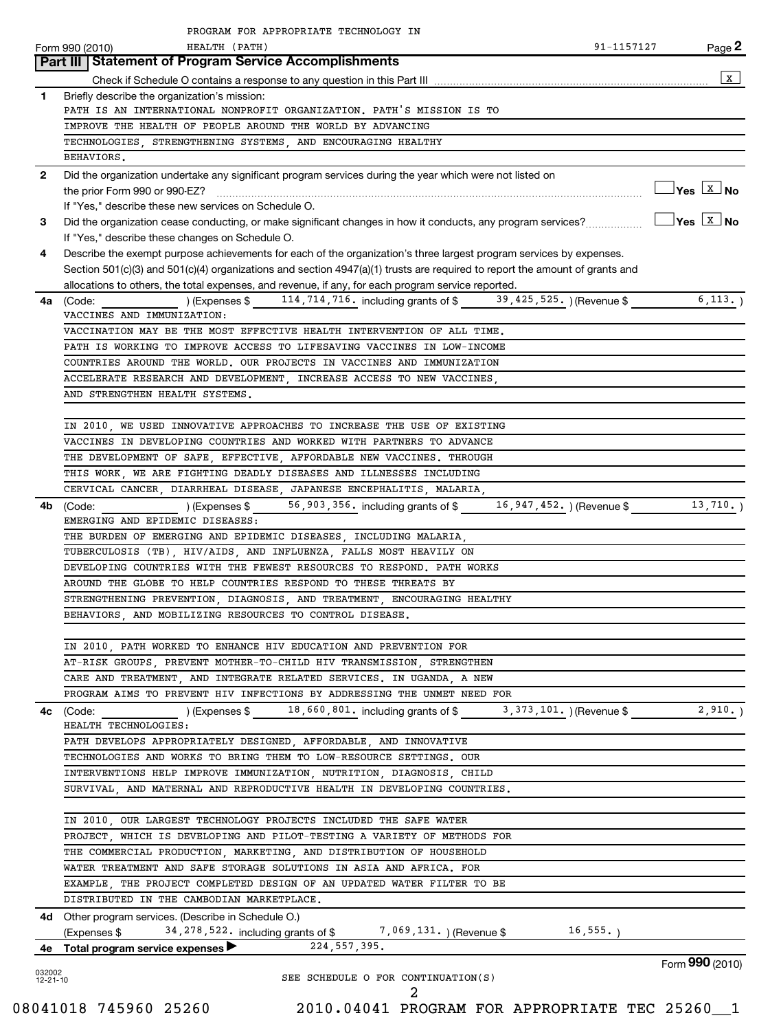|                          | PROGRAM FOR APPROPRIATE TECHNOLOGY IN                                                                                                                                                |                                  |
|--------------------------|--------------------------------------------------------------------------------------------------------------------------------------------------------------------------------------|----------------------------------|
|                          | HEALTH (PATH)<br>91-1157127<br>Form 990 (2010)                                                                                                                                       | Page 2                           |
|                          | <b>Part III Statement of Program Service Accomplishments</b>                                                                                                                         |                                  |
|                          |                                                                                                                                                                                      | $\mathbf{x}$                     |
| $\mathbf{1}$             | Briefly describe the organization's mission:                                                                                                                                         |                                  |
|                          | PATH IS AN INTERNATIONAL NONPROFIT ORGANIZATION. PATH'S MISSION IS TO                                                                                                                |                                  |
|                          | IMPROVE THE HEALTH OF PEOPLE AROUND THE WORLD BY ADVANCING                                                                                                                           |                                  |
|                          | TECHNOLOGIES, STRENGTHENING SYSTEMS, AND ENCOURAGING HEALTHY                                                                                                                         |                                  |
|                          | BEHAVIORS.                                                                                                                                                                           |                                  |
| $\mathbf{2}$             | Did the organization undertake any significant program services during the year which were not listed on                                                                             | $\Box$ Yes $\boxed{\text{x}}$ No |
|                          |                                                                                                                                                                                      |                                  |
|                          | If "Yes," describe these new services on Schedule O.                                                                                                                                 |                                  |
| 3                        |                                                                                                                                                                                      |                                  |
|                          | If "Yes," describe these changes on Schedule O.                                                                                                                                      |                                  |
| 4                        | Describe the exempt purpose achievements for each of the organization's three largest program services by expenses.                                                                  |                                  |
|                          | Section 501(c)(3) and 501(c)(4) organizations and section 4947(a)(1) trusts are required to report the amount of grants and                                                          |                                  |
|                          | allocations to others, the total expenses, and revenue, if any, for each program service reported.<br>(Expenses \$114,714,716. including grants of \$19,425,525.) (Revenue \$6,113.) |                                  |
|                          | 4a (Code:<br>VACCINES AND IMMUNIZATION:                                                                                                                                              |                                  |
|                          | VACCINATION MAY BE THE MOST EFFECTIVE HEALTH INTERVENTION OF ALL TIME.                                                                                                               |                                  |
|                          | PATH IS WORKING TO IMPROVE ACCESS TO LIFESAVING VACCINES IN LOW-INCOME                                                                                                               |                                  |
|                          | COUNTRIES AROUND THE WORLD. OUR PROJECTS IN VACCINES AND IMMUNIZATION                                                                                                                |                                  |
|                          | ACCELERATE RESEARCH AND DEVELOPMENT, INCREASE ACCESS TO NEW VACCINES,                                                                                                                |                                  |
|                          | AND STRENGTHEN HEALTH SYSTEMS.                                                                                                                                                       |                                  |
|                          |                                                                                                                                                                                      |                                  |
|                          | IN 2010, WE USED INNOVATIVE APPROACHES TO INCREASE THE USE OF EXISTING                                                                                                               |                                  |
|                          | VACCINES IN DEVELOPING COUNTRIES AND WORKED WITH PARTNERS TO ADVANCE                                                                                                                 |                                  |
|                          | THE DEVELOPMENT OF SAFE, EFFECTIVE, AFFORDABLE NEW VACCINES. THROUGH                                                                                                                 |                                  |
|                          | THIS WORK, WE ARE FIGHTING DEADLY DISEASES AND ILLNESSES INCLUDING                                                                                                                   |                                  |
|                          | CERVICAL CANCER, DIARRHEAL DISEASE, JAPANESE ENCEPHALITIS, MALARIA,                                                                                                                  |                                  |
| 4b                       | (Expenses \$ 56,903,356, including grants of \$ 16,947,452, ) (Revenue \$ 13,710, )                                                                                                  |                                  |
|                          | (Code:<br>EMERGING AND EPIDEMIC DISEASES:                                                                                                                                            |                                  |
|                          | THE BURDEN OF EMERGING AND EPIDEMIC DISEASES, INCLUDING MALARIA,                                                                                                                     |                                  |
|                          | TUBERCULOSIS (TB), HIV/AIDS, AND INFLUENZA, FALLS MOST HEAVILY ON                                                                                                                    |                                  |
|                          | DEVELOPING COUNTRIES WITH THE FEWEST RESOURCES TO RESPOND. PATH WORKS                                                                                                                |                                  |
|                          | AROUND THE GLOBE TO HELP COUNTRIES RESPOND TO THESE THREATS BY                                                                                                                       |                                  |
|                          | STRENGTHENING PREVENTION, DIAGNOSIS, AND TREATMENT, ENCOURAGING HEALTHY                                                                                                              |                                  |
|                          | BEHAVIORS, AND MOBILIZING RESOURCES TO CONTROL DISEASE.                                                                                                                              |                                  |
|                          |                                                                                                                                                                                      |                                  |
|                          | IN 2010, PATH WORKED TO ENHANCE HIV EDUCATION AND PREVENTION FOR                                                                                                                     |                                  |
|                          | AT-RISK GROUPS PREVENT MOTHER-TO-CHILD HIV TRANSMISSION STRENGTHEN                                                                                                                   |                                  |
|                          | CARE AND TREATMENT, AND INTEGRATE RELATED SERVICES. IN UGANDA, A NEW                                                                                                                 |                                  |
|                          | PROGRAM AIMS TO PREVENT HIV INFECTIONS BY ADDRESSING THE UNMET NEED FOR                                                                                                              |                                  |
|                          |                                                                                                                                                                                      | 2,910.                           |
|                          | HEALTH TECHNOLOGIES:                                                                                                                                                                 |                                  |
|                          | PATH DEVELOPS APPROPRIATELY DESIGNED, AFFORDABLE, AND INNOVATIVE                                                                                                                     |                                  |
|                          | TECHNOLOGIES AND WORKS TO BRING THEM TO LOW-RESOURCE SETTINGS. OUR                                                                                                                   |                                  |
|                          | INTERVENTIONS HELP IMPROVE IMMUNIZATION, NUTRITION, DIAGNOSIS, CHILD                                                                                                                 |                                  |
|                          | SURVIVAL, AND MATERNAL AND REPRODUCTIVE HEALTH IN DEVELOPING COUNTRIES.                                                                                                              |                                  |
|                          |                                                                                                                                                                                      |                                  |
|                          | IN 2010, OUR LARGEST TECHNOLOGY PROJECTS INCLUDED THE SAFE WATER                                                                                                                     |                                  |
|                          | PROJECT, WHICH IS DEVELOPING AND PILOT-TESTING A VARIETY OF METHODS FOR                                                                                                              |                                  |
|                          | THE COMMERCIAL PRODUCTION, MARKETING, AND DISTRIBUTION OF HOUSEHOLD                                                                                                                  |                                  |
|                          | WATER TREATMENT AND SAFE STORAGE SOLUTIONS IN ASIA AND AFRICA. FOR                                                                                                                   |                                  |
|                          | EXAMPLE, THE PROJECT COMPLETED DESIGN OF AN UPDATED WATER FILTER TO BE                                                                                                               |                                  |
|                          | DISTRIBUTED IN THE CAMBODIAN MARKETPLACE.                                                                                                                                            |                                  |
|                          | <b>4d</b> Other program services. (Describe in Schedule O.)                                                                                                                          |                                  |
|                          | 16, 555.<br>(Expenses $$34,278,522$ . including grants of \$7,069,131.) (Revenue \$                                                                                                  |                                  |
|                          | 4e Total program service expenses 224, 557, 395.                                                                                                                                     |                                  |
|                          |                                                                                                                                                                                      | Form 990 (2010)                  |
| 032002<br>$12 - 21 - 10$ | SEE SCHEDULE O FOR CONTINUATION(S)                                                                                                                                                   |                                  |
|                          | 2                                                                                                                                                                                    |                                  |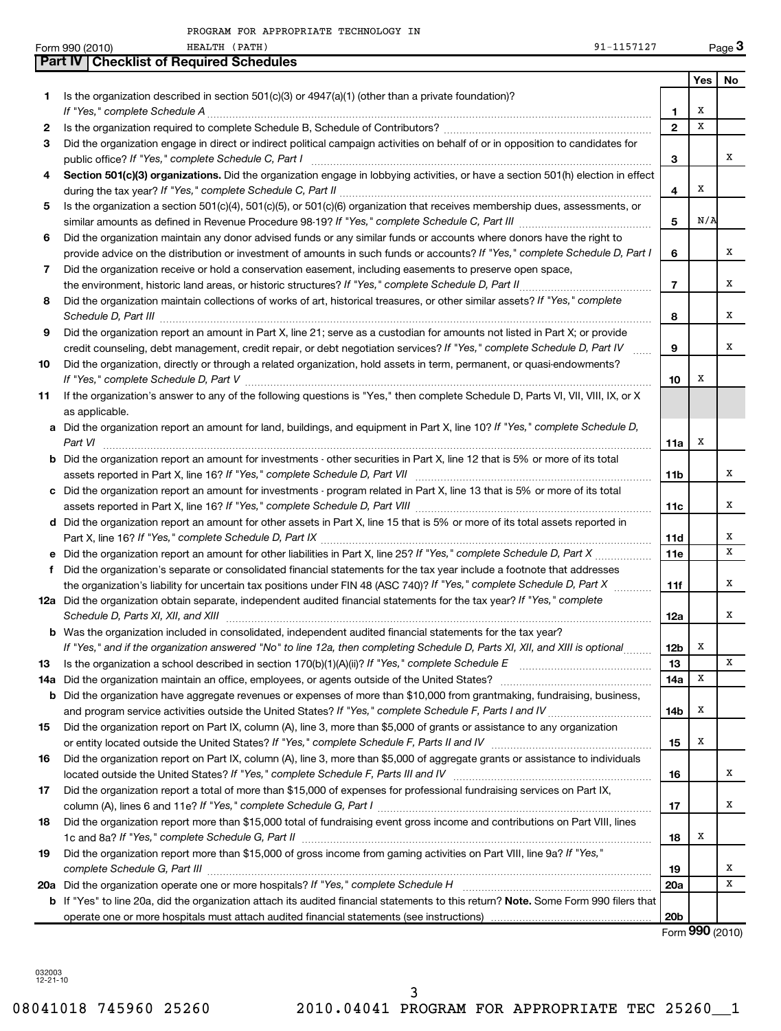|                                                                                                                                                                                                                                                                                                                                                                                                                                                                                                                                                                                                                                                                                                                                                                                                                                                                                                                                                                                                                                                                                                                                                                                                                                                                                                                                                                                 | 91-1157127<br>HEALTH (PATH)<br>Form 990 (2010)                                                                                                                                                                                                                                                                                                                                                                                                                                                                                                                                                                                                                                                                                                                                                                                                                                                                                                                                                                                                                                                                                                                                                                                                                                                                                                                                                                                                                                                                                                                                                                                                                                                                                                                                                                                                                                                                                                                                                                                                                                                                                                           |                 |              | Page 3 |
|---------------------------------------------------------------------------------------------------------------------------------------------------------------------------------------------------------------------------------------------------------------------------------------------------------------------------------------------------------------------------------------------------------------------------------------------------------------------------------------------------------------------------------------------------------------------------------------------------------------------------------------------------------------------------------------------------------------------------------------------------------------------------------------------------------------------------------------------------------------------------------------------------------------------------------------------------------------------------------------------------------------------------------------------------------------------------------------------------------------------------------------------------------------------------------------------------------------------------------------------------------------------------------------------------------------------------------------------------------------------------------|----------------------------------------------------------------------------------------------------------------------------------------------------------------------------------------------------------------------------------------------------------------------------------------------------------------------------------------------------------------------------------------------------------------------------------------------------------------------------------------------------------------------------------------------------------------------------------------------------------------------------------------------------------------------------------------------------------------------------------------------------------------------------------------------------------------------------------------------------------------------------------------------------------------------------------------------------------------------------------------------------------------------------------------------------------------------------------------------------------------------------------------------------------------------------------------------------------------------------------------------------------------------------------------------------------------------------------------------------------------------------------------------------------------------------------------------------------------------------------------------------------------------------------------------------------------------------------------------------------------------------------------------------------------------------------------------------------------------------------------------------------------------------------------------------------------------------------------------------------------------------------------------------------------------------------------------------------------------------------------------------------------------------------------------------------------------------------------------------------------------------------------------------------|-----------------|--------------|--------|
|                                                                                                                                                                                                                                                                                                                                                                                                                                                                                                                                                                                                                                                                                                                                                                                                                                                                                                                                                                                                                                                                                                                                                                                                                                                                                                                                                                                 | <b>Part IV   Checklist of Required Schedules</b>                                                                                                                                                                                                                                                                                                                                                                                                                                                                                                                                                                                                                                                                                                                                                                                                                                                                                                                                                                                                                                                                                                                                                                                                                                                                                                                                                                                                                                                                                                                                                                                                                                                                                                                                                                                                                                                                                                                                                                                                                                                                                                         |                 |              |        |
|                                                                                                                                                                                                                                                                                                                                                                                                                                                                                                                                                                                                                                                                                                                                                                                                                                                                                                                                                                                                                                                                                                                                                                                                                                                                                                                                                                                 |                                                                                                                                                                                                                                                                                                                                                                                                                                                                                                                                                                                                                                                                                                                                                                                                                                                                                                                                                                                                                                                                                                                                                                                                                                                                                                                                                                                                                                                                                                                                                                                                                                                                                                                                                                                                                                                                                                                                                                                                                                                                                                                                                          |                 | Yes          | No     |
| 1.                                                                                                                                                                                                                                                                                                                                                                                                                                                                                                                                                                                                                                                                                                                                                                                                                                                                                                                                                                                                                                                                                                                                                                                                                                                                                                                                                                              | Is the organization described in section $501(c)(3)$ or $4947(a)(1)$ (other than a private foundation)?                                                                                                                                                                                                                                                                                                                                                                                                                                                                                                                                                                                                                                                                                                                                                                                                                                                                                                                                                                                                                                                                                                                                                                                                                                                                                                                                                                                                                                                                                                                                                                                                                                                                                                                                                                                                                                                                                                                                                                                                                                                  |                 | х            |        |
|                                                                                                                                                                                                                                                                                                                                                                                                                                                                                                                                                                                                                                                                                                                                                                                                                                                                                                                                                                                                                                                                                                                                                                                                                                                                                                                                                                                 |                                                                                                                                                                                                                                                                                                                                                                                                                                                                                                                                                                                                                                                                                                                                                                                                                                                                                                                                                                                                                                                                                                                                                                                                                                                                                                                                                                                                                                                                                                                                                                                                                                                                                                                                                                                                                                                                                                                                                                                                                                                                                                                                                          | $\mathbf{1}$    | X            |        |
| 2                                                                                                                                                                                                                                                                                                                                                                                                                                                                                                                                                                                                                                                                                                                                                                                                                                                                                                                                                                                                                                                                                                                                                                                                                                                                                                                                                                               |                                                                                                                                                                                                                                                                                                                                                                                                                                                                                                                                                                                                                                                                                                                                                                                                                                                                                                                                                                                                                                                                                                                                                                                                                                                                                                                                                                                                                                                                                                                                                                                                                                                                                                                                                                                                                                                                                                                                                                                                                                                                                                                                                          | $\mathbf{2}$    |              |        |
|                                                                                                                                                                                                                                                                                                                                                                                                                                                                                                                                                                                                                                                                                                                                                                                                                                                                                                                                                                                                                                                                                                                                                                                                                                                                                                                                                                                 |                                                                                                                                                                                                                                                                                                                                                                                                                                                                                                                                                                                                                                                                                                                                                                                                                                                                                                                                                                                                                                                                                                                                                                                                                                                                                                                                                                                                                                                                                                                                                                                                                                                                                                                                                                                                                                                                                                                                                                                                                                                                                                                                                          |                 |              | x      |
|                                                                                                                                                                                                                                                                                                                                                                                                                                                                                                                                                                                                                                                                                                                                                                                                                                                                                                                                                                                                                                                                                                                                                                                                                                                                                                                                                                                 |                                                                                                                                                                                                                                                                                                                                                                                                                                                                                                                                                                                                                                                                                                                                                                                                                                                                                                                                                                                                                                                                                                                                                                                                                                                                                                                                                                                                                                                                                                                                                                                                                                                                                                                                                                                                                                                                                                                                                                                                                                                                                                                                                          | 3               |              |        |
|                                                                                                                                                                                                                                                                                                                                                                                                                                                                                                                                                                                                                                                                                                                                                                                                                                                                                                                                                                                                                                                                                                                                                                                                                                                                                                                                                                                 |                                                                                                                                                                                                                                                                                                                                                                                                                                                                                                                                                                                                                                                                                                                                                                                                                                                                                                                                                                                                                                                                                                                                                                                                                                                                                                                                                                                                                                                                                                                                                                                                                                                                                                                                                                                                                                                                                                                                                                                                                                                                                                                                                          | 4               | Х            |        |
| 5                                                                                                                                                                                                                                                                                                                                                                                                                                                                                                                                                                                                                                                                                                                                                                                                                                                                                                                                                                                                                                                                                                                                                                                                                                                                                                                                                                               |                                                                                                                                                                                                                                                                                                                                                                                                                                                                                                                                                                                                                                                                                                                                                                                                                                                                                                                                                                                                                                                                                                                                                                                                                                                                                                                                                                                                                                                                                                                                                                                                                                                                                                                                                                                                                                                                                                                                                                                                                                                                                                                                                          |                 |              |        |
|                                                                                                                                                                                                                                                                                                                                                                                                                                                                                                                                                                                                                                                                                                                                                                                                                                                                                                                                                                                                                                                                                                                                                                                                                                                                                                                                                                                 |                                                                                                                                                                                                                                                                                                                                                                                                                                                                                                                                                                                                                                                                                                                                                                                                                                                                                                                                                                                                                                                                                                                                                                                                                                                                                                                                                                                                                                                                                                                                                                                                                                                                                                                                                                                                                                                                                                                                                                                                                                                                                                                                                          | 5               | N/A          |        |
|                                                                                                                                                                                                                                                                                                                                                                                                                                                                                                                                                                                                                                                                                                                                                                                                                                                                                                                                                                                                                                                                                                                                                                                                                                                                                                                                                                                 |                                                                                                                                                                                                                                                                                                                                                                                                                                                                                                                                                                                                                                                                                                                                                                                                                                                                                                                                                                                                                                                                                                                                                                                                                                                                                                                                                                                                                                                                                                                                                                                                                                                                                                                                                                                                                                                                                                                                                                                                                                                                                                                                                          |                 |              |        |
|                                                                                                                                                                                                                                                                                                                                                                                                                                                                                                                                                                                                                                                                                                                                                                                                                                                                                                                                                                                                                                                                                                                                                                                                                                                                                                                                                                                 |                                                                                                                                                                                                                                                                                                                                                                                                                                                                                                                                                                                                                                                                                                                                                                                                                                                                                                                                                                                                                                                                                                                                                                                                                                                                                                                                                                                                                                                                                                                                                                                                                                                                                                                                                                                                                                                                                                                                                                                                                                                                                                                                                          | 6               |              | x      |
|                                                                                                                                                                                                                                                                                                                                                                                                                                                                                                                                                                                                                                                                                                                                                                                                                                                                                                                                                                                                                                                                                                                                                                                                                                                                                                                                                                                 |                                                                                                                                                                                                                                                                                                                                                                                                                                                                                                                                                                                                                                                                                                                                                                                                                                                                                                                                                                                                                                                                                                                                                                                                                                                                                                                                                                                                                                                                                                                                                                                                                                                                                                                                                                                                                                                                                                                                                                                                                                                                                                                                                          |                 |              |        |
|                                                                                                                                                                                                                                                                                                                                                                                                                                                                                                                                                                                                                                                                                                                                                                                                                                                                                                                                                                                                                                                                                                                                                                                                                                                                                                                                                                                 |                                                                                                                                                                                                                                                                                                                                                                                                                                                                                                                                                                                                                                                                                                                                                                                                                                                                                                                                                                                                                                                                                                                                                                                                                                                                                                                                                                                                                                                                                                                                                                                                                                                                                                                                                                                                                                                                                                                                                                                                                                                                                                                                                          | $\overline{7}$  |              | x      |
|                                                                                                                                                                                                                                                                                                                                                                                                                                                                                                                                                                                                                                                                                                                                                                                                                                                                                                                                                                                                                                                                                                                                                                                                                                                                                                                                                                                 |                                                                                                                                                                                                                                                                                                                                                                                                                                                                                                                                                                                                                                                                                                                                                                                                                                                                                                                                                                                                                                                                                                                                                                                                                                                                                                                                                                                                                                                                                                                                                                                                                                                                                                                                                                                                                                                                                                                                                                                                                                                                                                                                                          | 8               |              | х      |
| 9                                                                                                                                                                                                                                                                                                                                                                                                                                                                                                                                                                                                                                                                                                                                                                                                                                                                                                                                                                                                                                                                                                                                                                                                                                                                                                                                                                               | Did the organization report an amount in Part X, line 21; serve as a custodian for amounts not listed in Part X; or provide                                                                                                                                                                                                                                                                                                                                                                                                                                                                                                                                                                                                                                                                                                                                                                                                                                                                                                                                                                                                                                                                                                                                                                                                                                                                                                                                                                                                                                                                                                                                                                                                                                                                                                                                                                                                                                                                                                                                                                                                                              |                 |              |        |
|                                                                                                                                                                                                                                                                                                                                                                                                                                                                                                                                                                                                                                                                                                                                                                                                                                                                                                                                                                                                                                                                                                                                                                                                                                                                                                                                                                                 | credit counseling, debt management, credit repair, or debt negotiation services? If "Yes," complete Schedule D, Part IV<br><b>Bassi</b>                                                                                                                                                                                                                                                                                                                                                                                                                                                                                                                                                                                                                                                                                                                                                                                                                                                                                                                                                                                                                                                                                                                                                                                                                                                                                                                                                                                                                                                                                                                                                                                                                                                                                                                                                                                                                                                                                                                                                                                                                  | 9               |              | x      |
| 10                                                                                                                                                                                                                                                                                                                                                                                                                                                                                                                                                                                                                                                                                                                                                                                                                                                                                                                                                                                                                                                                                                                                                                                                                                                                                                                                                                              | Did the organization, directly or through a related organization, hold assets in term, permanent, or quasi-endowments?                                                                                                                                                                                                                                                                                                                                                                                                                                                                                                                                                                                                                                                                                                                                                                                                                                                                                                                                                                                                                                                                                                                                                                                                                                                                                                                                                                                                                                                                                                                                                                                                                                                                                                                                                                                                                                                                                                                                                                                                                                   | 10              | х            |        |
|                                                                                                                                                                                                                                                                                                                                                                                                                                                                                                                                                                                                                                                                                                                                                                                                                                                                                                                                                                                                                                                                                                                                                                                                                                                                                                                                                                                 |                                                                                                                                                                                                                                                                                                                                                                                                                                                                                                                                                                                                                                                                                                                                                                                                                                                                                                                                                                                                                                                                                                                                                                                                                                                                                                                                                                                                                                                                                                                                                                                                                                                                                                                                                                                                                                                                                                                                                                                                                                                                                                                                                          |                 |              |        |
|                                                                                                                                                                                                                                                                                                                                                                                                                                                                                                                                                                                                                                                                                                                                                                                                                                                                                                                                                                                                                                                                                                                                                                                                                                                                                                                                                                                 |                                                                                                                                                                                                                                                                                                                                                                                                                                                                                                                                                                                                                                                                                                                                                                                                                                                                                                                                                                                                                                                                                                                                                                                                                                                                                                                                                                                                                                                                                                                                                                                                                                                                                                                                                                                                                                                                                                                                                                                                                                                                                                                                                          |                 |              |        |
|                                                                                                                                                                                                                                                                                                                                                                                                                                                                                                                                                                                                                                                                                                                                                                                                                                                                                                                                                                                                                                                                                                                                                                                                                                                                                                                                                                                 |                                                                                                                                                                                                                                                                                                                                                                                                                                                                                                                                                                                                                                                                                                                                                                                                                                                                                                                                                                                                                                                                                                                                                                                                                                                                                                                                                                                                                                                                                                                                                                                                                                                                                                                                                                                                                                                                                                                                                                                                                                                                                                                                                          |                 |              |        |
|                                                                                                                                                                                                                                                                                                                                                                                                                                                                                                                                                                                                                                                                                                                                                                                                                                                                                                                                                                                                                                                                                                                                                                                                                                                                                                                                                                                 | Part VI                                                                                                                                                                                                                                                                                                                                                                                                                                                                                                                                                                                                                                                                                                                                                                                                                                                                                                                                                                                                                                                                                                                                                                                                                                                                                                                                                                                                                                                                                                                                                                                                                                                                                                                                                                                                                                                                                                                                                                                                                                                                                                                                                  | 11a             | х            |        |
|                                                                                                                                                                                                                                                                                                                                                                                                                                                                                                                                                                                                                                                                                                                                                                                                                                                                                                                                                                                                                                                                                                                                                                                                                                                                                                                                                                                 |                                                                                                                                                                                                                                                                                                                                                                                                                                                                                                                                                                                                                                                                                                                                                                                                                                                                                                                                                                                                                                                                                                                                                                                                                                                                                                                                                                                                                                                                                                                                                                                                                                                                                                                                                                                                                                                                                                                                                                                                                                                                                                                                                          |                 |              |        |
|                                                                                                                                                                                                                                                                                                                                                                                                                                                                                                                                                                                                                                                                                                                                                                                                                                                                                                                                                                                                                                                                                                                                                                                                                                                                                                                                                                                 |                                                                                                                                                                                                                                                                                                                                                                                                                                                                                                                                                                                                                                                                                                                                                                                                                                                                                                                                                                                                                                                                                                                                                                                                                                                                                                                                                                                                                                                                                                                                                                                                                                                                                                                                                                                                                                                                                                                                                                                                                                                                                                                                                          | 11b             |              | x      |
|                                                                                                                                                                                                                                                                                                                                                                                                                                                                                                                                                                                                                                                                                                                                                                                                                                                                                                                                                                                                                                                                                                                                                                                                                                                                                                                                                                                 |                                                                                                                                                                                                                                                                                                                                                                                                                                                                                                                                                                                                                                                                                                                                                                                                                                                                                                                                                                                                                                                                                                                                                                                                                                                                                                                                                                                                                                                                                                                                                                                                                                                                                                                                                                                                                                                                                                                                                                                                                                                                                                                                                          | 11c             |              | x      |
|                                                                                                                                                                                                                                                                                                                                                                                                                                                                                                                                                                                                                                                                                                                                                                                                                                                                                                                                                                                                                                                                                                                                                                                                                                                                                                                                                                                 |                                                                                                                                                                                                                                                                                                                                                                                                                                                                                                                                                                                                                                                                                                                                                                                                                                                                                                                                                                                                                                                                                                                                                                                                                                                                                                                                                                                                                                                                                                                                                                                                                                                                                                                                                                                                                                                                                                                                                                                                                                                                                                                                                          |                 |              |        |
|                                                                                                                                                                                                                                                                                                                                                                                                                                                                                                                                                                                                                                                                                                                                                                                                                                                                                                                                                                                                                                                                                                                                                                                                                                                                                                                                                                                 |                                                                                                                                                                                                                                                                                                                                                                                                                                                                                                                                                                                                                                                                                                                                                                                                                                                                                                                                                                                                                                                                                                                                                                                                                                                                                                                                                                                                                                                                                                                                                                                                                                                                                                                                                                                                                                                                                                                                                                                                                                                                                                                                                          | 11d             |              | х      |
|                                                                                                                                                                                                                                                                                                                                                                                                                                                                                                                                                                                                                                                                                                                                                                                                                                                                                                                                                                                                                                                                                                                                                                                                                                                                                                                                                                                 |                                                                                                                                                                                                                                                                                                                                                                                                                                                                                                                                                                                                                                                                                                                                                                                                                                                                                                                                                                                                                                                                                                                                                                                                                                                                                                                                                                                                                                                                                                                                                                                                                                                                                                                                                                                                                                                                                                                                                                                                                                                                                                                                                          | 11e             |              | х      |
|                                                                                                                                                                                                                                                                                                                                                                                                                                                                                                                                                                                                                                                                                                                                                                                                                                                                                                                                                                                                                                                                                                                                                                                                                                                                                                                                                                                 |                                                                                                                                                                                                                                                                                                                                                                                                                                                                                                                                                                                                                                                                                                                                                                                                                                                                                                                                                                                                                                                                                                                                                                                                                                                                                                                                                                                                                                                                                                                                                                                                                                                                                                                                                                                                                                                                                                                                                                                                                                                                                                                                                          |                 |              |        |
|                                                                                                                                                                                                                                                                                                                                                                                                                                                                                                                                                                                                                                                                                                                                                                                                                                                                                                                                                                                                                                                                                                                                                                                                                                                                                                                                                                                 | the organization's liability for uncertain tax positions under FIN 48 (ASC 740)? If "Yes," complete Schedule D, Part X                                                                                                                                                                                                                                                                                                                                                                                                                                                                                                                                                                                                                                                                                                                                                                                                                                                                                                                                                                                                                                                                                                                                                                                                                                                                                                                                                                                                                                                                                                                                                                                                                                                                                                                                                                                                                                                                                                                                                                                                                                   | 11f             |              | x      |
|                                                                                                                                                                                                                                                                                                                                                                                                                                                                                                                                                                                                                                                                                                                                                                                                                                                                                                                                                                                                                                                                                                                                                                                                                                                                                                                                                                                 |                                                                                                                                                                                                                                                                                                                                                                                                                                                                                                                                                                                                                                                                                                                                                                                                                                                                                                                                                                                                                                                                                                                                                                                                                                                                                                                                                                                                                                                                                                                                                                                                                                                                                                                                                                                                                                                                                                                                                                                                                                                                                                                                                          |                 |              |        |
|                                                                                                                                                                                                                                                                                                                                                                                                                                                                                                                                                                                                                                                                                                                                                                                                                                                                                                                                                                                                                                                                                                                                                                                                                                                                                                                                                                                 |                                                                                                                                                                                                                                                                                                                                                                                                                                                                                                                                                                                                                                                                                                                                                                                                                                                                                                                                                                                                                                                                                                                                                                                                                                                                                                                                                                                                                                                                                                                                                                                                                                                                                                                                                                                                                                                                                                                                                                                                                                                                                                                                                          | 12a             |              | х      |
|                                                                                                                                                                                                                                                                                                                                                                                                                                                                                                                                                                                                                                                                                                                                                                                                                                                                                                                                                                                                                                                                                                                                                                                                                                                                                                                                                                                 |                                                                                                                                                                                                                                                                                                                                                                                                                                                                                                                                                                                                                                                                                                                                                                                                                                                                                                                                                                                                                                                                                                                                                                                                                                                                                                                                                                                                                                                                                                                                                                                                                                                                                                                                                                                                                                                                                                                                                                                                                                                                                                                                                          |                 |              |        |
|                                                                                                                                                                                                                                                                                                                                                                                                                                                                                                                                                                                                                                                                                                                                                                                                                                                                                                                                                                                                                                                                                                                                                                                                                                                                                                                                                                                 |                                                                                                                                                                                                                                                                                                                                                                                                                                                                                                                                                                                                                                                                                                                                                                                                                                                                                                                                                                                                                                                                                                                                                                                                                                                                                                                                                                                                                                                                                                                                                                                                                                                                                                                                                                                                                                                                                                                                                                                                                                                                                                                                                          | 12b             | х            |        |
| 13                                                                                                                                                                                                                                                                                                                                                                                                                                                                                                                                                                                                                                                                                                                                                                                                                                                                                                                                                                                                                                                                                                                                                                                                                                                                                                                                                                              |                                                                                                                                                                                                                                                                                                                                                                                                                                                                                                                                                                                                                                                                                                                                                                                                                                                                                                                                                                                                                                                                                                                                                                                                                                                                                                                                                                                                                                                                                                                                                                                                                                                                                                                                                                                                                                                                                                                                                                                                                                                                                                                                                          | 13              |              | x      |
| 14a                                                                                                                                                                                                                                                                                                                                                                                                                                                                                                                                                                                                                                                                                                                                                                                                                                                                                                                                                                                                                                                                                                                                                                                                                                                                                                                                                                             |                                                                                                                                                                                                                                                                                                                                                                                                                                                                                                                                                                                                                                                                                                                                                                                                                                                                                                                                                                                                                                                                                                                                                                                                                                                                                                                                                                                                                                                                                                                                                                                                                                                                                                                                                                                                                                                                                                                                                                                                                                                                                                                                                          | 14a             | X            |        |
|                                                                                                                                                                                                                                                                                                                                                                                                                                                                                                                                                                                                                                                                                                                                                                                                                                                                                                                                                                                                                                                                                                                                                                                                                                                                                                                                                                                 |                                                                                                                                                                                                                                                                                                                                                                                                                                                                                                                                                                                                                                                                                                                                                                                                                                                                                                                                                                                                                                                                                                                                                                                                                                                                                                                                                                                                                                                                                                                                                                                                                                                                                                                                                                                                                                                                                                                                                                                                                                                                                                                                                          |                 |              |        |
|                                                                                                                                                                                                                                                                                                                                                                                                                                                                                                                                                                                                                                                                                                                                                                                                                                                                                                                                                                                                                                                                                                                                                                                                                                                                                                                                                                                 |                                                                                                                                                                                                                                                                                                                                                                                                                                                                                                                                                                                                                                                                                                                                                                                                                                                                                                                                                                                                                                                                                                                                                                                                                                                                                                                                                                                                                                                                                                                                                                                                                                                                                                                                                                                                                                                                                                                                                                                                                                                                                                                                                          | 14b             | х            |        |
| 15                                                                                                                                                                                                                                                                                                                                                                                                                                                                                                                                                                                                                                                                                                                                                                                                                                                                                                                                                                                                                                                                                                                                                                                                                                                                                                                                                                              |                                                                                                                                                                                                                                                                                                                                                                                                                                                                                                                                                                                                                                                                                                                                                                                                                                                                                                                                                                                                                                                                                                                                                                                                                                                                                                                                                                                                                                                                                                                                                                                                                                                                                                                                                                                                                                                                                                                                                                                                                                                                                                                                                          |                 |              |        |
|                                                                                                                                                                                                                                                                                                                                                                                                                                                                                                                                                                                                                                                                                                                                                                                                                                                                                                                                                                                                                                                                                                                                                                                                                                                                                                                                                                                 |                                                                                                                                                                                                                                                                                                                                                                                                                                                                                                                                                                                                                                                                                                                                                                                                                                                                                                                                                                                                                                                                                                                                                                                                                                                                                                                                                                                                                                                                                                                                                                                                                                                                                                                                                                                                                                                                                                                                                                                                                                                                                                                                                          | 15              | x            |        |
| 16                                                                                                                                                                                                                                                                                                                                                                                                                                                                                                                                                                                                                                                                                                                                                                                                                                                                                                                                                                                                                                                                                                                                                                                                                                                                                                                                                                              |                                                                                                                                                                                                                                                                                                                                                                                                                                                                                                                                                                                                                                                                                                                                                                                                                                                                                                                                                                                                                                                                                                                                                                                                                                                                                                                                                                                                                                                                                                                                                                                                                                                                                                                                                                                                                                                                                                                                                                                                                                                                                                                                                          |                 |              |        |
|                                                                                                                                                                                                                                                                                                                                                                                                                                                                                                                                                                                                                                                                                                                                                                                                                                                                                                                                                                                                                                                                                                                                                                                                                                                                                                                                                                                 |                                                                                                                                                                                                                                                                                                                                                                                                                                                                                                                                                                                                                                                                                                                                                                                                                                                                                                                                                                                                                                                                                                                                                                                                                                                                                                                                                                                                                                                                                                                                                                                                                                                                                                                                                                                                                                                                                                                                                                                                                                                                                                                                                          | 16              |              | х      |
| 17                                                                                                                                                                                                                                                                                                                                                                                                                                                                                                                                                                                                                                                                                                                                                                                                                                                                                                                                                                                                                                                                                                                                                                                                                                                                                                                                                                              |                                                                                                                                                                                                                                                                                                                                                                                                                                                                                                                                                                                                                                                                                                                                                                                                                                                                                                                                                                                                                                                                                                                                                                                                                                                                                                                                                                                                                                                                                                                                                                                                                                                                                                                                                                                                                                                                                                                                                                                                                                                                                                                                                          |                 |              |        |
|                                                                                                                                                                                                                                                                                                                                                                                                                                                                                                                                                                                                                                                                                                                                                                                                                                                                                                                                                                                                                                                                                                                                                                                                                                                                                                                                                                                 |                                                                                                                                                                                                                                                                                                                                                                                                                                                                                                                                                                                                                                                                                                                                                                                                                                                                                                                                                                                                                                                                                                                                                                                                                                                                                                                                                                                                                                                                                                                                                                                                                                                                                                                                                                                                                                                                                                                                                                                                                                                                                                                                                          | 17              |              | х      |
| 18                                                                                                                                                                                                                                                                                                                                                                                                                                                                                                                                                                                                                                                                                                                                                                                                                                                                                                                                                                                                                                                                                                                                                                                                                                                                                                                                                                              | Did the organization report more than \$15,000 total of fundraising event gross income and contributions on Part VIII, lines                                                                                                                                                                                                                                                                                                                                                                                                                                                                                                                                                                                                                                                                                                                                                                                                                                                                                                                                                                                                                                                                                                                                                                                                                                                                                                                                                                                                                                                                                                                                                                                                                                                                                                                                                                                                                                                                                                                                                                                                                             |                 |              |        |
|                                                                                                                                                                                                                                                                                                                                                                                                                                                                                                                                                                                                                                                                                                                                                                                                                                                                                                                                                                                                                                                                                                                                                                                                                                                                                                                                                                                 |                                                                                                                                                                                                                                                                                                                                                                                                                                                                                                                                                                                                                                                                                                                                                                                                                                                                                                                                                                                                                                                                                                                                                                                                                                                                                                                                                                                                                                                                                                                                                                                                                                                                                                                                                                                                                                                                                                                                                                                                                                                                                                                                                          | 18              | x            |        |
| 19                                                                                                                                                                                                                                                                                                                                                                                                                                                                                                                                                                                                                                                                                                                                                                                                                                                                                                                                                                                                                                                                                                                                                                                                                                                                                                                                                                              |                                                                                                                                                                                                                                                                                                                                                                                                                                                                                                                                                                                                                                                                                                                                                                                                                                                                                                                                                                                                                                                                                                                                                                                                                                                                                                                                                                                                                                                                                                                                                                                                                                                                                                                                                                                                                                                                                                                                                                                                                                                                                                                                                          | 19              |              |        |
|                                                                                                                                                                                                                                                                                                                                                                                                                                                                                                                                                                                                                                                                                                                                                                                                                                                                                                                                                                                                                                                                                                                                                                                                                                                                                                                                                                                 | Is the organization a section 501(c)(4), 501(c)(5), or 501(c)(6) organization that receives membership dues, assessments, or<br>Did the organization maintain any donor advised funds or any similar funds or accounts where donors have the right to<br>provide advice on the distribution or investment of amounts in such funds or accounts? If "Yes," complete Schedule D, Part I<br>Did the organization receive or hold a conservation easement, including easements to preserve open space,<br>Did the organization maintain collections of works of art, historical treasures, or other similar assets? If "Yes," complete<br>Schedule D, Part III <b>William Commission Commission Commission</b> Commission Commission Commission<br>If "Yes," complete Schedule D, Part V [111] [12] Manuscription of the Schedule D, Part V [11] Manuscription of the Manuscription of the Manuscription of the Manuscription of the Manuscription of the Manuscription of the Ma<br>If the organization's answer to any of the following questions is "Yes," then complete Schedule D, Parts VI, VII, VIII, IX, or X<br>as applicable.<br>Schedule D, Parts XI, XII, and XIII <b>construction and construction</b> of the set of the set of the set of the set of the set of the set of the set of the set of the set of the set of the set of the set of the set of the set<br>If "Yes," and if the organization answered "No" to line 12a, then completing Schedule D, Parts XI, XII, and XIII is optional<br>Did the organization have aggregate revenues or expenses of more than \$10,000 from grantmaking, fundraising, business,<br>Did the organization report on Part IX, column (A), line 3, more than \$5,000 of grants or assistance to any organization<br>Did the organization report on Part IX, column (A), line 3, more than \$5,000 of aggregate grants or assistance to individuals<br>Did the organization report a total of more than \$15,000 of expenses for professional fundraising services on Part IX,<br>Did the organization report more than \$15,000 of gross income from gaming activities on Part VIII, line 9a? If "Yes," |                 |              | х      |
| Did the organization engage in direct or indirect political campaign activities on behalf of or in opposition to candidates for<br>3<br>Section 501(c)(3) organizations. Did the organization engage in lobbying activities, or have a section 501(h) election in effect<br>4<br>6<br>7<br>8<br>11<br>a Did the organization report an amount for land, buildings, and equipment in Part X, line 10? If "Yes," complete Schedule D,<br><b>b</b> Did the organization report an amount for investments - other securities in Part X, line 12 that is 5% or more of its total<br>c Did the organization report an amount for investments - program related in Part X, line 13 that is 5% or more of its total<br>d Did the organization report an amount for other assets in Part X, line 15 that is 5% or more of its total assets reported in<br>f Did the organization's separate or consolidated financial statements for the tax year include a footnote that addresses<br>12a Did the organization obtain separate, independent audited financial statements for the tax year? If "Yes," complete<br><b>b</b> Was the organization included in consolidated, independent audited financial statements for the tax year?<br>b<br><b>b</b> If "Yes" to line 20a, did the organization attach its audited financial statements to this return? Note. Some Form 990 filers that |                                                                                                                                                                                                                                                                                                                                                                                                                                                                                                                                                                                                                                                                                                                                                                                                                                                                                                                                                                                                                                                                                                                                                                                                                                                                                                                                                                                                                                                                                                                                                                                                                                                                                                                                                                                                                                                                                                                                                                                                                                                                                                                                                          | <b>20a</b>      |              | x      |
|                                                                                                                                                                                                                                                                                                                                                                                                                                                                                                                                                                                                                                                                                                                                                                                                                                                                                                                                                                                                                                                                                                                                                                                                                                                                                                                                                                                 |                                                                                                                                                                                                                                                                                                                                                                                                                                                                                                                                                                                                                                                                                                                                                                                                                                                                                                                                                                                                                                                                                                                                                                                                                                                                                                                                                                                                                                                                                                                                                                                                                                                                                                                                                                                                                                                                                                                                                                                                                                                                                                                                                          |                 |              |        |
|                                                                                                                                                                                                                                                                                                                                                                                                                                                                                                                                                                                                                                                                                                                                                                                                                                                                                                                                                                                                                                                                                                                                                                                                                                                                                                                                                                                 |                                                                                                                                                                                                                                                                                                                                                                                                                                                                                                                                                                                                                                                                                                                                                                                                                                                                                                                                                                                                                                                                                                                                                                                                                                                                                                                                                                                                                                                                                                                                                                                                                                                                                                                                                                                                                                                                                                                                                                                                                                                                                                                                                          | 20 <sub>b</sub> | $\mathbf{A}$ |        |

Form (2010) **990**

|--|--|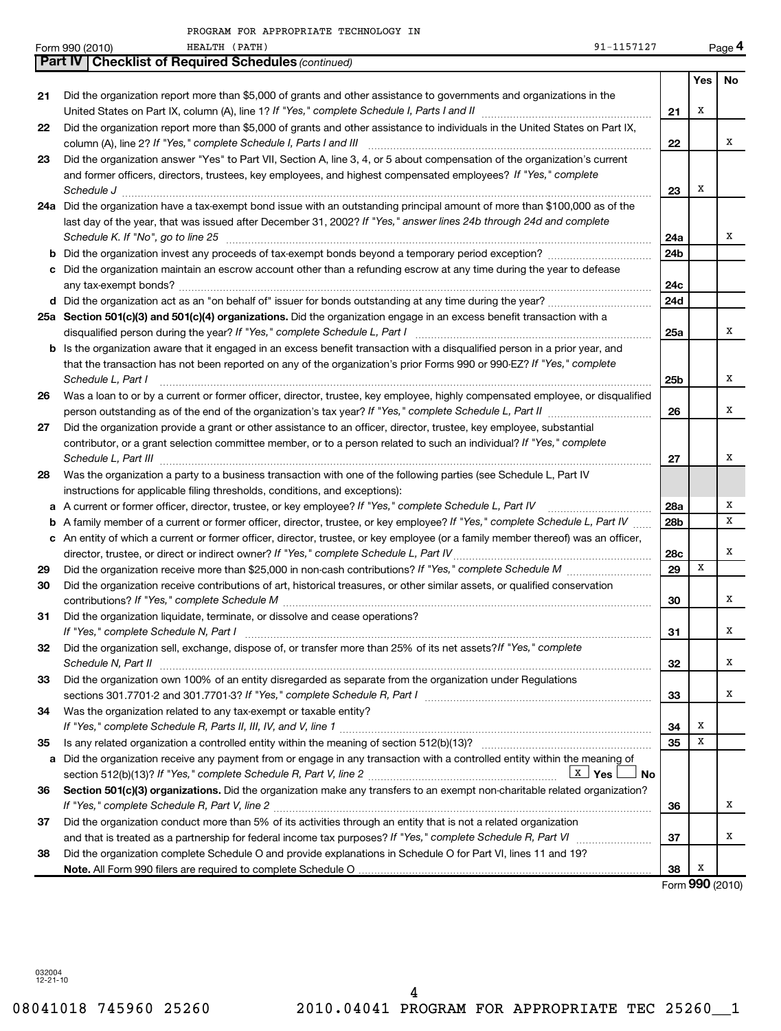|    | PROGRAM FOR APPROPRIATE TECHNOLOGY IN                                                                                                                                                                                                                                                                                                                     |                 |                 |           |
|----|-----------------------------------------------------------------------------------------------------------------------------------------------------------------------------------------------------------------------------------------------------------------------------------------------------------------------------------------------------------|-----------------|-----------------|-----------|
|    | 91-1157127<br>Form 990 (2010)<br>HEALTH (PATH)                                                                                                                                                                                                                                                                                                            |                 |                 | Page 4    |
|    | Part IV   Checklist of Required Schedules (continued)                                                                                                                                                                                                                                                                                                     |                 |                 |           |
|    |                                                                                                                                                                                                                                                                                                                                                           |                 | Yes             | <b>No</b> |
| 21 | Did the organization report more than \$5,000 of grants and other assistance to governments and organizations in the                                                                                                                                                                                                                                      | 21              | Χ               |           |
| 22 | Did the organization report more than \$5,000 of grants and other assistance to individuals in the United States on Part IX,                                                                                                                                                                                                                              |                 |                 |           |
|    |                                                                                                                                                                                                                                                                                                                                                           | 22              |                 | x         |
| 23 | Did the organization answer "Yes" to Part VII, Section A, line 3, 4, or 5 about compensation of the organization's current                                                                                                                                                                                                                                |                 |                 |           |
|    | and former officers, directors, trustees, key employees, and highest compensated employees? If "Yes," complete<br>Schedule J <b>Production Construction Construction Construction Construction Construction</b>                                                                                                                                           | 23              | х               |           |
|    | 24a Did the organization have a tax-exempt bond issue with an outstanding principal amount of more than \$100,000 as of the                                                                                                                                                                                                                               |                 |                 |           |
|    | last day of the year, that was issued after December 31, 2002? If "Yes," answer lines 24b through 24d and complete<br>Schedule K. If "No", go to line 25 [11] Schedule K. If "No", go to line 25                                                                                                                                                          | 24a             |                 | x         |
|    |                                                                                                                                                                                                                                                                                                                                                           | 24b             |                 |           |
|    | c Did the organization maintain an escrow account other than a refunding escrow at any time during the year to defease                                                                                                                                                                                                                                    |                 |                 |           |
|    |                                                                                                                                                                                                                                                                                                                                                           | 24с             |                 |           |
|    |                                                                                                                                                                                                                                                                                                                                                           | 24d             |                 |           |
|    | 25a Section 501(c)(3) and 501(c)(4) organizations. Did the organization engage in an excess benefit transaction with a                                                                                                                                                                                                                                    |                 |                 |           |
|    |                                                                                                                                                                                                                                                                                                                                                           | 25a             |                 | x         |
|    | <b>b</b> Is the organization aware that it engaged in an excess benefit transaction with a disqualified person in a prior year, and                                                                                                                                                                                                                       |                 |                 |           |
|    | that the transaction has not been reported on any of the organization's prior Forms 990 or 990-EZ? If "Yes," complete                                                                                                                                                                                                                                     |                 |                 |           |
|    | Schedule L, Part I                                                                                                                                                                                                                                                                                                                                        | 25b             |                 | x         |
| 26 | Was a loan to or by a current or former officer, director, trustee, key employee, highly compensated employee, or disqualified                                                                                                                                                                                                                            |                 |                 |           |
|    |                                                                                                                                                                                                                                                                                                                                                           | 26              |                 | x         |
| 27 | Did the organization provide a grant or other assistance to an officer, director, trustee, key employee, substantial                                                                                                                                                                                                                                      |                 |                 |           |
|    | contributor, or a grant selection committee member, or to a person related to such an individual? If "Yes," complete<br>Schedule L, Part III <b>Part III 2006</b> Construction of the construction of the construction of the construction of the construction of the construction of the construction of the construction of the construction of the con | 27              |                 | x         |
| 28 | Was the organization a party to a business transaction with one of the following parties (see Schedule L, Part IV                                                                                                                                                                                                                                         |                 |                 |           |
|    | instructions for applicable filing thresholds, conditions, and exceptions):                                                                                                                                                                                                                                                                               |                 |                 |           |
|    | a A current or former officer, director, trustee, or key employee? If "Yes," complete Schedule L, Part IV                                                                                                                                                                                                                                                 | 28a             |                 | х         |
|    | <b>b</b> A family member of a current or former officer, director, trustee, or key employee? If "Yes," complete Schedule L, Part IV                                                                                                                                                                                                                       | 28 <sub>b</sub> |                 | x         |
|    | c An entity of which a current or former officer, director, trustee, or key employee (or a family member thereof) was an officer,                                                                                                                                                                                                                         |                 |                 |           |
|    |                                                                                                                                                                                                                                                                                                                                                           | 28c             |                 | x         |
| 29 |                                                                                                                                                                                                                                                                                                                                                           | 29              | х               |           |
| 30 | Did the organization receive contributions of art, historical treasures, or other similar assets, or qualified conservation                                                                                                                                                                                                                               | 30              |                 | x         |
| 31 | Did the organization liquidate, terminate, or dissolve and cease operations?                                                                                                                                                                                                                                                                              |                 |                 |           |
|    |                                                                                                                                                                                                                                                                                                                                                           | 31              |                 | X         |
| 32 | Did the organization sell, exchange, dispose of, or transfer more than 25% of its net assets? If "Yes," complete                                                                                                                                                                                                                                          | 32              |                 | X         |
| 33 | Did the organization own 100% of an entity disregarded as separate from the organization under Regulations                                                                                                                                                                                                                                                |                 |                 |           |
|    | sections 301.7701-2 and 301.7701-3? If "Yes," complete Schedule R, Part I [1] [1] [1] [1] [1] [1] sections 301.7701-2 and 301.7701-3? If "Yes," complete Schedule R, Part I                                                                                                                                                                               | 33              |                 | х         |
| 34 | Was the organization related to any tax-exempt or taxable entity?                                                                                                                                                                                                                                                                                         |                 |                 |           |
|    |                                                                                                                                                                                                                                                                                                                                                           | 34              | х               |           |
| 35 |                                                                                                                                                                                                                                                                                                                                                           | 35              | х               |           |
| a  | Did the organization receive any payment from or engage in any transaction with a controlled entity within the meaning of<br><u>  x ∣</u> γes ∣<br>J No                                                                                                                                                                                                   |                 |                 |           |
| 36 | Section 501(c)(3) organizations. Did the organization make any transfers to an exempt non-charitable related organization?                                                                                                                                                                                                                                |                 |                 |           |
|    |                                                                                                                                                                                                                                                                                                                                                           | 36              |                 | X         |
| 37 | Did the organization conduct more than 5% of its activities through an entity that is not a related organization                                                                                                                                                                                                                                          |                 |                 |           |
|    |                                                                                                                                                                                                                                                                                                                                                           | 37              |                 | х         |
| 38 | Did the organization complete Schedule O and provide explanations in Schedule O for Part VI, lines 11 and 19?                                                                                                                                                                                                                                             |                 |                 |           |
|    |                                                                                                                                                                                                                                                                                                                                                           | 38              | х               |           |
|    |                                                                                                                                                                                                                                                                                                                                                           |                 | Form 990 (2010) |           |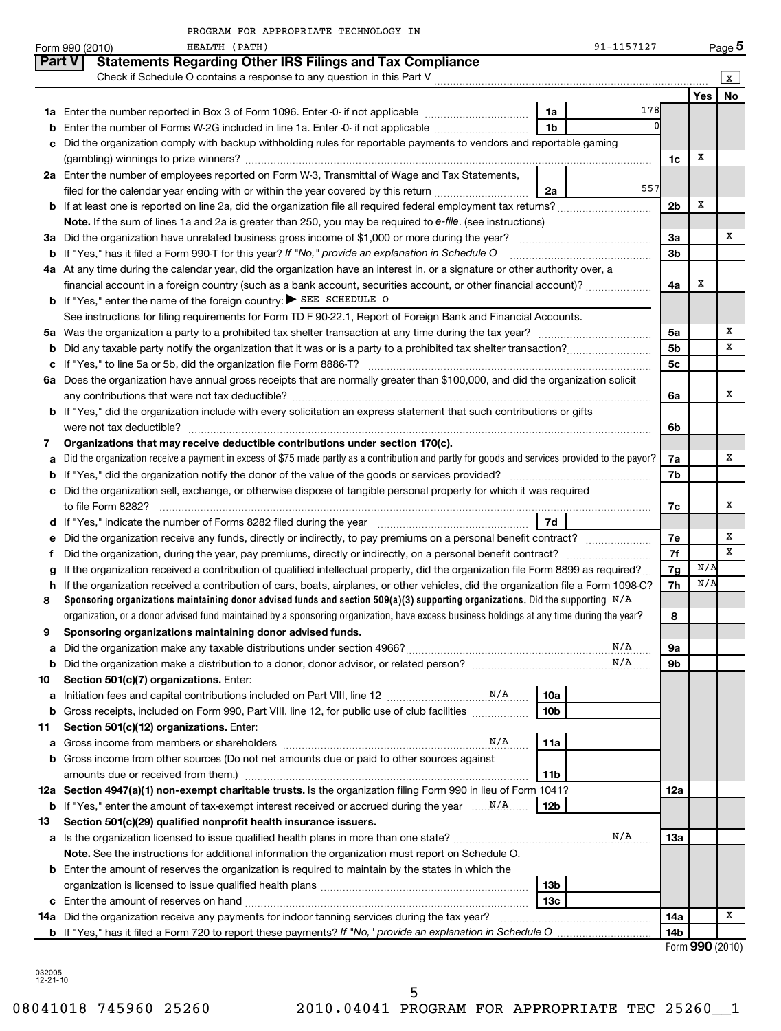|               | PROGRAM FOR APPROPRIATE TECHNOLOGY IN                                                                                                           |                 |                 |        |
|---------------|-------------------------------------------------------------------------------------------------------------------------------------------------|-----------------|-----------------|--------|
|               | 91-1157127<br>HEALTH (PATH)<br>Form 990 (2010)                                                                                                  |                 |                 | Page 5 |
| <b>Part V</b> | <b>Statements Regarding Other IRS Filings and Tax Compliance</b>                                                                                |                 |                 |        |
|               |                                                                                                                                                 |                 |                 | ΙX     |
|               |                                                                                                                                                 |                 | Yes             | No     |
|               | 178<br>1a                                                                                                                                       |                 |                 |        |
| b             | $\Omega$<br>1 <sub>b</sub><br>Enter the number of Forms W-2G included in line 1a. Enter -0- if not applicable                                   |                 |                 |        |
| c             | Did the organization comply with backup withholding rules for reportable payments to vendors and reportable gaming                              |                 |                 |        |
|               |                                                                                                                                                 | 1c              | х               |        |
|               | 2a Enter the number of employees reported on Form W-3, Transmittal of Wage and Tax Statements,                                                  |                 |                 |        |
|               | 557<br>filed for the calendar year ending with or within the year covered by this return<br>2a                                                  |                 |                 |        |
|               |                                                                                                                                                 | 2b              | Х               |        |
|               | Note. If the sum of lines 1a and 2a is greater than 250, you may be required to e-file. (see instructions)                                      |                 |                 |        |
|               |                                                                                                                                                 | За              |                 | х      |
|               | <b>b</b> If "Yes," has it filed a Form 990-T for this year? If "No," provide an explanation in Schedule O                                       | 3 <sub>b</sub>  |                 |        |
|               | 4a At any time during the calendar year, did the organization have an interest in, or a signature or other authority over, a                    |                 |                 |        |
|               | financial account in a foreign country (such as a bank account, securities account, or other financial account)?                                | 4a              | х               |        |
|               | <b>b</b> If "Yes," enter the name of the foreign country: $\triangleright$ SEE SCHEDULE O                                                       |                 |                 |        |
|               | See instructions for filing requirements for Form TD F 90-22.1, Report of Foreign Bank and Financial Accounts.                                  |                 |                 |        |
|               |                                                                                                                                                 | 5a              |                 | Х      |
| b             |                                                                                                                                                 | 5 <sub>b</sub>  |                 | х      |
| c             |                                                                                                                                                 | 5c              |                 |        |
|               | 6a Does the organization have annual gross receipts that are normally greater than \$100,000, and did the organization solicit                  |                 |                 |        |
|               |                                                                                                                                                 | 6a              |                 | х      |
|               | <b>b</b> If "Yes," did the organization include with every solicitation an express statement that such contributions or gifts                   |                 |                 |        |
|               | were not tax deductible?                                                                                                                        | 6b              |                 |        |
| 7             | Organizations that may receive deductible contributions under section 170(c).                                                                   |                 |                 |        |
| a             | Did the organization receive a payment in excess of \$75 made partly as a contribution and partly for goods and services provided to the payor? | 7a              |                 | х      |
| b             |                                                                                                                                                 | 7b              |                 |        |
|               | c Did the organization sell, exchange, or otherwise dispose of tangible personal property for which it was required                             |                 |                 |        |
|               |                                                                                                                                                 | 7c              |                 | х      |
|               | d If "Yes," indicate the number of Forms 8282 filed during the year manufactured and result of 7d                                               |                 |                 |        |
|               | Did the organization receive any funds, directly or indirectly, to pay premiums on a personal benefit contract?                                 | 7е              |                 | х      |
| е<br>f        |                                                                                                                                                 | 7f              |                 | x      |
| g             | If the organization received a contribution of qualified intellectual property, did the organization file Form 8899 as required?                | 7g              | N/A             |        |
| h             | If the organization received a contribution of cars, boats, airplanes, or other vehicles, did the organization file a Form 1098-C?              | 7h              | N/A             |        |
| 8             | Sponsoring organizations maintaining donor advised funds and section 509(a)(3) supporting organizations. Did the supporting $N/A$               |                 |                 |        |
|               | organization, or a donor advised fund maintained by a sponsoring organization, have excess business holdings at any time during the year?       | 8               |                 |        |
| 9             | Sponsoring organizations maintaining donor advised funds.                                                                                       |                 |                 |        |
| a             | N/A                                                                                                                                             | 9а              |                 |        |
| b             | N/A                                                                                                                                             | 9b              |                 |        |
| 10            | Section 501(c)(7) organizations. Enter:                                                                                                         |                 |                 |        |
| а             | 10a                                                                                                                                             |                 |                 |        |
| b             | 10 <sub>b</sub><br>Gross receipts, included on Form 990, Part VIII, line 12, for public use of club facilities                                  |                 |                 |        |
| 11            | Section 501(c)(12) organizations. Enter:                                                                                                        |                 |                 |        |
| а             | N/A<br>11a                                                                                                                                      |                 |                 |        |
|               | b Gross income from other sources (Do not net amounts due or paid to other sources against                                                      |                 |                 |        |
|               | 11b                                                                                                                                             |                 |                 |        |
|               | 12a Section 4947(a)(1) non-exempt charitable trusts. Is the organization filing Form 990 in lieu of Form 1041?                                  | 12a             |                 |        |
|               | 12b                                                                                                                                             |                 |                 |        |
|               |                                                                                                                                                 |                 |                 |        |
| 13            | Section 501(c)(29) qualified nonprofit health insurance issuers.<br>N/A                                                                         | 13a             |                 |        |
|               | a Is the organization licensed to issue qualified health plans in more than one state?                                                          |                 |                 |        |
|               | Note. See the instructions for additional information the organization must report on Schedule O.                                               |                 |                 |        |
|               | <b>b</b> Enter the amount of reserves the organization is required to maintain by the states in which the                                       |                 |                 |        |
|               | 13 <sub>b</sub>                                                                                                                                 |                 |                 |        |
|               | 13 <sub>c</sub>                                                                                                                                 |                 |                 | х      |
|               | 14a Did the organization receive any payments for indoor tanning services during the tax year?                                                  | 14a             |                 |        |
|               |                                                                                                                                                 | 14 <sub>b</sub> | Form 990 (2010) |        |
|               |                                                                                                                                                 |                 |                 |        |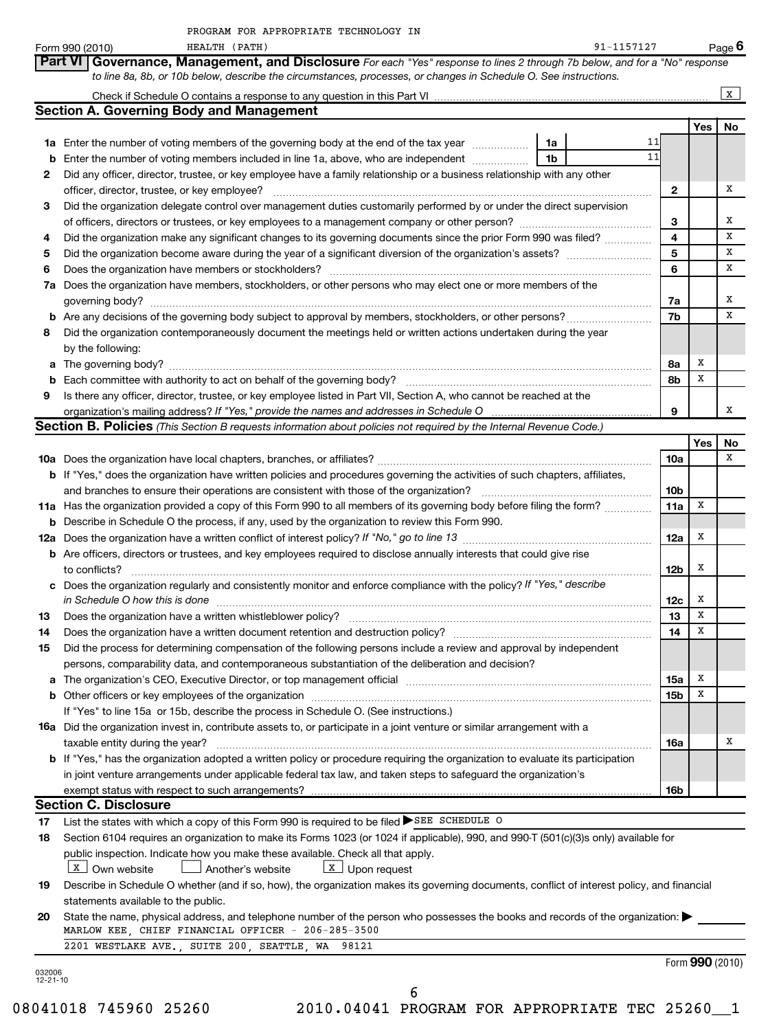|          | 91-1157127<br>HEALTH (PATH)<br>Form 990 (2010)                                                                                                                                                                                 |                 |     | Page 6          |
|----------|--------------------------------------------------------------------------------------------------------------------------------------------------------------------------------------------------------------------------------|-----------------|-----|-----------------|
|          | Governance, Management, and Disclosure For each "Yes" response to lines 2 through 7b below, and for a "No" response<br>Part VI                                                                                                 |                 |     |                 |
|          | to line 8a, 8b, or 10b below, describe the circumstances, processes, or changes in Schedule O. See instructions.                                                                                                               |                 |     |                 |
|          |                                                                                                                                                                                                                                |                 |     | X               |
|          | <b>Section A. Governing Body and Management</b>                                                                                                                                                                                |                 |     |                 |
|          |                                                                                                                                                                                                                                |                 | Yes | No              |
|          | 11<br>1a Enter the number of voting members of the governing body at the end of the tax year<br>1a                                                                                                                             |                 |     |                 |
| b        | 11<br>Enter the number of voting members included in line 1a, above, who are independent <i></i><br>1b                                                                                                                         |                 |     |                 |
| 2        | Did any officer, director, trustee, or key employee have a family relationship or a business relationship with any other                                                                                                       |                 |     |                 |
|          | officer, director, trustee, or key employee?                                                                                                                                                                                   | 2               |     | х               |
| З        | Did the organization delegate control over management duties customarily performed by or under the direct supervision                                                                                                          |                 |     |                 |
|          |                                                                                                                                                                                                                                | 3               |     | х               |
|          |                                                                                                                                                                                                                                | 4               |     | Х               |
| 4        | Did the organization make any significant changes to its governing documents since the prior Form 990 was filed?                                                                                                               | 5               |     | Х               |
| 5        |                                                                                                                                                                                                                                |                 |     |                 |
| 6        | Does the organization have members or stockholders?                                                                                                                                                                            | 6               |     | х               |
| 7a       | Does the organization have members, stockholders, or other persons who may elect one or more members of the                                                                                                                    |                 |     |                 |
|          | governing body?                                                                                                                                                                                                                | 7a              |     | х               |
|          |                                                                                                                                                                                                                                | 7b              |     | х               |
| 8        | Did the organization contemporaneously document the meetings held or written actions undertaken during the year                                                                                                                |                 |     |                 |
|          | by the following:                                                                                                                                                                                                              |                 |     |                 |
|          | a The governing body?                                                                                                                                                                                                          | 8a              | х   |                 |
|          | <b>b</b> Each committee with authority to act on behalf of the governing body?                                                                                                                                                 | 8b              | х   |                 |
| 9        | Is there any officer, director, trustee, or key employee listed in Part VII, Section A, who cannot be reached at the                                                                                                           |                 |     |                 |
|          |                                                                                                                                                                                                                                | 9               |     | х               |
|          | Section B. Policies (This Section B requests information about policies not required by the Internal Revenue Code.)                                                                                                            |                 |     |                 |
|          |                                                                                                                                                                                                                                |                 | Yes | No              |
|          |                                                                                                                                                                                                                                | <b>10a</b>      |     | х               |
|          |                                                                                                                                                                                                                                |                 |     |                 |
|          | <b>b</b> If "Yes," does the organization have written policies and procedures governing the activities of such chapters, affiliates,                                                                                           |                 |     |                 |
|          | and branches to ensure their operations are consistent with those of the organization?                                                                                                                                         | 10 <sub>b</sub> |     |                 |
|          | 11a Has the organization provided a copy of this Form 990 to all members of its governing body before filing the form?                                                                                                         | 11a             | Х   |                 |
| b        | Describe in Schedule O the process, if any, used by the organization to review this Form 990.                                                                                                                                  |                 |     |                 |
|          | 12a Does the organization have a written conflict of interest policy? If "No," go to line 13                                                                                                                                   | 12a             | х   |                 |
|          | <b>b</b> Are officers, directors or trustees, and key employees required to disclose annually interests that could give rise                                                                                                   |                 |     |                 |
|          | to conflicts?                                                                                                                                                                                                                  | 12b             | X   |                 |
|          | c Does the organization regularly and consistently monitor and enforce compliance with the policy? If "Yes," describe                                                                                                          |                 |     |                 |
|          | in Schedule O how this is done                                                                                                                                                                                                 | 12c             | х   |                 |
| 13       | Does the organization have a written whistleblower policy?                                                                                                                                                                     | 13              | х   |                 |
| 14       |                                                                                                                                                                                                                                | 14              | х   |                 |
| 15       | Did the process for determining compensation of the following persons include a review and approval by independent                                                                                                             |                 |     |                 |
|          | persons, comparability data, and contemporaneous substantiation of the deliberation and decision?                                                                                                                              |                 |     |                 |
|          | The organization's CEO, Executive Director, or top management official manufactured content of the organization's CEO, Executive Director, or top management official manufactured content of the state of the state of the st | 15a             | х   |                 |
|          |                                                                                                                                                                                                                                | 15b             | Х   |                 |
|          | If "Yes" to line 15a or 15b, describe the process in Schedule O. (See instructions.)                                                                                                                                           |                 |     |                 |
|          |                                                                                                                                                                                                                                |                 |     |                 |
|          | <b>16a</b> Did the organization invest in, contribute assets to, or participate in a joint venture or similar arrangement with a                                                                                               |                 |     | Х               |
|          | taxable entity during the year?                                                                                                                                                                                                | 16a             |     |                 |
|          | <b>b</b> If "Yes," has the organization adopted a written policy or procedure requiring the organization to evaluate its participation                                                                                         |                 |     |                 |
|          | in joint venture arrangements under applicable federal tax law, and taken steps to safeguard the organization's                                                                                                                |                 |     |                 |
|          | exempt status with respect to such arrangements?                                                                                                                                                                               | 16b             |     |                 |
|          | <b>Section C. Disclosure</b>                                                                                                                                                                                                   |                 |     |                 |
| 17       | List the states with which a copy of this Form 990 is required to be filed SEE SCHEDULE O                                                                                                                                      |                 |     |                 |
| 18       | Section 6104 requires an organization to make its Forms 1023 (or 1024 if applicable), 990, and 990-T (501(c)(3)s only) available for                                                                                           |                 |     |                 |
|          | public inspection. Indicate how you make these available. Check all that apply.                                                                                                                                                |                 |     |                 |
|          | $\boxed{\mathbf{x}}$ Upon request<br>$\lfloor x \rfloor$ Own website<br>Another's website                                                                                                                                      |                 |     |                 |
| 19       | Describe in Schedule O whether (and if so, how), the organization makes its governing documents, conflict of interest policy, and financial                                                                                    |                 |     |                 |
|          | statements available to the public.                                                                                                                                                                                            |                 |     |                 |
| 20       | State the name, physical address, and telephone number of the person who possesses the books and records of the organization:                                                                                                  |                 |     |                 |
|          | MARLOW KEE, CHIEF FINANCIAL OFFICER - 206-285-3500                                                                                                                                                                             |                 |     |                 |
|          | 2201 WESTLAKE AVE., SUITE 200, SEATTLE, WA 98121                                                                                                                                                                               |                 |     |                 |
|          |                                                                                                                                                                                                                                |                 |     | Form 990 (2010) |
| 032006   |                                                                                                                                                                                                                                |                 |     |                 |
| 12-21-10 | 6                                                                                                                                                                                                                              |                 |     |                 |
|          |                                                                                                                                                                                                                                |                 |     |                 |

08041018 745960 25260 2010.04041 PROGRAM FOR APPROPRIATE TEC 25260\_\_1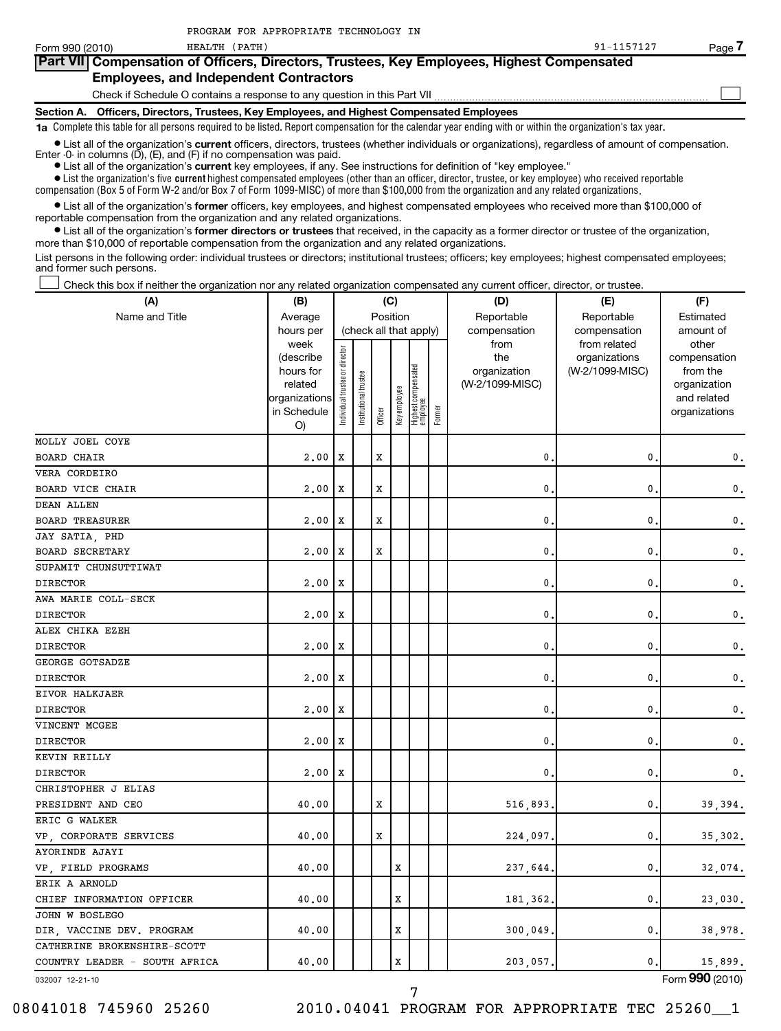HEALTH (PATH) 91-1157127

Page 7

| Form 990 (2010)                               |  | HEALTH (PATH)                                                                               |  | 91-1157127 | Page <i>I</i> |  |  |  |  |
|-----------------------------------------------|--|---------------------------------------------------------------------------------------------|--|------------|---------------|--|--|--|--|
|                                               |  | Part VIII Compensation of Officers, Directors, Trustees, Key Employees, Highest Compensated |  |            |               |  |  |  |  |
| <b>Employees, and Independent Contractors</b> |  |                                                                                             |  |            |               |  |  |  |  |
|                                               |  | Check if Schedule O contains a response to any question in this Part VII                    |  |            |               |  |  |  |  |
|                                               |  |                                                                                             |  |            |               |  |  |  |  |

**Section A. Officers, Directors, Trustees, Key Employees, and Highest Compensated Employees 1a**  Complete this table for all persons required to be listed. Report compensation for the calendar year ending with or within the organization's tax year.

• List all of the organization's current officers, directors, trustees (whether individuals or organizations), regardless of amount of compensation.

Enter -0- in columns  $(D)$ ,  $(E)$ , and  $(F)$  if no compensation was paid.

**•** List all of the organization's **current** key employees, if any. See instructions for definition of "key employee."

 $\bullet$  List the organization's five  $\tt current$  highest compensated employees (other than an officer, director, trustee, or key employee) who received reportable compensation (Box 5 of Form W-2 and/or Box 7 of Form 1099-MISC) of more than \$100,000 from the organization and any related organizations .

 $\bullet$  List all of the organization's former officers, key employees, and highest compensated employees who received more than \$100,000 of reportable compensation from the organization and any related organizations.

**•** List all of the organization's former directors or trustees that received, in the capacity as a former director or trustee of the organization, more than \$10,000 of reportable compensation from the organization and any related organizations.

List persons in the following order: individual trustees or directors; institutional trustees; officers; key employees; highest compensated employees; and former such persons.

Check this box if neither the organization nor any related organization compensated any current officer, director, or trustee.  $\left\vert \cdot\right\vert$ 

| (A)                           | (B)                                                                                          | (C)                            |                                                |             |              |                                 |        | (D)                                                            | (E)                                                              | (F)                                                                                            |
|-------------------------------|----------------------------------------------------------------------------------------------|--------------------------------|------------------------------------------------|-------------|--------------|---------------------------------|--------|----------------------------------------------------------------|------------------------------------------------------------------|------------------------------------------------------------------------------------------------|
| Name and Title                | Average                                                                                      |                                | Position                                       |             |              |                                 |        | Reportable                                                     | Reportable                                                       | Estimated                                                                                      |
|                               | hours per<br>week<br>(describe<br>hours for<br>related<br>organizations<br>in Schedule<br>O) | Individual trustee or director | (check all that apply)<br>nstitutional trustee | Officer     | Key employee | Highest compensated<br>employee | Former | compensation<br>from<br>the<br>organization<br>(W-2/1099-MISC) | compensation<br>from related<br>organizations<br>(W-2/1099-MISC) | amount of<br>other<br>compensation<br>from the<br>organization<br>and related<br>organizations |
| <b>MOLLY JOEL COYE</b>        |                                                                                              |                                |                                                |             |              |                                 |        |                                                                |                                                                  |                                                                                                |
| BOARD CHAIR                   | 2,00                                                                                         | х                              |                                                | $\mathbf x$ |              |                                 |        | 0.                                                             | 0                                                                | 0.                                                                                             |
| VERA CORDEIRO                 |                                                                                              |                                |                                                |             |              |                                 |        |                                                                |                                                                  |                                                                                                |
| <b>BOARD VICE CHAIR</b>       | 2,00                                                                                         | X                              |                                                | $\mathbf x$ |              |                                 |        | $\mathbf{0}$ .                                                 | 0                                                                | 0.                                                                                             |
| DEAN ALLEN                    |                                                                                              |                                |                                                |             |              |                                 |        |                                                                |                                                                  |                                                                                                |
| <b>BOARD TREASURER</b>        | 2,00                                                                                         | X                              |                                                | X           |              |                                 |        | 0                                                              | 0                                                                | 0.                                                                                             |
| JAY SATIA, PHD                |                                                                                              |                                |                                                |             |              |                                 |        |                                                                |                                                                  |                                                                                                |
| <b>BOARD SECRETARY</b>        | 2,00                                                                                         | X                              |                                                | X           |              |                                 |        | 0.                                                             | 0                                                                | 0.                                                                                             |
| SUPAMIT CHUNSUTTIWAT          |                                                                                              |                                |                                                |             |              |                                 |        |                                                                |                                                                  |                                                                                                |
| <b>DIRECTOR</b>               | 2,00                                                                                         | Х                              |                                                |             |              |                                 |        | 0.                                                             | 0                                                                | 0.                                                                                             |
| AWA MARIE COLL-SECK           |                                                                                              |                                |                                                |             |              |                                 |        |                                                                |                                                                  |                                                                                                |
| <b>DIRECTOR</b>               | 2,00                                                                                         | X                              |                                                |             |              |                                 |        | $\mathbf{0}$                                                   | 0                                                                | $\mathbf 0$ .                                                                                  |
| ALEX CHIKA EZEH               |                                                                                              |                                |                                                |             |              |                                 |        |                                                                |                                                                  |                                                                                                |
| <b>DIRECTOR</b>               | 2,00                                                                                         | X                              |                                                |             |              |                                 |        | $\mathbf{0}$ .                                                 | 0                                                                | $\mathbf 0$ .                                                                                  |
| GEORGE GOTSADZE               |                                                                                              |                                |                                                |             |              |                                 |        |                                                                |                                                                  |                                                                                                |
| <b>DIRECTOR</b>               | 2,00                                                                                         | х                              |                                                |             |              |                                 |        | 0.                                                             | 0                                                                | 0.                                                                                             |
| EIVOR HALKJAER                |                                                                                              |                                |                                                |             |              |                                 |        |                                                                |                                                                  |                                                                                                |
| <b>DIRECTOR</b>               | 2,00                                                                                         | X                              |                                                |             |              |                                 |        | $\mathbf{0}$ .                                                 | 0                                                                | 0.                                                                                             |
| VINCENT MCGEE                 |                                                                                              |                                |                                                |             |              |                                 |        |                                                                |                                                                  |                                                                                                |
| <b>DIRECTOR</b>               | 2.00                                                                                         | Х                              |                                                |             |              |                                 |        | 0                                                              | 0                                                                | $\mathbf 0$ .                                                                                  |
| KEVIN REILLY                  |                                                                                              |                                |                                                |             |              |                                 |        |                                                                |                                                                  |                                                                                                |
| <b>DIRECTOR</b>               | 2,00                                                                                         | X                              |                                                |             |              |                                 |        | 0.                                                             | 0                                                                | $\mathbf 0$ .                                                                                  |
| CHRISTOPHER J ELIAS           |                                                                                              |                                |                                                |             |              |                                 |        |                                                                |                                                                  |                                                                                                |
| PRESIDENT AND CEO             | 40.00                                                                                        |                                |                                                | X           |              |                                 |        | 516,893.                                                       | 0,                                                               | 39,394.                                                                                        |
| ERIC G WALKER                 |                                                                                              |                                |                                                |             |              |                                 |        |                                                                |                                                                  |                                                                                                |
| VP, CORPORATE SERVICES        | 40.00                                                                                        |                                |                                                | $\mathbf x$ |              |                                 |        | 224,097.                                                       | $\mathbf 0$ .                                                    | 35,302.                                                                                        |
| AYORINDE AJAYI                |                                                                                              |                                |                                                |             |              |                                 |        |                                                                |                                                                  |                                                                                                |
| VP, FIELD PROGRAMS            | 40.00                                                                                        |                                |                                                |             | $\mathbf x$  |                                 |        | 237,644.                                                       | 0                                                                | 32,074.                                                                                        |
| ERIK A ARNOLD                 |                                                                                              |                                |                                                |             |              |                                 |        |                                                                |                                                                  |                                                                                                |
| CHIEF INFORMATION OFFICER     | 40.00                                                                                        |                                |                                                |             | X            |                                 |        | 181, 362.                                                      | 0.                                                               | 23,030.                                                                                        |
| JOHN W BOSLEGO                |                                                                                              |                                |                                                |             |              |                                 |        |                                                                |                                                                  |                                                                                                |
| DIR, VACCINE DEV. PROGRAM     | 40.00                                                                                        |                                |                                                |             | $\mathbf x$  |                                 |        | 300,049.                                                       | 0.                                                               | 38,978.                                                                                        |
| CATHERINE BROKENSHIRE-SCOTT   |                                                                                              |                                |                                                |             |              |                                 |        |                                                                |                                                                  |                                                                                                |
| COUNTRY LEADER - SOUTH AFRICA | 40.00                                                                                        |                                |                                                |             | $\mathbf x$  |                                 |        | 203,057.                                                       | $\mathbf{0}$ .                                                   | 15,899.                                                                                        |
| 032007 12-21-10               |                                                                                              |                                |                                                |             |              |                                 |        |                                                                |                                                                  | Form 990 (2010)                                                                                |

7

032007 12-21-10

08041018 745960 25260 2010.04041 PROGRAM FOR APPROPRIATE TEC 25260\_1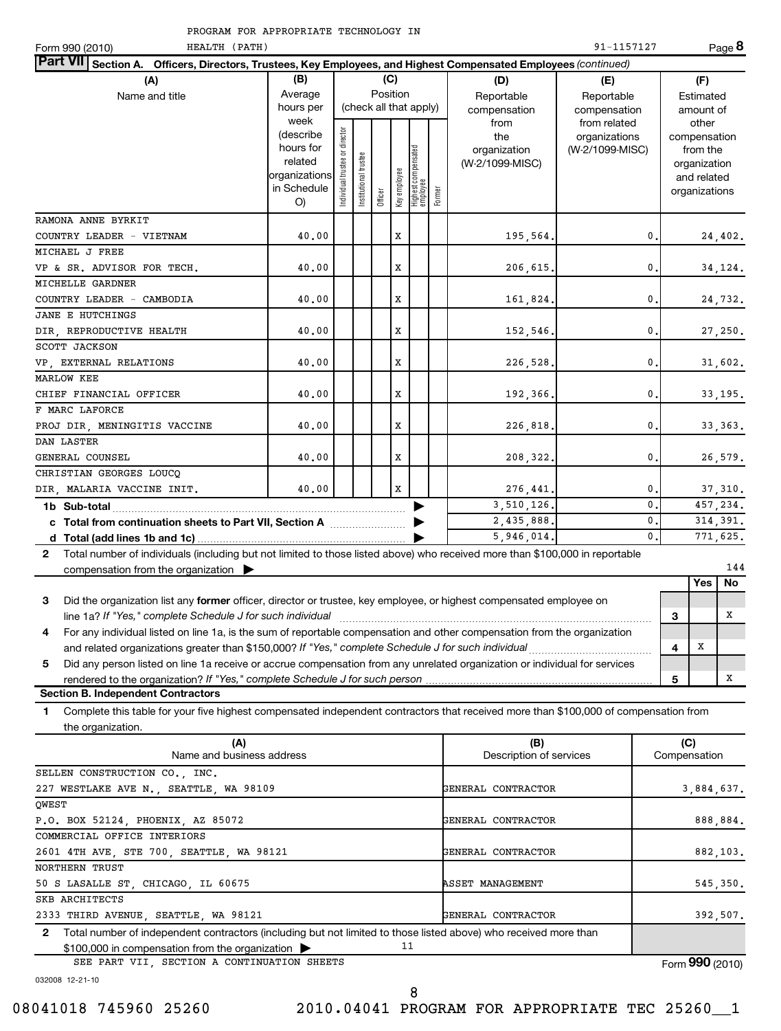| HEALTH (PATH)<br>Form 990 (2010)                                                                                                            |                        |                                |                       |          |              |                                 |        |                                 | 91-1157127           |   |                          | Page 8           |
|---------------------------------------------------------------------------------------------------------------------------------------------|------------------------|--------------------------------|-----------------------|----------|--------------|---------------------------------|--------|---------------------------------|----------------------|---|--------------------------|------------------|
| Part VII Section A. Officers, Directors, Trustees, Key Employees, and Highest Compensated Employees (continued)                             |                        |                                |                       |          |              |                                 |        |                                 |                      |   |                          |                  |
| (A)                                                                                                                                         | (B)                    |                                |                       |          | (C)          |                                 |        | (D)                             | (E)                  |   | (F)                      |                  |
| Name and title                                                                                                                              | Average                |                                |                       | Position |              |                                 |        | Reportable                      | Reportable           |   | Estimated                |                  |
|                                                                                                                                             | hours per              |                                |                       |          |              | (check all that apply)          |        | compensation                    | compensation         |   | amount of                |                  |
|                                                                                                                                             | week                   |                                |                       |          |              |                                 |        | from                            | from related         |   | other                    |                  |
|                                                                                                                                             | (describe<br>hours for |                                |                       |          |              |                                 |        | the                             | organizations        |   | compensation             |                  |
|                                                                                                                                             | related                |                                |                       |          |              |                                 |        | organization<br>(W-2/1099-MISC) | (W-2/1099-MISC)      |   | from the<br>organization |                  |
|                                                                                                                                             | organizations          | Individual trustee or director | Institutional trustee |          |              | Highest compensated<br>employee |        |                                 |                      |   | and related              |                  |
|                                                                                                                                             | in Schedule            |                                |                       | Officer  | Key employee |                                 | Former |                                 |                      |   | organizations            |                  |
|                                                                                                                                             | O)                     |                                |                       |          |              |                                 |        |                                 |                      |   |                          |                  |
| RAMONA ANNE BYRKIT                                                                                                                          |                        |                                |                       |          |              |                                 |        |                                 |                      |   |                          |                  |
| COUNTRY LEADER - VIETNAM                                                                                                                    | 40.00                  |                                |                       |          | X            |                                 |        | 195,564.                        | 0.                   |   |                          | 24, 402.         |
| MICHAEL J FREE                                                                                                                              |                        |                                |                       |          |              |                                 |        |                                 |                      |   |                          |                  |
| VP & SR. ADVISOR FOR TECH.                                                                                                                  | 40.00                  |                                |                       |          | X            |                                 |        | 206, 615.                       | 0.                   |   |                          | 34,124.          |
| MICHELLE GARDNER                                                                                                                            |                        |                                |                       |          |              |                                 |        |                                 |                      |   |                          |                  |
| COUNTRY LEADER - CAMBODIA                                                                                                                   | 40.00                  |                                |                       |          | X            |                                 |        | 161,824.                        | 0.                   |   |                          | 24,732.          |
| <b>JANE E HUTCHINGS</b>                                                                                                                     |                        |                                |                       |          |              |                                 |        |                                 |                      |   |                          |                  |
| DIR, REPRODUCTIVE HEALTH                                                                                                                    | 40.00                  |                                |                       |          | X            |                                 |        | 152,546.                        | 0.                   |   |                          | 27,250.          |
| SCOTT JACKSON                                                                                                                               |                        |                                |                       |          |              |                                 |        |                                 |                      |   |                          |                  |
| VP, EXTERNAL RELATIONS                                                                                                                      | 40.00                  |                                |                       |          | X            |                                 |        | 226,528.                        | 0.                   |   |                          | 31,602.          |
| <b>MARLOW KEE</b>                                                                                                                           |                        |                                |                       |          |              |                                 |        |                                 |                      |   |                          |                  |
| CHIEF FINANCIAL OFFICER                                                                                                                     | 40.00                  |                                |                       |          | X            |                                 |        | 192,366.                        | $\mathbf{0}$ .       |   |                          | 33, 195.         |
| F MARC LAFORCE                                                                                                                              |                        |                                |                       |          |              |                                 |        |                                 |                      |   |                          |                  |
| PROJ DIR, MENINGITIS VACCINE                                                                                                                | 40.00                  |                                |                       |          | X            |                                 |        | 226,818.                        | 0.                   |   |                          | 33, 363.         |
| DAN LASTER                                                                                                                                  |                        |                                |                       |          |              |                                 |        |                                 |                      |   |                          |                  |
| GENERAL COUNSEL                                                                                                                             | 40.00                  |                                |                       |          | X            |                                 |        | 208, 322.                       | $\mathbf{0}$ .       |   |                          | 26,579.          |
| CHRISTIAN GEORGES LOUCO                                                                                                                     |                        |                                |                       |          |              |                                 |        |                                 |                      |   |                          |                  |
| DIR. MALARIA VACCINE INIT.                                                                                                                  | 40.00                  |                                |                       |          | X            |                                 |        | 276,441.                        | $\mathbf{0}$         |   |                          | 37,310.          |
|                                                                                                                                             |                        |                                |                       |          |              |                                 |        | 3,510,126.                      | $\mathbf{0}$ .       |   |                          | 457,234.         |
|                                                                                                                                             |                        |                                |                       |          |              |                                 |        | 2,435,888.                      | 0.<br>$\mathbf{0}$ . |   |                          | 314.391.         |
|                                                                                                                                             |                        |                                |                       |          |              |                                 |        | 5,946,014.                      |                      |   |                          | 771.625.         |
| Total number of individuals (including but not limited to those listed above) who received more than \$100,000 in reportable<br>$2^{\circ}$ |                        |                                |                       |          |              |                                 |        |                                 |                      |   |                          |                  |
| compensation from the organization $\blacktriangleright$                                                                                    |                        |                                |                       |          |              |                                 |        |                                 |                      |   | Yes                      | 144<br><b>No</b> |
|                                                                                                                                             |                        |                                |                       |          |              |                                 |        |                                 |                      |   |                          |                  |
| 3<br>Did the organization list any former officer, director or trustee, key employee, or highest compensated employee on                    |                        |                                |                       |          |              |                                 |        |                                 |                      |   |                          | x                |
| line 1a? If "Yes," complete Schedule J for such individual                                                                                  |                        |                                |                       |          |              |                                 |        |                                 |                      | 3 |                          |                  |
| For any individual listed on line 1a, is the sum of reportable compensation and other compensation from the organization<br>4               |                        |                                |                       |          |              |                                 |        |                                 |                      |   |                          |                  |

*If "Yes," complete Schedule J for such person* rendered to the organization?

### **Section B. Independent Contractors**

**1** Complete this table for your five highest compensated independent contractors that received more than \$100,000 of compensation from the organization.

and related organizations greater than \$150,000? If "Yes," complete Schedule J for such individual *manumeroman* 

Did any person listed on line 1a receive or accrue compensation from any unrelated organization or individual for services

| (A)                                                                                                                              | (B)                     | (C)             |
|----------------------------------------------------------------------------------------------------------------------------------|-------------------------|-----------------|
| Name and business address                                                                                                        | Description of services | Compensation    |
| SELLEN CONSTRUCTION CO., INC.                                                                                                    |                         |                 |
| 227 WESTLAKE AVE N., SEATTLE, WA 98109                                                                                           | GENERAL CONTRACTOR      | 3,884,637.      |
| OWEST                                                                                                                            |                         |                 |
| P.O. BOX 52124, PHOENIX, AZ 85072                                                                                                | GENERAL CONTRACTOR      | 888,884.        |
| COMMERCIAL OFFICE INTERIORS                                                                                                      |                         |                 |
| 2601 4TH AVE, STE 700, SEATTLE, WA 98121                                                                                         | GENERAL CONTRACTOR      | 882,103.        |
| NORTHERN TRUST                                                                                                                   |                         |                 |
| 50 S LASALLE ST, CHICAGO, IL 60675                                                                                               | <b>ASSET MANAGEMENT</b> | 545,350.        |
| SKB ARCHITECTS                                                                                                                   |                         |                 |
| 2333 THIRD AVENUE, SEATTLE, WA 98121                                                                                             | GENERAL CONTRACTOR      | 392,507.        |
| Total number of independent contractors (including but not limited to those listed above) who received more than<br>$\mathbf{2}$ |                         |                 |
| 11<br>$$100,000$ in compensation from the organization $\triangleright$                                                          |                         |                 |
| SEE PART VII, SECTION A CONTINUATION SHEETS                                                                                      |                         | Form 990 (2010) |

032008 12-21-10

**5**

**4**

X

X

**5**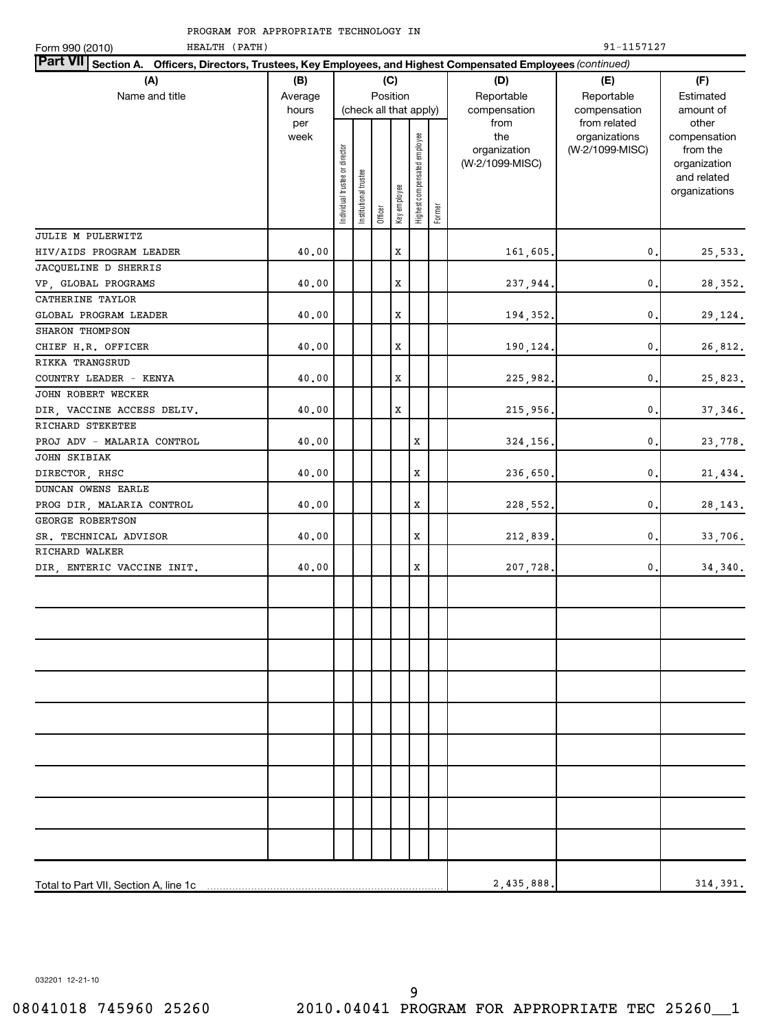| HEALTH (PATH)<br>Form 990 (2010)                                                                                |                      |                                |                       |         |                        |                              |        |                                 | 91-1157127                                                  |                                                          |
|-----------------------------------------------------------------------------------------------------------------|----------------------|--------------------------------|-----------------------|---------|------------------------|------------------------------|--------|---------------------------------|-------------------------------------------------------------|----------------------------------------------------------|
| Part VII Section A. Officers, Directors, Trustees, Key Employees, and Highest Compensated Employees (continued) |                      |                                |                       |         |                        |                              |        |                                 |                                                             |                                                          |
| (A)                                                                                                             | (B)                  |                                |                       |         | (C)                    |                              |        | (D)                             | (E)                                                         | (F)                                                      |
| Name and title                                                                                                  | Average              |                                |                       |         | Position               |                              |        | Reportable                      | Reportable<br>compensation<br>from related<br>organizations | Estimated                                                |
|                                                                                                                 | hours<br>per<br>week |                                |                       |         | (check all that apply) |                              |        | compensation<br>from<br>the     |                                                             | amount of<br>other<br>compensation                       |
|                                                                                                                 |                      | Individual trustee or director | Institutional trustee | Officer | Key employee           | Highest compensated employee | Former | organization<br>(W-2/1099-MISC) | (W-2/1099-MISC)                                             | from the<br>organization<br>and related<br>organizations |
| JULIE M PULERWITZ                                                                                               |                      |                                |                       |         |                        |                              |        |                                 |                                                             |                                                          |
| HIV/AIDS PROGRAM LEADER                                                                                         | 40.00                |                                |                       |         | $\mathbf x$            |                              |        | 161,605.                        | 0.                                                          | 25,533.                                                  |
| JACQUELINE D SHERRIS                                                                                            |                      |                                |                       |         |                        |                              |        |                                 |                                                             |                                                          |
| VP, GLOBAL PROGRAMS                                                                                             | 40.00                |                                |                       |         | $\mathbf x$            |                              |        | 237,944.                        | 0.                                                          | 28, 352.                                                 |
| CATHERINE TAYLOR                                                                                                |                      |                                |                       |         |                        |                              |        |                                 |                                                             |                                                          |
| GLOBAL PROGRAM LEADER                                                                                           | 40.00                |                                |                       |         | $\mathbf x$            |                              |        | 194,352.                        | 0.                                                          | 29,124.                                                  |
| SHARON THOMPSON                                                                                                 |                      |                                |                       |         |                        |                              |        |                                 |                                                             |                                                          |
| CHIEF H.R. OFFICER                                                                                              | 40.00                |                                |                       |         | $\mathbf x$            |                              |        | 190,124.                        | 0.                                                          | 26,812.                                                  |
| RIKKA TRANGSRUD                                                                                                 |                      |                                |                       |         |                        |                              |        |                                 |                                                             |                                                          |
| COUNTRY LEADER - KENYA                                                                                          | 40.00                |                                |                       |         | $\mathbf x$            |                              |        | 225,982.                        | 0.                                                          | 25,823.                                                  |
| JOHN ROBERT WECKER                                                                                              |                      |                                |                       |         |                        |                              |        |                                 |                                                             |                                                          |
| DIR, VACCINE ACCESS DELIV.                                                                                      | 40.00                |                                |                       |         | $\mathbf x$            |                              |        | 215,956.                        | 0.                                                          | 37, 346.                                                 |
| RICHARD STEKETEE                                                                                                |                      |                                |                       |         |                        |                              |        |                                 |                                                             |                                                          |
| PROJ ADV - MALARIA CONTROL                                                                                      | 40.00                |                                |                       |         |                        | $\mathbf x$                  |        | 324,156.                        | 0.                                                          | 23,778.                                                  |
| JOHN SKIBIAK                                                                                                    |                      |                                |                       |         |                        |                              |        |                                 |                                                             |                                                          |
| DIRECTOR, RHSC                                                                                                  | 40.00                |                                |                       |         |                        | $\mathbf X$                  |        | 236,650.                        | 0.                                                          | 21,434.                                                  |
| DUNCAN OWENS EARLE                                                                                              |                      |                                |                       |         |                        |                              |        |                                 |                                                             |                                                          |
| PROG DIR, MALARIA CONTROL                                                                                       | 40.00                |                                |                       |         |                        | $\mathbf X$                  |        | 228,552.                        | 0.                                                          | 28, 143.                                                 |
| GEORGE ROBERTSON                                                                                                |                      |                                |                       |         |                        |                              |        |                                 |                                                             |                                                          |
| SR. TECHNICAL ADVISOR                                                                                           | 40.00                |                                |                       |         |                        | $\mathbf X$                  |        | 212,839.                        | 0.                                                          | 33,706.                                                  |
| RICHARD WALKER<br>DIR, ENTERIC VACCINE INIT.                                                                    | 40.00                |                                |                       |         |                        | $\mathbf X$                  |        | 207,728.                        | $\mathbf{0}$ .                                              | 34, 340.                                                 |
|                                                                                                                 |                      |                                |                       |         |                        |                              |        |                                 |                                                             |                                                          |
|                                                                                                                 |                      |                                |                       |         |                        |                              |        |                                 |                                                             |                                                          |
|                                                                                                                 |                      |                                |                       |         |                        |                              |        |                                 |                                                             |                                                          |
|                                                                                                                 |                      |                                |                       |         |                        |                              |        |                                 |                                                             |                                                          |
|                                                                                                                 |                      |                                |                       |         |                        |                              |        |                                 |                                                             |                                                          |
|                                                                                                                 |                      |                                |                       |         |                        |                              |        |                                 |                                                             |                                                          |
|                                                                                                                 |                      |                                |                       |         |                        |                              |        |                                 |                                                             |                                                          |
| Total to Part VII, Section A, line 1c                                                                           |                      |                                |                       |         |                        |                              |        | 2,435,888.                      |                                                             | 314,391.                                                 |

032201 12-21-10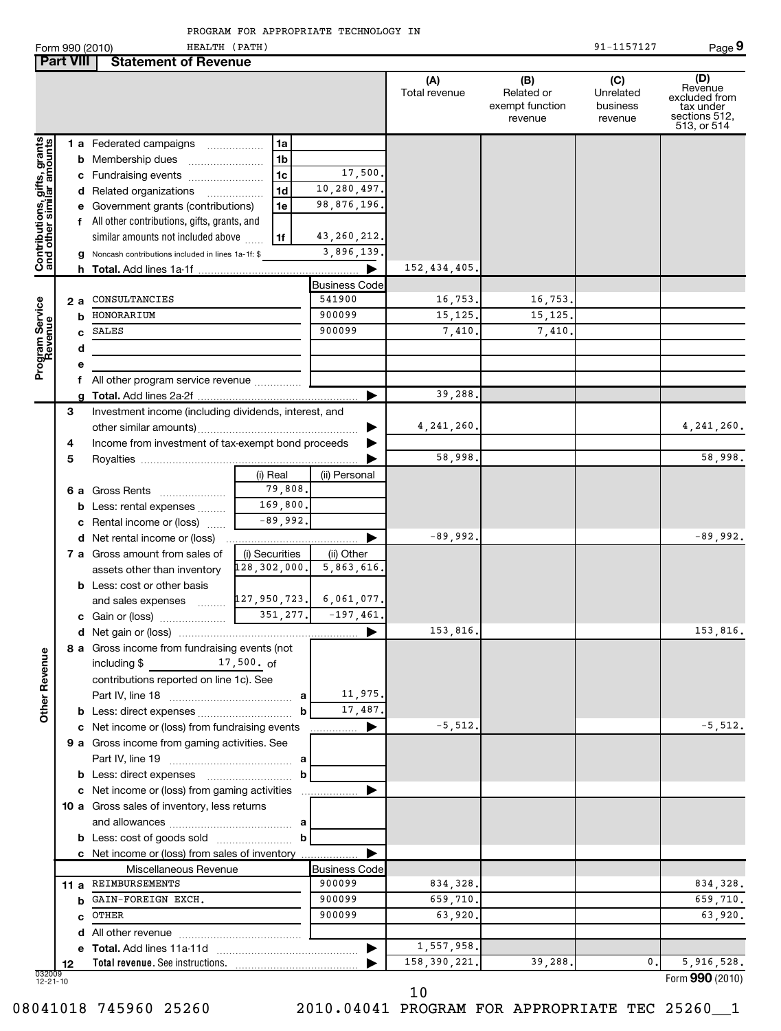|  | PROGRAM FOR APPROPRIATE TECHNOLOGY IN |  |
|--|---------------------------------------|--|
|  |                                       |  |

|                                                           |    |    | Form 990 (2010)<br>HEALTH (PATH)                                                                                                                                                                                               |                |                            |                      |                                                 | 91-1157127                              | Page 9                                                                       |
|-----------------------------------------------------------|----|----|--------------------------------------------------------------------------------------------------------------------------------------------------------------------------------------------------------------------------------|----------------|----------------------------|----------------------|-------------------------------------------------|-----------------------------------------|------------------------------------------------------------------------------|
| <b>Part VIII</b>                                          |    |    | <b>Statement of Revenue</b>                                                                                                                                                                                                    |                |                            |                      |                                                 |                                         |                                                                              |
|                                                           |    |    |                                                                                                                                                                                                                                |                |                            | (A)<br>Total revenue | (B)<br>Related or<br>exempt function<br>revenue | (C)<br>Unrelated<br>business<br>revenue | (D)<br>Revenue<br>excluded from<br>tax under<br>sections 512,<br>513, or 514 |
|                                                           |    |    | 1 a Federated campaigns                                                                                                                                                                                                        | 1a             |                            |                      |                                                 |                                         |                                                                              |
|                                                           |    |    | <b>b</b> Membership dues                                                                                                                                                                                                       | 1 <sub>b</sub> |                            |                      |                                                 |                                         |                                                                              |
|                                                           |    |    | c Fundraising events                                                                                                                                                                                                           | 1c             | 17,500.                    |                      |                                                 |                                         |                                                                              |
|                                                           |    |    | d Related organizations                                                                                                                                                                                                        | 1d<br>.        | 10,280,497.                |                      |                                                 |                                         |                                                                              |
|                                                           |    |    | e Government grants (contributions)                                                                                                                                                                                            | 1e             | 98,876,196.                |                      |                                                 |                                         |                                                                              |
|                                                           |    |    | f All other contributions, gifts, grants, and                                                                                                                                                                                  |                |                            |                      |                                                 |                                         |                                                                              |
|                                                           |    |    | similar amounts not included above                                                                                                                                                                                             | 1f             | 43,260,212.                |                      |                                                 |                                         |                                                                              |
| Contributions, gifts, grants<br>and other similar amounts |    |    | g Noncash contributions included in lines 1a-1f: \$                                                                                                                                                                            |                | 3,896,139.                 |                      |                                                 |                                         |                                                                              |
|                                                           |    |    |                                                                                                                                                                                                                                |                | ▶                          | 152,434,405.         |                                                 |                                         |                                                                              |
|                                                           |    |    |                                                                                                                                                                                                                                |                | <b>Business Code</b>       |                      |                                                 |                                         |                                                                              |
| Program Service<br>Revenue                                |    | 2а | CONSULTANCIES                                                                                                                                                                                                                  |                | 541900                     | 16,753.              | 16,753.                                         |                                         |                                                                              |
|                                                           |    | b  | HONORARIUM                                                                                                                                                                                                                     |                | 900099                     | 15, 125.             | 15, 125.                                        |                                         |                                                                              |
|                                                           |    | c  | SALES                                                                                                                                                                                                                          |                | 900099                     | 7,410.               | 7,410.                                          |                                         |                                                                              |
|                                                           |    | d  |                                                                                                                                                                                                                                |                |                            |                      |                                                 |                                         |                                                                              |
|                                                           |    | е  |                                                                                                                                                                                                                                |                |                            |                      |                                                 |                                         |                                                                              |
|                                                           |    |    | f All other program service revenue                                                                                                                                                                                            |                | ▶                          | 39,288               |                                                 |                                         |                                                                              |
|                                                           | З  |    | Investment income (including dividends, interest, and                                                                                                                                                                          |                |                            |                      |                                                 |                                         |                                                                              |
|                                                           |    |    |                                                                                                                                                                                                                                |                |                            | 4,241,260.           |                                                 |                                         | 4, 241, 260.                                                                 |
|                                                           | 4  |    | Income from investment of tax-exempt bond proceeds                                                                                                                                                                             |                |                            |                      |                                                 |                                         |                                                                              |
|                                                           | 5  |    |                                                                                                                                                                                                                                |                |                            | 58,998.              |                                                 |                                         | 58,998.                                                                      |
|                                                           |    |    |                                                                                                                                                                                                                                | (i) Real       | (ii) Personal              |                      |                                                 |                                         |                                                                              |
|                                                           |    |    | 6 a Gross Rents                                                                                                                                                                                                                | 79,808.        |                            |                      |                                                 |                                         |                                                                              |
|                                                           |    |    | <b>b</b> Less: rental expenses                                                                                                                                                                                                 | 169,800        |                            |                      |                                                 |                                         |                                                                              |
|                                                           |    |    | c Rental income or (loss)                                                                                                                                                                                                      | $-89,992$      |                            |                      |                                                 |                                         |                                                                              |
|                                                           |    |    | d Net rental income or (loss)                                                                                                                                                                                                  |                | ▶                          | $-89,992.$           |                                                 |                                         | $-89,992.$                                                                   |
|                                                           |    |    | 7 a Gross amount from sales of                                                                                                                                                                                                 | (i) Securities | (ii) Other                 |                      |                                                 |                                         |                                                                              |
|                                                           |    |    | assets other than inventory                                                                                                                                                                                                    | 128,302,000.   | 5,863,616.                 |                      |                                                 |                                         |                                                                              |
|                                                           |    |    | <b>b</b> Less: cost or other basis                                                                                                                                                                                             |                |                            |                      |                                                 |                                         |                                                                              |
|                                                           |    |    | and sales expenses                                                                                                                                                                                                             |                | $127,950,723$ . 6,061,077. |                      |                                                 |                                         |                                                                              |
|                                                           |    |    |                                                                                                                                                                                                                                | 351,277.       | $-197,461.$                |                      |                                                 |                                         |                                                                              |
|                                                           |    |    |                                                                                                                                                                                                                                |                |                            | 153,816.             |                                                 |                                         | 153,816.                                                                     |
| <b>Other Revenue</b>                                      |    |    | 8 a Gross income from fundraising events (not<br>including \$<br>$17,500$ . of                                                                                                                                                 |                |                            |                      |                                                 |                                         |                                                                              |
|                                                           |    |    | contributions reported on line 1c). See                                                                                                                                                                                        |                |                            |                      |                                                 |                                         |                                                                              |
|                                                           |    |    |                                                                                                                                                                                                                                | a              | 11,975.                    |                      |                                                 |                                         |                                                                              |
|                                                           |    |    |                                                                                                                                                                                                                                | b              | 17,487.                    |                      |                                                 |                                         |                                                                              |
|                                                           |    |    | c Net income or (loss) from fundraising events                                                                                                                                                                                 |                | ▶                          | $-5,512.$            |                                                 |                                         | $-5,512.$                                                                    |
|                                                           |    |    | 9 a Gross income from gaming activities. See                                                                                                                                                                                   |                |                            |                      |                                                 |                                         |                                                                              |
|                                                           |    |    |                                                                                                                                                                                                                                |                |                            |                      |                                                 |                                         |                                                                              |
|                                                           |    |    | <b>b</b> Less: direct expenses <b>manually</b>                                                                                                                                                                                 | b              |                            |                      |                                                 |                                         |                                                                              |
|                                                           |    |    | c Net income or (loss) from gaming activities                                                                                                                                                                                  |                |                            |                      |                                                 |                                         |                                                                              |
|                                                           |    |    | 10 a Gross sales of inventory, less returns                                                                                                                                                                                    |                |                            |                      |                                                 |                                         |                                                                              |
|                                                           |    |    |                                                                                                                                                                                                                                | b              |                            |                      |                                                 |                                         |                                                                              |
|                                                           |    |    |                                                                                                                                                                                                                                |                |                            |                      |                                                 |                                         |                                                                              |
|                                                           |    |    | c Net income or (loss) from sales of inventory<br>Miscellaneous Revenue                                                                                                                                                        |                | <b>Business Code</b>       |                      |                                                 |                                         |                                                                              |
|                                                           |    |    | 11 a REIMBURSEMENTS                                                                                                                                                                                                            |                | 900099                     | 834,328.             |                                                 |                                         | 834,328.                                                                     |
|                                                           |    |    | <b>b</b> GAIN-FOREIGN EXCH.                                                                                                                                                                                                    |                | 900099                     | 659,710.             |                                                 |                                         | 659,710.                                                                     |
|                                                           |    |    | c OTHER                                                                                                                                                                                                                        |                | 900099                     | 63,920.              |                                                 |                                         | 63,920.                                                                      |
|                                                           |    |    |                                                                                                                                                                                                                                |                |                            |                      |                                                 |                                         |                                                                              |
|                                                           |    |    |                                                                                                                                                                                                                                |                | ▶                          | 1,557,958.           |                                                 |                                         |                                                                              |
|                                                           | 12 |    | Total revenue. See instructions. Manual Communications and the control of the control of the control of the control of the control of the control of the control of the control of the control of the control of the control o |                |                            | 158, 390, 221.       | 39,288.                                         | 0.                                      | 5,916,528.                                                                   |
| 032009<br>$12 - 21 - 10$                                  |    |    |                                                                                                                                                                                                                                |                |                            |                      |                                                 |                                         | Form 990 (2010)                                                              |

10

08041018 745960 25260 2010.04041 PROGRAM FOR APPROPRIATE TEC 25260\_1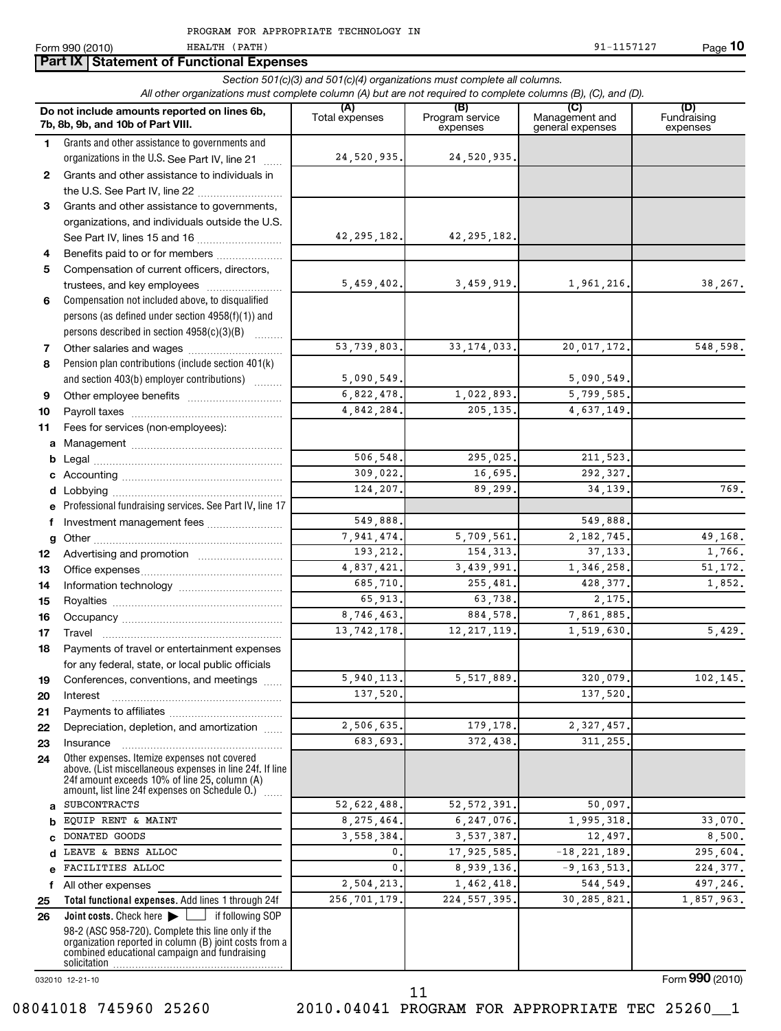**Part IX Statement of Functional Expenses** 

HEALTH (PATH)

**7b, 1**

**7 8**

**9 10 11 a b c d e f g 12 13 14 15 16 17 18**

**a b c d e f 25 26**

|              | All other organizations must complete column (A) but are not required to complete columns (B), (C), and (D).                                                                                                |                         | Section 501(c)(3) and 501(c)(4) organizations must complete all columns. |                                           |                                |
|--------------|-------------------------------------------------------------------------------------------------------------------------------------------------------------------------------------------------------------|-------------------------|--------------------------------------------------------------------------|-------------------------------------------|--------------------------------|
|              | Do not include amounts reported on lines 6b,<br>7b, 8b, 9b, and 10b of Part VIII.                                                                                                                           | (A)<br>Total expenses   | (B)<br>Program service<br>expenses                                       | (C)<br>Management and<br>general expenses | (D)<br>Fundraising<br>expenses |
| 1            | Grants and other assistance to governments and                                                                                                                                                              |                         |                                                                          |                                           |                                |
|              | organizations in the U.S. See Part IV, line 21<br>alaran.                                                                                                                                                   | 24,520,935.             | 24,520,935.                                                              |                                           |                                |
| $\mathbf{2}$ | Grants and other assistance to individuals in                                                                                                                                                               |                         |                                                                          |                                           |                                |
|              | the U.S. See Part IV, line 22                                                                                                                                                                               |                         |                                                                          |                                           |                                |
| 3            | Grants and other assistance to governments,                                                                                                                                                                 |                         |                                                                          |                                           |                                |
|              | organizations, and individuals outside the U.S.                                                                                                                                                             |                         |                                                                          |                                           |                                |
|              | See Part IV, lines 15 and 16                                                                                                                                                                                | 42, 295, 182.           | 42, 295, 182.                                                            |                                           |                                |
| 4            | Benefits paid to or for members                                                                                                                                                                             |                         |                                                                          |                                           |                                |
| 5            | Compensation of current officers, directors,                                                                                                                                                                |                         |                                                                          |                                           |                                |
|              | trustees, and key employees                                                                                                                                                                                 | 5,459,402.              | 3,459,919.                                                               | 1,961,216.                                | 38,267.                        |
| 6            | Compensation not included above, to disqualified                                                                                                                                                            |                         |                                                                          |                                           |                                |
|              | persons (as defined under section 4958(f)(1)) and<br>persons described in section 4958(c)(3)(B)                                                                                                             |                         |                                                                          |                                           |                                |
| 7            | Other salaries and wages                                                                                                                                                                                    | 53,739,803.             | 33, 174, 033.                                                            | 20,017,172.                               | 548,598.                       |
| 8            | Pension plan contributions (include section 401(k)                                                                                                                                                          |                         |                                                                          |                                           |                                |
|              | and section 403(b) employer contributions)                                                                                                                                                                  | 5,090,549.              |                                                                          | 5,090,549.                                |                                |
| 9            |                                                                                                                                                                                                             | 6,822,478.              | 1,022,893.                                                               | $\overline{5,799,585}$ .                  |                                |
| 10           |                                                                                                                                                                                                             | 4,842,284.              | 205, 135.                                                                | 4,637,149.                                |                                |
| 11           | Fees for services (non-employees):                                                                                                                                                                          |                         |                                                                          |                                           |                                |
| a            |                                                                                                                                                                                                             |                         |                                                                          |                                           |                                |
| b            |                                                                                                                                                                                                             | 506,548.                | 295,025.                                                                 | 211,523.                                  |                                |
|              |                                                                                                                                                                                                             | 309,022.                | 16,695.                                                                  | 292,327.                                  |                                |
|              |                                                                                                                                                                                                             | 124,207.                | 89,299.                                                                  | 34,139.                                   | 769.                           |
| e            | Professional fundraising services. See Part IV, line 17                                                                                                                                                     |                         |                                                                          |                                           |                                |
|              | f Investment management fees                                                                                                                                                                                | 549,888.                |                                                                          | 549,888.                                  |                                |
| g            |                                                                                                                                                                                                             | $\overline{7,941,474.}$ | 5,709,561.                                                               | $\overline{2}$ , 182, 745.                | 49,168.                        |
| 12           |                                                                                                                                                                                                             | 193,212.                | 154, 313.                                                                | 37,133.                                   | 1,766.                         |
| 13           |                                                                                                                                                                                                             | 4,837,421.              | 3,439,991.                                                               | 1,346,258.                                | 51, 172.                       |
| 14           |                                                                                                                                                                                                             | 685,710.                | 255,481.                                                                 | 428, 377.                                 | 1,852.                         |
| 15           |                                                                                                                                                                                                             | 65,913.                 | 63,738.                                                                  | 2,175.                                    |                                |
| 16           |                                                                                                                                                                                                             | 8,746,463.              | 884,578.                                                                 | 7,861,885.                                |                                |
| 17           | Travel                                                                                                                                                                                                      | 13,742,178.             | 12, 217, 119.                                                            | 1,519,630.                                | 5,429.                         |
| 18           | Payments of travel or entertainment expenses                                                                                                                                                                |                         |                                                                          |                                           |                                |
|              | for any federal, state, or local public officials<br>Conferences, conventions, and meetings                                                                                                                 | 5,940,113.              | 5,517,889                                                                | 320,079                                   | 102,145.                       |
| 19           | Interest                                                                                                                                                                                                    | 137,520                 |                                                                          | 137,520                                   |                                |
| 20           |                                                                                                                                                                                                             |                         |                                                                          |                                           |                                |
| 21<br>22     | Depreciation, depletion, and amortization                                                                                                                                                                   | 2,506,635.              | 179,178.                                                                 | 2,327,457.                                |                                |
| 23           | Insurance                                                                                                                                                                                                   | 683,693.                | 372,438.                                                                 | 311, 255.                                 |                                |
| 24           | Other expenses. Itemize expenses not covered<br>above. (List miscellaneous expenses in line 24f. If line<br>24f amount exceeds 10% of line 25, column (A)<br>amount, list line 24f expenses on Schedule O.) |                         |                                                                          |                                           |                                |
| a            | <b>SUBCONTRACTS</b>                                                                                                                                                                                         | 52,622,488.             | 52, 572, 391.                                                            | 50,097                                    |                                |
| b            | EQUIP RENT & MAINT                                                                                                                                                                                          | 8, 275, 464.            | 6,247,076.                                                               | 1,995,318                                 | 33,070.                        |
| c            | DONATED GOODS                                                                                                                                                                                               | 3,558,384               | 3,537,387.                                                               | 12,497                                    | 8,500.                         |
| d            | LEAVE & BENS ALLOC                                                                                                                                                                                          | 0.                      | 17,925,585.                                                              | $-18, 221, 189$                           | 295,604.                       |
| e            | FACILITIES ALLOC                                                                                                                                                                                            | 0                       | 8,939,136.                                                               | $-9, 163, 513.$                           | 224,377.                       |
|              | f All other expenses                                                                                                                                                                                        | 2,504,213               | 1,462,418.                                                               | 544,549.                                  | 497,246.                       |
| 25           | Total functional expenses. Add lines 1 through 24f                                                                                                                                                          | 256, 701, 179.          | 224, 557, 395.                                                           | 30,285,821                                | 1,857,963.                     |
| 26           | <b>Joint costs.</b> Check here $\blacktriangleright$ $\Box$ if following SOP                                                                                                                                |                         |                                                                          |                                           |                                |
|              | 98-2 (ASC 958-720). Complete this line only if the                                                                                                                                                          |                         |                                                                          |                                           |                                |

98-2 (ASC 958-720). Complete this line only if the organization reported in column (B) joint costs from a combined educational campaign and fundraising solicitation

032010 12-21-10

Form (2010) **990**

08041018 745960 25260 2010.04041 PROGRAM FOR APPROPRIATE TEC 25260\_1

11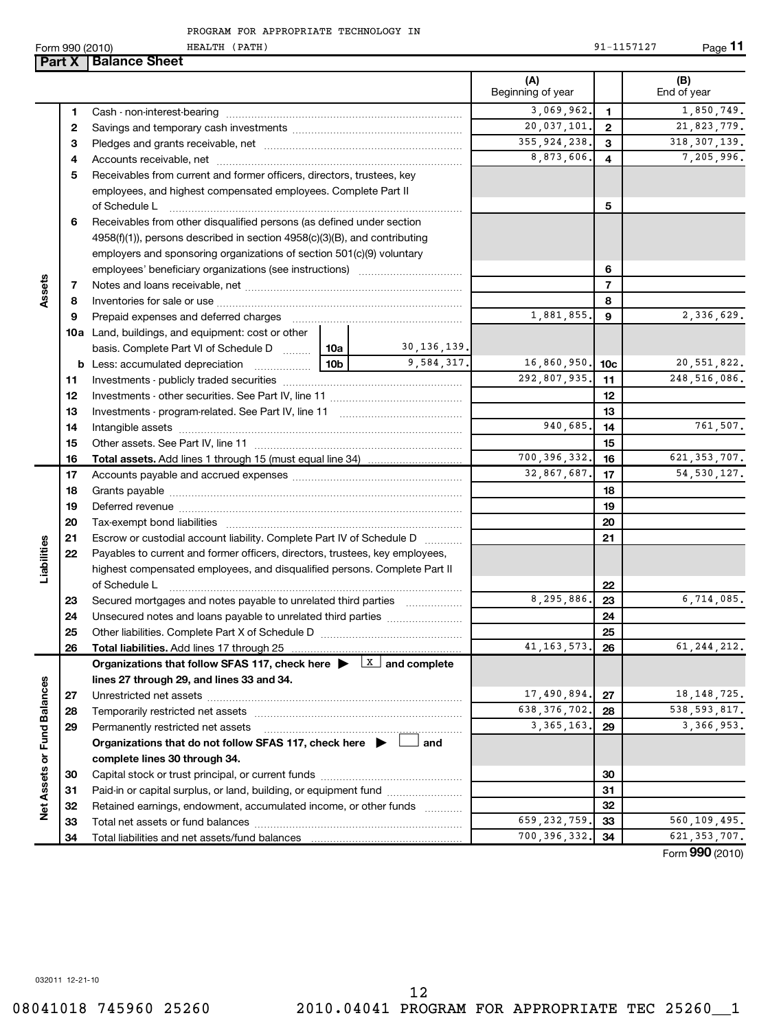032011 12-21-10

#### PROGRAM FOR APPROPRIATE TECHNOLOGY IN

Form 990 (2010) Page HEALTH (PATH) 91-1157127 **Part X** | Balance Sheet

|                             |          |                                                                                                        |                                                                        |               | (A)<br>Beginning of year |                | (B)<br>End of year         |  |
|-----------------------------|----------|--------------------------------------------------------------------------------------------------------|------------------------------------------------------------------------|---------------|--------------------------|----------------|----------------------------|--|
|                             | 1        |                                                                                                        |                                                                        |               | 3,069,962.               | $\mathbf{1}$   | 1,850,749.                 |  |
|                             | 2        |                                                                                                        |                                                                        |               | 20,037,101.              | $\overline{2}$ | 21,823,779.                |  |
|                             | 3        |                                                                                                        |                                                                        |               | 355, 924, 238.           | 3              | 318, 307, 139.             |  |
|                             | 4        |                                                                                                        |                                                                        |               | 8,873,606.               | 4              | 7,205,996.                 |  |
|                             | 5        |                                                                                                        | Receivables from current and former officers, directors, trustees, key |               |                          |                |                            |  |
|                             |          | employees, and highest compensated employees. Complete Part II                                         |                                                                        |               |                          |                |                            |  |
|                             |          | of Schedule L                                                                                          |                                                                        |               |                          | 5              |                            |  |
|                             | 6        | Receivables from other disqualified persons (as defined under section                                  |                                                                        |               |                          |                |                            |  |
|                             |          | 4958(f)(1)), persons described in section 4958(c)(3)(B), and contributing                              |                                                                        |               |                          |                |                            |  |
|                             |          | employers and sponsoring organizations of section 501(c)(9) voluntary                                  |                                                                        |               |                          |                |                            |  |
|                             |          |                                                                                                        |                                                                        |               |                          | 6              |                            |  |
| Assets                      | 7        |                                                                                                        |                                                                        |               |                          | $\overline{7}$ |                            |  |
|                             | 8        |                                                                                                        |                                                                        |               |                          | 8              |                            |  |
|                             | 9        | Prepaid expenses and deferred charges                                                                  |                                                                        |               | 1,881,855.               | 9              | $\overline{2}$ , 336, 629. |  |
|                             |          | 10a Land, buildings, and equipment: cost or other                                                      |                                                                        |               |                          |                |                            |  |
|                             |          | basis. Complete Part VI of Schedule D  10a                                                             |                                                                        | 30, 136, 139. |                          |                |                            |  |
|                             |          | <b>b</b> Less: accumulated depreciation                                                                | 10b                                                                    | 9,584,317.    | 16,860,950. 10c          |                | 20, 551, 822.              |  |
|                             | 11       |                                                                                                        |                                                                        |               | 292,807,935.             | 11             | 248, 516, 086.             |  |
|                             | 12       |                                                                                                        |                                                                        |               |                          | 12             |                            |  |
|                             | 13       |                                                                                                        |                                                                        |               |                          | 13             |                            |  |
|                             | 14       |                                                                                                        |                                                                        |               | 940,685.                 | 14             | 761,507.                   |  |
|                             | 15       |                                                                                                        |                                                                        |               |                          | 15             |                            |  |
|                             | 16       | <b>Total assets.</b> Add lines 1 through 15 (must equal line 34) <i></i>                               |                                                                        |               | 700, 396, 332.           | 16             | 621, 353, 707.             |  |
|                             | 17       |                                                                                                        |                                                                        |               | 32,867,687.              | 17             | 54, 530, 127.              |  |
|                             | 18       |                                                                                                        |                                                                        |               |                          | 18             |                            |  |
|                             | 19       |                                                                                                        |                                                                        |               |                          | 19             |                            |  |
|                             | 20       |                                                                                                        |                                                                        |               |                          | 20             |                            |  |
|                             | 21       | Escrow or custodial account liability. Complete Part IV of Schedule D                                  |                                                                        |               |                          | 21             |                            |  |
| Liabilities                 | 22       | Payables to current and former officers, directors, trustees, key employees,                           |                                                                        |               |                          |                |                            |  |
|                             |          | highest compensated employees, and disqualified persons. Complete Part II                              |                                                                        |               |                          |                |                            |  |
|                             |          | of Schedule L                                                                                          |                                                                        |               |                          | 22             |                            |  |
|                             | 23       | Secured mortgages and notes payable to unrelated third parties                                         |                                                                        |               | 8,295,886.               | 23             | 6,714,085.                 |  |
|                             | 24       |                                                                                                        |                                                                        |               |                          | 24             |                            |  |
|                             | 25       |                                                                                                        |                                                                        |               |                          | 25             |                            |  |
|                             | 26       |                                                                                                        |                                                                        |               | 41, 163, 573.            | 26             | 61, 244, 212.              |  |
|                             |          | Organizations that follow SFAS 117, check here $\blacktriangleright$ $\boxed{\mathbf{X}}$ and complete |                                                                        |               |                          |                |                            |  |
|                             |          | lines 27 through 29, and lines 33 and 34.                                                              |                                                                        |               |                          |                |                            |  |
|                             | 27       |                                                                                                        |                                                                        |               | 17,490,894.              | 27             | 18, 148, 725.              |  |
|                             | 28       | Temporarily restricted net assets                                                                      | 638, 376, 702.                                                         | 28            | 538, 593, 817.           |                |                            |  |
|                             | 29       | Permanently restricted net assets                                                                      |                                                                        |               | 3, 365, 163.             | 29             | 3,366,953.                 |  |
|                             |          | Organizations that do not follow SFAS 117, check here $\blacktriangleright$                            |                                                                        | and           |                          |                |                            |  |
|                             |          | complete lines 30 through 34.                                                                          |                                                                        |               |                          |                |                            |  |
|                             | 30       |                                                                                                        |                                                                        |               |                          | 30             |                            |  |
| Net Assets or Fund Balances | 31       | Paid-in or capital surplus, or land, building, or equipment fund                                       |                                                                        |               |                          | 31             |                            |  |
|                             | 32       | Retained earnings, endowment, accumulated income, or other funds                                       |                                                                        |               | 659, 232, 759.           | 32             | 560,109,495.               |  |
|                             | 33<br>34 |                                                                                                        |                                                                        |               | 700, 396, 332.           | 33<br>34       | 621, 353, 707.             |  |
|                             |          |                                                                                                        |                                                                        |               |                          |                |                            |  |

Form (2010) **990**

**11**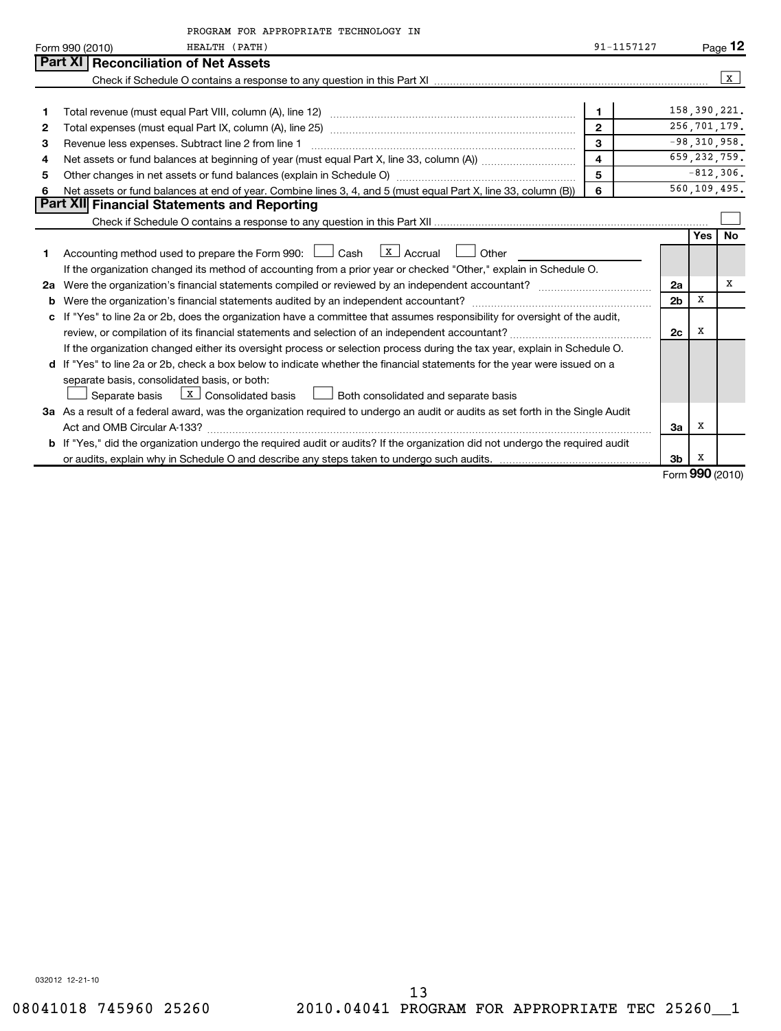|    | PROGRAM FOR APPROPRIATE TECHNOLOGY IN                                                                                                    |            |                |            |                 |  |  |  |
|----|------------------------------------------------------------------------------------------------------------------------------------------|------------|----------------|------------|-----------------|--|--|--|
|    | Form 990 (2010)<br>HEALTH (PATH)                                                                                                         | 91-1157127 |                |            | Page 12         |  |  |  |
|    | Part XI   Reconciliation of Net Assets                                                                                                   |            |                |            |                 |  |  |  |
|    |                                                                                                                                          |            |                |            | x               |  |  |  |
|    |                                                                                                                                          |            |                |            |                 |  |  |  |
| 1  | $\mathbf{1}$                                                                                                                             |            |                |            |                 |  |  |  |
| 2  | 256,701,179.<br>$\overline{2}$                                                                                                           |            |                |            |                 |  |  |  |
| 3  | 3<br>$-98, 310, 958.$<br>Revenue less expenses. Subtract line 2 from line 1                                                              |            |                |            |                 |  |  |  |
| 4  | 659, 232, 759.<br>$\overline{\mathbf{4}}$                                                                                                |            |                |            |                 |  |  |  |
| 5  | 5<br>$-812,306.$<br>Other changes in net assets or fund balances (explain in Schedule O) manufactured controller than general controller |            |                |            |                 |  |  |  |
| 6  | Net assets or fund balances at end of year. Combine lines 3, 4, and 5 (must equal Part X, line 33, column (B))                           | 6          |                |            | 560,109,495.    |  |  |  |
|    | Part XII Financial Statements and Reporting                                                                                              |            |                |            |                 |  |  |  |
|    |                                                                                                                                          |            |                |            |                 |  |  |  |
|    |                                                                                                                                          |            |                | <b>Yes</b> | <b>No</b>       |  |  |  |
| 1  | $\lfloor x \rfloor$ Accrual<br>Accounting method used to prepare the Form 990: [130] Cash<br>Other                                       |            |                |            |                 |  |  |  |
|    | If the organization changed its method of accounting from a prior year or checked "Other," explain in Schedule O.                        |            |                |            |                 |  |  |  |
| 2a |                                                                                                                                          |            | 2a             |            | х               |  |  |  |
| b  | Were the organization's financial statements audited by an independent accountant?                                                       |            | 2 <sub>b</sub> | X          |                 |  |  |  |
| c  | If "Yes" to line 2a or 2b, does the organization have a committee that assumes responsibility for oversight of the audit,                |            |                |            |                 |  |  |  |
|    |                                                                                                                                          |            | 2c             | x          |                 |  |  |  |
|    | If the organization changed either its oversight process or selection process during the tax year, explain in Schedule O.                |            |                |            |                 |  |  |  |
|    | d If "Yes" to line 2a or 2b, check a box below to indicate whether the financial statements for the year were issued on a                |            |                |            |                 |  |  |  |
|    | separate basis, consolidated basis, or both:                                                                                             |            |                |            |                 |  |  |  |
|    | $X$ Consolidated basis<br>Separate basis<br>Both consolidated and separate basis                                                         |            |                |            |                 |  |  |  |
|    | 3a As a result of a federal award, was the organization required to undergo an audit or audits as set forth in the Single Audit          |            |                |            |                 |  |  |  |
|    |                                                                                                                                          |            | За             | х          |                 |  |  |  |
|    | <b>b</b> If "Yes," did the organization undergo the required audit or audits? If the organization did not undergo the required audit     |            |                |            |                 |  |  |  |
|    |                                                                                                                                          |            | 3 <sub>b</sub> | х          |                 |  |  |  |
|    |                                                                                                                                          |            |                |            | Form 990 (2010) |  |  |  |

032012 12-21-10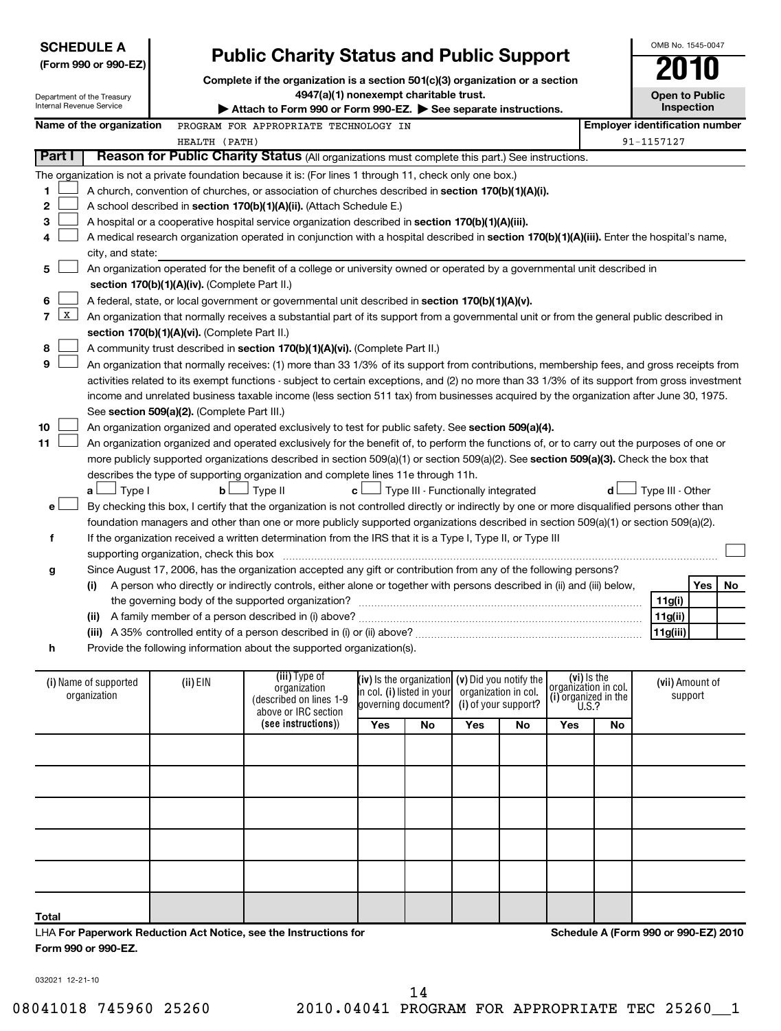| <b>SCHEDULE A</b><br><b>Public Charity Status and Public Support</b><br>(Form 990 or 990-EZ)<br>Complete if the organization is a section 501(c)(3) organization or a section<br>4947(a)(1) nonexempt charitable trust.<br>Department of the Treasury<br>Internal Revenue Service<br>Attach to Form 990 or Form 990-EZ. See separate instructions. |                                                                                                                                               |                                               |                                                                                                                                                                                                                                                                                                                                                                                                                                                                                                                                            |     |                                                   |                                                                                                   |    | OMB No. 1545-0047<br><b>Open to Public</b><br>Inspection             |    |                                       |     |    |
|----------------------------------------------------------------------------------------------------------------------------------------------------------------------------------------------------------------------------------------------------------------------------------------------------------------------------------------------------|-----------------------------------------------------------------------------------------------------------------------------------------------|-----------------------------------------------|--------------------------------------------------------------------------------------------------------------------------------------------------------------------------------------------------------------------------------------------------------------------------------------------------------------------------------------------------------------------------------------------------------------------------------------------------------------------------------------------------------------------------------------------|-----|---------------------------------------------------|---------------------------------------------------------------------------------------------------|----|----------------------------------------------------------------------|----|---------------------------------------|-----|----|
|                                                                                                                                                                                                                                                                                                                                                    | Name of the organization                                                                                                                      |                                               | PROGRAM FOR APPROPRIATE TECHNOLOGY IN                                                                                                                                                                                                                                                                                                                                                                                                                                                                                                      |     |                                                   |                                                                                                   |    |                                                                      |    | <b>Employer identification number</b> |     |    |
|                                                                                                                                                                                                                                                                                                                                                    |                                                                                                                                               | HEALTH (PATH)                                 |                                                                                                                                                                                                                                                                                                                                                                                                                                                                                                                                            |     |                                                   |                                                                                                   |    |                                                                      |    | 91-1157127                            |     |    |
| Part I                                                                                                                                                                                                                                                                                                                                             |                                                                                                                                               |                                               | Reason for Public Charity Status (All organizations must complete this part.) See instructions.                                                                                                                                                                                                                                                                                                                                                                                                                                            |     |                                                   |                                                                                                   |    |                                                                      |    |                                       |     |    |
| 1<br>2<br>3<br>4                                                                                                                                                                                                                                                                                                                                   | city, and state:                                                                                                                              |                                               | The organization is not a private foundation because it is: (For lines 1 through 11, check only one box.)<br>A church, convention of churches, or association of churches described in section 170(b)(1)(A)(i).<br>A school described in section 170(b)(1)(A)(ii). (Attach Schedule E.)<br>A hospital or a cooperative hospital service organization described in section 170(b)(1)(A)(iii).<br>A medical research organization operated in conjunction with a hospital described in section 170(b)(1)(A)(iii). Enter the hospital's name, |     |                                                   |                                                                                                   |    |                                                                      |    |                                       |     |    |
| 5                                                                                                                                                                                                                                                                                                                                                  |                                                                                                                                               | section 170(b)(1)(A)(iv). (Complete Part II.) | An organization operated for the benefit of a college or university owned or operated by a governmental unit described in                                                                                                                                                                                                                                                                                                                                                                                                                  |     |                                                   |                                                                                                   |    |                                                                      |    |                                       |     |    |
| 6                                                                                                                                                                                                                                                                                                                                                  |                                                                                                                                               |                                               | A federal, state, or local government or governmental unit described in section 170(b)(1)(A)(v).                                                                                                                                                                                                                                                                                                                                                                                                                                           |     |                                                   |                                                                                                   |    |                                                                      |    |                                       |     |    |
| $\mathbf{X}$<br>7                                                                                                                                                                                                                                                                                                                                  |                                                                                                                                               |                                               | An organization that normally receives a substantial part of its support from a governmental unit or from the general public described in                                                                                                                                                                                                                                                                                                                                                                                                  |     |                                                   |                                                                                                   |    |                                                                      |    |                                       |     |    |
|                                                                                                                                                                                                                                                                                                                                                    |                                                                                                                                               |                                               |                                                                                                                                                                                                                                                                                                                                                                                                                                                                                                                                            |     |                                                   |                                                                                                   |    |                                                                      |    |                                       |     |    |
| section 170(b)(1)(A)(vi). (Complete Part II.)<br>8<br>A community trust described in section 170(b)(1)(A)(vi). (Complete Part II.)                                                                                                                                                                                                                 |                                                                                                                                               |                                               |                                                                                                                                                                                                                                                                                                                                                                                                                                                                                                                                            |     |                                                   |                                                                                                   |    |                                                                      |    |                                       |     |    |
| 9<br>An organization that normally receives: (1) more than 33 1/3% of its support from contributions, membership fees, and gross receipts from                                                                                                                                                                                                     |                                                                                                                                               |                                               |                                                                                                                                                                                                                                                                                                                                                                                                                                                                                                                                            |     |                                                   |                                                                                                   |    |                                                                      |    |                                       |     |    |
|                                                                                                                                                                                                                                                                                                                                                    | activities related to its exempt functions - subject to certain exceptions, and (2) no more than 33 1/3% of its support from gross investment |                                               |                                                                                                                                                                                                                                                                                                                                                                                                                                                                                                                                            |     |                                                   |                                                                                                   |    |                                                                      |    |                                       |     |    |
|                                                                                                                                                                                                                                                                                                                                                    |                                                                                                                                               |                                               | income and unrelated business taxable income (less section 511 tax) from businesses acquired by the organization after June 30, 1975.                                                                                                                                                                                                                                                                                                                                                                                                      |     |                                                   |                                                                                                   |    |                                                                      |    |                                       |     |    |
|                                                                                                                                                                                                                                                                                                                                                    |                                                                                                                                               | See section 509(a)(2). (Complete Part III.)   |                                                                                                                                                                                                                                                                                                                                                                                                                                                                                                                                            |     |                                                   |                                                                                                   |    |                                                                      |    |                                       |     |    |
| 10                                                                                                                                                                                                                                                                                                                                                 |                                                                                                                                               |                                               | An organization organized and operated exclusively to test for public safety. See section 509(a)(4).                                                                                                                                                                                                                                                                                                                                                                                                                                       |     |                                                   |                                                                                                   |    |                                                                      |    |                                       |     |    |
| 11                                                                                                                                                                                                                                                                                                                                                 |                                                                                                                                               |                                               | An organization organized and operated exclusively for the benefit of, to perform the functions of, or to carry out the purposes of one or                                                                                                                                                                                                                                                                                                                                                                                                 |     |                                                   |                                                                                                   |    |                                                                      |    |                                       |     |    |
|                                                                                                                                                                                                                                                                                                                                                    |                                                                                                                                               |                                               | more publicly supported organizations described in section 509(a)(1) or section 509(a)(2). See section 509(a)(3). Check the box that                                                                                                                                                                                                                                                                                                                                                                                                       |     |                                                   |                                                                                                   |    |                                                                      |    |                                       |     |    |
|                                                                                                                                                                                                                                                                                                                                                    |                                                                                                                                               |                                               |                                                                                                                                                                                                                                                                                                                                                                                                                                                                                                                                            |     |                                                   |                                                                                                   |    |                                                                      |    |                                       |     |    |
|                                                                                                                                                                                                                                                                                                                                                    |                                                                                                                                               |                                               | describes the type of supporting organization and complete lines 11e through 11h.                                                                                                                                                                                                                                                                                                                                                                                                                                                          |     |                                                   |                                                                                                   |    |                                                                      |    |                                       |     |    |
|                                                                                                                                                                                                                                                                                                                                                    | $\Box$ Type I<br>a L                                                                                                                          | $\mathbf b$                                   | J Type II<br>c l                                                                                                                                                                                                                                                                                                                                                                                                                                                                                                                           |     |                                                   | Type III - Functionally integrated                                                                |    |                                                                      | d  | Type III - Other                      |     |    |
| е                                                                                                                                                                                                                                                                                                                                                  |                                                                                                                                               |                                               | By checking this box, I certify that the organization is not controlled directly or indirectly by one or more disqualified persons other than                                                                                                                                                                                                                                                                                                                                                                                              |     |                                                   |                                                                                                   |    |                                                                      |    |                                       |     |    |
|                                                                                                                                                                                                                                                                                                                                                    |                                                                                                                                               |                                               | foundation managers and other than one or more publicly supported organizations described in section 509(a)(1) or section 509(a)(2).                                                                                                                                                                                                                                                                                                                                                                                                       |     |                                                   |                                                                                                   |    |                                                                      |    |                                       |     |    |
| f                                                                                                                                                                                                                                                                                                                                                  |                                                                                                                                               |                                               | If the organization received a written determination from the IRS that it is a Type I, Type II, or Type III                                                                                                                                                                                                                                                                                                                                                                                                                                |     |                                                   |                                                                                                   |    |                                                                      |    |                                       |     |    |
|                                                                                                                                                                                                                                                                                                                                                    |                                                                                                                                               | supporting organization, check this box       |                                                                                                                                                                                                                                                                                                                                                                                                                                                                                                                                            |     |                                                   |                                                                                                   |    |                                                                      |    |                                       |     |    |
| g                                                                                                                                                                                                                                                                                                                                                  |                                                                                                                                               |                                               | Since August 17, 2006, has the organization accepted any gift or contribution from any of the following persons?                                                                                                                                                                                                                                                                                                                                                                                                                           |     |                                                   |                                                                                                   |    |                                                                      |    |                                       |     |    |
|                                                                                                                                                                                                                                                                                                                                                    | (i)                                                                                                                                           |                                               | A person who directly or indirectly controls, either alone or together with persons described in (ii) and (iii) below,                                                                                                                                                                                                                                                                                                                                                                                                                     |     |                                                   |                                                                                                   |    |                                                                      |    |                                       | Yes | No |
|                                                                                                                                                                                                                                                                                                                                                    |                                                                                                                                               |                                               |                                                                                                                                                                                                                                                                                                                                                                                                                                                                                                                                            |     |                                                   |                                                                                                   |    |                                                                      |    | 11g(i)                                |     |    |
|                                                                                                                                                                                                                                                                                                                                                    |                                                                                                                                               |                                               | (ii) A family member of a person described in (i) above?                                                                                                                                                                                                                                                                                                                                                                                                                                                                                   |     |                                                   |                                                                                                   |    |                                                                      |    | 11g(ii)                               |     |    |
|                                                                                                                                                                                                                                                                                                                                                    |                                                                                                                                               |                                               |                                                                                                                                                                                                                                                                                                                                                                                                                                                                                                                                            |     |                                                   |                                                                                                   |    |                                                                      |    | 11g(iii)                              |     |    |
| h                                                                                                                                                                                                                                                                                                                                                  |                                                                                                                                               |                                               | Provide the following information about the supported organization(s).                                                                                                                                                                                                                                                                                                                                                                                                                                                                     |     |                                                   |                                                                                                   |    |                                                                      |    |                                       |     |    |
|                                                                                                                                                                                                                                                                                                                                                    |                                                                                                                                               |                                               |                                                                                                                                                                                                                                                                                                                                                                                                                                                                                                                                            |     |                                                   |                                                                                                   |    |                                                                      |    |                                       |     |    |
|                                                                                                                                                                                                                                                                                                                                                    | (i) Name of supported<br>organization                                                                                                         | (ii) EIN                                      | (iii) Type of<br>organization<br>(described on lines 1-9<br>above or IRC section                                                                                                                                                                                                                                                                                                                                                                                                                                                           |     | in col. (i) listed in your<br>governing document? | (iv) is the organization $(v)$ Did you notify the<br>organization in col.<br>(i) of your support? |    | (vi) is the<br>organizátion in col.<br>(i) organized in the $U.S.$ ? |    | (vii) Amount of<br>support            |     |    |
|                                                                                                                                                                                                                                                                                                                                                    |                                                                                                                                               |                                               | (see instructions))                                                                                                                                                                                                                                                                                                                                                                                                                                                                                                                        | Yes | <b>No</b>                                         | Yes                                                                                               | No | Yes                                                                  | No |                                       |     |    |
|                                                                                                                                                                                                                                                                                                                                                    |                                                                                                                                               |                                               |                                                                                                                                                                                                                                                                                                                                                                                                                                                                                                                                            |     |                                                   |                                                                                                   |    |                                                                      |    |                                       |     |    |
|                                                                                                                                                                                                                                                                                                                                                    |                                                                                                                                               |                                               |                                                                                                                                                                                                                                                                                                                                                                                                                                                                                                                                            |     |                                                   |                                                                                                   |    |                                                                      |    |                                       |     |    |
|                                                                                                                                                                                                                                                                                                                                                    |                                                                                                                                               |                                               |                                                                                                                                                                                                                                                                                                                                                                                                                                                                                                                                            |     |                                                   |                                                                                                   |    |                                                                      |    |                                       |     |    |
|                                                                                                                                                                                                                                                                                                                                                    |                                                                                                                                               |                                               |                                                                                                                                                                                                                                                                                                                                                                                                                                                                                                                                            |     |                                                   |                                                                                                   |    |                                                                      |    |                                       |     |    |

LHA **For Paperwork Reduction Act Notice, see the Instructions for Form 990 or 990-EZ.**

**Schedule A (Form 990 or 990-EZ) 2010**

032021 12-21-10

**Total**

14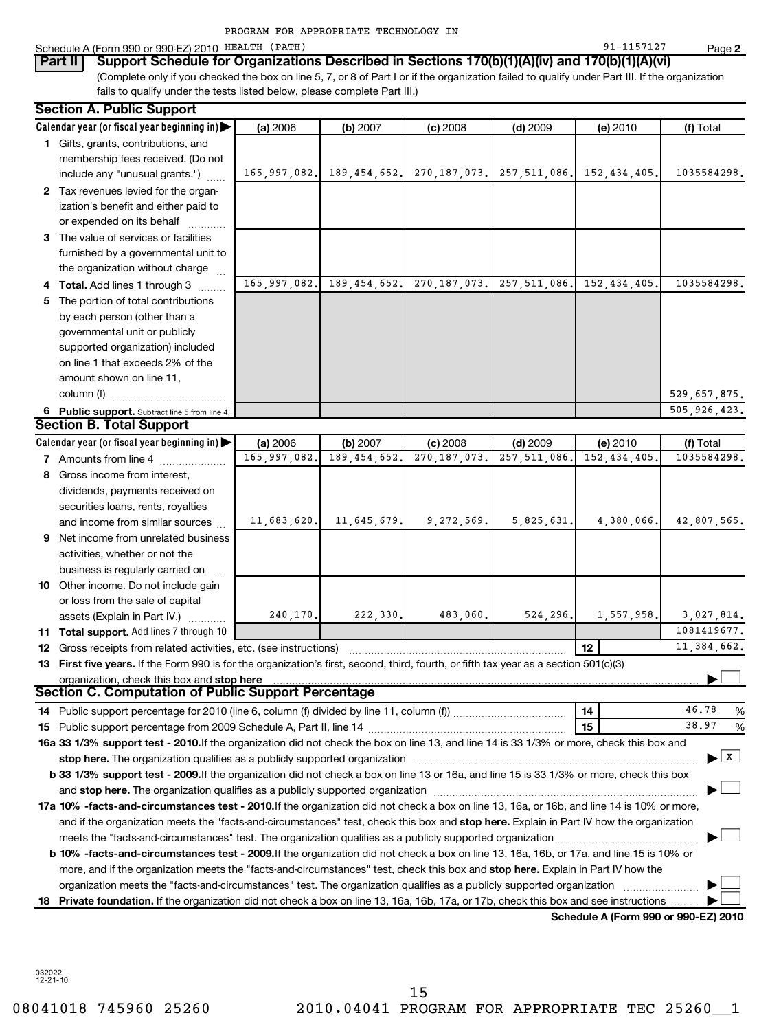|                                                                                                                                                                                                                              | PROGRAM FOR APPROPRIATE TECHNOLOGY IN |                |                |                |             |                                       |
|------------------------------------------------------------------------------------------------------------------------------------------------------------------------------------------------------------------------------|---------------------------------------|----------------|----------------|----------------|-------------|---------------------------------------|
| Schedule A (Form 990 or 990-EZ) 2010 HEALTH (PATH)                                                                                                                                                                           |                                       |                |                |                | 91-1157127  | Page 2                                |
| Support Schedule for Organizations Described in Sections 170(b)(1)(A)(iv) and 170(b)(1)(A)(vi)<br>Part II                                                                                                                    |                                       |                |                |                |             |                                       |
| (Complete only if you checked the box on line 5, 7, or 8 of Part I or if the organization failed to qualify under Part III. If the organization<br>fails to qualify under the tests listed below, please complete Part III.) |                                       |                |                |                |             |                                       |
|                                                                                                                                                                                                                              |                                       |                |                |                |             |                                       |
| <b>Section A. Public Support</b>                                                                                                                                                                                             |                                       |                |                |                |             |                                       |
| Calendar year (or fiscal year beginning in)                                                                                                                                                                                  | (a) 2006                              | (b) 2007       | $(c)$ 2008     | $(d)$ 2009     | (e) 2010    | (f) Total                             |
| 1 Gifts, grants, contributions, and                                                                                                                                                                                          |                                       |                |                |                |             |                                       |
| membership fees received. (Do not                                                                                                                                                                                            |                                       |                | 270, 187, 073. | 257.511.086.   |             | 1035584298.                           |
| include any "unusual grants.")                                                                                                                                                                                               | 165,997,082.                          | 189,454,652.   |                |                | 152,434,405 |                                       |
| 2 Tax revenues levied for the organ-<br>ization's benefit and either paid to                                                                                                                                                 |                                       |                |                |                |             |                                       |
| or expended on its behalf                                                                                                                                                                                                    |                                       |                |                |                |             |                                       |
| 3 The value of services or facilities                                                                                                                                                                                        |                                       |                |                |                |             |                                       |
| furnished by a governmental unit to                                                                                                                                                                                          |                                       |                |                |                |             |                                       |
| the organization without charge                                                                                                                                                                                              |                                       |                |                |                |             |                                       |
| 4 Total. Add lines 1 through 3                                                                                                                                                                                               | $\overline{165}$ , 997, 082.          | 189, 454, 652. | 270, 187, 073. | 257, 511, 086. | 152,434,405 | 1035584298.                           |
| 5 The portion of total contributions                                                                                                                                                                                         |                                       |                |                |                |             |                                       |
| by each person (other than a                                                                                                                                                                                                 |                                       |                |                |                |             |                                       |
| governmental unit or publicly                                                                                                                                                                                                |                                       |                |                |                |             |                                       |
| supported organization) included                                                                                                                                                                                             |                                       |                |                |                |             |                                       |
| on line 1 that exceeds 2% of the                                                                                                                                                                                             |                                       |                |                |                |             |                                       |
| amount shown on line 11,                                                                                                                                                                                                     |                                       |                |                |                |             |                                       |
| column (f)                                                                                                                                                                                                                   |                                       |                |                |                |             | 529,657,875.                          |
| 6 Public support. Subtract line 5 from line 4.                                                                                                                                                                               |                                       |                |                |                |             | 505, 926, 423.                        |
| <b>Section B. Total Support</b>                                                                                                                                                                                              |                                       |                |                |                |             |                                       |
| Calendar year (or fiscal year beginning in) $\blacktriangleright$                                                                                                                                                            | (a) 2006                              | (b) 2007       | $(c)$ 2008     | $(d)$ 2009     | (e) 2010    | (f) Total                             |
| 7 Amounts from line 4                                                                                                                                                                                                        | 165,997,082.                          | 189, 454, 652  | 270, 187, 073. | 257, 511, 086  | 152,434,405 | 1035584298,                           |
| 8 Gross income from interest,                                                                                                                                                                                                |                                       |                |                |                |             |                                       |
| dividends, payments received on                                                                                                                                                                                              |                                       |                |                |                |             |                                       |
| securities loans, rents, royalties                                                                                                                                                                                           |                                       |                |                |                |             |                                       |
| and income from similar sources                                                                                                                                                                                              | 11,683,620.                           | 11,645,679     | 9,272,569.     | 5,825,631.     | 4,380,066.  | 42,807,565.                           |
| <b>9</b> Net income from unrelated business                                                                                                                                                                                  |                                       |                |                |                |             |                                       |
| activities, whether or not the                                                                                                                                                                                               |                                       |                |                |                |             |                                       |
| business is regularly carried on                                                                                                                                                                                             |                                       |                |                |                |             |                                       |
| <b>10</b> Other income. Do not include gain                                                                                                                                                                                  |                                       |                |                |                |             |                                       |
| or loss from the sale of capital                                                                                                                                                                                             |                                       |                |                |                |             |                                       |
| assets (Explain in Part IV.)                                                                                                                                                                                                 | 240,170.                              | 222,330.       | 483,060.       | 524,296.       | 1,557,958   | 3,027,814.                            |
| <b>11 Total support.</b> Add lines 7 through 10                                                                                                                                                                              |                                       |                |                |                |             | 1081419677.                           |
| <b>12</b> Gross receipts from related activities, etc. (see instructions)                                                                                                                                                    |                                       |                |                |                | 12          | 11,384,662.                           |
| 13 First five years. If the Form 990 is for the organization's first, second, third, fourth, or fifth tax year as a section 501(c)(3)                                                                                        |                                       |                |                |                |             |                                       |
| organization, check this box and stop here<br>Section C. Computation of Public Support Percentage                                                                                                                            |                                       |                |                |                |             |                                       |
|                                                                                                                                                                                                                              |                                       |                |                |                | 14          | 46.78<br>%                            |
|                                                                                                                                                                                                                              |                                       |                |                |                | 15          | 38.97<br>%                            |
| 16a 33 1/3% support test - 2010. If the organization did not check the box on line 13, and line 14 is 33 1/3% or more, check this box and                                                                                    |                                       |                |                |                |             |                                       |
| stop here. The organization qualifies as a publicly supported organization                                                                                                                                                   |                                       |                |                |                |             | $\blacktriangleright$ $\vert x \vert$ |
| b 33 1/3% support test - 2009. If the organization did not check a box on line 13 or 16a, and line 15 is 33 1/3% or more, check this box                                                                                     |                                       |                |                |                |             |                                       |
|                                                                                                                                                                                                                              |                                       |                |                |                |             |                                       |
| 17a 10% -facts-and-circumstances test - 2010. If the organization did not check a box on line 13, 16a, or 16b, and line 14 is 10% or more,                                                                                   |                                       |                |                |                |             |                                       |
| and if the organization meets the "facts-and-circumstances" test, check this box and stop here. Explain in Part IV how the organization                                                                                      |                                       |                |                |                |             |                                       |
|                                                                                                                                                                                                                              |                                       |                |                |                |             |                                       |
| b 10% -facts-and-circumstances test - 2009.If the organization did not check a box on line 13, 16a, 16b, or 17a, and line 15 is 10% or                                                                                       |                                       |                |                |                |             |                                       |
| more, and if the organization meets the "facts-and-circumstances" test, check this box and stop here. Explain in Part IV how the                                                                                             |                                       |                |                |                |             |                                       |
| organization meets the "facts-and-circumstances" test. The organization qualifies as a publicly supported organization                                                                                                       |                                       |                |                |                |             |                                       |
| 18 Private foundation. If the organization did not check a box on line 13, 16a, 16b, 17a, or 17b, check this box and see instructions                                                                                        |                                       |                |                |                |             |                                       |

**Schedule A (Form 990 or 990-EZ) 2010**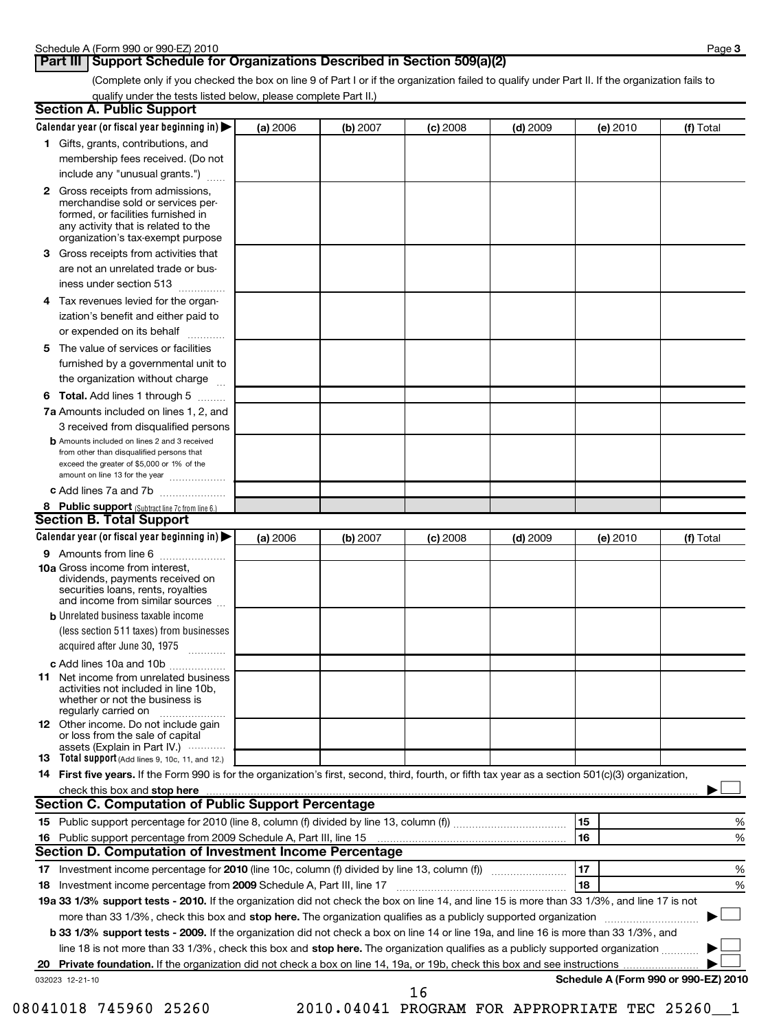### Part III | Support Schedule for Organizations Described in Section 509(a)(2)

(Complete only if you checked the box on line 9 of Part I or if the organization failed to qualify under Part II. If the organization fails to qualify under the tests listed below, please complete Part II.)

| <b>Section A. Public Support</b>                                                                                                                                                                                               |          |          |            |            |          |                                      |
|--------------------------------------------------------------------------------------------------------------------------------------------------------------------------------------------------------------------------------|----------|----------|------------|------------|----------|--------------------------------------|
| Calendar year (or fiscal year beginning in) $\blacktriangleright$                                                                                                                                                              | (a) 2006 | (b) 2007 | $(c)$ 2008 | $(d)$ 2009 | (e) 2010 | (f) Total                            |
| 1 Gifts, grants, contributions, and                                                                                                                                                                                            |          |          |            |            |          |                                      |
| membership fees received. (Do not                                                                                                                                                                                              |          |          |            |            |          |                                      |
| include any "unusual grants.")                                                                                                                                                                                                 |          |          |            |            |          |                                      |
| 2 Gross receipts from admissions,<br>merchandise sold or services per-<br>formed, or facilities furnished in<br>any activity that is related to the<br>organization's tax-exempt purpose                                       |          |          |            |            |          |                                      |
| 3 Gross receipts from activities that<br>are not an unrelated trade or bus-                                                                                                                                                    |          |          |            |            |          |                                      |
| iness under section 513                                                                                                                                                                                                        |          |          |            |            |          |                                      |
| 4 Tax revenues levied for the organ-<br>ization's benefit and either paid to<br>or expended on its behalf                                                                                                                      |          |          |            |            |          |                                      |
| 5 The value of services or facilities                                                                                                                                                                                          |          |          |            |            |          |                                      |
| furnished by a governmental unit to<br>the organization without charge                                                                                                                                                         |          |          |            |            |          |                                      |
| 6 Total. Add lines 1 through 5                                                                                                                                                                                                 |          |          |            |            |          |                                      |
| <b>7a</b> Amounts included on lines 1, 2, and                                                                                                                                                                                  |          |          |            |            |          |                                      |
| 3 received from disqualified persons                                                                                                                                                                                           |          |          |            |            |          |                                      |
| <b>b</b> Amounts included on lines 2 and 3 received<br>from other than disqualified persons that<br>exceed the greater of \$5,000 or 1% of the<br>amount on line 13 for the year                                               |          |          |            |            |          |                                      |
| c Add lines 7a and 7b                                                                                                                                                                                                          |          |          |            |            |          |                                      |
| 8 Public support (Subtract line 7c from line 6.)                                                                                                                                                                               |          |          |            |            |          |                                      |
| <b>Section B. Total Support</b>                                                                                                                                                                                                |          |          |            |            |          |                                      |
| Calendar year (or fiscal year beginning in)                                                                                                                                                                                    | (a) 2006 | (b) 2007 | $(c)$ 2008 | $(d)$ 2009 | (e) 2010 | (f) Total                            |
| 9 Amounts from line 6                                                                                                                                                                                                          |          |          |            |            |          |                                      |
| <b>10a</b> Gross income from interest,<br>dividends, payments received on<br>securities loans, rents, royalties<br>and income from similar sources                                                                             |          |          |            |            |          |                                      |
| <b>b</b> Unrelated business taxable income                                                                                                                                                                                     |          |          |            |            |          |                                      |
| (less section 511 taxes) from businesses<br>acquired after June 30, 1975                                                                                                                                                       |          |          |            |            |          |                                      |
| c Add lines 10a and 10b                                                                                                                                                                                                        |          |          |            |            |          |                                      |
| <b>11</b> Net income from unrelated business<br>activities not included in line 10b,<br>whether or not the business is<br>regularly carried on                                                                                 |          |          |            |            |          |                                      |
| <b>12</b> Other income. Do not include gain<br>or loss from the sale of capital<br>assets (Explain in Part IV.) $\cdots$                                                                                                       |          |          |            |            |          |                                      |
| 13 Total support (Add lines 9, 10c, 11, and 12.)                                                                                                                                                                               |          |          |            |            |          |                                      |
| 14 First five years. If the Form 990 is for the organization's first, second, third, fourth, or fifth tax year as a section 501(c)(3) organization,                                                                            |          |          |            |            |          |                                      |
| check this box and stop here with the continuum control of the state of the state of the state of the state of the state of the state of the state of the state of the state of the state of the state of the state of the sta |          |          |            |            |          |                                      |
| Section C. Computation of Public Support Percentage                                                                                                                                                                            |          |          |            |            |          |                                      |
|                                                                                                                                                                                                                                |          |          |            |            | 15       | %                                    |
| Public support percentage from 2009 Schedule A, Part III, line 15 [11] [11] Turn manufacture manufacture Publi<br>16                                                                                                           |          |          |            |            | 16       | %                                    |
| Section D. Computation of Investment Income Percentage                                                                                                                                                                         |          |          |            |            |          |                                      |
|                                                                                                                                                                                                                                |          |          |            |            | 17       | %                                    |
| 18 Investment income percentage from 2009 Schedule A, Part III, line 17                                                                                                                                                        |          |          |            |            | 18       | %                                    |
| 19a 33 1/3% support tests - 2010. If the organization did not check the box on line 14, and line 15 is more than 33 1/3%, and line 17 is not                                                                                   |          |          |            |            |          |                                      |
| more than 33 1/3%, check this box and stop here. The organization qualifies as a publicly supported organization                                                                                                               |          |          |            |            |          |                                      |
| b 33 1/3% support tests - 2009. If the organization did not check a box on line 14 or line 19a, and line 16 is more than 33 1/3%, and                                                                                          |          |          |            |            |          |                                      |
| line 18 is not more than 33 1/3%, check this box and stop here. The organization qualifies as a publicly supported organization                                                                                                |          |          |            |            |          |                                      |
| 032023 12-21-10                                                                                                                                                                                                                |          |          |            |            |          | Schedule A (Form 990 or 990-EZ) 2010 |
|                                                                                                                                                                                                                                |          |          | 16         |            |          |                                      |

08041018 745960 25260 2010.04041 PROGRAM FOR APPROPRIATE TEC 25260\_1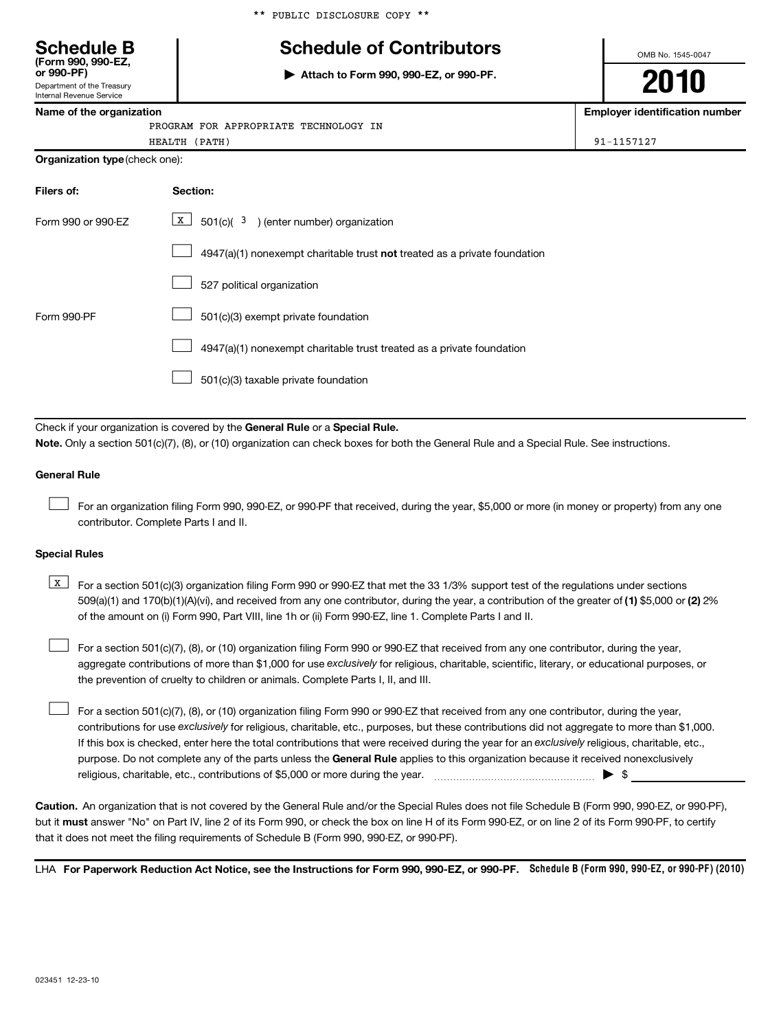|  |  | ** PUBLIC DISCLOSURE COPY ** |  |  |
|--|--|------------------------------|--|--|
|--|--|------------------------------|--|--|

# **Schedule B Schedule of Contributors**

**or 990-PF) | Attach to Form 990, 990-EZ, or 990-PF.**

OMB No. 1545-0047

**2010**

**Name of the organization Employer identification number**

|  | Name of the organization |
|--|--------------------------|
|--|--------------------------|

Department of the Treasury Internal Revenue Service

**(Form 990, 990-EZ,**

PROGRAM FOR APPROPRIATE TECHNOLOGY IN

HEALTH (PATH) 91-1157127

**Organization type** (check one):

| Filers of:         | <b>Section:</b>                                                                    |
|--------------------|------------------------------------------------------------------------------------|
| Form 990 or 990-FZ | $\boxed{\text{X}}$ 501(c)( <sup>3</sup> ) (enter number) organization              |
|                    | $4947(a)(1)$ nonexempt charitable trust <b>not</b> treated as a private foundation |
|                    | 527 political organization                                                         |
| Form 990-PF        | 501(c)(3) exempt private foundation                                                |
|                    | 4947(a)(1) nonexempt charitable trust treated as a private foundation              |
|                    | 501(c)(3) taxable private foundation                                               |

Check if your organization is covered by the General Rule or a Special Rule. **Note.**  Only a section 501(c)(7), (8), or (10) organization can check boxes for both the General Rule and a Special Rule. See instructions.

#### **General Rule**

For an organization filing Form 990, 990-EZ, or 990-PF that received, during the year, \$5,000 or more (in money or property) from any one contributor. Complete Parts I and II.  $\left\vert \cdot\right\vert$ 

#### **Special Rules**

509(a)(1) and 170(b)(1)(A)(vi), and received from any one contributor, during the year, a contribution of the greater of (1) \$5,000 or (2) 2%  $\boxed{\text{X}}$  For a section 501(c)(3) organization filing Form 990 or 990-EZ that met the 33 1/3% support test of the regulations under sections of the amount on (i) Form 990, Part VIII, line 1h or (ii) Form 990-EZ, line 1. Complete Parts I and II.

aggregate contributions of more than \$1,000 for use exclusively for religious, charitable, scientific, literary, or educational purposes, or For a section 501(c)(7), (8), or (10) organization filing Form 990 or 990-EZ that received from any one contributor, during the year, the prevention of cruelty to children or animals. Complete Parts I, II, and III.  $\left\vert \cdot\right\vert$ 

purpose. Do not complete any of the parts unless the General Rule applies to this organization because it received nonexclusively contributions for use exclusively for religious, charitable, etc., purposes, but these contributions did not aggregate to more than \$1,000. If this box is checked, enter here the total contributions that were received during the year for an exclusively religious, charitable, etc., For a section 501(c)(7), (8), or (10) organization filing Form 990 or 990-EZ that received from any one contributor, during the year, religious, charitable, etc., contributions of \$5,000 or more during the year. ~~~~~~~~~~~~~~~~~ | \$  $\left\vert \cdot\right\vert$ 

**Caution.** An organization that is not covered by the General Rule and/or the Special Rules does not file Schedule B (Form 990, 990-EZ, or 990-PF), but it **must** answer "No" on Part IV, line 2 of its Form 990, or check the box on line H of its Form 990-EZ, or on line 2 of its Form 990-PF, to certify that it does not meet the filing requirements of Schedule B (Form 990, 990-EZ, or 990-PF).

LHA For Paperwork Reduction Act Notice, see the Instructions for Form 990, 990-EZ, or 990-PF. Schedule B (Form 990, 990-EZ, or 990-PF) (2010)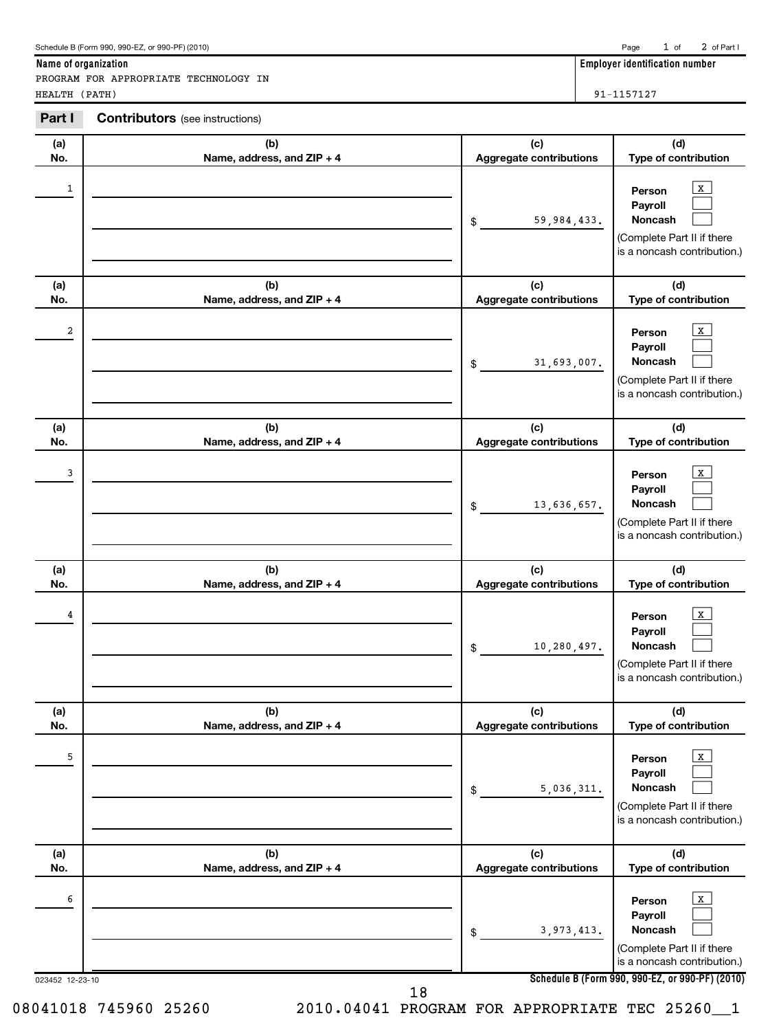| (a)<br>No.           | (b)<br>Name, address, and ZIP + 4 | (c)<br><b>Aggregate contributions</b> | (d)<br>Type of contribution                                                                                                                       |
|----------------------|-----------------------------------|---------------------------------------|---------------------------------------------------------------------------------------------------------------------------------------------------|
| 1                    |                                   | 59,984,433.<br>$\frac{1}{2}$          | $\mathbf{x}$<br>Person<br>Payroll<br>Noncash<br>(Complete Part II if there<br>is a noncash contribution.)                                         |
| (a)<br>No.           | (b)<br>Name, address, and ZIP + 4 | (c)<br><b>Aggregate contributions</b> | (d)<br>Type of contribution                                                                                                                       |
| 2                    |                                   | 31,693,007.<br>\$                     | X<br>Person<br>Payroll<br>Noncash<br>(Complete Part II if there<br>is a noncash contribution.)                                                    |
| (a)<br>No.           | (b)<br>Name, address, and ZIP + 4 | (c)<br><b>Aggregate contributions</b> | (d)<br>Type of contribution                                                                                                                       |
| 3                    |                                   | 13,636,657.<br>\$                     | X<br>Person<br>Payroll<br>Noncash<br>(Complete Part II if there<br>is a noncash contribution.)                                                    |
| (a)<br>No.           | (b)<br>Name, address, and ZIP + 4 | (c)<br><b>Aggregate contributions</b> | (d)<br>Type of contribution                                                                                                                       |
| 4                    |                                   | 10,280,497.<br>\$                     | X<br>Person<br>Payroll<br><b>Noncash</b><br>(Complete Part II if there<br>is a noncash contribution.)                                             |
| (a)<br>No.           | (b)<br>Name, address, and ZIP + 4 | (c)<br><b>Aggregate contributions</b> | (d)<br>Type of contribution                                                                                                                       |
| 5                    |                                   | 5,036,311.<br>\$                      | x<br>Person<br>Payroll<br><b>Noncash</b><br>(Complete Part II if there                                                                            |
|                      |                                   |                                       | is a noncash contribution.)                                                                                                                       |
| (a)<br>No.           | (b)<br>Name, address, and ZIP + 4 | (c)<br>Aggregate contributions        | (d)<br>Type of contribution                                                                                                                       |
| 6<br>023452 12-23-10 | 18                                | 3,973,413.<br>\$                      | X<br>Person<br>Payroll<br>Noncash<br>(Complete Part II if there<br>is a noncash contribution.)<br>Schedule B (Form 990, 990-EZ, or 990-PF) (2010) |

**Part I Contributors** (see instructions)

PROGRAM FOR APPROPRIATE TECHNOLOGY IN

Page 1 of 2 of Part I

**Name of organization Employer identification number**

HEALTH (PATH) 91-1157127

08041018 745960 25260 2010.04041 PROGRAM FOR APPROPRIATE TEC 25260\_\_1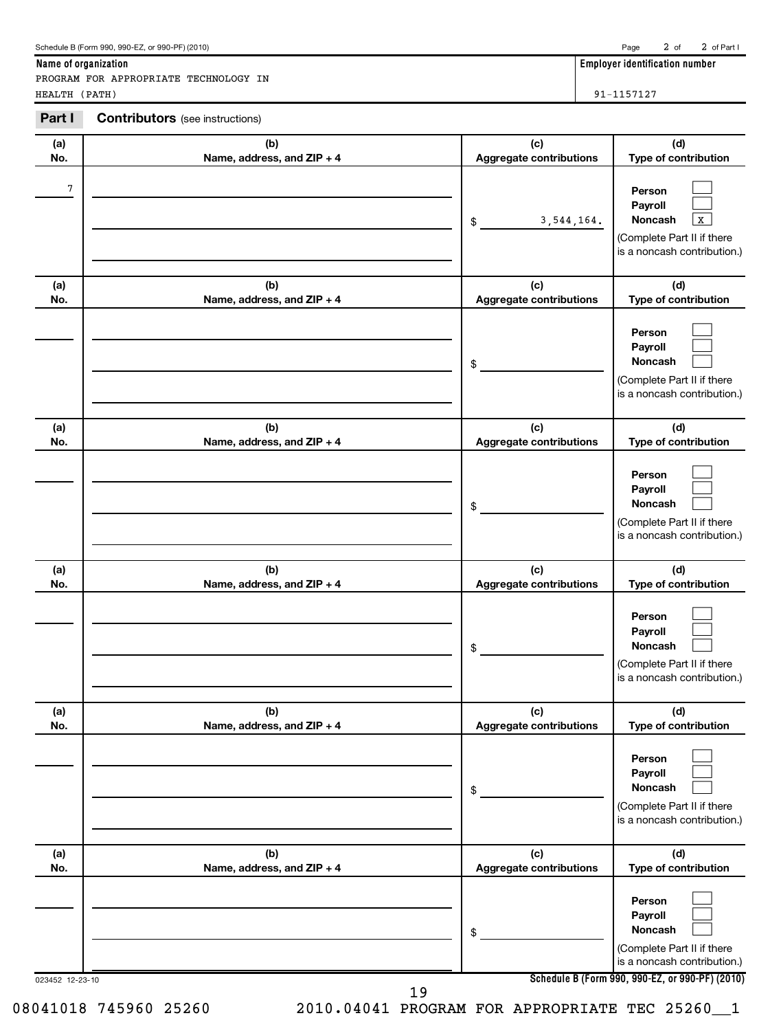| Name of organization | Emplover identification number |  |
|----------------------|--------------------------------|--|

PROGRAM FOR APPROPRIATE TECHNOLOGY IN HEALTH (PATH) 91-1157127

**Part I Contributors** (see instructions)

| (a) | (b)                          | (c)                            | (d)                                                                                                                         |
|-----|------------------------------|--------------------------------|-----------------------------------------------------------------------------------------------------------------------------|
| No. | Name, address, and ZIP + 4   | Aggregate contributions        | Type of contribution                                                                                                        |
| 7   |                              | 3, 544, 164.<br>\$             | Person<br>Payroll<br>$\overline{\mathbf{x}}$<br><b>Noncash</b><br>(Complete Part II if there<br>is a noncash contribution.) |
| (a) | (b)                          | (c)                            | (d)                                                                                                                         |
| No. | Name, address, and ZIP + 4   | Aggregate contributions        | Type of contribution                                                                                                        |
|     |                              | \$                             | Person<br>Payroll<br><b>Noncash</b><br>(Complete Part II if there<br>is a noncash contribution.)                            |
| (a) | (b)                          | (c)                            | (d)                                                                                                                         |
| No. | Name, address, and ZIP + 4   | Aggregate contributions        | Type of contribution                                                                                                        |
|     |                              | \$                             | Person<br>Payroll<br>Noncash<br>(Complete Part II if there<br>is a noncash contribution.)                                   |
| (a) | (b)                          | (c)                            | (d)                                                                                                                         |
| No. | Name, address, and ZIP + 4   | Aggregate contributions        | Type of contribution                                                                                                        |
|     |                              | \$                             | Person<br>Payroll<br>Noncash<br>(Complete Part II if there<br>is a noncash contribution.)                                   |
| (a) | (b)                          | (c)                            | (d)                                                                                                                         |
| No. | Name, address, and $ZIP + 4$ | <b>Aggregate contributions</b> | Type of contribution                                                                                                        |
|     |                              | \$                             | Person<br>Payroll<br>Noncash<br>(Complete Part II if there<br>is a noncash contribution.)                                   |
| (a) | (b)                          | (c)                            | (d)                                                                                                                         |
| No. | Name, address, and ZIP + 4   | Aggregate contributions        | Type of contribution                                                                                                        |
|     |                              | \$                             | Person<br>Payroll<br>Noncash<br>(Complete Part II if there<br>is a noncash contribution.)                                   |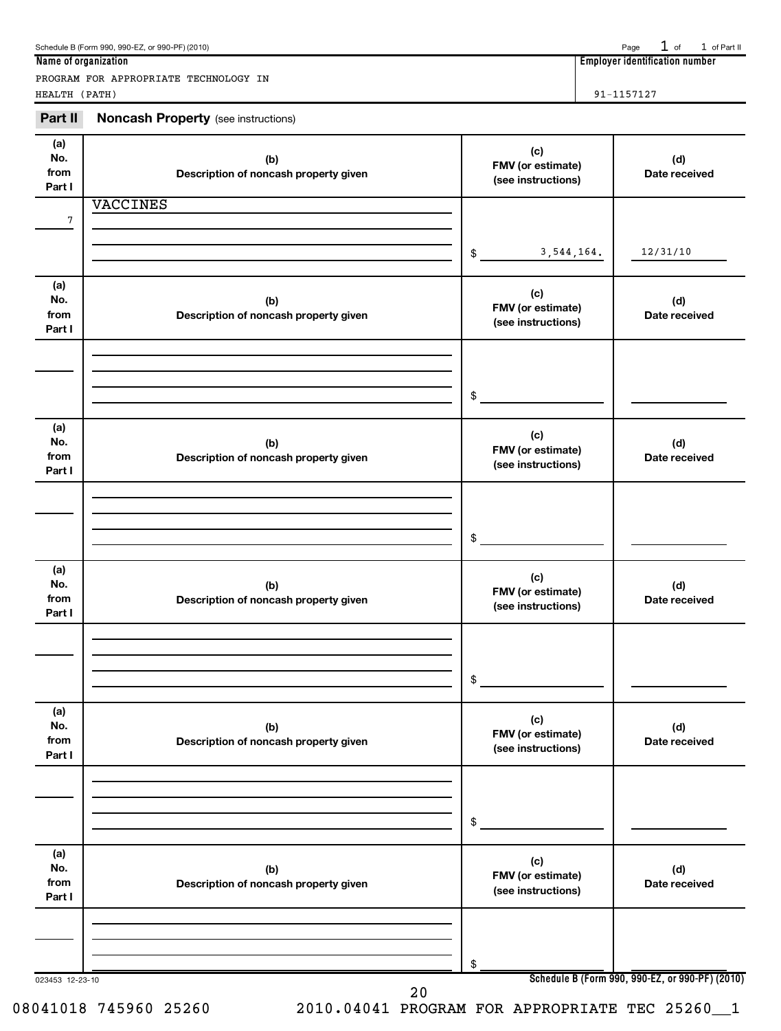| Schedule B (Form 990, 990-EZ, or 990-PF) (2010) |  |  | Page $1$ of $1$ of Part II |
|-------------------------------------------------|--|--|----------------------------|
|-------------------------------------------------|--|--|----------------------------|

PROGRAM FOR APPROPRIATE TECHNOLOGY IN HEALTH (PATH) 91-1157127

**Name of organization Employer identification number**

**Part II** Noncash Property (see instructions)

| (a)<br>No.<br>from<br>Part I | (b)<br>Description of noncash property given | (c)<br>FMV (or estimate)<br>(see instructions) | (d)<br>Date received                            |
|------------------------------|----------------------------------------------|------------------------------------------------|-------------------------------------------------|
|                              | <b>VACCINES</b>                              |                                                |                                                 |
| 7                            |                                              |                                                |                                                 |
|                              |                                              | 3,544,164.<br>$\frac{1}{2}$                    | 12/31/10                                        |
| (a)                          |                                              | (c)                                            |                                                 |
| No.<br>from                  | (b)<br>Description of noncash property given | FMV (or estimate)                              | (d)<br>Date received                            |
| Part I                       |                                              | (see instructions)                             |                                                 |
|                              |                                              |                                                |                                                 |
|                              |                                              |                                                |                                                 |
|                              |                                              | $\mathsf{\$}$                                  |                                                 |
| (a)<br>No.                   |                                              | (c)                                            |                                                 |
| from                         | (b)<br>Description of noncash property given | FMV (or estimate)<br>(see instructions)        | (d)<br>Date received                            |
| Part I                       |                                              |                                                |                                                 |
|                              |                                              |                                                |                                                 |
|                              |                                              |                                                |                                                 |
|                              |                                              | $\mathsf{\$}$                                  |                                                 |
| (a)<br>No.                   | (b)                                          | (c)                                            | (d)                                             |
| from                         | Description of noncash property given        | FMV (or estimate)<br>(see instructions)        | Date received                                   |
| Part I                       |                                              |                                                |                                                 |
|                              |                                              |                                                |                                                 |
|                              |                                              | $\frac{1}{2}$                                  |                                                 |
|                              |                                              |                                                |                                                 |
| (a)<br>No.                   | (b)                                          | (c)                                            | (d)                                             |
| from                         | Description of noncash property given        | FMV (or estimate)<br>(see instructions)        | Date received                                   |
| Part I                       |                                              |                                                |                                                 |
|                              |                                              |                                                |                                                 |
|                              |                                              | \$                                             |                                                 |
|                              |                                              |                                                |                                                 |
| (a)<br>No.                   | (b)                                          | (c)                                            | (d)                                             |
| from<br>Part I               | Description of noncash property given        | FMV (or estimate)<br>(see instructions)        | Date received                                   |
|                              |                                              |                                                |                                                 |
|                              |                                              |                                                |                                                 |
|                              |                                              | \$                                             |                                                 |
| 023453 12-23-10              | 20                                           |                                                | Schedule B (Form 990, 990-EZ, or 990-PF) (2010) |

08041018 745960 25260 2010.04041 PROGRAM FOR APPROPRIATE TEC 25260\_\_1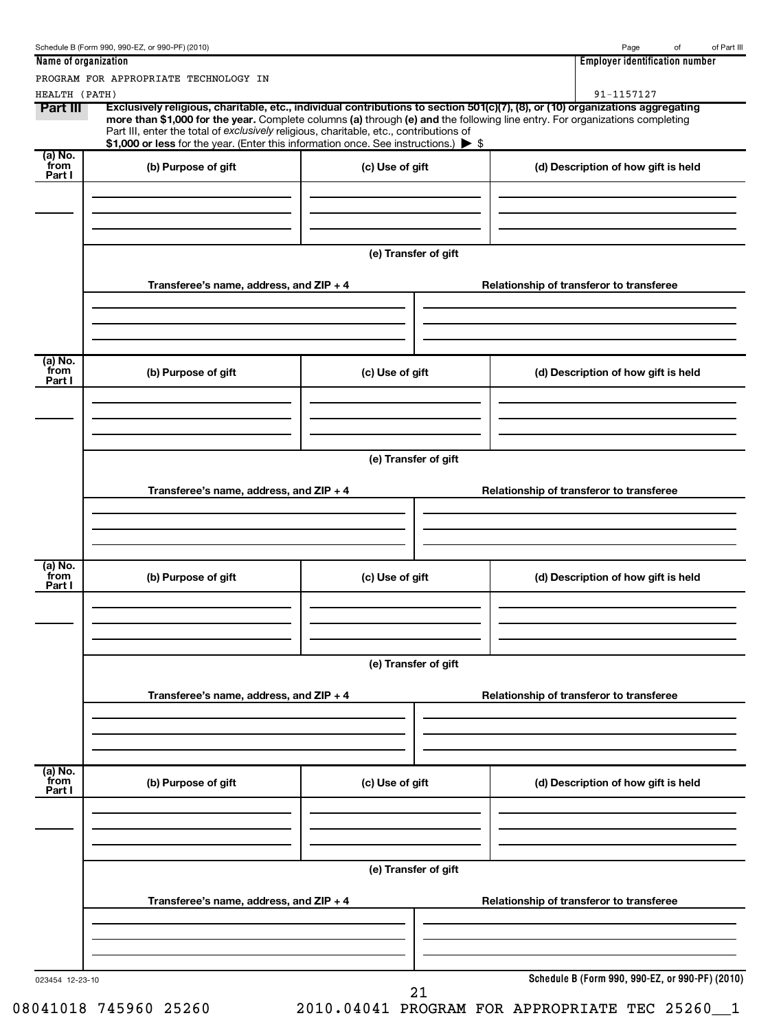|                             | Schedule B (Form 990, 990-EZ, or 990-PF) (2010)                                                                                                                               |                      | of Part III<br>Page<br>of                                                                                                                                                                                                                                     |
|-----------------------------|-------------------------------------------------------------------------------------------------------------------------------------------------------------------------------|----------------------|---------------------------------------------------------------------------------------------------------------------------------------------------------------------------------------------------------------------------------------------------------------|
| Name of organization        |                                                                                                                                                                               |                      | <b>Employer identification number</b>                                                                                                                                                                                                                         |
|                             | PROGRAM FOR APPROPRIATE TECHNOLOGY IN                                                                                                                                         |                      |                                                                                                                                                                                                                                                               |
| HEALTH (PATH)               |                                                                                                                                                                               |                      | 91-1157127                                                                                                                                                                                                                                                    |
| Part III                    | Part III, enter the total of exclusively religious, charitable, etc., contributions of<br>\$1,000 or less for the year. (Enter this information once. See instructions.) > \$ |                      | Exclusively religious, charitable, etc., individual contributions to section 501(c)(7), (8), or (10) organizations aggregating<br>more than \$1,000 for the year. Complete columns (a) through (e) and the following line entry. For organizations completing |
| (a) No.<br>from<br>Part I   | (b) Purpose of gift                                                                                                                                                           | (c) Use of gift      | (d) Description of how gift is held                                                                                                                                                                                                                           |
|                             |                                                                                                                                                                               |                      |                                                                                                                                                                                                                                                               |
|                             |                                                                                                                                                                               | (e) Transfer of gift |                                                                                                                                                                                                                                                               |
|                             | Transferee's name, address, and $ZIP + 4$                                                                                                                                     |                      | Relationship of transferor to transferee                                                                                                                                                                                                                      |
| $(a)$ No.<br>from<br>Part I | (b) Purpose of gift                                                                                                                                                           | (c) Use of gift      | (d) Description of how gift is held                                                                                                                                                                                                                           |
|                             |                                                                                                                                                                               |                      |                                                                                                                                                                                                                                                               |
|                             |                                                                                                                                                                               | (e) Transfer of gift |                                                                                                                                                                                                                                                               |
|                             | Transferee's name, address, and $ZIP + 4$                                                                                                                                     |                      | Relationship of transferor to transferee                                                                                                                                                                                                                      |
| (a) No.<br>from<br>Part I   | (b) Purpose of gift                                                                                                                                                           | (c) Use of gift      | (d) Description of how gift is held                                                                                                                                                                                                                           |
|                             |                                                                                                                                                                               | (e) Transfer of gift |                                                                                                                                                                                                                                                               |
|                             | Transferee's name, address, and ZIP + 4                                                                                                                                       |                      | Relationship of transferor to transferee                                                                                                                                                                                                                      |
| (a) No.<br>from<br>Part I   | (b) Purpose of gift                                                                                                                                                           | (c) Use of gift      | (d) Description of how gift is held                                                                                                                                                                                                                           |
|                             |                                                                                                                                                                               |                      |                                                                                                                                                                                                                                                               |
|                             |                                                                                                                                                                               | (e) Transfer of gift |                                                                                                                                                                                                                                                               |
|                             | Transferee's name, address, and ZIP + 4                                                                                                                                       |                      | Relationship of transferor to transferee                                                                                                                                                                                                                      |
| 023454 12-23-10             |                                                                                                                                                                               | $\sim$               | Schedule B (Form 990, 990-EZ, or 990-PF) (2010)                                                                                                                                                                                                               |

08041018 745960 25260 2010.04041 PROGRAM FOR APPROPRIATE TEC 25260\_1

 <sup>21</sup>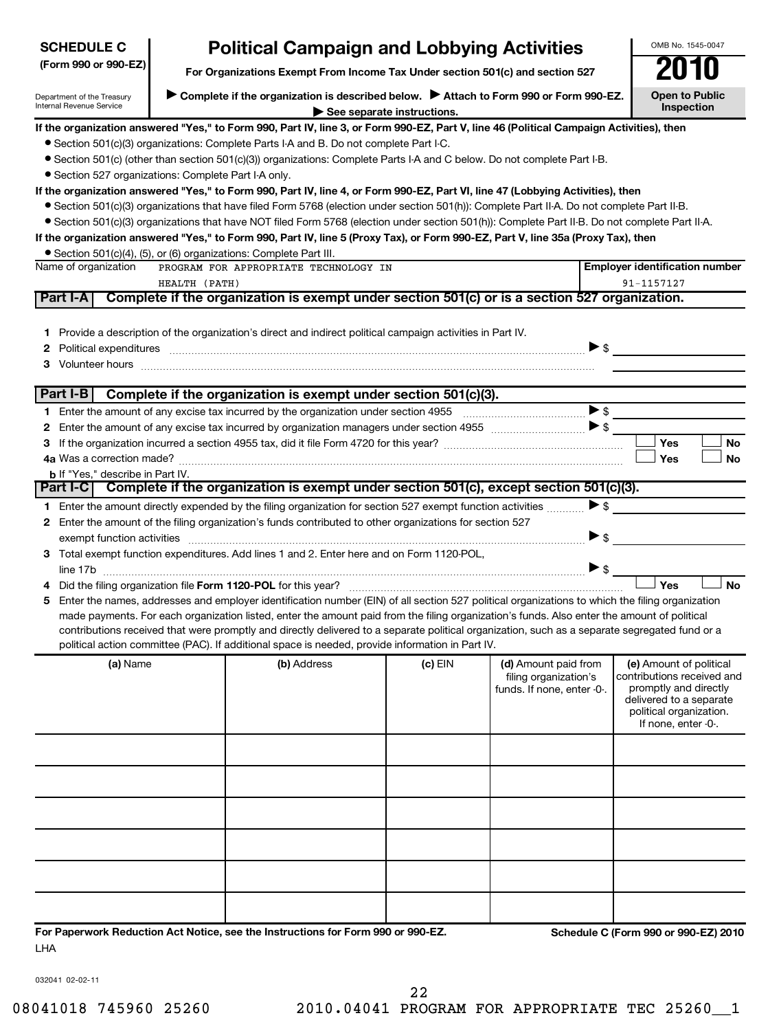| <b>SCHEDULE C</b>                                      |                                                                               | <b>Political Campaign and Lobbying Activities</b>                                                                                                                                                                                                                                             |                            |                            |                          | OMB No. 1545-0047                                  |
|--------------------------------------------------------|-------------------------------------------------------------------------------|-----------------------------------------------------------------------------------------------------------------------------------------------------------------------------------------------------------------------------------------------------------------------------------------------|----------------------------|----------------------------|--------------------------|----------------------------------------------------|
| (Form 990 or 990-EZ)                                   | For Organizations Exempt From Income Tax Under section 501(c) and section 527 | U                                                                                                                                                                                                                                                                                             |                            |                            |                          |                                                    |
| Department of the Treasury<br>Internal Revenue Service |                                                                               | Complete if the organization is described below.<br>Attach to Form 990 or Form 990-EZ.                                                                                                                                                                                                        |                            |                            |                          | <b>Open to Public</b><br><b>Inspection</b>         |
|                                                        |                                                                               | If the organization answered "Yes," to Form 990, Part IV, line 3, or Form 990-EZ, Part V, line 46 (Political Campaign Activities), then                                                                                                                                                       | See separate instructions. |                            |                          |                                                    |
|                                                        |                                                                               | • Section 501(c)(3) organizations: Complete Parts I-A and B. Do not complete Part I-C.                                                                                                                                                                                                        |                            |                            |                          |                                                    |
|                                                        |                                                                               | ● Section 501(c) (other than section 501(c)(3)) organizations: Complete Parts I-A and C below. Do not complete Part I-B.                                                                                                                                                                      |                            |                            |                          |                                                    |
| · Section 527 organizations: Complete Part I-A only.   |                                                                               |                                                                                                                                                                                                                                                                                               |                            |                            |                          |                                                    |
|                                                        |                                                                               | If the organization answered "Yes," to Form 990, Part IV, line 4, or Form 990-EZ, Part VI, line 47 (Lobbying Activities), then                                                                                                                                                                |                            |                            |                          |                                                    |
|                                                        |                                                                               | • Section 501(c)(3) organizations that have filed Form 5768 (election under section 501(h)): Complete Part II-A. Do not complete Part II-B.                                                                                                                                                   |                            |                            |                          |                                                    |
|                                                        |                                                                               | • Section 501(c)(3) organizations that have NOT filed Form 5768 (election under section 501(h)): Complete Part II-B. Do not complete Part II-A.                                                                                                                                               |                            |                            |                          |                                                    |
|                                                        |                                                                               | If the organization answered "Yes," to Form 990, Part IV, line 5 (Proxy Tax), or Form 990-EZ, Part V, line 35a (Proxy Tax), then                                                                                                                                                              |                            |                            |                          |                                                    |
|                                                        |                                                                               | • Section 501(c)(4), (5), or (6) organizations: Complete Part III.                                                                                                                                                                                                                            |                            |                            |                          |                                                    |
| Name of organization                                   |                                                                               | PROGRAM FOR APPROPRIATE TECHNOLOGY IN                                                                                                                                                                                                                                                         |                            |                            |                          | <b>Employer identification number</b>              |
|                                                        | HEALTH (PATH)                                                                 |                                                                                                                                                                                                                                                                                               |                            |                            |                          | 91-1157127                                         |
| Part I-A                                               |                                                                               | Complete if the organization is exempt under section 501(c) or is a section 527 organization.                                                                                                                                                                                                 |                            |                            |                          |                                                    |
|                                                        |                                                                               |                                                                                                                                                                                                                                                                                               |                            |                            |                          |                                                    |
|                                                        |                                                                               | 1 Provide a description of the organization's direct and indirect political campaign activities in Part IV.                                                                                                                                                                                   |                            |                            |                          |                                                    |
| $\mathbf{2}$                                           |                                                                               | Political expenditures entertainment and the contract of the contract of the contract of the contract of the contract of the contract of the contract of the contract of the contract of the contract of the contract of the c                                                                |                            |                            | $\blacktriangleright$ \$ |                                                    |
|                                                        |                                                                               |                                                                                                                                                                                                                                                                                               |                            |                            |                          |                                                    |
| Part I-B                                               |                                                                               | Complete if the organization is exempt under section 501(c)(3).                                                                                                                                                                                                                               |                            |                            |                          |                                                    |
|                                                        |                                                                               |                                                                                                                                                                                                                                                                                               |                            |                            |                          |                                                    |
|                                                        |                                                                               |                                                                                                                                                                                                                                                                                               |                            |                            |                          |                                                    |
| 3                                                      |                                                                               |                                                                                                                                                                                                                                                                                               |                            |                            |                          | Yes<br><b>No</b>                                   |
|                                                        |                                                                               |                                                                                                                                                                                                                                                                                               |                            |                            |                          | <b>No</b><br>Yes                                   |
| <b>b</b> If "Yes," describe in Part IV.                |                                                                               |                                                                                                                                                                                                                                                                                               |                            |                            |                          |                                                    |
|                                                        |                                                                               | Part I-C   Complete if the organization is exempt under section 501(c), except section 501(c)(3).                                                                                                                                                                                             |                            |                            |                          |                                                    |
|                                                        |                                                                               | 1 Enter the amount directly expended by the filing organization for section 527 exempt function activities                                                                                                                                                                                    |                            |                            | $\blacktriangleright$ \$ |                                                    |
|                                                        |                                                                               | 2 Enter the amount of the filing organization's funds contributed to other organizations for section 527                                                                                                                                                                                      |                            |                            |                          |                                                    |
|                                                        |                                                                               |                                                                                                                                                                                                                                                                                               |                            |                            | $\blacktriangleright$ \$ |                                                    |
|                                                        |                                                                               | 3 Total exempt function expenditures. Add lines 1 and 2. Enter here and on Form 1120-POL,                                                                                                                                                                                                     |                            |                            |                          |                                                    |
|                                                        |                                                                               |                                                                                                                                                                                                                                                                                               |                            |                            |                          |                                                    |
|                                                        |                                                                               |                                                                                                                                                                                                                                                                                               |                            |                            |                          | Yes<br><b>No</b>                                   |
| 5.                                                     |                                                                               | Enter the names, addresses and employer identification number (EIN) of all section 527 political organizations to which the filing organization                                                                                                                                               |                            |                            |                          |                                                    |
|                                                        |                                                                               | made payments. For each organization listed, enter the amount paid from the filing organization's funds. Also enter the amount of political<br>contributions received that were promptly and directly delivered to a separate political organization, such as a separate segregated fund or a |                            |                            |                          |                                                    |
|                                                        |                                                                               | political action committee (PAC). If additional space is needed, provide information in Part IV.                                                                                                                                                                                              |                            |                            |                          |                                                    |
| (a) Name                                               |                                                                               | (b) Address                                                                                                                                                                                                                                                                                   |                            | (d) Amount paid from       |                          | (e) Amount of political                            |
|                                                        |                                                                               |                                                                                                                                                                                                                                                                                               | $(c)$ EIN                  | filing organization's      |                          | contributions received and                         |
|                                                        |                                                                               |                                                                                                                                                                                                                                                                                               |                            | funds. If none, enter -0-. |                          | promptly and directly                              |
|                                                        |                                                                               |                                                                                                                                                                                                                                                                                               |                            |                            |                          | delivered to a separate<br>political organization. |
|                                                        |                                                                               |                                                                                                                                                                                                                                                                                               |                            |                            |                          | If none, enter -0-.                                |
|                                                        |                                                                               |                                                                                                                                                                                                                                                                                               |                            |                            |                          |                                                    |
|                                                        |                                                                               |                                                                                                                                                                                                                                                                                               |                            |                            |                          |                                                    |
|                                                        |                                                                               |                                                                                                                                                                                                                                                                                               |                            |                            |                          |                                                    |
|                                                        |                                                                               |                                                                                                                                                                                                                                                                                               |                            |                            |                          |                                                    |
|                                                        |                                                                               |                                                                                                                                                                                                                                                                                               |                            |                            |                          |                                                    |
|                                                        |                                                                               |                                                                                                                                                                                                                                                                                               |                            |                            |                          |                                                    |
|                                                        |                                                                               |                                                                                                                                                                                                                                                                                               |                            |                            |                          |                                                    |
|                                                        |                                                                               |                                                                                                                                                                                                                                                                                               |                            |                            |                          |                                                    |
|                                                        |                                                                               |                                                                                                                                                                                                                                                                                               |                            |                            |                          |                                                    |
|                                                        |                                                                               |                                                                                                                                                                                                                                                                                               |                            |                            |                          |                                                    |
|                                                        |                                                                               |                                                                                                                                                                                                                                                                                               |                            |                            |                          |                                                    |
|                                                        |                                                                               | For Paperwork Reduction Act Notice, see the Instructions for Form 990 or 990-EZ.                                                                                                                                                                                                              |                            |                            |                          |                                                    |
| LHA                                                    |                                                                               |                                                                                                                                                                                                                                                                                               |                            |                            |                          | Schedule C (Form 990 or 990-EZ) 2010               |

032041 02-02-11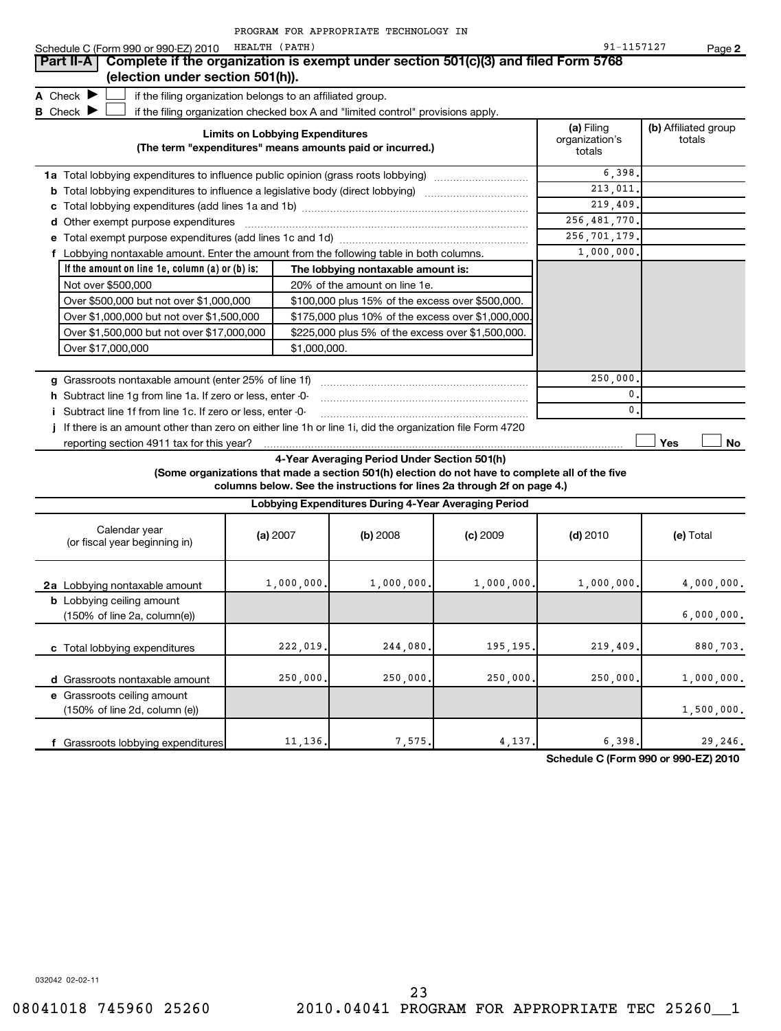|                                                                                                           |               |                                        | PROGRAM FOR APPROPRIATE TECHNOLOGY IN                                            |                                                                                                                                                                            |                                        |                                |
|-----------------------------------------------------------------------------------------------------------|---------------|----------------------------------------|----------------------------------------------------------------------------------|----------------------------------------------------------------------------------------------------------------------------------------------------------------------------|----------------------------------------|--------------------------------|
| Schedule C (Form 990 or 990-EZ) 2010                                                                      | HEALTH (PATH) |                                        |                                                                                  |                                                                                                                                                                            | 91-1157127                             | Page 2                         |
| Complete if the organization is exempt under section 501(c)(3) and filed Form 5768<br>Part II-A           |               |                                        |                                                                                  |                                                                                                                                                                            |                                        |                                |
| (election under section 501(h)).                                                                          |               |                                        |                                                                                  |                                                                                                                                                                            |                                        |                                |
| A Check $\blacktriangleright$<br>if the filing organization belongs to an affiliated group.               |               |                                        |                                                                                  |                                                                                                                                                                            |                                        |                                |
| <b>B</b> Check                                                                                            |               |                                        | if the filing organization checked box A and "limited control" provisions apply. |                                                                                                                                                                            |                                        |                                |
|                                                                                                           |               | <b>Limits on Lobbying Expenditures</b> | (The term "expenditures" means amounts paid or incurred.)                        |                                                                                                                                                                            | (a) Filing<br>organization's<br>totals | (b) Affiliated group<br>totals |
| <b>1a</b> Total lobbying expenditures to influence public opinion (grass roots lobbying)                  |               |                                        |                                                                                  |                                                                                                                                                                            | 6,398                                  |                                |
| <b>b</b> Total lobbying expenditures to influence a legislative body (direct lobbying)                    |               |                                        |                                                                                  |                                                                                                                                                                            | 213,011                                |                                |
| c                                                                                                         |               |                                        |                                                                                  |                                                                                                                                                                            | 219,409                                |                                |
| d Other exempt purpose expenditures                                                                       |               |                                        |                                                                                  |                                                                                                                                                                            | 256, 481, 770.                         |                                |
|                                                                                                           |               |                                        |                                                                                  |                                                                                                                                                                            | $\overline{256}$ , 701, 179.           |                                |
| f Lobbying nontaxable amount. Enter the amount from the following table in both columns.                  |               |                                        |                                                                                  |                                                                                                                                                                            | 1,000,000                              |                                |
| If the amount on line $1e$ , column (a) or (b) is:                                                        |               |                                        | The lobbying nontaxable amount is:                                               |                                                                                                                                                                            |                                        |                                |
| Not over \$500,000                                                                                        |               |                                        | 20% of the amount on line 1e.                                                    |                                                                                                                                                                            |                                        |                                |
| Over \$500,000 but not over \$1,000,000                                                                   |               |                                        | \$100,000 plus 15% of the excess over \$500,000.                                 |                                                                                                                                                                            |                                        |                                |
| Over \$1,000,000 but not over \$1,500,000<br>\$175,000 plus 10% of the excess over \$1,000,000            |               |                                        |                                                                                  |                                                                                                                                                                            |                                        |                                |
| Over \$1,500,000 but not over \$17,000,000                                                                |               |                                        | \$225,000 plus 5% of the excess over \$1,500,000.                                |                                                                                                                                                                            |                                        |                                |
| Over \$17,000,000                                                                                         |               | \$1,000,000.                           |                                                                                  |                                                                                                                                                                            |                                        |                                |
|                                                                                                           |               |                                        |                                                                                  |                                                                                                                                                                            |                                        |                                |
| g Grassroots nontaxable amount (enter 25% of line 1f)                                                     |               |                                        |                                                                                  |                                                                                                                                                                            | 250,000                                |                                |
| <b>h</b> Subtract line 1g from line 1a. If zero or less, enter -0-                                        |               |                                        |                                                                                  |                                                                                                                                                                            | 0                                      |                                |
| i Subtract line 1f from line 1c. If zero or less, enter -0-                                               |               |                                        |                                                                                  |                                                                                                                                                                            | 0                                      |                                |
| j If there is an amount other than zero on either line 1h or line 1i, did the organization file Form 4720 |               |                                        |                                                                                  |                                                                                                                                                                            |                                        |                                |
| reporting section 4911 tax for this year?                                                                 |               |                                        |                                                                                  |                                                                                                                                                                            |                                        | Yes<br>No                      |
|                                                                                                           |               |                                        | 4-Year Averaging Period Under Section 501(h)                                     | (Some organizations that made a section 501(h) election do not have to complete all of the five<br>columns below. See the instructions for lines 2a through 2f on page 4.) |                                        |                                |
|                                                                                                           |               |                                        | Lobbying Expenditures During 4-Year Averaging Period                             |                                                                                                                                                                            |                                        |                                |
| Calendar year<br>(or fiscal year beginning in)                                                            |               | (a) 2007                               | $(b)$ 2008                                                                       | $(c)$ 2009                                                                                                                                                                 | $(d)$ 2010                             | (e) Total                      |
| 2a Lobbying nontaxable amount                                                                             |               | 1,000,000.                             | 1,000,000.                                                                       | 1,000,000.                                                                                                                                                                 | 1,000,000.                             | 4,000,000.                     |
| <b>b</b> Lobbying ceiling amount<br>$(150\% \text{ of line } 2a, \text{column}(e))$                       |               |                                        |                                                                                  |                                                                                                                                                                            |                                        | 6,000,000.                     |
| c Total lobbying expenditures                                                                             |               | 222,019.                               | 244,080                                                                          | 195,195.                                                                                                                                                                   | 219,409.                               | 880,703.                       |
| d Grassroots nontaxable amount                                                                            |               | 250,000.                               | 250,000.                                                                         | 250,000.                                                                                                                                                                   | 250,000.                               | 1,000,000.                     |

**f** Grassroots lobbying expenditures (150% of line 2d, column (e)) 1,500,000. 11,136. 7,575. 4,137. 6,398. 29,246.

**Schedule C (Form 990 or 990-EZ) 2010**

032042 02-02-11

**e** Grassroots ceiling amount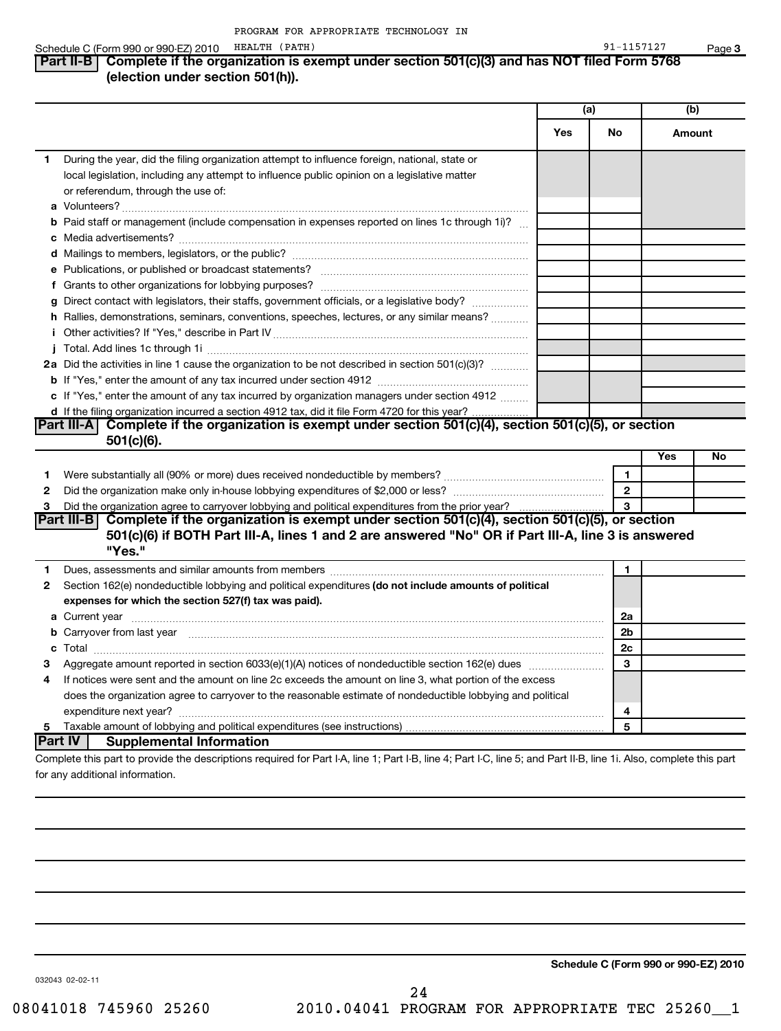### Schedule C (Form 990 or 990-EZ) 2010 HEALTH (PATH) 30 and 2010 11:57127

**3**

## **Part II-B** Complete if the organization is exempt under section 501(c)(3) and has NOT filed Form 5768 **(election under section 501(h)).**

|   |                                                                                                                                                                                                                                     | (a) |                | (b)    |    |
|---|-------------------------------------------------------------------------------------------------------------------------------------------------------------------------------------------------------------------------------------|-----|----------------|--------|----|
|   |                                                                                                                                                                                                                                     | Yes | No             | Amount |    |
| 1 | During the year, did the filing organization attempt to influence foreign, national, state or<br>local legislation, including any attempt to influence public opinion on a legislative matter<br>or referendum, through the use of: |     |                |        |    |
|   | <b>b</b> Paid staff or management (include compensation in expenses reported on lines 1c through 1i)?                                                                                                                               |     |                |        |    |
|   |                                                                                                                                                                                                                                     |     |                |        |    |
|   |                                                                                                                                                                                                                                     |     |                |        |    |
|   | g Direct contact with legislators, their staffs, government officials, or a legislative body?<br>h Rallies, demonstrations, seminars, conventions, speeches, lectures, or any similar means?                                        |     |                |        |    |
|   |                                                                                                                                                                                                                                     |     |                |        |    |
|   | 2a Did the activities in line 1 cause the organization to be not described in section 501(c)(3)?                                                                                                                                    |     |                |        |    |
|   | c If "Yes," enter the amount of any tax incurred by organization managers under section 4912<br>d If the filing organization incurred a section 4912 tax, did it file Form 4720 for this year?                                      |     |                |        |    |
|   | Part III-A Complete if the organization is exempt under section $501(c)(4)$ , section $501(c)(5)$ , or section                                                                                                                      |     |                |        |    |
|   | 501(c)(6).                                                                                                                                                                                                                          |     |                |        |    |
|   |                                                                                                                                                                                                                                     |     |                | Yes    | No |
| 1 |                                                                                                                                                                                                                                     |     | $\mathbf{1}$   |        |    |
| 2 |                                                                                                                                                                                                                                     |     | $\overline{2}$ |        |    |
| 3 | Did the organization agree to carryover lobbying and political expenditures from the prior year?<br>Part III-B Complete if the organization is exempt under section 501(c)(4), section 501(c)(5), or section                        |     |                |        |    |
|   | 501(c)(6) if BOTH Part III-A, lines 1 and 2 are answered "No" OR if Part III-A, line 3 is answered<br>"Yes."                                                                                                                        |     |                |        |    |
| 1 |                                                                                                                                                                                                                                     |     | 1              |        |    |
| 2 | Section 162(e) nondeductible lobbying and political expenditures (do not include amounts of political<br>expenses for which the section 527(f) tax was paid).                                                                       |     |                |        |    |
|   |                                                                                                                                                                                                                                     |     | 2a             |        |    |
|   | b Carryover from last year manufactured and contract the contract of the contract of the contract of the contract of the contract of the contract of the contract of the contract of the contract of contract of contract of c      |     | 2 <sub>b</sub> |        |    |
|   |                                                                                                                                                                                                                                     |     | 2c             |        |    |
| З |                                                                                                                                                                                                                                     |     | 3              |        |    |
| 4 | If notices were sent and the amount on line 2c exceeds the amount on line 3, what portion of the excess                                                                                                                             |     |                |        |    |
|   | does the organization agree to carryover to the reasonable estimate of nondeductible lobbying and political                                                                                                                         |     | 4              |        |    |
| 5 |                                                                                                                                                                                                                                     |     | 5              |        |    |
|   | ∣Part IV ∣<br><b>Supplemental Information</b>                                                                                                                                                                                       |     |                |        |    |
|   | Complete this part to provide the descriptions required for Part I-A, line 1; Part I-B, line 4; Part I-C, line 5; and Part II-B, line 1i. Also, complete this part                                                                  |     |                |        |    |

for any additional information.

24

032043 02-02-11

**Schedule C (Form 990 or 990-EZ) 2010**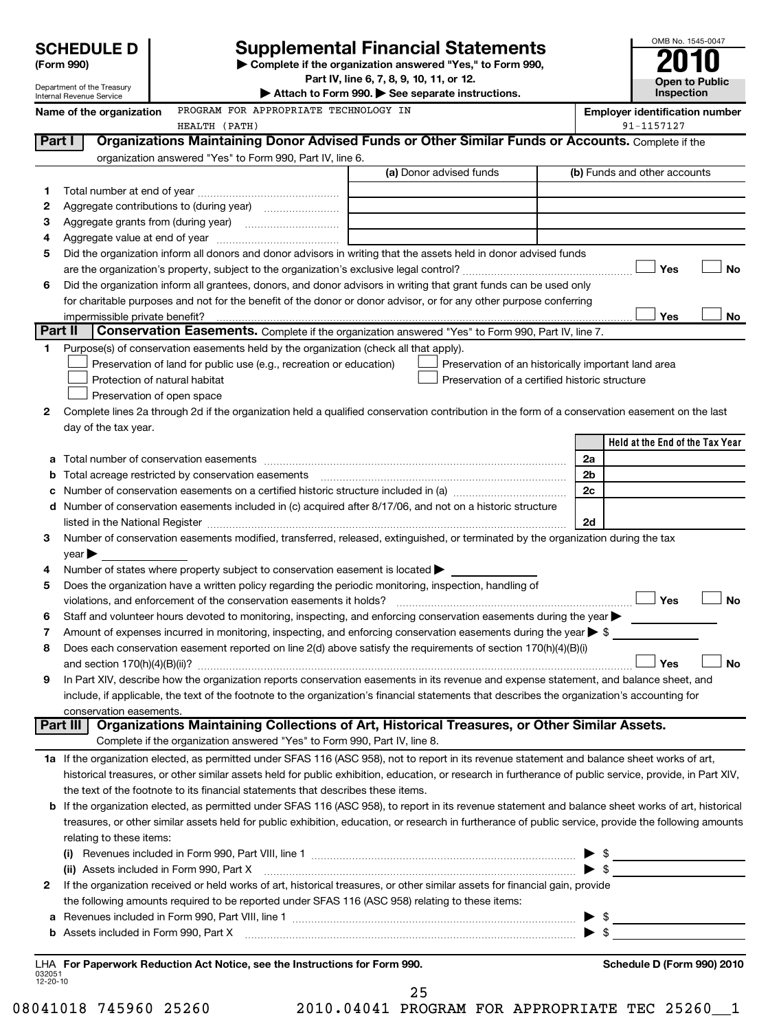| <b>SCHEDULE D</b> |  |
|-------------------|--|
|                   |  |

| (Form 990) |  |
|------------|--|
|------------|--|

# **Supplemental Financial Statements**

OMB No. 1545-0047

**Open to Public Inspection**

**(Form 990) | Complete if the organization answered "Yes," to Form 990,**

**Part IV, line 6, 7, 8, 9, 10, 11, or 12.**

|                          | Department of the Treasury<br>Internal Revenue Service | Attach to Form 990. See separate instructions.                                                                                                                                |                                                     |                |                                       | Inspection |           |
|--------------------------|--------------------------------------------------------|-------------------------------------------------------------------------------------------------------------------------------------------------------------------------------|-----------------------------------------------------|----------------|---------------------------------------|------------|-----------|
|                          | Name of the organization                               | PROGRAM FOR APPROPRIATE TECHNOLOGY IN                                                                                                                                         |                                                     |                | <b>Employer identification number</b> |            |           |
|                          |                                                        | HEALTH (PATH)                                                                                                                                                                 |                                                     |                | 91-1157127                            |            |           |
|                          | Part I                                                 | Organizations Maintaining Donor Advised Funds or Other Similar Funds or Accounts. Complete if the                                                                             |                                                     |                |                                       |            |           |
|                          |                                                        | organization answered "Yes" to Form 990, Part IV, line 6.                                                                                                                     |                                                     |                |                                       |            |           |
|                          |                                                        |                                                                                                                                                                               | (a) Donor advised funds                             |                | (b) Funds and other accounts          |            |           |
| 1.                       |                                                        |                                                                                                                                                                               |                                                     |                |                                       |            |           |
| 2                        |                                                        |                                                                                                                                                                               |                                                     |                |                                       |            |           |
| З                        |                                                        |                                                                                                                                                                               |                                                     |                |                                       |            |           |
| 4                        |                                                        |                                                                                                                                                                               |                                                     |                |                                       |            |           |
| 5                        |                                                        | Did the organization inform all donors and donor advisors in writing that the assets held in donor advised funds                                                              |                                                     |                |                                       |            | No        |
| 6                        |                                                        | Did the organization inform all grantees, donors, and donor advisors in writing that grant funds can be used only                                                             |                                                     |                | Yes                                   |            |           |
|                          |                                                        | for charitable purposes and not for the benefit of the donor or donor advisor, or for any other purpose conferring                                                            |                                                     |                |                                       |            |           |
|                          | impermissible private benefit?                         |                                                                                                                                                                               |                                                     |                | Yes                                   |            | No        |
|                          | Part II                                                | Conservation Easements. Complete if the organization answered "Yes" to Form 990, Part IV, line 7.                                                                             |                                                     |                |                                       |            |           |
| 1.                       |                                                        | Purpose(s) of conservation easements held by the organization (check all that apply).                                                                                         |                                                     |                |                                       |            |           |
|                          |                                                        | Preservation of land for public use (e.g., recreation or education)                                                                                                           | Preservation of an historically important land area |                |                                       |            |           |
|                          | Protection of natural habitat                          |                                                                                                                                                                               | Preservation of a certified historic structure      |                |                                       |            |           |
|                          | Preservation of open space                             |                                                                                                                                                                               |                                                     |                |                                       |            |           |
| 2                        |                                                        | Complete lines 2a through 2d if the organization held a qualified conservation contribution in the form of a conservation easement on the last                                |                                                     |                |                                       |            |           |
|                          | day of the tax year.                                   |                                                                                                                                                                               |                                                     |                |                                       |            |           |
|                          |                                                        |                                                                                                                                                                               |                                                     |                | Held at the End of the Tax Year       |            |           |
|                          |                                                        |                                                                                                                                                                               |                                                     | 2a             |                                       |            |           |
| b                        | Total acreage restricted by conservation easements     |                                                                                                                                                                               |                                                     | 2 <sub>b</sub> |                                       |            |           |
| с                        |                                                        |                                                                                                                                                                               |                                                     | 2c             |                                       |            |           |
|                          |                                                        | d Number of conservation easements included in (c) acquired after 8/17/06, and not on a historic structure                                                                    |                                                     |                |                                       |            |           |
|                          |                                                        |                                                                                                                                                                               |                                                     | 2d             |                                       |            |           |
| 3                        |                                                        | Number of conservation easements modified, transferred, released, extinguished, or terminated by the organization during the tax                                              |                                                     |                |                                       |            |           |
|                          | year                                                   |                                                                                                                                                                               |                                                     |                |                                       |            |           |
| 4                        |                                                        | Number of states where property subject to conservation easement is located >                                                                                                 |                                                     |                |                                       |            |           |
| 5                        |                                                        | Does the organization have a written policy regarding the periodic monitoring, inspection, handling of<br>violations, and enforcement of the conservation easements it holds? |                                                     |                | Yes                                   |            | <b>No</b> |
| 6                        |                                                        | Staff and volunteer hours devoted to monitoring, inspecting, and enforcing conservation easements during the year                                                             |                                                     |                |                                       |            |           |
| 7                        |                                                        | Amount of expenses incurred in monitoring, inspecting, and enforcing conservation easements during the year $\triangleright$ \$                                               |                                                     |                |                                       |            |           |
| 8                        |                                                        | Does each conservation easement reported on line 2(d) above satisfy the requirements of section 170(h)(4)(B)(i)                                                               |                                                     |                |                                       |            |           |
|                          |                                                        |                                                                                                                                                                               |                                                     |                | Yes                                   |            | <b>No</b> |
| 9                        |                                                        | In Part XIV, describe how the organization reports conservation easements in its revenue and expense statement, and balance sheet, and                                        |                                                     |                |                                       |            |           |
|                          |                                                        | include, if applicable, the text of the footnote to the organization's financial statements that describes the organization's accounting for                                  |                                                     |                |                                       |            |           |
|                          | conservation easements.                                |                                                                                                                                                                               |                                                     |                |                                       |            |           |
|                          | Part III                                               | Organizations Maintaining Collections of Art, Historical Treasures, or Other Similar Assets.                                                                                  |                                                     |                |                                       |            |           |
|                          |                                                        | Complete if the organization answered "Yes" to Form 990, Part IV, line 8.                                                                                                     |                                                     |                |                                       |            |           |
|                          |                                                        | 1a If the organization elected, as permitted under SFAS 116 (ASC 958), not to report in its revenue statement and balance sheet works of art,                                 |                                                     |                |                                       |            |           |
|                          |                                                        | historical treasures, or other similar assets held for public exhibition, education, or research in furtherance of public service, provide, in Part XIV,                      |                                                     |                |                                       |            |           |
|                          |                                                        | the text of the footnote to its financial statements that describes these items.                                                                                              |                                                     |                |                                       |            |           |
|                          |                                                        | <b>b</b> If the organization elected, as permitted under SFAS 116 (ASC 958), to report in its revenue statement and balance sheet works of art, historical                    |                                                     |                |                                       |            |           |
|                          |                                                        | treasures, or other similar assets held for public exhibition, education, or research in furtherance of public service, provide the following amounts                         |                                                     |                |                                       |            |           |
|                          | relating to these items:                               |                                                                                                                                                                               |                                                     |                |                                       |            |           |
|                          |                                                        |                                                                                                                                                                               |                                                     |                |                                       |            |           |
|                          |                                                        |                                                                                                                                                                               |                                                     |                |                                       |            |           |
| 2                        |                                                        | If the organization received or held works of art, historical treasures, or other similar assets for financial gain, provide                                                  |                                                     |                |                                       |            |           |
|                          |                                                        | the following amounts required to be reported under SFAS 116 (ASC 958) relating to these items:                                                                               |                                                     |                |                                       |            |           |
| а                        |                                                        |                                                                                                                                                                               |                                                     |                |                                       |            |           |
| b                        |                                                        |                                                                                                                                                                               |                                                     |                |                                       |            |           |
|                          |                                                        | LHA For Paperwork Reduction Act Notice, see the Instructions for Form 990.                                                                                                    |                                                     |                | Schedule D (Form 990) 2010            |            |           |
| 032051<br>$12 - 20 - 10$ |                                                        |                                                                                                                                                                               |                                                     |                |                                       |            |           |

25

08041018 745960 25260 2010.04041 PROGRAM FOR APPROPRIATE TEC 25260\_1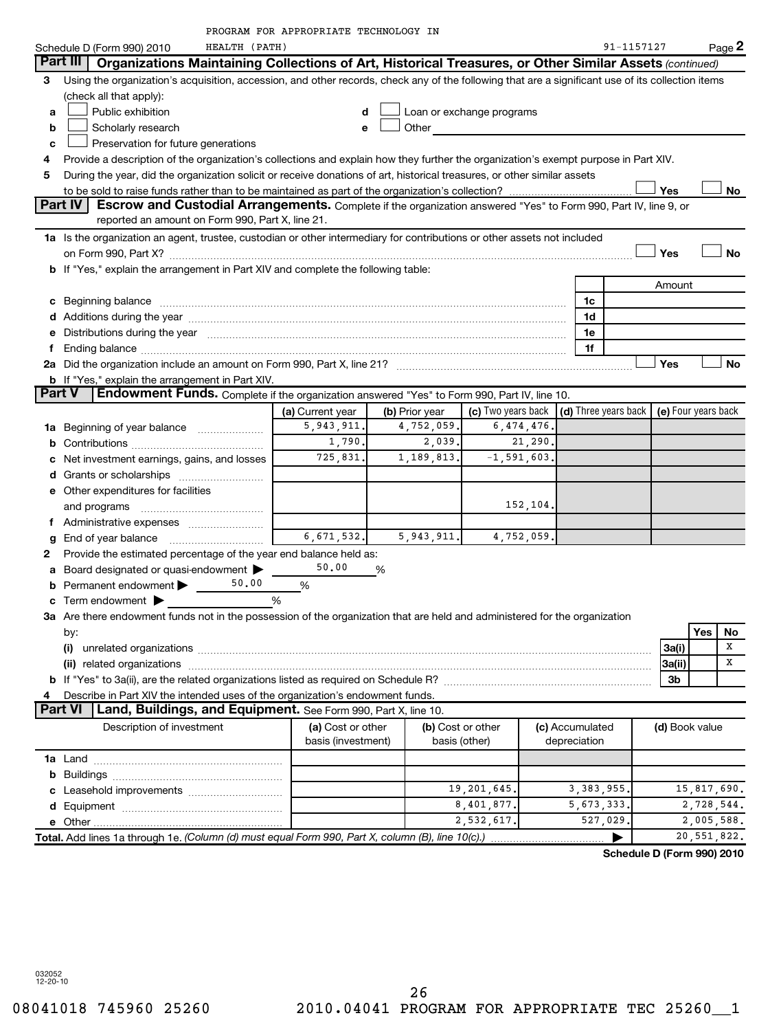| HEALTH (PATH)<br>91-1157127<br>Page 2<br>Schedule D (Form 990) 2010<br>Part III   Organizations Maintaining Collections of Art, Historical Treasures, or Other Similar Assets (continued)<br>Using the organization's acquisition, accession, and other records, check any of the following that are a significant use of its collection items<br>3<br>(check all that apply):<br>Public exhibition<br>Loan or exchange programs<br>a<br>Other and the control of the control of the control of the control of the control of the control of the control of the control of the control of the control of the control of the control of the control of the control of th<br>Scholarly research<br>b<br>Preservation for future generations<br>c<br>Provide a description of the organization's collections and explain how they further the organization's exempt purpose in Part XIV.<br>4<br>During the year, did the organization solicit or receive donations of art, historical treasures, or other similar assets<br>5<br>Yes<br><b>Part IV</b><br>Escrow and Custodial Arrangements. Complete if the organization answered "Yes" to Form 990, Part IV, line 9, or<br>reported an amount on Form 990, Part X, line 21.<br>1a Is the organization an agent, trustee, custodian or other intermediary for contributions or other assets not included<br>Yes<br>No<br><b>b</b> If "Yes," explain the arrangement in Part XIV and complete the following table:<br>Amount<br>c Beginning balance <b>communications</b> and a construction of the construction of the construction of the construction of the construction of the construction of the construction of the construction of the construction of the<br>1c<br>1d<br>e Distributions during the year manufactured and continuum and contact the year manufactured and contact the year manufactured and contact the year manufactured and contact the year manufactured and contact the year manufa<br>1e<br>1f<br>Yes<br>No<br><b>b</b> If "Yes," explain the arrangement in Part XIV.<br>Endowment Funds. Complete if the organization answered "Yes" to Form 990, Part IV, line 10.<br><b>Part V</b><br>(c) Two years back $ $ (d) Three years back $ $<br>(e) Four years back<br>(a) Current year<br>(b) Prior year<br>6,474,476.<br>5,943,911.<br>4,752,059.<br><b>1a</b> Beginning of year balance<br>1,790.<br>2,039.<br>21,290.<br>725,831.<br>1,189,813.<br>$-1, 591, 603.$<br>Net investment earnings, gains, and losses<br>e Other expenditures for facilities<br>152,104.<br>and programs<br>f Administrative expenses<br>6,671,532.<br>5,943,911.<br>4,752,059.<br>g<br>Provide the estimated percentage of the year end balance held as:<br>50.00<br>Board designated or quasi-endowment<br>%<br>а<br>50.00<br>Permanent endowment ><br>%<br><b>c</b> Term endowment $\blacktriangleright$<br>%<br>3a Are there endowment funds not in the possession of the organization that are held and administered for the organization<br>Yes<br>No<br>by:<br>х<br>3a(i)<br>х<br>3a(ii)<br>3b<br>Describe in Part XIV the intended uses of the organization's endowment funds.<br>Land, Buildings, and Equipment. See Form 990, Part X, line 10.<br><b>Part VI</b><br>Description of investment<br>(a) Cost or other<br>(b) Cost or other<br>(c) Accumulated<br>(d) Book value<br>basis (investment)<br>basis (other)<br>depreciation<br>b<br>19,201,645.<br>3, 383, 955.<br>8,401,877.<br>5,673,333.<br>2,532,617.<br>527,029.<br>2,005,588.<br>Total. Add lines 1a through 1e. (Column (d) must equal Form 990, Part X, column (B), line 10(c).) |  | PROGRAM FOR APPROPRIATE TECHNOLOGY IN |  |  |  |  |  |  |  |  |
|---------------------------------------------------------------------------------------------------------------------------------------------------------------------------------------------------------------------------------------------------------------------------------------------------------------------------------------------------------------------------------------------------------------------------------------------------------------------------------------------------------------------------------------------------------------------------------------------------------------------------------------------------------------------------------------------------------------------------------------------------------------------------------------------------------------------------------------------------------------------------------------------------------------------------------------------------------------------------------------------------------------------------------------------------------------------------------------------------------------------------------------------------------------------------------------------------------------------------------------------------------------------------------------------------------------------------------------------------------------------------------------------------------------------------------------------------------------------------------------------------------------------------------------------------------------------------------------------------------------------------------------------------------------------------------------------------------------------------------------------------------------------------------------------------------------------------------------------------------------------------------------------------------------------------------------------------------------------------------------------------------------------------------------------------------------------------------------------------------------------------------------------------------------------------------------------------------------------------------------------------------------------------------------------------------------------------------------------------------------------------------------------------------------------------------------------------------------------------------------------------------------------------------------------------------------------------------------------------------------------------------------------------------------------------------------------------------------------------------------------------------------------------------------------------------------------------------------------------------------------------------------------------------------------------------------------------------------------------------------------------------------------------------------------------------------------------------------------------------------------------------------------------------------------------------------------------------------------------------------------------------------------------------------------------------------------------------------------------------------------------------------------------------------------------------------------------------------------------------------------------------------------------------------------------------------------------------------------------------------------|--|---------------------------------------|--|--|--|--|--|--|--|--|
|                                                                                                                                                                                                                                                                                                                                                                                                                                                                                                                                                                                                                                                                                                                                                                                                                                                                                                                                                                                                                                                                                                                                                                                                                                                                                                                                                                                                                                                                                                                                                                                                                                                                                                                                                                                                                                                                                                                                                                                                                                                                                                                                                                                                                                                                                                                                                                                                                                                                                                                                                                                                                                                                                                                                                                                                                                                                                                                                                                                                                                                                                                                                                                                                                                                                                                                                                                                                                                                                                                                                                                                                                     |  |                                       |  |  |  |  |  |  |  |  |
|                                                                                                                                                                                                                                                                                                                                                                                                                                                                                                                                                                                                                                                                                                                                                                                                                                                                                                                                                                                                                                                                                                                                                                                                                                                                                                                                                                                                                                                                                                                                                                                                                                                                                                                                                                                                                                                                                                                                                                                                                                                                                                                                                                                                                                                                                                                                                                                                                                                                                                                                                                                                                                                                                                                                                                                                                                                                                                                                                                                                                                                                                                                                                                                                                                                                                                                                                                                                                                                                                                                                                                                                                     |  |                                       |  |  |  |  |  |  |  |  |
| No                                                                                                                                                                                                                                                                                                                                                                                                                                                                                                                                                                                                                                                                                                                                                                                                                                                                                                                                                                                                                                                                                                                                                                                                                                                                                                                                                                                                                                                                                                                                                                                                                                                                                                                                                                                                                                                                                                                                                                                                                                                                                                                                                                                                                                                                                                                                                                                                                                                                                                                                                                                                                                                                                                                                                                                                                                                                                                                                                                                                                                                                                                                                                                                                                                                                                                                                                                                                                                                                                                                                                                                                                  |  |                                       |  |  |  |  |  |  |  |  |
|                                                                                                                                                                                                                                                                                                                                                                                                                                                                                                                                                                                                                                                                                                                                                                                                                                                                                                                                                                                                                                                                                                                                                                                                                                                                                                                                                                                                                                                                                                                                                                                                                                                                                                                                                                                                                                                                                                                                                                                                                                                                                                                                                                                                                                                                                                                                                                                                                                                                                                                                                                                                                                                                                                                                                                                                                                                                                                                                                                                                                                                                                                                                                                                                                                                                                                                                                                                                                                                                                                                                                                                                                     |  |                                       |  |  |  |  |  |  |  |  |
|                                                                                                                                                                                                                                                                                                                                                                                                                                                                                                                                                                                                                                                                                                                                                                                                                                                                                                                                                                                                                                                                                                                                                                                                                                                                                                                                                                                                                                                                                                                                                                                                                                                                                                                                                                                                                                                                                                                                                                                                                                                                                                                                                                                                                                                                                                                                                                                                                                                                                                                                                                                                                                                                                                                                                                                                                                                                                                                                                                                                                                                                                                                                                                                                                                                                                                                                                                                                                                                                                                                                                                                                                     |  |                                       |  |  |  |  |  |  |  |  |
|                                                                                                                                                                                                                                                                                                                                                                                                                                                                                                                                                                                                                                                                                                                                                                                                                                                                                                                                                                                                                                                                                                                                                                                                                                                                                                                                                                                                                                                                                                                                                                                                                                                                                                                                                                                                                                                                                                                                                                                                                                                                                                                                                                                                                                                                                                                                                                                                                                                                                                                                                                                                                                                                                                                                                                                                                                                                                                                                                                                                                                                                                                                                                                                                                                                                                                                                                                                                                                                                                                                                                                                                                     |  |                                       |  |  |  |  |  |  |  |  |
|                                                                                                                                                                                                                                                                                                                                                                                                                                                                                                                                                                                                                                                                                                                                                                                                                                                                                                                                                                                                                                                                                                                                                                                                                                                                                                                                                                                                                                                                                                                                                                                                                                                                                                                                                                                                                                                                                                                                                                                                                                                                                                                                                                                                                                                                                                                                                                                                                                                                                                                                                                                                                                                                                                                                                                                                                                                                                                                                                                                                                                                                                                                                                                                                                                                                                                                                                                                                                                                                                                                                                                                                                     |  |                                       |  |  |  |  |  |  |  |  |
|                                                                                                                                                                                                                                                                                                                                                                                                                                                                                                                                                                                                                                                                                                                                                                                                                                                                                                                                                                                                                                                                                                                                                                                                                                                                                                                                                                                                                                                                                                                                                                                                                                                                                                                                                                                                                                                                                                                                                                                                                                                                                                                                                                                                                                                                                                                                                                                                                                                                                                                                                                                                                                                                                                                                                                                                                                                                                                                                                                                                                                                                                                                                                                                                                                                                                                                                                                                                                                                                                                                                                                                                                     |  |                                       |  |  |  |  |  |  |  |  |
|                                                                                                                                                                                                                                                                                                                                                                                                                                                                                                                                                                                                                                                                                                                                                                                                                                                                                                                                                                                                                                                                                                                                                                                                                                                                                                                                                                                                                                                                                                                                                                                                                                                                                                                                                                                                                                                                                                                                                                                                                                                                                                                                                                                                                                                                                                                                                                                                                                                                                                                                                                                                                                                                                                                                                                                                                                                                                                                                                                                                                                                                                                                                                                                                                                                                                                                                                                                                                                                                                                                                                                                                                     |  |                                       |  |  |  |  |  |  |  |  |
|                                                                                                                                                                                                                                                                                                                                                                                                                                                                                                                                                                                                                                                                                                                                                                                                                                                                                                                                                                                                                                                                                                                                                                                                                                                                                                                                                                                                                                                                                                                                                                                                                                                                                                                                                                                                                                                                                                                                                                                                                                                                                                                                                                                                                                                                                                                                                                                                                                                                                                                                                                                                                                                                                                                                                                                                                                                                                                                                                                                                                                                                                                                                                                                                                                                                                                                                                                                                                                                                                                                                                                                                                     |  |                                       |  |  |  |  |  |  |  |  |
|                                                                                                                                                                                                                                                                                                                                                                                                                                                                                                                                                                                                                                                                                                                                                                                                                                                                                                                                                                                                                                                                                                                                                                                                                                                                                                                                                                                                                                                                                                                                                                                                                                                                                                                                                                                                                                                                                                                                                                                                                                                                                                                                                                                                                                                                                                                                                                                                                                                                                                                                                                                                                                                                                                                                                                                                                                                                                                                                                                                                                                                                                                                                                                                                                                                                                                                                                                                                                                                                                                                                                                                                                     |  |                                       |  |  |  |  |  |  |  |  |
|                                                                                                                                                                                                                                                                                                                                                                                                                                                                                                                                                                                                                                                                                                                                                                                                                                                                                                                                                                                                                                                                                                                                                                                                                                                                                                                                                                                                                                                                                                                                                                                                                                                                                                                                                                                                                                                                                                                                                                                                                                                                                                                                                                                                                                                                                                                                                                                                                                                                                                                                                                                                                                                                                                                                                                                                                                                                                                                                                                                                                                                                                                                                                                                                                                                                                                                                                                                                                                                                                                                                                                                                                     |  |                                       |  |  |  |  |  |  |  |  |
|                                                                                                                                                                                                                                                                                                                                                                                                                                                                                                                                                                                                                                                                                                                                                                                                                                                                                                                                                                                                                                                                                                                                                                                                                                                                                                                                                                                                                                                                                                                                                                                                                                                                                                                                                                                                                                                                                                                                                                                                                                                                                                                                                                                                                                                                                                                                                                                                                                                                                                                                                                                                                                                                                                                                                                                                                                                                                                                                                                                                                                                                                                                                                                                                                                                                                                                                                                                                                                                                                                                                                                                                                     |  |                                       |  |  |  |  |  |  |  |  |
|                                                                                                                                                                                                                                                                                                                                                                                                                                                                                                                                                                                                                                                                                                                                                                                                                                                                                                                                                                                                                                                                                                                                                                                                                                                                                                                                                                                                                                                                                                                                                                                                                                                                                                                                                                                                                                                                                                                                                                                                                                                                                                                                                                                                                                                                                                                                                                                                                                                                                                                                                                                                                                                                                                                                                                                                                                                                                                                                                                                                                                                                                                                                                                                                                                                                                                                                                                                                                                                                                                                                                                                                                     |  |                                       |  |  |  |  |  |  |  |  |
|                                                                                                                                                                                                                                                                                                                                                                                                                                                                                                                                                                                                                                                                                                                                                                                                                                                                                                                                                                                                                                                                                                                                                                                                                                                                                                                                                                                                                                                                                                                                                                                                                                                                                                                                                                                                                                                                                                                                                                                                                                                                                                                                                                                                                                                                                                                                                                                                                                                                                                                                                                                                                                                                                                                                                                                                                                                                                                                                                                                                                                                                                                                                                                                                                                                                                                                                                                                                                                                                                                                                                                                                                     |  |                                       |  |  |  |  |  |  |  |  |
|                                                                                                                                                                                                                                                                                                                                                                                                                                                                                                                                                                                                                                                                                                                                                                                                                                                                                                                                                                                                                                                                                                                                                                                                                                                                                                                                                                                                                                                                                                                                                                                                                                                                                                                                                                                                                                                                                                                                                                                                                                                                                                                                                                                                                                                                                                                                                                                                                                                                                                                                                                                                                                                                                                                                                                                                                                                                                                                                                                                                                                                                                                                                                                                                                                                                                                                                                                                                                                                                                                                                                                                                                     |  |                                       |  |  |  |  |  |  |  |  |
|                                                                                                                                                                                                                                                                                                                                                                                                                                                                                                                                                                                                                                                                                                                                                                                                                                                                                                                                                                                                                                                                                                                                                                                                                                                                                                                                                                                                                                                                                                                                                                                                                                                                                                                                                                                                                                                                                                                                                                                                                                                                                                                                                                                                                                                                                                                                                                                                                                                                                                                                                                                                                                                                                                                                                                                                                                                                                                                                                                                                                                                                                                                                                                                                                                                                                                                                                                                                                                                                                                                                                                                                                     |  |                                       |  |  |  |  |  |  |  |  |
|                                                                                                                                                                                                                                                                                                                                                                                                                                                                                                                                                                                                                                                                                                                                                                                                                                                                                                                                                                                                                                                                                                                                                                                                                                                                                                                                                                                                                                                                                                                                                                                                                                                                                                                                                                                                                                                                                                                                                                                                                                                                                                                                                                                                                                                                                                                                                                                                                                                                                                                                                                                                                                                                                                                                                                                                                                                                                                                                                                                                                                                                                                                                                                                                                                                                                                                                                                                                                                                                                                                                                                                                                     |  |                                       |  |  |  |  |  |  |  |  |
|                                                                                                                                                                                                                                                                                                                                                                                                                                                                                                                                                                                                                                                                                                                                                                                                                                                                                                                                                                                                                                                                                                                                                                                                                                                                                                                                                                                                                                                                                                                                                                                                                                                                                                                                                                                                                                                                                                                                                                                                                                                                                                                                                                                                                                                                                                                                                                                                                                                                                                                                                                                                                                                                                                                                                                                                                                                                                                                                                                                                                                                                                                                                                                                                                                                                                                                                                                                                                                                                                                                                                                                                                     |  |                                       |  |  |  |  |  |  |  |  |
|                                                                                                                                                                                                                                                                                                                                                                                                                                                                                                                                                                                                                                                                                                                                                                                                                                                                                                                                                                                                                                                                                                                                                                                                                                                                                                                                                                                                                                                                                                                                                                                                                                                                                                                                                                                                                                                                                                                                                                                                                                                                                                                                                                                                                                                                                                                                                                                                                                                                                                                                                                                                                                                                                                                                                                                                                                                                                                                                                                                                                                                                                                                                                                                                                                                                                                                                                                                                                                                                                                                                                                                                                     |  |                                       |  |  |  |  |  |  |  |  |
|                                                                                                                                                                                                                                                                                                                                                                                                                                                                                                                                                                                                                                                                                                                                                                                                                                                                                                                                                                                                                                                                                                                                                                                                                                                                                                                                                                                                                                                                                                                                                                                                                                                                                                                                                                                                                                                                                                                                                                                                                                                                                                                                                                                                                                                                                                                                                                                                                                                                                                                                                                                                                                                                                                                                                                                                                                                                                                                                                                                                                                                                                                                                                                                                                                                                                                                                                                                                                                                                                                                                                                                                                     |  |                                       |  |  |  |  |  |  |  |  |
|                                                                                                                                                                                                                                                                                                                                                                                                                                                                                                                                                                                                                                                                                                                                                                                                                                                                                                                                                                                                                                                                                                                                                                                                                                                                                                                                                                                                                                                                                                                                                                                                                                                                                                                                                                                                                                                                                                                                                                                                                                                                                                                                                                                                                                                                                                                                                                                                                                                                                                                                                                                                                                                                                                                                                                                                                                                                                                                                                                                                                                                                                                                                                                                                                                                                                                                                                                                                                                                                                                                                                                                                                     |  |                                       |  |  |  |  |  |  |  |  |
|                                                                                                                                                                                                                                                                                                                                                                                                                                                                                                                                                                                                                                                                                                                                                                                                                                                                                                                                                                                                                                                                                                                                                                                                                                                                                                                                                                                                                                                                                                                                                                                                                                                                                                                                                                                                                                                                                                                                                                                                                                                                                                                                                                                                                                                                                                                                                                                                                                                                                                                                                                                                                                                                                                                                                                                                                                                                                                                                                                                                                                                                                                                                                                                                                                                                                                                                                                                                                                                                                                                                                                                                                     |  |                                       |  |  |  |  |  |  |  |  |
|                                                                                                                                                                                                                                                                                                                                                                                                                                                                                                                                                                                                                                                                                                                                                                                                                                                                                                                                                                                                                                                                                                                                                                                                                                                                                                                                                                                                                                                                                                                                                                                                                                                                                                                                                                                                                                                                                                                                                                                                                                                                                                                                                                                                                                                                                                                                                                                                                                                                                                                                                                                                                                                                                                                                                                                                                                                                                                                                                                                                                                                                                                                                                                                                                                                                                                                                                                                                                                                                                                                                                                                                                     |  |                                       |  |  |  |  |  |  |  |  |
|                                                                                                                                                                                                                                                                                                                                                                                                                                                                                                                                                                                                                                                                                                                                                                                                                                                                                                                                                                                                                                                                                                                                                                                                                                                                                                                                                                                                                                                                                                                                                                                                                                                                                                                                                                                                                                                                                                                                                                                                                                                                                                                                                                                                                                                                                                                                                                                                                                                                                                                                                                                                                                                                                                                                                                                                                                                                                                                                                                                                                                                                                                                                                                                                                                                                                                                                                                                                                                                                                                                                                                                                                     |  |                                       |  |  |  |  |  |  |  |  |
| 15,817,690.<br>2,728,544.<br>20,551,822.                                                                                                                                                                                                                                                                                                                                                                                                                                                                                                                                                                                                                                                                                                                                                                                                                                                                                                                                                                                                                                                                                                                                                                                                                                                                                                                                                                                                                                                                                                                                                                                                                                                                                                                                                                                                                                                                                                                                                                                                                                                                                                                                                                                                                                                                                                                                                                                                                                                                                                                                                                                                                                                                                                                                                                                                                                                                                                                                                                                                                                                                                                                                                                                                                                                                                                                                                                                                                                                                                                                                                                            |  |                                       |  |  |  |  |  |  |  |  |
|                                                                                                                                                                                                                                                                                                                                                                                                                                                                                                                                                                                                                                                                                                                                                                                                                                                                                                                                                                                                                                                                                                                                                                                                                                                                                                                                                                                                                                                                                                                                                                                                                                                                                                                                                                                                                                                                                                                                                                                                                                                                                                                                                                                                                                                                                                                                                                                                                                                                                                                                                                                                                                                                                                                                                                                                                                                                                                                                                                                                                                                                                                                                                                                                                                                                                                                                                                                                                                                                                                                                                                                                                     |  |                                       |  |  |  |  |  |  |  |  |
|                                                                                                                                                                                                                                                                                                                                                                                                                                                                                                                                                                                                                                                                                                                                                                                                                                                                                                                                                                                                                                                                                                                                                                                                                                                                                                                                                                                                                                                                                                                                                                                                                                                                                                                                                                                                                                                                                                                                                                                                                                                                                                                                                                                                                                                                                                                                                                                                                                                                                                                                                                                                                                                                                                                                                                                                                                                                                                                                                                                                                                                                                                                                                                                                                                                                                                                                                                                                                                                                                                                                                                                                                     |  |                                       |  |  |  |  |  |  |  |  |
|                                                                                                                                                                                                                                                                                                                                                                                                                                                                                                                                                                                                                                                                                                                                                                                                                                                                                                                                                                                                                                                                                                                                                                                                                                                                                                                                                                                                                                                                                                                                                                                                                                                                                                                                                                                                                                                                                                                                                                                                                                                                                                                                                                                                                                                                                                                                                                                                                                                                                                                                                                                                                                                                                                                                                                                                                                                                                                                                                                                                                                                                                                                                                                                                                                                                                                                                                                                                                                                                                                                                                                                                                     |  |                                       |  |  |  |  |  |  |  |  |
|                                                                                                                                                                                                                                                                                                                                                                                                                                                                                                                                                                                                                                                                                                                                                                                                                                                                                                                                                                                                                                                                                                                                                                                                                                                                                                                                                                                                                                                                                                                                                                                                                                                                                                                                                                                                                                                                                                                                                                                                                                                                                                                                                                                                                                                                                                                                                                                                                                                                                                                                                                                                                                                                                                                                                                                                                                                                                                                                                                                                                                                                                                                                                                                                                                                                                                                                                                                                                                                                                                                                                                                                                     |  |                                       |  |  |  |  |  |  |  |  |
|                                                                                                                                                                                                                                                                                                                                                                                                                                                                                                                                                                                                                                                                                                                                                                                                                                                                                                                                                                                                                                                                                                                                                                                                                                                                                                                                                                                                                                                                                                                                                                                                                                                                                                                                                                                                                                                                                                                                                                                                                                                                                                                                                                                                                                                                                                                                                                                                                                                                                                                                                                                                                                                                                                                                                                                                                                                                                                                                                                                                                                                                                                                                                                                                                                                                                                                                                                                                                                                                                                                                                                                                                     |  |                                       |  |  |  |  |  |  |  |  |
|                                                                                                                                                                                                                                                                                                                                                                                                                                                                                                                                                                                                                                                                                                                                                                                                                                                                                                                                                                                                                                                                                                                                                                                                                                                                                                                                                                                                                                                                                                                                                                                                                                                                                                                                                                                                                                                                                                                                                                                                                                                                                                                                                                                                                                                                                                                                                                                                                                                                                                                                                                                                                                                                                                                                                                                                                                                                                                                                                                                                                                                                                                                                                                                                                                                                                                                                                                                                                                                                                                                                                                                                                     |  |                                       |  |  |  |  |  |  |  |  |
|                                                                                                                                                                                                                                                                                                                                                                                                                                                                                                                                                                                                                                                                                                                                                                                                                                                                                                                                                                                                                                                                                                                                                                                                                                                                                                                                                                                                                                                                                                                                                                                                                                                                                                                                                                                                                                                                                                                                                                                                                                                                                                                                                                                                                                                                                                                                                                                                                                                                                                                                                                                                                                                                                                                                                                                                                                                                                                                                                                                                                                                                                                                                                                                                                                                                                                                                                                                                                                                                                                                                                                                                                     |  |                                       |  |  |  |  |  |  |  |  |
|                                                                                                                                                                                                                                                                                                                                                                                                                                                                                                                                                                                                                                                                                                                                                                                                                                                                                                                                                                                                                                                                                                                                                                                                                                                                                                                                                                                                                                                                                                                                                                                                                                                                                                                                                                                                                                                                                                                                                                                                                                                                                                                                                                                                                                                                                                                                                                                                                                                                                                                                                                                                                                                                                                                                                                                                                                                                                                                                                                                                                                                                                                                                                                                                                                                                                                                                                                                                                                                                                                                                                                                                                     |  |                                       |  |  |  |  |  |  |  |  |
|                                                                                                                                                                                                                                                                                                                                                                                                                                                                                                                                                                                                                                                                                                                                                                                                                                                                                                                                                                                                                                                                                                                                                                                                                                                                                                                                                                                                                                                                                                                                                                                                                                                                                                                                                                                                                                                                                                                                                                                                                                                                                                                                                                                                                                                                                                                                                                                                                                                                                                                                                                                                                                                                                                                                                                                                                                                                                                                                                                                                                                                                                                                                                                                                                                                                                                                                                                                                                                                                                                                                                                                                                     |  |                                       |  |  |  |  |  |  |  |  |
|                                                                                                                                                                                                                                                                                                                                                                                                                                                                                                                                                                                                                                                                                                                                                                                                                                                                                                                                                                                                                                                                                                                                                                                                                                                                                                                                                                                                                                                                                                                                                                                                                                                                                                                                                                                                                                                                                                                                                                                                                                                                                                                                                                                                                                                                                                                                                                                                                                                                                                                                                                                                                                                                                                                                                                                                                                                                                                                                                                                                                                                                                                                                                                                                                                                                                                                                                                                                                                                                                                                                                                                                                     |  |                                       |  |  |  |  |  |  |  |  |
|                                                                                                                                                                                                                                                                                                                                                                                                                                                                                                                                                                                                                                                                                                                                                                                                                                                                                                                                                                                                                                                                                                                                                                                                                                                                                                                                                                                                                                                                                                                                                                                                                                                                                                                                                                                                                                                                                                                                                                                                                                                                                                                                                                                                                                                                                                                                                                                                                                                                                                                                                                                                                                                                                                                                                                                                                                                                                                                                                                                                                                                                                                                                                                                                                                                                                                                                                                                                                                                                                                                                                                                                                     |  |                                       |  |  |  |  |  |  |  |  |
|                                                                                                                                                                                                                                                                                                                                                                                                                                                                                                                                                                                                                                                                                                                                                                                                                                                                                                                                                                                                                                                                                                                                                                                                                                                                                                                                                                                                                                                                                                                                                                                                                                                                                                                                                                                                                                                                                                                                                                                                                                                                                                                                                                                                                                                                                                                                                                                                                                                                                                                                                                                                                                                                                                                                                                                                                                                                                                                                                                                                                                                                                                                                                                                                                                                                                                                                                                                                                                                                                                                                                                                                                     |  |                                       |  |  |  |  |  |  |  |  |
|                                                                                                                                                                                                                                                                                                                                                                                                                                                                                                                                                                                                                                                                                                                                                                                                                                                                                                                                                                                                                                                                                                                                                                                                                                                                                                                                                                                                                                                                                                                                                                                                                                                                                                                                                                                                                                                                                                                                                                                                                                                                                                                                                                                                                                                                                                                                                                                                                                                                                                                                                                                                                                                                                                                                                                                                                                                                                                                                                                                                                                                                                                                                                                                                                                                                                                                                                                                                                                                                                                                                                                                                                     |  |                                       |  |  |  |  |  |  |  |  |
|                                                                                                                                                                                                                                                                                                                                                                                                                                                                                                                                                                                                                                                                                                                                                                                                                                                                                                                                                                                                                                                                                                                                                                                                                                                                                                                                                                                                                                                                                                                                                                                                                                                                                                                                                                                                                                                                                                                                                                                                                                                                                                                                                                                                                                                                                                                                                                                                                                                                                                                                                                                                                                                                                                                                                                                                                                                                                                                                                                                                                                                                                                                                                                                                                                                                                                                                                                                                                                                                                                                                                                                                                     |  |                                       |  |  |  |  |  |  |  |  |
|                                                                                                                                                                                                                                                                                                                                                                                                                                                                                                                                                                                                                                                                                                                                                                                                                                                                                                                                                                                                                                                                                                                                                                                                                                                                                                                                                                                                                                                                                                                                                                                                                                                                                                                                                                                                                                                                                                                                                                                                                                                                                                                                                                                                                                                                                                                                                                                                                                                                                                                                                                                                                                                                                                                                                                                                                                                                                                                                                                                                                                                                                                                                                                                                                                                                                                                                                                                                                                                                                                                                                                                                                     |  |                                       |  |  |  |  |  |  |  |  |
|                                                                                                                                                                                                                                                                                                                                                                                                                                                                                                                                                                                                                                                                                                                                                                                                                                                                                                                                                                                                                                                                                                                                                                                                                                                                                                                                                                                                                                                                                                                                                                                                                                                                                                                                                                                                                                                                                                                                                                                                                                                                                                                                                                                                                                                                                                                                                                                                                                                                                                                                                                                                                                                                                                                                                                                                                                                                                                                                                                                                                                                                                                                                                                                                                                                                                                                                                                                                                                                                                                                                                                                                                     |  |                                       |  |  |  |  |  |  |  |  |
|                                                                                                                                                                                                                                                                                                                                                                                                                                                                                                                                                                                                                                                                                                                                                                                                                                                                                                                                                                                                                                                                                                                                                                                                                                                                                                                                                                                                                                                                                                                                                                                                                                                                                                                                                                                                                                                                                                                                                                                                                                                                                                                                                                                                                                                                                                                                                                                                                                                                                                                                                                                                                                                                                                                                                                                                                                                                                                                                                                                                                                                                                                                                                                                                                                                                                                                                                                                                                                                                                                                                                                                                                     |  |                                       |  |  |  |  |  |  |  |  |
|                                                                                                                                                                                                                                                                                                                                                                                                                                                                                                                                                                                                                                                                                                                                                                                                                                                                                                                                                                                                                                                                                                                                                                                                                                                                                                                                                                                                                                                                                                                                                                                                                                                                                                                                                                                                                                                                                                                                                                                                                                                                                                                                                                                                                                                                                                                                                                                                                                                                                                                                                                                                                                                                                                                                                                                                                                                                                                                                                                                                                                                                                                                                                                                                                                                                                                                                                                                                                                                                                                                                                                                                                     |  |                                       |  |  |  |  |  |  |  |  |
|                                                                                                                                                                                                                                                                                                                                                                                                                                                                                                                                                                                                                                                                                                                                                                                                                                                                                                                                                                                                                                                                                                                                                                                                                                                                                                                                                                                                                                                                                                                                                                                                                                                                                                                                                                                                                                                                                                                                                                                                                                                                                                                                                                                                                                                                                                                                                                                                                                                                                                                                                                                                                                                                                                                                                                                                                                                                                                                                                                                                                                                                                                                                                                                                                                                                                                                                                                                                                                                                                                                                                                                                                     |  |                                       |  |  |  |  |  |  |  |  |
|                                                                                                                                                                                                                                                                                                                                                                                                                                                                                                                                                                                                                                                                                                                                                                                                                                                                                                                                                                                                                                                                                                                                                                                                                                                                                                                                                                                                                                                                                                                                                                                                                                                                                                                                                                                                                                                                                                                                                                                                                                                                                                                                                                                                                                                                                                                                                                                                                                                                                                                                                                                                                                                                                                                                                                                                                                                                                                                                                                                                                                                                                                                                                                                                                                                                                                                                                                                                                                                                                                                                                                                                                     |  |                                       |  |  |  |  |  |  |  |  |
|                                                                                                                                                                                                                                                                                                                                                                                                                                                                                                                                                                                                                                                                                                                                                                                                                                                                                                                                                                                                                                                                                                                                                                                                                                                                                                                                                                                                                                                                                                                                                                                                                                                                                                                                                                                                                                                                                                                                                                                                                                                                                                                                                                                                                                                                                                                                                                                                                                                                                                                                                                                                                                                                                                                                                                                                                                                                                                                                                                                                                                                                                                                                                                                                                                                                                                                                                                                                                                                                                                                                                                                                                     |  |                                       |  |  |  |  |  |  |  |  |
|                                                                                                                                                                                                                                                                                                                                                                                                                                                                                                                                                                                                                                                                                                                                                                                                                                                                                                                                                                                                                                                                                                                                                                                                                                                                                                                                                                                                                                                                                                                                                                                                                                                                                                                                                                                                                                                                                                                                                                                                                                                                                                                                                                                                                                                                                                                                                                                                                                                                                                                                                                                                                                                                                                                                                                                                                                                                                                                                                                                                                                                                                                                                                                                                                                                                                                                                                                                                                                                                                                                                                                                                                     |  |                                       |  |  |  |  |  |  |  |  |
|                                                                                                                                                                                                                                                                                                                                                                                                                                                                                                                                                                                                                                                                                                                                                                                                                                                                                                                                                                                                                                                                                                                                                                                                                                                                                                                                                                                                                                                                                                                                                                                                                                                                                                                                                                                                                                                                                                                                                                                                                                                                                                                                                                                                                                                                                                                                                                                                                                                                                                                                                                                                                                                                                                                                                                                                                                                                                                                                                                                                                                                                                                                                                                                                                                                                                                                                                                                                                                                                                                                                                                                                                     |  |                                       |  |  |  |  |  |  |  |  |

**Schedule D (Form 990) 2010**

032052 12-20-10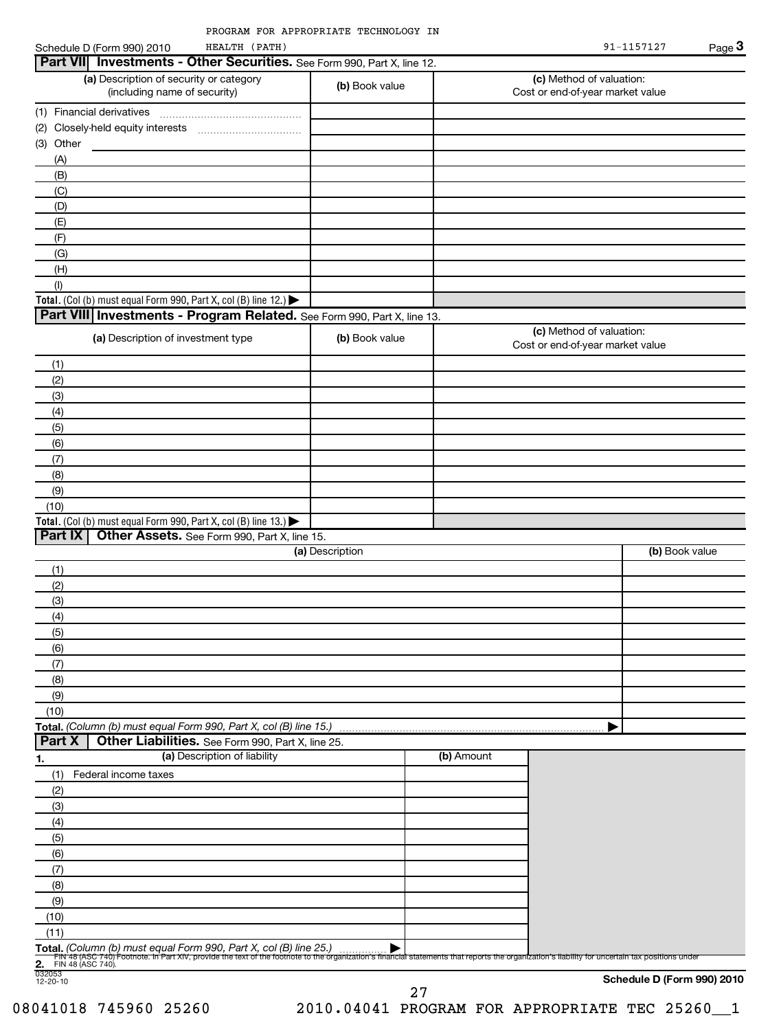| Part VII Investments - Other Securities. See Form 990, Part X, line 12.<br>(a) Description of security or category<br>(c) Method of valuation:<br>(b) Book value<br>(including name of security)<br>Cost or end-of-year market value<br>(3) Other<br>(A)<br>(B)<br>(C)<br>(D)<br>(E)<br>(F)<br>(G)<br>(H)<br>(1)<br>Total. (Col (b) must equal Form 990, Part X, col (B) line 12.) $\blacktriangleright$<br>Part VIII Investments - Program Related. See Form 990, Part X, line 13.<br>(c) Method of valuation:<br>(a) Description of investment type<br>(b) Book value<br>Cost or end-of-year market value<br>(1)<br>(2)<br>(3)<br>(4)<br>(5)<br>(6)<br>(7)<br>(8)<br>(9)<br>(10)<br>Total. (Col (b) must equal Form 990, Part X, col (B) line 13.) $\blacktriangleright$<br>Part IX<br>Other Assets. See Form 990, Part X, line 15.<br>(a) Description<br>(b) Book value<br>(1)<br>(2)<br>(3)<br>(4)<br>(5)<br>(6)<br>(7)<br>(8)<br>(9)<br>(10)<br>Total. (Column (b) must equal Form 990, Part X, col (B) line 15.)<br>Part X<br>Other Liabilities. See Form 990, Part X, line 25.<br>(a) Description of liability<br>(b) Amount<br>1.<br>(1)<br>Federal income taxes<br>(2)<br>(3)<br>(4)<br>(5)<br>(6)<br>(7)<br>(8)<br>(9)<br>(10)<br>(11)<br>Total. (Column (b) must equal Form 990, Part X, col (B) line 25.)<br>Fini 48 (ASC 740) Footnote. In Part XIV, provide the text of the footnote to the organization's financial statements that reports the organization's liability for uncertain tax positions unde<br>FIN 48 (ASC 740).<br>2. FIN 4<br>032053<br>12-20-10<br>Schedule D (Form 990) 2010 | HEALTH (PATH)<br>Schedule D (Form 990) 2010 |  | 91-1157127 | Page 3 |
|---------------------------------------------------------------------------------------------------------------------------------------------------------------------------------------------------------------------------------------------------------------------------------------------------------------------------------------------------------------------------------------------------------------------------------------------------------------------------------------------------------------------------------------------------------------------------------------------------------------------------------------------------------------------------------------------------------------------------------------------------------------------------------------------------------------------------------------------------------------------------------------------------------------------------------------------------------------------------------------------------------------------------------------------------------------------------------------------------------------------------------------------------------------------------------------------------------------------------------------------------------------------------------------------------------------------------------------------------------------------------------------------------------------------------------------------------------------------------------------------------------------------------------------------------------------------------------------------------------------|---------------------------------------------|--|------------|--------|
|                                                                                                                                                                                                                                                                                                                                                                                                                                                                                                                                                                                                                                                                                                                                                                                                                                                                                                                                                                                                                                                                                                                                                                                                                                                                                                                                                                                                                                                                                                                                                                                                               |                                             |  |            |        |
|                                                                                                                                                                                                                                                                                                                                                                                                                                                                                                                                                                                                                                                                                                                                                                                                                                                                                                                                                                                                                                                                                                                                                                                                                                                                                                                                                                                                                                                                                                                                                                                                               |                                             |  |            |        |
|                                                                                                                                                                                                                                                                                                                                                                                                                                                                                                                                                                                                                                                                                                                                                                                                                                                                                                                                                                                                                                                                                                                                                                                                                                                                                                                                                                                                                                                                                                                                                                                                               |                                             |  |            |        |
|                                                                                                                                                                                                                                                                                                                                                                                                                                                                                                                                                                                                                                                                                                                                                                                                                                                                                                                                                                                                                                                                                                                                                                                                                                                                                                                                                                                                                                                                                                                                                                                                               |                                             |  |            |        |
|                                                                                                                                                                                                                                                                                                                                                                                                                                                                                                                                                                                                                                                                                                                                                                                                                                                                                                                                                                                                                                                                                                                                                                                                                                                                                                                                                                                                                                                                                                                                                                                                               |                                             |  |            |        |
|                                                                                                                                                                                                                                                                                                                                                                                                                                                                                                                                                                                                                                                                                                                                                                                                                                                                                                                                                                                                                                                                                                                                                                                                                                                                                                                                                                                                                                                                                                                                                                                                               |                                             |  |            |        |
|                                                                                                                                                                                                                                                                                                                                                                                                                                                                                                                                                                                                                                                                                                                                                                                                                                                                                                                                                                                                                                                                                                                                                                                                                                                                                                                                                                                                                                                                                                                                                                                                               |                                             |  |            |        |
|                                                                                                                                                                                                                                                                                                                                                                                                                                                                                                                                                                                                                                                                                                                                                                                                                                                                                                                                                                                                                                                                                                                                                                                                                                                                                                                                                                                                                                                                                                                                                                                                               |                                             |  |            |        |
|                                                                                                                                                                                                                                                                                                                                                                                                                                                                                                                                                                                                                                                                                                                                                                                                                                                                                                                                                                                                                                                                                                                                                                                                                                                                                                                                                                                                                                                                                                                                                                                                               |                                             |  |            |        |
|                                                                                                                                                                                                                                                                                                                                                                                                                                                                                                                                                                                                                                                                                                                                                                                                                                                                                                                                                                                                                                                                                                                                                                                                                                                                                                                                                                                                                                                                                                                                                                                                               |                                             |  |            |        |
|                                                                                                                                                                                                                                                                                                                                                                                                                                                                                                                                                                                                                                                                                                                                                                                                                                                                                                                                                                                                                                                                                                                                                                                                                                                                                                                                                                                                                                                                                                                                                                                                               |                                             |  |            |        |
|                                                                                                                                                                                                                                                                                                                                                                                                                                                                                                                                                                                                                                                                                                                                                                                                                                                                                                                                                                                                                                                                                                                                                                                                                                                                                                                                                                                                                                                                                                                                                                                                               |                                             |  |            |        |
|                                                                                                                                                                                                                                                                                                                                                                                                                                                                                                                                                                                                                                                                                                                                                                                                                                                                                                                                                                                                                                                                                                                                                                                                                                                                                                                                                                                                                                                                                                                                                                                                               |                                             |  |            |        |
|                                                                                                                                                                                                                                                                                                                                                                                                                                                                                                                                                                                                                                                                                                                                                                                                                                                                                                                                                                                                                                                                                                                                                                                                                                                                                                                                                                                                                                                                                                                                                                                                               |                                             |  |            |        |
|                                                                                                                                                                                                                                                                                                                                                                                                                                                                                                                                                                                                                                                                                                                                                                                                                                                                                                                                                                                                                                                                                                                                                                                                                                                                                                                                                                                                                                                                                                                                                                                                               |                                             |  |            |        |
|                                                                                                                                                                                                                                                                                                                                                                                                                                                                                                                                                                                                                                                                                                                                                                                                                                                                                                                                                                                                                                                                                                                                                                                                                                                                                                                                                                                                                                                                                                                                                                                                               |                                             |  |            |        |
|                                                                                                                                                                                                                                                                                                                                                                                                                                                                                                                                                                                                                                                                                                                                                                                                                                                                                                                                                                                                                                                                                                                                                                                                                                                                                                                                                                                                                                                                                                                                                                                                               |                                             |  |            |        |
|                                                                                                                                                                                                                                                                                                                                                                                                                                                                                                                                                                                                                                                                                                                                                                                                                                                                                                                                                                                                                                                                                                                                                                                                                                                                                                                                                                                                                                                                                                                                                                                                               |                                             |  |            |        |
|                                                                                                                                                                                                                                                                                                                                                                                                                                                                                                                                                                                                                                                                                                                                                                                                                                                                                                                                                                                                                                                                                                                                                                                                                                                                                                                                                                                                                                                                                                                                                                                                               |                                             |  |            |        |
|                                                                                                                                                                                                                                                                                                                                                                                                                                                                                                                                                                                                                                                                                                                                                                                                                                                                                                                                                                                                                                                                                                                                                                                                                                                                                                                                                                                                                                                                                                                                                                                                               |                                             |  |            |        |
|                                                                                                                                                                                                                                                                                                                                                                                                                                                                                                                                                                                                                                                                                                                                                                                                                                                                                                                                                                                                                                                                                                                                                                                                                                                                                                                                                                                                                                                                                                                                                                                                               |                                             |  |            |        |
|                                                                                                                                                                                                                                                                                                                                                                                                                                                                                                                                                                                                                                                                                                                                                                                                                                                                                                                                                                                                                                                                                                                                                                                                                                                                                                                                                                                                                                                                                                                                                                                                               |                                             |  |            |        |
|                                                                                                                                                                                                                                                                                                                                                                                                                                                                                                                                                                                                                                                                                                                                                                                                                                                                                                                                                                                                                                                                                                                                                                                                                                                                                                                                                                                                                                                                                                                                                                                                               |                                             |  |            |        |
|                                                                                                                                                                                                                                                                                                                                                                                                                                                                                                                                                                                                                                                                                                                                                                                                                                                                                                                                                                                                                                                                                                                                                                                                                                                                                                                                                                                                                                                                                                                                                                                                               |                                             |  |            |        |
|                                                                                                                                                                                                                                                                                                                                                                                                                                                                                                                                                                                                                                                                                                                                                                                                                                                                                                                                                                                                                                                                                                                                                                                                                                                                                                                                                                                                                                                                                                                                                                                                               |                                             |  |            |        |
|                                                                                                                                                                                                                                                                                                                                                                                                                                                                                                                                                                                                                                                                                                                                                                                                                                                                                                                                                                                                                                                                                                                                                                                                                                                                                                                                                                                                                                                                                                                                                                                                               |                                             |  |            |        |
|                                                                                                                                                                                                                                                                                                                                                                                                                                                                                                                                                                                                                                                                                                                                                                                                                                                                                                                                                                                                                                                                                                                                                                                                                                                                                                                                                                                                                                                                                                                                                                                                               |                                             |  |            |        |
|                                                                                                                                                                                                                                                                                                                                                                                                                                                                                                                                                                                                                                                                                                                                                                                                                                                                                                                                                                                                                                                                                                                                                                                                                                                                                                                                                                                                                                                                                                                                                                                                               |                                             |  |            |        |
|                                                                                                                                                                                                                                                                                                                                                                                                                                                                                                                                                                                                                                                                                                                                                                                                                                                                                                                                                                                                                                                                                                                                                                                                                                                                                                                                                                                                                                                                                                                                                                                                               |                                             |  |            |        |
|                                                                                                                                                                                                                                                                                                                                                                                                                                                                                                                                                                                                                                                                                                                                                                                                                                                                                                                                                                                                                                                                                                                                                                                                                                                                                                                                                                                                                                                                                                                                                                                                               |                                             |  |            |        |
|                                                                                                                                                                                                                                                                                                                                                                                                                                                                                                                                                                                                                                                                                                                                                                                                                                                                                                                                                                                                                                                                                                                                                                                                                                                                                                                                                                                                                                                                                                                                                                                                               |                                             |  |            |        |
|                                                                                                                                                                                                                                                                                                                                                                                                                                                                                                                                                                                                                                                                                                                                                                                                                                                                                                                                                                                                                                                                                                                                                                                                                                                                                                                                                                                                                                                                                                                                                                                                               |                                             |  |            |        |
|                                                                                                                                                                                                                                                                                                                                                                                                                                                                                                                                                                                                                                                                                                                                                                                                                                                                                                                                                                                                                                                                                                                                                                                                                                                                                                                                                                                                                                                                                                                                                                                                               |                                             |  |            |        |
|                                                                                                                                                                                                                                                                                                                                                                                                                                                                                                                                                                                                                                                                                                                                                                                                                                                                                                                                                                                                                                                                                                                                                                                                                                                                                                                                                                                                                                                                                                                                                                                                               |                                             |  |            |        |
|                                                                                                                                                                                                                                                                                                                                                                                                                                                                                                                                                                                                                                                                                                                                                                                                                                                                                                                                                                                                                                                                                                                                                                                                                                                                                                                                                                                                                                                                                                                                                                                                               |                                             |  |            |        |
|                                                                                                                                                                                                                                                                                                                                                                                                                                                                                                                                                                                                                                                                                                                                                                                                                                                                                                                                                                                                                                                                                                                                                                                                                                                                                                                                                                                                                                                                                                                                                                                                               |                                             |  |            |        |
|                                                                                                                                                                                                                                                                                                                                                                                                                                                                                                                                                                                                                                                                                                                                                                                                                                                                                                                                                                                                                                                                                                                                                                                                                                                                                                                                                                                                                                                                                                                                                                                                               |                                             |  |            |        |
|                                                                                                                                                                                                                                                                                                                                                                                                                                                                                                                                                                                                                                                                                                                                                                                                                                                                                                                                                                                                                                                                                                                                                                                                                                                                                                                                                                                                                                                                                                                                                                                                               |                                             |  |            |        |
|                                                                                                                                                                                                                                                                                                                                                                                                                                                                                                                                                                                                                                                                                                                                                                                                                                                                                                                                                                                                                                                                                                                                                                                                                                                                                                                                                                                                                                                                                                                                                                                                               |                                             |  |            |        |
|                                                                                                                                                                                                                                                                                                                                                                                                                                                                                                                                                                                                                                                                                                                                                                                                                                                                                                                                                                                                                                                                                                                                                                                                                                                                                                                                                                                                                                                                                                                                                                                                               |                                             |  |            |        |
|                                                                                                                                                                                                                                                                                                                                                                                                                                                                                                                                                                                                                                                                                                                                                                                                                                                                                                                                                                                                                                                                                                                                                                                                                                                                                                                                                                                                                                                                                                                                                                                                               |                                             |  |            |        |
|                                                                                                                                                                                                                                                                                                                                                                                                                                                                                                                                                                                                                                                                                                                                                                                                                                                                                                                                                                                                                                                                                                                                                                                                                                                                                                                                                                                                                                                                                                                                                                                                               |                                             |  |            |        |
|                                                                                                                                                                                                                                                                                                                                                                                                                                                                                                                                                                                                                                                                                                                                                                                                                                                                                                                                                                                                                                                                                                                                                                                                                                                                                                                                                                                                                                                                                                                                                                                                               |                                             |  |            |        |
|                                                                                                                                                                                                                                                                                                                                                                                                                                                                                                                                                                                                                                                                                                                                                                                                                                                                                                                                                                                                                                                                                                                                                                                                                                                                                                                                                                                                                                                                                                                                                                                                               |                                             |  |            |        |
|                                                                                                                                                                                                                                                                                                                                                                                                                                                                                                                                                                                                                                                                                                                                                                                                                                                                                                                                                                                                                                                                                                                                                                                                                                                                                                                                                                                                                                                                                                                                                                                                               |                                             |  |            |        |
|                                                                                                                                                                                                                                                                                                                                                                                                                                                                                                                                                                                                                                                                                                                                                                                                                                                                                                                                                                                                                                                                                                                                                                                                                                                                                                                                                                                                                                                                                                                                                                                                               |                                             |  |            |        |
|                                                                                                                                                                                                                                                                                                                                                                                                                                                                                                                                                                                                                                                                                                                                                                                                                                                                                                                                                                                                                                                                                                                                                                                                                                                                                                                                                                                                                                                                                                                                                                                                               |                                             |  |            |        |
|                                                                                                                                                                                                                                                                                                                                                                                                                                                                                                                                                                                                                                                                                                                                                                                                                                                                                                                                                                                                                                                                                                                                                                                                                                                                                                                                                                                                                                                                                                                                                                                                               |                                             |  |            |        |
|                                                                                                                                                                                                                                                                                                                                                                                                                                                                                                                                                                                                                                                                                                                                                                                                                                                                                                                                                                                                                                                                                                                                                                                                                                                                                                                                                                                                                                                                                                                                                                                                               |                                             |  |            |        |
|                                                                                                                                                                                                                                                                                                                                                                                                                                                                                                                                                                                                                                                                                                                                                                                                                                                                                                                                                                                                                                                                                                                                                                                                                                                                                                                                                                                                                                                                                                                                                                                                               |                                             |  |            |        |
|                                                                                                                                                                                                                                                                                                                                                                                                                                                                                                                                                                                                                                                                                                                                                                                                                                                                                                                                                                                                                                                                                                                                                                                                                                                                                                                                                                                                                                                                                                                                                                                                               |                                             |  |            |        |
|                                                                                                                                                                                                                                                                                                                                                                                                                                                                                                                                                                                                                                                                                                                                                                                                                                                                                                                                                                                                                                                                                                                                                                                                                                                                                                                                                                                                                                                                                                                                                                                                               |                                             |  |            |        |

27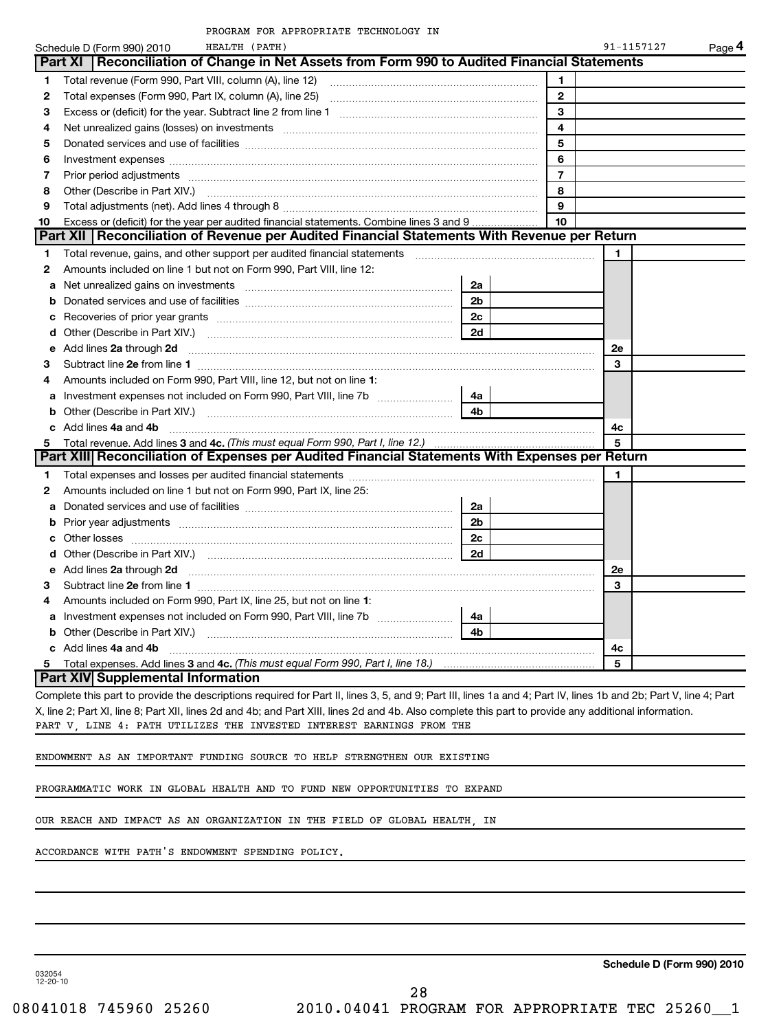|              | PROGRAM FOR APPROPRIATE TECHNOLOGY IN                                                                                                                            |                |                         |            |        |
|--------------|------------------------------------------------------------------------------------------------------------------------------------------------------------------|----------------|-------------------------|------------|--------|
|              | Schedule D (Form 990) 2010<br>HEALTH (PATH)                                                                                                                      |                |                         | 91-1157127 | Page 4 |
|              | Reconciliation of Change in Net Assets from Form 990 to Audited Financial Statements<br>Part XI                                                                  |                |                         |            |        |
| 1            | Total revenue (Form 990, Part VIII, column (A), line 12)                                                                                                         |                | 1                       |            |        |
| $\mathbf{2}$ |                                                                                                                                                                  |                | $\mathbf{2}$            |            |        |
| 3            |                                                                                                                                                                  |                | 3                       |            |        |
| 4            | Net unrealized gains (losses) on investments [11] matter contents and the unrealized gains (losses) on investments                                               |                | $\overline{\mathbf{4}}$ |            |        |
| 5            |                                                                                                                                                                  |                | 5                       |            |        |
| 6            |                                                                                                                                                                  |                | 6                       |            |        |
| 7            |                                                                                                                                                                  |                | $\overline{7}$          |            |        |
| 8            | Other (Describe in Part XIV.) <b>CONFIDENTIAL CONSUMING THE CONSUMING THE CONSUMING TERM</b>                                                                     |                | 8                       |            |        |
| 9            |                                                                                                                                                                  |                | 9                       |            |        |
| 10           | Excess or (deficit) for the year per audited financial statements. Combine lines 3 and 9                                                                         |                | 10                      |            |        |
|              | Part XII   Reconciliation of Revenue per Audited Financial Statements With Revenue per Return                                                                    |                |                         |            |        |
| 1            |                                                                                                                                                                  |                |                         |            |        |
| 2            | Amounts included on line 1 but not on Form 990, Part VIII, line 12:                                                                                              |                |                         |            |        |
| a            | Net unrealized gains on investments [11] matter contracts and the unrealized gains on investments [11] matter                                                    | 2a             |                         |            |        |
| b            |                                                                                                                                                                  | 2 <sub>b</sub> |                         |            |        |
| с            |                                                                                                                                                                  | 2c             |                         |            |        |
| d            |                                                                                                                                                                  | 2d             |                         |            |        |
|              | e Add lines 2a through 2d                                                                                                                                        |                |                         | 2e         |        |
| 3            |                                                                                                                                                                  |                |                         | 3          |        |
| 4            | Amounts included on Form 990, Part VIII, line 12, but not on line 1:                                                                                             |                |                         |            |        |
|              | a Investment expenses not included on Form 990, Part VIII, line 7b [11, 11, 11, 11, 11]                                                                          | 4a             |                         |            |        |
| b            |                                                                                                                                                                  | 4b             |                         |            |        |
|              | c Add lines 4a and 4b                                                                                                                                            |                |                         | 4с         |        |
| 5            | Total revenue. Add lines 3 and 4c. (This must equal Form 990, Part I, line 12.)                                                                                  |                |                         | 5          |        |
|              | Part XIII Reconciliation of Expenses per Audited Financial Statements With Expenses per Return                                                                   |                |                         |            |        |
| 1            |                                                                                                                                                                  |                |                         | 1          |        |
| 2            | Amounts included on line 1 but not on Form 990, Part IX, line 25:                                                                                                |                |                         |            |        |
| a            |                                                                                                                                                                  | 2a             |                         |            |        |
| b            | Prior year adjustments [ www.communications of the contract of the contract of the contract of the contract of                                                   | 2 <sub>b</sub> |                         |            |        |
| c            |                                                                                                                                                                  | 2 <sub>c</sub> |                         |            |        |
|              |                                                                                                                                                                  | 2d             |                         |            |        |
| е            | Add lines 2a through 2d                                                                                                                                          |                |                         | 2e         |        |
| З.           |                                                                                                                                                                  |                |                         | 3          |        |
| 4            | Amounts included on Form 990, Part IX, line 25, but not on line 1:                                                                                               |                |                         |            |        |
|              |                                                                                                                                                                  | 4a             |                         |            |        |
| b            |                                                                                                                                                                  | 4 <sub>b</sub> |                         |            |        |
|              | c Add lines 4a and 4b                                                                                                                                            |                |                         | 4c         |        |
| 5            | Total expenses. Add lines 3 and 4c. (This must equal Form 990, Part I, line 18.) <i>manumeron and sequenon</i> and the                                           |                |                         | 5          |        |
|              | Part XIV Supplemental Information                                                                                                                                |                |                         |            |        |
|              | Complete this part to provide the descriptions required for Part II, lines 3, 5, and 9; Part III, lines 1a and 4; Part IV, lines 1b and 2b; Part V, line 4; Part |                |                         |            |        |

X, line 2; Part XI, line 8; Part XII, lines 2d and 4b; and Part XIII, lines 2d and 4b. Also complete this part to provide any additional information. PART V, LINE 4: PATH UTILIZES THE INVESTED INTEREST EARNINGS FROM THE

ENDOWMENT AS AN IMPORTANT FUNDING SOURCE TO HELP STRENGTHEN OUR EXISTING

PROGRAMMATIC WORK IN GLOBAL HEALTH AND TO FUND NEW OPPORTUNITIES TO EXPAND

OUR REACH AND IMPACT AS AN ORGANIZATION IN THE FIELD OF GLOBAL HEALTH, IN

ACCORDANCE WITH PATH'S ENDOWMENT SPENDING POLICY.

**Schedule D (Form 990) 2010**

032054 12-20-10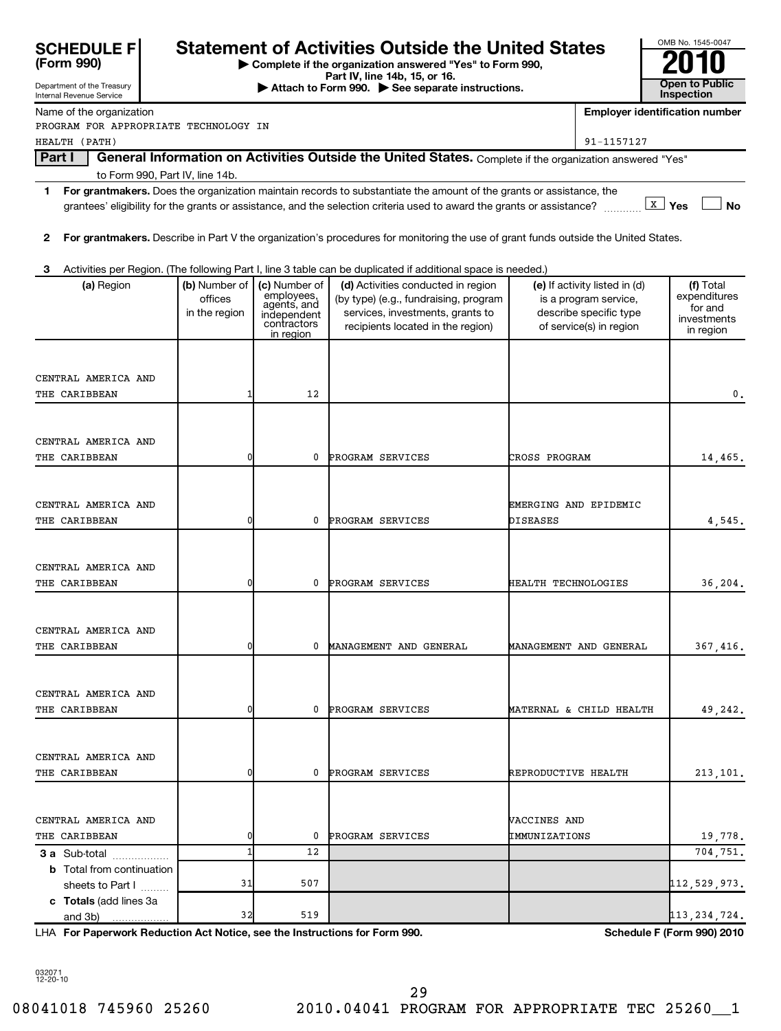| SCHEDULE F |  |
|------------|--|
|            |  |

# **Statement of Activities Outside the United States**

**| Complete if the organization answered "Yes" to Form 990,**

| OMB No. 1545-0047                   |
|-------------------------------------|
| 2010                                |
| <b>Open to Public</b><br>Inspection |

Department of the Treasury Internal Revenue Service **Part IV, line 14b, 15, or 16. Conserved Bart IV, 15, external at the Second Bart IV, 15, or 16. Conserved Bart IV, 15, or 16. Open to Public Inspection Employer identification number 1 2 3 For grantmakers.**  Does the organization maintain records to substantiate the amount of the grants or assistance, the **X** Yes No **For grantmakers.**  Describe in Part V the organization's procedures for monitoring the use of grant funds outside the United States. (a) Region **(b)** Number of  $|$  (c) Number of  $|$  (d) Activities conducted in region  $|$  (e) If activity listed in (d)  $|$  (f) **3 a** Sub-total .................. **b** Total from continuation Name of the organization Part I | General Information on Activities Outside the United States. Complete if the organization answered "Yes" to Form 990, Part IV, line 14b. grantees' eligibility for the grants or assistance, and the selection criteria used to award the grants or assistance? Activities per Region. (The following Part I, line 3 table can be duplicated if additional space is needed.) (a) Region  $\vert$  (b) Number of offices in the region (c) Number of<br>employees, agents, and independent contractors in region (by type) (e.g., fundraising, program services, investments, grants to recipients located in the region) (e) If activity listed in (d) is a program service, describe specific type of service(s) in region (f) Total expenditures for and investments in region sheets to Part  $1$   $\ldots$ ... PROGRAM FOR APPROPRIATE TECHNOLOGY IN HEALTH (PATH) 91-1157127 CENTRAL AMERICA AND THE CARIBBEAN 1 12 0. CENTRAL AMERICA AND THE CARIBBEAN 0 0 PROGRAM SERVICES CROSS PROGRAM 14,465. CENTRAL AMERICA AND EMERGING AND EPIDEMIC THE CARIBBEAN (and the set of the control of the control of program services the piscases of the set of the set o CENTRAL AMERICA AND THE CARIBBEAN **120 CONTACT AN INCREASE** 10 PROGRAM SERVICES **HEALTH TECHNOLOGIES** 16,204. CENTRAL AMERICA AND THE CARIBBEAN **1** 0 0 MANAGEMENT AND GENERAL MANAGEMENT AND GENERAL 367,416. CENTRAL AMERICA AND THE CARIBBEAN **1** 0 0 PROGRAM SERVICES MATERNAL & CHILD HEALTH 49,242. CENTRAL AMERICA AND THE CARIBBEAN **1** 0 0 PROGRAM SERVICES REPRODUCTIVE HEALTH 213,101. CENTRAL AMERICA AND VACCINES AND THE CARIBBEAN  $\begin{array}{ccc} | & 0 & 0 \end{array}$  PROGRAM SERVICES  $\begin{array}{ccc} \texttt{IMMUNIZATIONS} & & 19,778. \end{array}$  $12$  12 704,751.  $31$  507  $112,529,973$ .

**For Paperwork Reduction Act Notice, see the Instructions for Form 990. Schedule F (Form 990) 2010** LHA

032071 12-20-10

**c Totals**  (add lines 3a

and 3b)

32 519 113,234,724.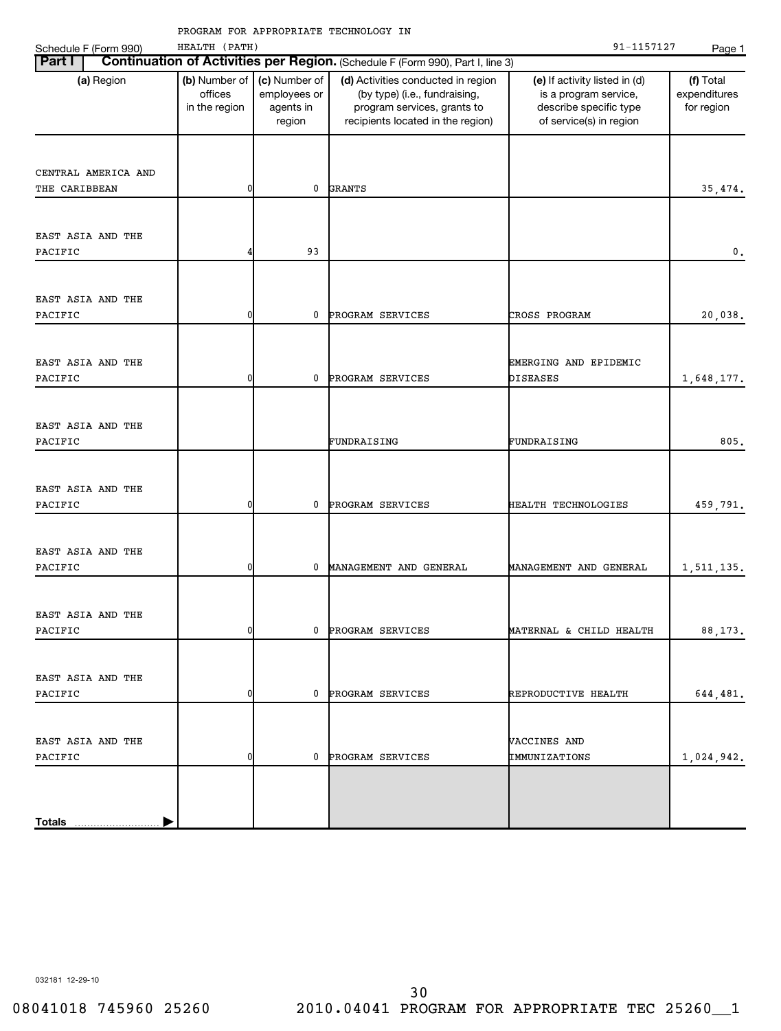| Schedule F (Form 990)                | HEALTH (PATH)                             |                                                      |                                                                                                                                         | 91-1157127                                                                                                  | Page 1                                  |
|--------------------------------------|-------------------------------------------|------------------------------------------------------|-----------------------------------------------------------------------------------------------------------------------------------------|-------------------------------------------------------------------------------------------------------------|-----------------------------------------|
| <b>Part I</b>                        |                                           |                                                      | Continuation of Activities per Region. (Schedule F (Form 990), Part I, line 3)                                                          |                                                                                                             |                                         |
| (a) Region                           | (b) Number of<br>offices<br>in the region | (c) Number of<br>employees or<br>agents in<br>region | (d) Activities conducted in region<br>(by type) (i.e., fundraising,<br>program services, grants to<br>recipients located in the region) | (e) If activity listed in (d)<br>is a program service,<br>describe specific type<br>of service(s) in region | (f) Total<br>expenditures<br>for region |
| CENTRAL AMERICA AND<br>THE CARIBBEAN | 0                                         | 0                                                    | <b>GRANTS</b>                                                                                                                           |                                                                                                             | 35,474.                                 |
| EAST ASIA AND THE<br>PACIFIC         | 4                                         | 93                                                   |                                                                                                                                         |                                                                                                             | 0.                                      |
| EAST ASIA AND THE<br>PACIFIC         | 0                                         | 0                                                    | PROGRAM SERVICES                                                                                                                        | CROSS PROGRAM                                                                                               | 20,038.                                 |
| EAST ASIA AND THE<br>PACIFIC         | 0                                         | 0                                                    | PROGRAM SERVICES                                                                                                                        | EMERGING AND EPIDEMIC<br><b>DISEASES</b>                                                                    | 1,648,177.                              |
| EAST ASIA AND THE<br>PACIFIC         |                                           |                                                      | FUNDRAISING                                                                                                                             | FUNDRAISING                                                                                                 | 805.                                    |
| EAST ASIA AND THE<br>PACIFIC         | 0                                         | 0                                                    | PROGRAM SERVICES                                                                                                                        | HEALTH TECHNOLOGIES                                                                                         | 459,791.                                |
| EAST ASIA AND THE<br>PACIFIC         | 0                                         | 0                                                    | MANAGEMENT AND GENERAL                                                                                                                  | MANAGEMENT AND GENERAL                                                                                      | 1,511,135.                              |
| EAST ASIA AND THE<br>PACIFIC         | 01                                        |                                                      | 0 PROGRAM SERVICES                                                                                                                      | MATERNAL & CHILD HEALTH                                                                                     | 88,173.                                 |
| EAST ASIA AND THE<br>PACIFIC         | 0                                         | 0                                                    | PROGRAM SERVICES                                                                                                                        | REPRODUCTIVE HEALTH                                                                                         | 644,481.                                |
| EAST ASIA AND THE<br>PACIFIC         | 0                                         | 0                                                    | PROGRAM SERVICES                                                                                                                        | VACCINES AND<br>IMMUNIZATIONS                                                                               | 1,024,942.                              |
| <b>Totals</b>                        |                                           |                                                      |                                                                                                                                         |                                                                                                             |                                         |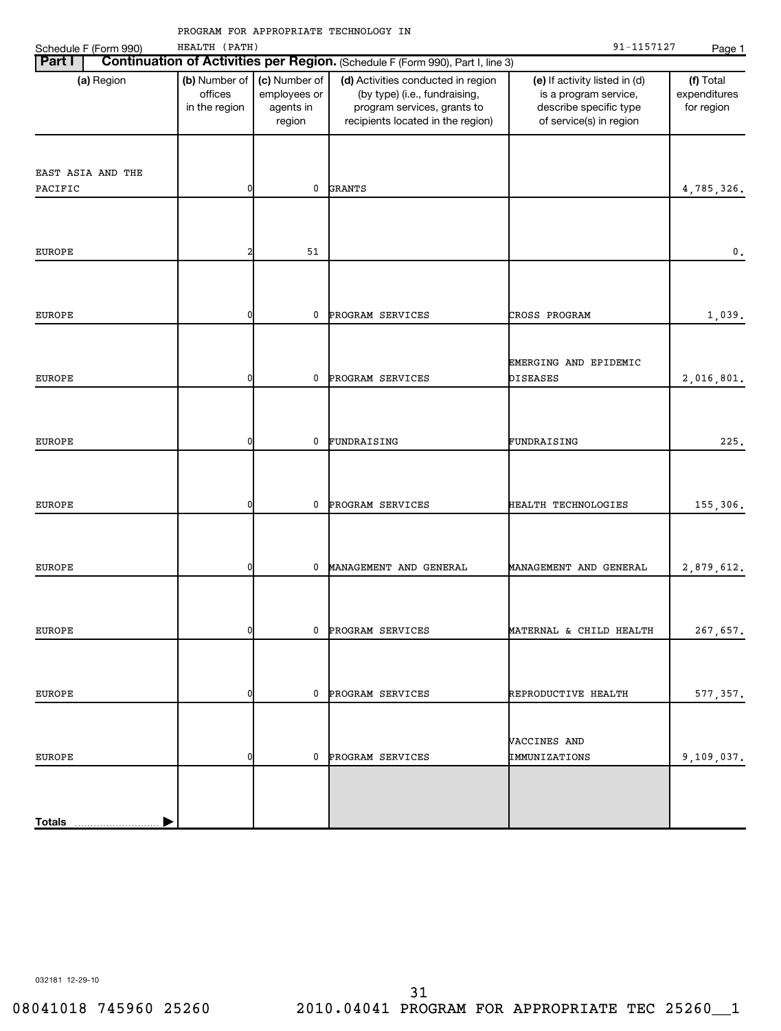| Part I<br>Continuation of Activities per Region. (Schedule F (Form 990), Part I, line 3)<br>(b) Number of<br>(c) Number of<br>(d) Activities conducted in region<br>(f) Total<br>(a) Region<br>(e) If activity listed in (d)<br>offices<br>employees or<br>(by type) (i.e., fundraising,<br>expenditures<br>is a program service,<br>in the region<br>agents in<br>program services, grants to<br>describe specific type<br>for region<br>recipients located in the region)<br>of service(s) in region<br>region<br>EAST ASIA AND THE<br>PACIFIC<br>0<br>0<br><b>GRANTS</b><br>4,785,326.<br>51<br><b>EUROPE</b><br>2<br>$\mathbf{0}$ .<br><b>EUROPE</b><br>0<br>PROGRAM SERVICES<br>CROSS PROGRAM<br>1,039.<br>0<br>EMERGING AND EPIDEMIC<br>0<br>PROGRAM SERVICES<br><b>DISEASES</b><br>2,016,801.<br><b>EUROPE</b><br>0<br>0<br>FUNDRAISING<br>FUNDRAISING<br>225.<br><b>EUROPE</b><br>0<br>0<br>PROGRAM SERVICES<br>HEALTH TECHNOLOGIES<br>155,306.<br><b>EUROPE</b><br>0<br>0<br>MANAGEMENT AND GENERAL<br>MANAGEMENT AND GENERAL<br>2,879,612.<br><b>EUROPE</b><br>0<br>0<br>267,657.<br><b>EUROPE</b><br>PROGRAM SERVICES<br>MATERNAL & CHILD HEALTH<br>0<br>PROGRAM SERVICES<br><b>EUROPE</b><br>0<br>0<br>REPRODUCTIVE HEALTH<br>577, 357.<br>VACCINES AND<br>PROGRAM SERVICES<br>IMMUNIZATIONS<br>9,109,037.<br><b>EUROPE</b><br>0<br>0 | Schedule F (Form 990) | HEALTH (PATH) |  | 91-1157127 | Page 1 |
|---------------------------------------------------------------------------------------------------------------------------------------------------------------------------------------------------------------------------------------------------------------------------------------------------------------------------------------------------------------------------------------------------------------------------------------------------------------------------------------------------------------------------------------------------------------------------------------------------------------------------------------------------------------------------------------------------------------------------------------------------------------------------------------------------------------------------------------------------------------------------------------------------------------------------------------------------------------------------------------------------------------------------------------------------------------------------------------------------------------------------------------------------------------------------------------------------------------------------------------------------------------------------------------------------------------------------------------------------|-----------------------|---------------|--|------------|--------|
|                                                                                                                                                                                                                                                                                                                                                                                                                                                                                                                                                                                                                                                                                                                                                                                                                                                                                                                                                                                                                                                                                                                                                                                                                                                                                                                                                   |                       |               |  |            |        |
|                                                                                                                                                                                                                                                                                                                                                                                                                                                                                                                                                                                                                                                                                                                                                                                                                                                                                                                                                                                                                                                                                                                                                                                                                                                                                                                                                   |                       |               |  |            |        |
|                                                                                                                                                                                                                                                                                                                                                                                                                                                                                                                                                                                                                                                                                                                                                                                                                                                                                                                                                                                                                                                                                                                                                                                                                                                                                                                                                   |                       |               |  |            |        |
|                                                                                                                                                                                                                                                                                                                                                                                                                                                                                                                                                                                                                                                                                                                                                                                                                                                                                                                                                                                                                                                                                                                                                                                                                                                                                                                                                   |                       |               |  |            |        |
|                                                                                                                                                                                                                                                                                                                                                                                                                                                                                                                                                                                                                                                                                                                                                                                                                                                                                                                                                                                                                                                                                                                                                                                                                                                                                                                                                   |                       |               |  |            |        |
|                                                                                                                                                                                                                                                                                                                                                                                                                                                                                                                                                                                                                                                                                                                                                                                                                                                                                                                                                                                                                                                                                                                                                                                                                                                                                                                                                   |                       |               |  |            |        |
|                                                                                                                                                                                                                                                                                                                                                                                                                                                                                                                                                                                                                                                                                                                                                                                                                                                                                                                                                                                                                                                                                                                                                                                                                                                                                                                                                   |                       |               |  |            |        |
|                                                                                                                                                                                                                                                                                                                                                                                                                                                                                                                                                                                                                                                                                                                                                                                                                                                                                                                                                                                                                                                                                                                                                                                                                                                                                                                                                   |                       |               |  |            |        |
|                                                                                                                                                                                                                                                                                                                                                                                                                                                                                                                                                                                                                                                                                                                                                                                                                                                                                                                                                                                                                                                                                                                                                                                                                                                                                                                                                   |                       |               |  |            |        |
|                                                                                                                                                                                                                                                                                                                                                                                                                                                                                                                                                                                                                                                                                                                                                                                                                                                                                                                                                                                                                                                                                                                                                                                                                                                                                                                                                   |                       |               |  |            |        |
|                                                                                                                                                                                                                                                                                                                                                                                                                                                                                                                                                                                                                                                                                                                                                                                                                                                                                                                                                                                                                                                                                                                                                                                                                                                                                                                                                   |                       |               |  |            |        |
|                                                                                                                                                                                                                                                                                                                                                                                                                                                                                                                                                                                                                                                                                                                                                                                                                                                                                                                                                                                                                                                                                                                                                                                                                                                                                                                                                   |                       |               |  |            |        |
|                                                                                                                                                                                                                                                                                                                                                                                                                                                                                                                                                                                                                                                                                                                                                                                                                                                                                                                                                                                                                                                                                                                                                                                                                                                                                                                                                   |                       |               |  |            |        |
|                                                                                                                                                                                                                                                                                                                                                                                                                                                                                                                                                                                                                                                                                                                                                                                                                                                                                                                                                                                                                                                                                                                                                                                                                                                                                                                                                   |                       |               |  |            |        |
|                                                                                                                                                                                                                                                                                                                                                                                                                                                                                                                                                                                                                                                                                                                                                                                                                                                                                                                                                                                                                                                                                                                                                                                                                                                                                                                                                   |                       |               |  |            |        |
|                                                                                                                                                                                                                                                                                                                                                                                                                                                                                                                                                                                                                                                                                                                                                                                                                                                                                                                                                                                                                                                                                                                                                                                                                                                                                                                                                   |                       |               |  |            |        |
|                                                                                                                                                                                                                                                                                                                                                                                                                                                                                                                                                                                                                                                                                                                                                                                                                                                                                                                                                                                                                                                                                                                                                                                                                                                                                                                                                   |                       |               |  |            |        |
|                                                                                                                                                                                                                                                                                                                                                                                                                                                                                                                                                                                                                                                                                                                                                                                                                                                                                                                                                                                                                                                                                                                                                                                                                                                                                                                                                   |                       |               |  |            |        |
|                                                                                                                                                                                                                                                                                                                                                                                                                                                                                                                                                                                                                                                                                                                                                                                                                                                                                                                                                                                                                                                                                                                                                                                                                                                                                                                                                   |                       |               |  |            |        |
|                                                                                                                                                                                                                                                                                                                                                                                                                                                                                                                                                                                                                                                                                                                                                                                                                                                                                                                                                                                                                                                                                                                                                                                                                                                                                                                                                   |                       |               |  |            |        |
|                                                                                                                                                                                                                                                                                                                                                                                                                                                                                                                                                                                                                                                                                                                                                                                                                                                                                                                                                                                                                                                                                                                                                                                                                                                                                                                                                   |                       |               |  |            |        |
|                                                                                                                                                                                                                                                                                                                                                                                                                                                                                                                                                                                                                                                                                                                                                                                                                                                                                                                                                                                                                                                                                                                                                                                                                                                                                                                                                   |                       |               |  |            |        |
|                                                                                                                                                                                                                                                                                                                                                                                                                                                                                                                                                                                                                                                                                                                                                                                                                                                                                                                                                                                                                                                                                                                                                                                                                                                                                                                                                   |                       |               |  |            |        |
|                                                                                                                                                                                                                                                                                                                                                                                                                                                                                                                                                                                                                                                                                                                                                                                                                                                                                                                                                                                                                                                                                                                                                                                                                                                                                                                                                   |                       |               |  |            |        |
|                                                                                                                                                                                                                                                                                                                                                                                                                                                                                                                                                                                                                                                                                                                                                                                                                                                                                                                                                                                                                                                                                                                                                                                                                                                                                                                                                   |                       |               |  |            |        |
|                                                                                                                                                                                                                                                                                                                                                                                                                                                                                                                                                                                                                                                                                                                                                                                                                                                                                                                                                                                                                                                                                                                                                                                                                                                                                                                                                   |                       |               |  |            |        |
|                                                                                                                                                                                                                                                                                                                                                                                                                                                                                                                                                                                                                                                                                                                                                                                                                                                                                                                                                                                                                                                                                                                                                                                                                                                                                                                                                   |                       |               |  |            |        |
|                                                                                                                                                                                                                                                                                                                                                                                                                                                                                                                                                                                                                                                                                                                                                                                                                                                                                                                                                                                                                                                                                                                                                                                                                                                                                                                                                   |                       |               |  |            |        |
|                                                                                                                                                                                                                                                                                                                                                                                                                                                                                                                                                                                                                                                                                                                                                                                                                                                                                                                                                                                                                                                                                                                                                                                                                                                                                                                                                   |                       |               |  |            |        |
|                                                                                                                                                                                                                                                                                                                                                                                                                                                                                                                                                                                                                                                                                                                                                                                                                                                                                                                                                                                                                                                                                                                                                                                                                                                                                                                                                   |                       |               |  |            |        |
|                                                                                                                                                                                                                                                                                                                                                                                                                                                                                                                                                                                                                                                                                                                                                                                                                                                                                                                                                                                                                                                                                                                                                                                                                                                                                                                                                   |                       |               |  |            |        |
|                                                                                                                                                                                                                                                                                                                                                                                                                                                                                                                                                                                                                                                                                                                                                                                                                                                                                                                                                                                                                                                                                                                                                                                                                                                                                                                                                   |                       |               |  |            |        |
|                                                                                                                                                                                                                                                                                                                                                                                                                                                                                                                                                                                                                                                                                                                                                                                                                                                                                                                                                                                                                                                                                                                                                                                                                                                                                                                                                   | <b>Totals</b>         |               |  |            |        |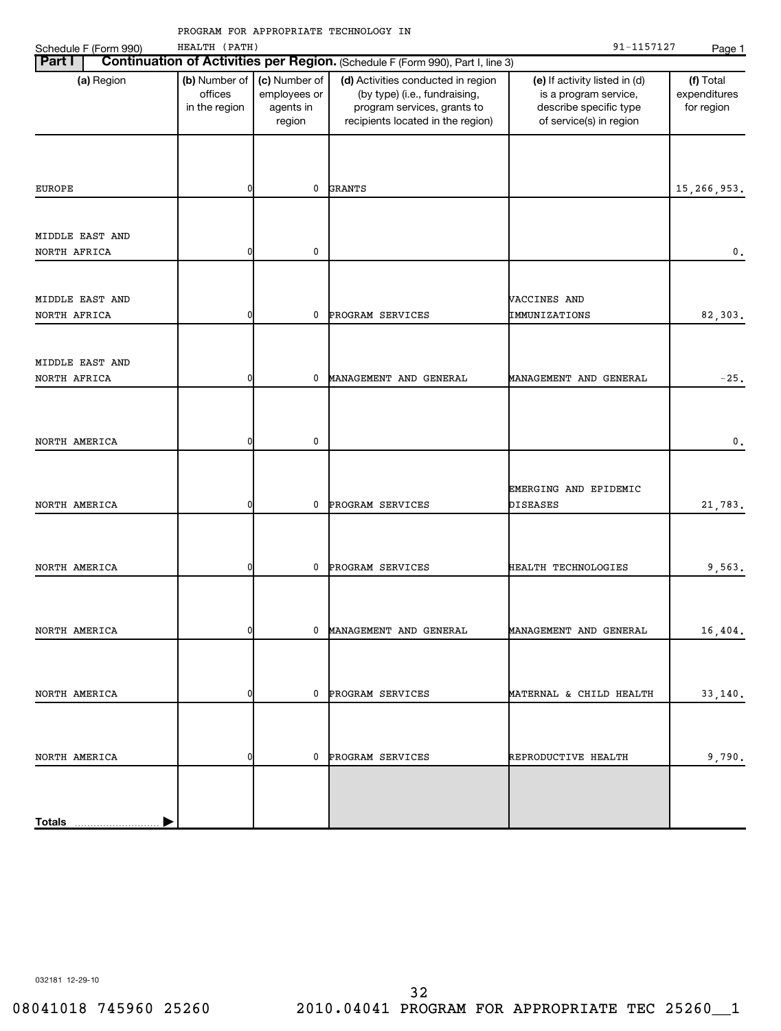| chedule F (Form 990) | HEALTH (PATH |
|----------------------|--------------|
|----------------------|--------------|

| Schedule F (Form 990) | HEALTH (PATH)                             |                                                      |                                                                                                                                         | 91-1157127                                                                                                  | Page 1                                  |
|-----------------------|-------------------------------------------|------------------------------------------------------|-----------------------------------------------------------------------------------------------------------------------------------------|-------------------------------------------------------------------------------------------------------------|-----------------------------------------|
| <b>Part I</b>         |                                           |                                                      | Continuation of Activities per Region. (Schedule F (Form 990), Part I, line 3)                                                          |                                                                                                             |                                         |
| (a) Region            | (b) Number of<br>offices<br>in the region | (c) Number of<br>employees or<br>agents in<br>region | (d) Activities conducted in region<br>(by type) (i.e., fundraising,<br>program services, grants to<br>recipients located in the region) | (e) If activity listed in (d)<br>is a program service,<br>describe specific type<br>of service(s) in region | (f) Total<br>expenditures<br>for region |
|                       |                                           |                                                      |                                                                                                                                         |                                                                                                             |                                         |
| EUROPE                | 0                                         | 0                                                    | <b>GRANTS</b>                                                                                                                           |                                                                                                             | 15, 266, 953.                           |
| MIDDLE EAST AND       |                                           |                                                      |                                                                                                                                         |                                                                                                             |                                         |
| NORTH AFRICA          | 0                                         | 0                                                    |                                                                                                                                         |                                                                                                             | 0.                                      |
| MIDDLE EAST AND       |                                           |                                                      |                                                                                                                                         | VACCINES AND                                                                                                |                                         |
| NORTH AFRICA          | 0                                         | 0                                                    | PROGRAM SERVICES                                                                                                                        | IMMUNIZATIONS                                                                                               | 82,303.                                 |
| MIDDLE EAST AND       |                                           |                                                      |                                                                                                                                         |                                                                                                             |                                         |
| NORTH AFRICA          | 0                                         | 0                                                    | MANAGEMENT AND GENERAL                                                                                                                  | MANAGEMENT AND GENERAL                                                                                      | $-25.$                                  |
|                       |                                           |                                                      |                                                                                                                                         |                                                                                                             |                                         |
| NORTH AMERICA         | 0                                         | 0                                                    |                                                                                                                                         |                                                                                                             | $\mathfrak o$ .                         |
| NORTH AMERICA         | 0                                         | 0                                                    | PROGRAM SERVICES                                                                                                                        | EMERGING AND EPIDEMIC<br><b>DISEASES</b>                                                                    | 21,783.                                 |
| NORTH AMERICA         | 0                                         | 0                                                    | PROGRAM SERVICES                                                                                                                        | HEALTH TECHNOLOGIES                                                                                         | 9,563.                                  |
| NORTH AMERICA         | ΩI                                        | $\mathbf{0}$                                         | MANAGEMENT AND GENERAL                                                                                                                  |                                                                                                             |                                         |
|                       |                                           |                                                      |                                                                                                                                         | MANAGEMENT AND GENERAL                                                                                      | 16,404.                                 |
| NORTH AMERICA         | 0                                         |                                                      | 0 PROGRAM SERVICES                                                                                                                      | MATERNAL & CHILD HEALTH                                                                                     | 33,140.                                 |
|                       |                                           |                                                      |                                                                                                                                         |                                                                                                             |                                         |
| NORTH AMERICA         | 0                                         |                                                      | 0 PROGRAM SERVICES                                                                                                                      | REPRODUCTIVE HEALTH                                                                                         | 9,790.                                  |
|                       |                                           |                                                      |                                                                                                                                         |                                                                                                             |                                         |
| <b>Totals</b>         |                                           |                                                      |                                                                                                                                         |                                                                                                             |                                         |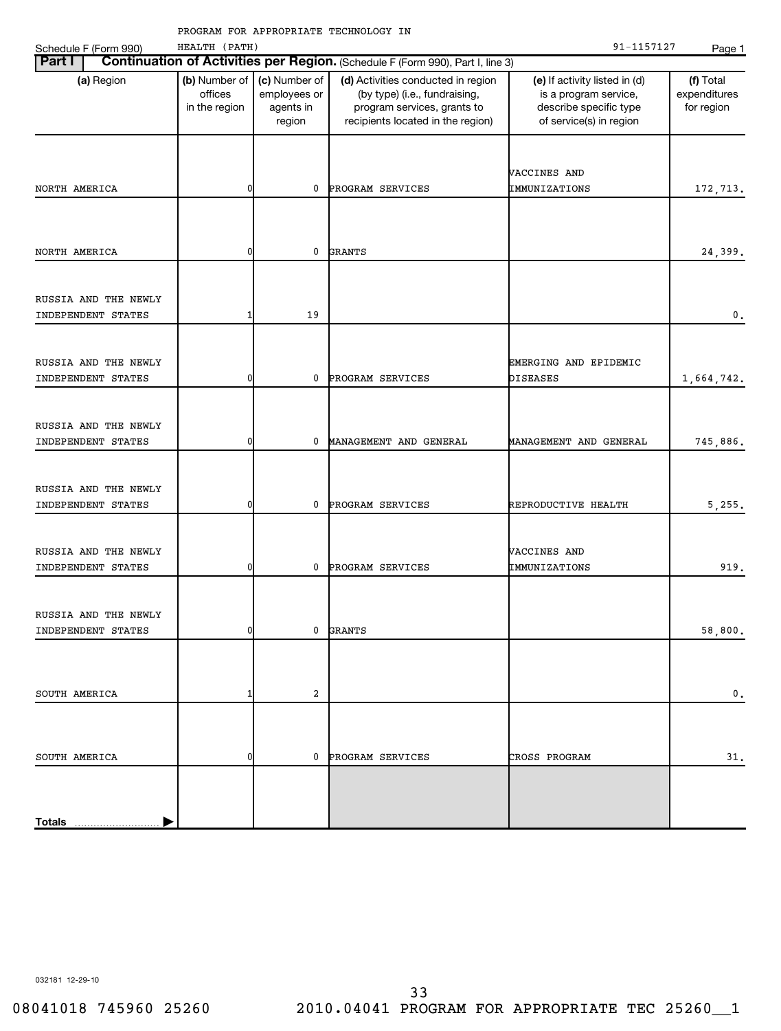| Schedule F (Form 990)                      | HEALTH (PATH)                             |                                                      |                                                                                                                                         | 91-1157127                                                                                                  | Page 1                                  |
|--------------------------------------------|-------------------------------------------|------------------------------------------------------|-----------------------------------------------------------------------------------------------------------------------------------------|-------------------------------------------------------------------------------------------------------------|-----------------------------------------|
| Part I                                     |                                           |                                                      | Continuation of Activities per Region. (Schedule F (Form 990), Part I, line 3)                                                          |                                                                                                             |                                         |
| (a) Region                                 | (b) Number of<br>offices<br>in the region | (c) Number of<br>employees or<br>agents in<br>region | (d) Activities conducted in region<br>(by type) (i.e., fundraising,<br>program services, grants to<br>recipients located in the region) | (e) If activity listed in (d)<br>is a program service,<br>describe specific type<br>of service(s) in region | (f) Total<br>expenditures<br>for region |
| NORTH AMERICA                              | 0                                         | 0                                                    | PROGRAM SERVICES                                                                                                                        | VACCINES AND<br>IMMUNIZATIONS                                                                               | 172,713.                                |
| NORTH AMERICA                              | 0                                         | 0                                                    | <b>GRANTS</b>                                                                                                                           |                                                                                                             | 24,399.                                 |
| RUSSIA AND THE NEWLY<br>INDEPENDENT STATES | 1                                         | 19                                                   |                                                                                                                                         |                                                                                                             | 0.                                      |
| RUSSIA AND THE NEWLY<br>INDEPENDENT STATES | 0                                         | 0                                                    | PROGRAM SERVICES                                                                                                                        | EMERGING AND EPIDEMIC<br>DISEASES                                                                           | 1,664,742.                              |
| RUSSIA AND THE NEWLY<br>INDEPENDENT STATES | 0                                         | 0                                                    | MANAGEMENT AND GENERAL                                                                                                                  | MANAGEMENT AND GENERAL                                                                                      | 745,886.                                |
| RUSSIA AND THE NEWLY<br>INDEPENDENT STATES | 0                                         | 0                                                    | PROGRAM SERVICES                                                                                                                        | REPRODUCTIVE HEALTH                                                                                         | 5,255.                                  |
| RUSSIA AND THE NEWLY<br>INDEPENDENT STATES | 0                                         | 0                                                    | PROGRAM SERVICES                                                                                                                        | VACCINES AND<br>IMMUNIZATIONS                                                                               | 919.                                    |
| RUSSIA AND THE NEWLY<br>INDEPENDENT STATES | <sup>0</sup>                              | 0                                                    | <b>GRANTS</b>                                                                                                                           |                                                                                                             | 58,800.                                 |
| SOUTH AMERICA                              | 1                                         | 2                                                    |                                                                                                                                         |                                                                                                             | $\mathbf 0$ .                           |
| SOUTH AMERICA                              | 0                                         | $\mathbf 0$                                          | PROGRAM SERVICES                                                                                                                        | CROSS PROGRAM                                                                                               | 31.                                     |
| <b>Totals</b>                              |                                           |                                                      |                                                                                                                                         |                                                                                                             |                                         |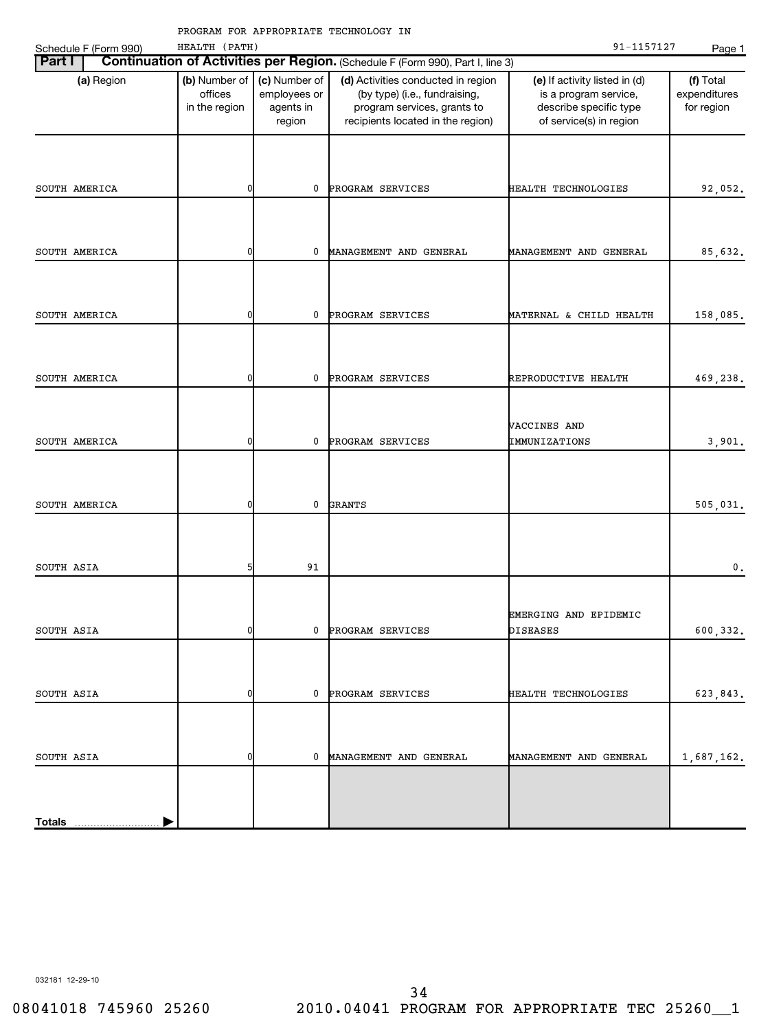|  |                       | <b>Part I   Continuation of Activities per Region. (Schedu</b> |  |  |
|--|-----------------------|----------------------------------------------------------------|--|--|
|  | Schedule F (Form 990) | HEALTH (PATH)                                                  |  |  |

|                                                                                                 | Schedule F (Form 990) | HEALTH (PATH)                             |                                                      |                                                                                                                                         | 91-1157127                                                                                                  | Page 1                                  |  |  |
|-------------------------------------------------------------------------------------------------|-----------------------|-------------------------------------------|------------------------------------------------------|-----------------------------------------------------------------------------------------------------------------------------------------|-------------------------------------------------------------------------------------------------------------|-----------------------------------------|--|--|
| Continuation of Activities per Region. (Schedule F (Form 990), Part I, line 3)<br><b>Part I</b> |                       |                                           |                                                      |                                                                                                                                         |                                                                                                             |                                         |  |  |
|                                                                                                 | (a) Region            | (b) Number of<br>offices<br>in the region | (c) Number of<br>employees or<br>agents in<br>region | (d) Activities conducted in region<br>(by type) (i.e., fundraising,<br>program services, grants to<br>recipients located in the region) | (e) If activity listed in (d)<br>is a program service,<br>describe specific type<br>of service(s) in region | (f) Total<br>expenditures<br>for region |  |  |
|                                                                                                 | SOUTH AMERICA         | 0                                         | 0                                                    | PROGRAM SERVICES                                                                                                                        | HEALTH TECHNOLOGIES                                                                                         | 92,052.                                 |  |  |
|                                                                                                 | SOUTH AMERICA         | 0                                         | 0                                                    | MANAGEMENT AND GENERAL                                                                                                                  | MANAGEMENT AND GENERAL                                                                                      | 85,632.                                 |  |  |
|                                                                                                 | SOUTH AMERICA         | 0                                         | 0                                                    | PROGRAM SERVICES                                                                                                                        | MATERNAL & CHILD HEALTH                                                                                     | 158,085.                                |  |  |
|                                                                                                 | SOUTH AMERICA         | 0                                         | 0                                                    | PROGRAM SERVICES                                                                                                                        | REPRODUCTIVE HEALTH                                                                                         | 469,238.                                |  |  |
|                                                                                                 | SOUTH AMERICA         | 0                                         | 0                                                    | PROGRAM SERVICES                                                                                                                        | VACCINES AND<br>IMMUNIZATIONS                                                                               | 3,901.                                  |  |  |
|                                                                                                 | SOUTH AMERICA         | 0                                         | 0                                                    | <b>GRANTS</b>                                                                                                                           |                                                                                                             | 505,031.                                |  |  |
| SOUTH ASIA                                                                                      |                       | 5                                         | 91                                                   |                                                                                                                                         |                                                                                                             | $\mathbf 0$ .                           |  |  |
| SOUTH ASIA                                                                                      |                       | ΩI                                        |                                                      | 0 PROGRAM SERVICES                                                                                                                      | EMERGING AND EPIDEMIC<br>DISEASES                                                                           | 600,332.                                |  |  |
| SOUTH ASIA                                                                                      |                       | 0                                         |                                                      | 0 PROGRAM SERVICES                                                                                                                      | HEALTH TECHNOLOGIES                                                                                         | 623,843.                                |  |  |
| SOUTH ASIA                                                                                      |                       | 0                                         |                                                      | 0 MANAGEMENT AND GENERAL                                                                                                                | MANAGEMENT AND GENERAL                                                                                      | 1,687,162.                              |  |  |
|                                                                                                 | Totals                |                                           |                                                      |                                                                                                                                         |                                                                                                             |                                         |  |  |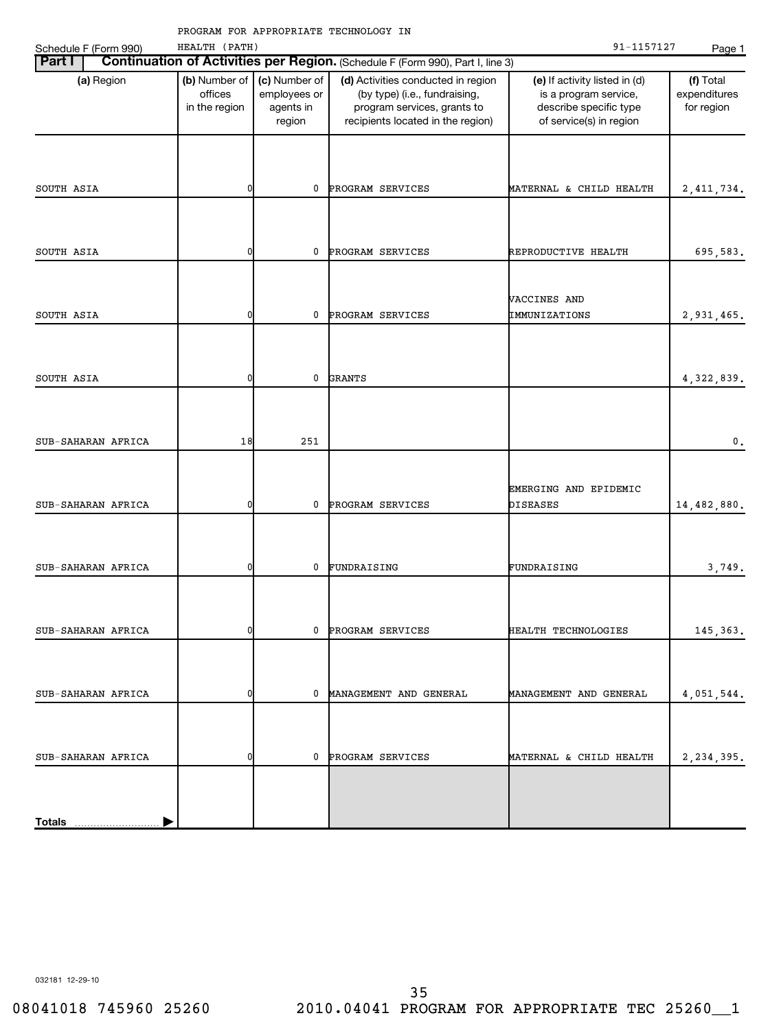| Schedule F (Form 990) | HEALTH (PATH)                             |                                                      | PROGRAM FOR APPROPRIATE TECHNOLOGY IN                                                                                                   | 91-1157127                                                                                                  | Page 1                                  |
|-----------------------|-------------------------------------------|------------------------------------------------------|-----------------------------------------------------------------------------------------------------------------------------------------|-------------------------------------------------------------------------------------------------------------|-----------------------------------------|
| Part I                |                                           |                                                      | Continuation of Activities per Region. (Schedule F (Form 990), Part I, line 3)                                                          |                                                                                                             |                                         |
| (a) Region            | (b) Number of<br>offices<br>in the region | (c) Number of<br>employees or<br>agents in<br>region | (d) Activities conducted in region<br>(by type) (i.e., fundraising,<br>program services, grants to<br>recipients located in the region) | (e) If activity listed in (d)<br>is a program service,<br>describe specific type<br>of service(s) in region | (f) Total<br>expenditures<br>for region |
|                       |                                           |                                                      |                                                                                                                                         |                                                                                                             |                                         |
| SOUTH ASIA            | 0                                         | $\mathbf 0$                                          | PROGRAM SERVICES                                                                                                                        | MATERNAL & CHILD HEALTH                                                                                     | 2, 411, 734.                            |
| SOUTH ASIA            | 0                                         | $\mathbf 0$                                          | PROGRAM SERVICES                                                                                                                        | REPRODUCTIVE HEALTH                                                                                         | 695,583.                                |
| SOUTH ASIA            | 0                                         | $\mathbf 0$                                          | PROGRAM SERVICES                                                                                                                        | VACCINES AND<br>IMMUNIZATIONS                                                                               | 2,931,465.                              |
|                       |                                           |                                                      |                                                                                                                                         |                                                                                                             |                                         |
| SOUTH ASIA            | 0                                         | $\mathbf 0$                                          | <b>GRANTS</b>                                                                                                                           |                                                                                                             | 4, 322, 839.                            |
| SUB-SAHARAN AFRICA    | 18                                        | 251                                                  |                                                                                                                                         |                                                                                                             | 0.                                      |
|                       |                                           |                                                      |                                                                                                                                         | EMERGING AND EPIDEMIC                                                                                       |                                         |
| SUB-SAHARAN AFRICA    | 0                                         | $\mathbf{0}$                                         | PROGRAM SERVICES                                                                                                                        | <b>DISEASES</b>                                                                                             | 14,482,880.                             |
| SUB-SAHARAN AFRICA    | 01                                        | 0                                                    | FUNDRAISING                                                                                                                             | FUNDRAISING                                                                                                 | 3,749.                                  |
|                       | 0                                         |                                                      | 0 PROGRAM SERVICES                                                                                                                      | HEALTH TECHNOLOGIES                                                                                         |                                         |
| SUB-SAHARAN AFRICA    |                                           |                                                      |                                                                                                                                         |                                                                                                             | 145, 363.                               |
| SUB-SAHARAN AFRICA    | 0                                         |                                                      | 0 MANAGEMENT AND GENERAL                                                                                                                | MANAGEMENT AND GENERAL                                                                                      | 4,051,544.                              |
| SUB-SAHARAN AFRICA    | 0                                         |                                                      | 0 PROGRAM SERVICES                                                                                                                      | MATERNAL & CHILD HEALTH                                                                                     | 2, 234, 395.                            |
|                       |                                           |                                                      |                                                                                                                                         |                                                                                                             |                                         |

032181 12-29-10

**Totals**

 $\overline{\phantom{0}}$ 

 $\blacktriangleright$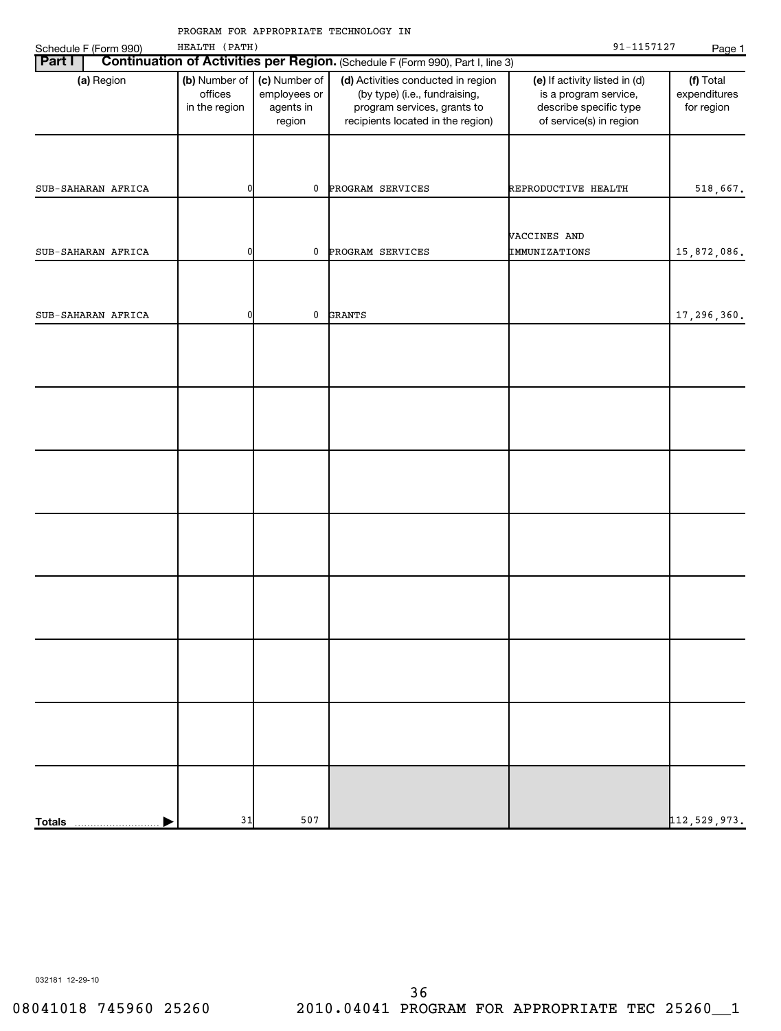|                                 |                                           |                                                      | PROGRAM FOR APPROPRIATE TECHNOLOGY IN                                                                                                   |                                                                                                             |                                         |
|---------------------------------|-------------------------------------------|------------------------------------------------------|-----------------------------------------------------------------------------------------------------------------------------------------|-------------------------------------------------------------------------------------------------------------|-----------------------------------------|
| Schedule F (Form 990)<br>Part I | HEALTH (PATH)                             |                                                      | Continuation of Activities per Region. (Schedule F (Form 990), Part I, line 3)                                                          | 91-1157127                                                                                                  | Page 1                                  |
| (a) Region                      | (b) Number of<br>offices<br>in the region | (c) Number of<br>employees or<br>agents in<br>region | (d) Activities conducted in region<br>(by type) (i.e., fundraising,<br>program services, grants to<br>recipients located in the region) | (e) If activity listed in (d)<br>is a program service,<br>describe specific type<br>of service(s) in region | (f) Total<br>expenditures<br>for region |
| SUB-SAHARAN AFRICA              | 0                                         | 0                                                    | PROGRAM SERVICES                                                                                                                        | REPRODUCTIVE HEALTH                                                                                         | 518,667.                                |
| SUB-SAHARAN AFRICA              | 0                                         | 0                                                    | PROGRAM SERVICES                                                                                                                        | VACCINES AND<br>IMMUNIZATIONS                                                                               | 15,872,086.                             |
| SUB-SAHARAN AFRICA              | 0                                         | 0                                                    | <b>GRANTS</b>                                                                                                                           |                                                                                                             | 17,296,360.                             |
|                                 |                                           |                                                      |                                                                                                                                         |                                                                                                             |                                         |
|                                 |                                           |                                                      |                                                                                                                                         |                                                                                                             |                                         |
|                                 |                                           |                                                      |                                                                                                                                         |                                                                                                             |                                         |
|                                 |                                           |                                                      |                                                                                                                                         |                                                                                                             |                                         |
|                                 |                                           |                                                      |                                                                                                                                         |                                                                                                             |                                         |
|                                 |                                           |                                                      |                                                                                                                                         |                                                                                                             |                                         |
|                                 |                                           |                                                      |                                                                                                                                         |                                                                                                             |                                         |
| <b>Totals</b>                   | 31                                        | 507                                                  |                                                                                                                                         |                                                                                                             | 112,529,973.                            |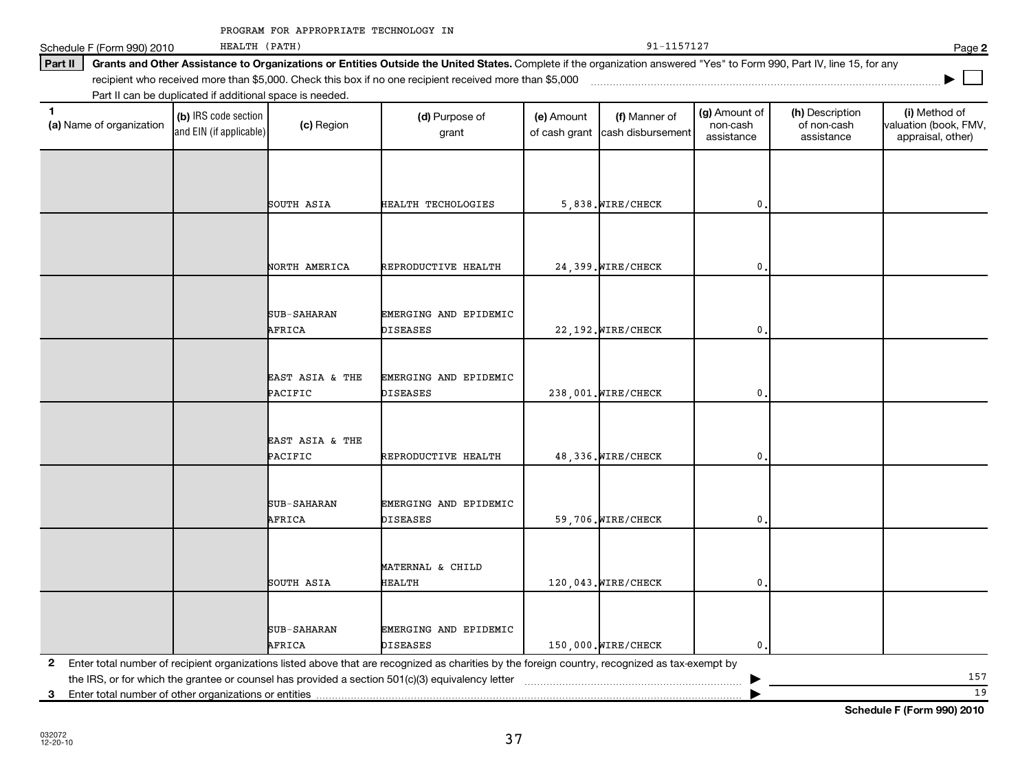| PROGRAM FOR APPROPRIATE TECHNOLOGY IN |  |
|---------------------------------------|--|
|---------------------------------------|--|

Schedule F (Form 990) 2010 Page

# Part II | Grants and Other Assistance to Organizations or Entities Outside the United States. Complete if the organization answered "Yes" to Form 990, Part IV, line 15, for any

recipient who received more than \$5,000. Check this box if no one recipient received more than \$5,000 ~~~~~~~~~~~~~~~~~~~~~~~~~~~~~~~~~~~~~

Part II can be duplicated if additional space is needed.

HEALTH (PATH)

| $\mathbf{1}$<br>(a) Name of organization                   | (b) IRS code section<br>and EIN (if applicable) | (c) Region         | (d) Purpose of<br>grant                                                                                                                                                                                                                                                                                                                                                           | (e) Amount<br>of cash grant | (f) Manner of<br>cash disbursement | (g) Amount of<br>non-cash<br>assistance | (h) Description<br>of non-cash<br>assistance | (i) Method of<br>valuation (book, FMV,<br>appraisal, other) |
|------------------------------------------------------------|-------------------------------------------------|--------------------|-----------------------------------------------------------------------------------------------------------------------------------------------------------------------------------------------------------------------------------------------------------------------------------------------------------------------------------------------------------------------------------|-----------------------------|------------------------------------|-----------------------------------------|----------------------------------------------|-------------------------------------------------------------|
|                                                            |                                                 |                    |                                                                                                                                                                                                                                                                                                                                                                                   |                             |                                    |                                         |                                              |                                                             |
|                                                            |                                                 |                    |                                                                                                                                                                                                                                                                                                                                                                                   |                             |                                    |                                         |                                              |                                                             |
|                                                            |                                                 | SOUTH ASIA         | HEALTH TECHOLOGIES                                                                                                                                                                                                                                                                                                                                                                |                             | 5,838. WIRE/CHECK                  | $\mathbf{0}$                            |                                              |                                                             |
|                                                            |                                                 |                    |                                                                                                                                                                                                                                                                                                                                                                                   |                             |                                    |                                         |                                              |                                                             |
|                                                            |                                                 | NORTH AMERICA      | REPRODUCTIVE HEALTH                                                                                                                                                                                                                                                                                                                                                               |                             | 24,399. WIRE/CHECK                 | 0                                       |                                              |                                                             |
|                                                            |                                                 |                    |                                                                                                                                                                                                                                                                                                                                                                                   |                             |                                    |                                         |                                              |                                                             |
|                                                            |                                                 | <b>SUB-SAHARAN</b> | EMERGING AND EPIDEMIC                                                                                                                                                                                                                                                                                                                                                             |                             |                                    |                                         |                                              |                                                             |
|                                                            |                                                 | AFRICA             | <b>DISEASES</b>                                                                                                                                                                                                                                                                                                                                                                   |                             | 22, 192. WIRE/CHECK                | 0                                       |                                              |                                                             |
|                                                            |                                                 |                    |                                                                                                                                                                                                                                                                                                                                                                                   |                             |                                    |                                         |                                              |                                                             |
|                                                            |                                                 |                    |                                                                                                                                                                                                                                                                                                                                                                                   |                             |                                    |                                         |                                              |                                                             |
|                                                            |                                                 | EAST ASIA & THE    | EMERGING AND EPIDEMIC                                                                                                                                                                                                                                                                                                                                                             |                             |                                    |                                         |                                              |                                                             |
|                                                            |                                                 | PACIFIC            | <b>DISEASES</b>                                                                                                                                                                                                                                                                                                                                                                   |                             | 238,001. WIRE/CHECK                | 0                                       |                                              |                                                             |
|                                                            |                                                 |                    |                                                                                                                                                                                                                                                                                                                                                                                   |                             |                                    |                                         |                                              |                                                             |
|                                                            |                                                 | EAST ASIA & THE    |                                                                                                                                                                                                                                                                                                                                                                                   |                             |                                    |                                         |                                              |                                                             |
|                                                            |                                                 | PACIFIC            | REPRODUCTIVE HEALTH                                                                                                                                                                                                                                                                                                                                                               |                             | 48,336. WIRE/CHECK                 | 0                                       |                                              |                                                             |
|                                                            |                                                 |                    |                                                                                                                                                                                                                                                                                                                                                                                   |                             |                                    |                                         |                                              |                                                             |
|                                                            |                                                 | <b>SUB-SAHARAN</b> | EMERGING AND EPIDEMIC                                                                                                                                                                                                                                                                                                                                                             |                             |                                    |                                         |                                              |                                                             |
|                                                            |                                                 | AFRICA             | <b>DISEASES</b>                                                                                                                                                                                                                                                                                                                                                                   |                             | 59,706. WIRE/CHECK                 | 0                                       |                                              |                                                             |
|                                                            |                                                 |                    |                                                                                                                                                                                                                                                                                                                                                                                   |                             |                                    |                                         |                                              |                                                             |
|                                                            |                                                 |                    |                                                                                                                                                                                                                                                                                                                                                                                   |                             |                                    |                                         |                                              |                                                             |
|                                                            |                                                 | SOUTH ASIA         | MATERNAL & CHILD<br><b>HEALTH</b>                                                                                                                                                                                                                                                                                                                                                 |                             | 120,043. WIRE/CHECK                | 0                                       |                                              |                                                             |
|                                                            |                                                 |                    |                                                                                                                                                                                                                                                                                                                                                                                   |                             |                                    |                                         |                                              |                                                             |
|                                                            |                                                 |                    |                                                                                                                                                                                                                                                                                                                                                                                   |                             |                                    |                                         |                                              |                                                             |
|                                                            |                                                 | SUB-SAHARAN        | EMERGING AND EPIDEMIC                                                                                                                                                                                                                                                                                                                                                             |                             |                                    |                                         |                                              |                                                             |
|                                                            |                                                 | AFRICA             | <b>DISEASES</b>                                                                                                                                                                                                                                                                                                                                                                   |                             | 150,000. WIRE/CHECK                | $\mathbf 0$ .                           |                                              |                                                             |
| $\mathbf{2}$                                               |                                                 |                    | Enter total number of recipient organizations listed above that are recognized as charities by the foreign country, recognized as tax-exempt by<br>the IRS, or for which the grantee or counsel has provided a section 501(c)(3) equivalency letter [1] conter the IRS, or for which the grantee or counsel has provided a section 501(c)(3) equivalency letter [1] conterminatio |                             |                                    |                                         |                                              | 157                                                         |
| Enter total number of other organizations or entities<br>3 |                                                 |                    |                                                                                                                                                                                                                                                                                                                                                                                   |                             |                                    |                                         |                                              | 19                                                          |

**2**

**|**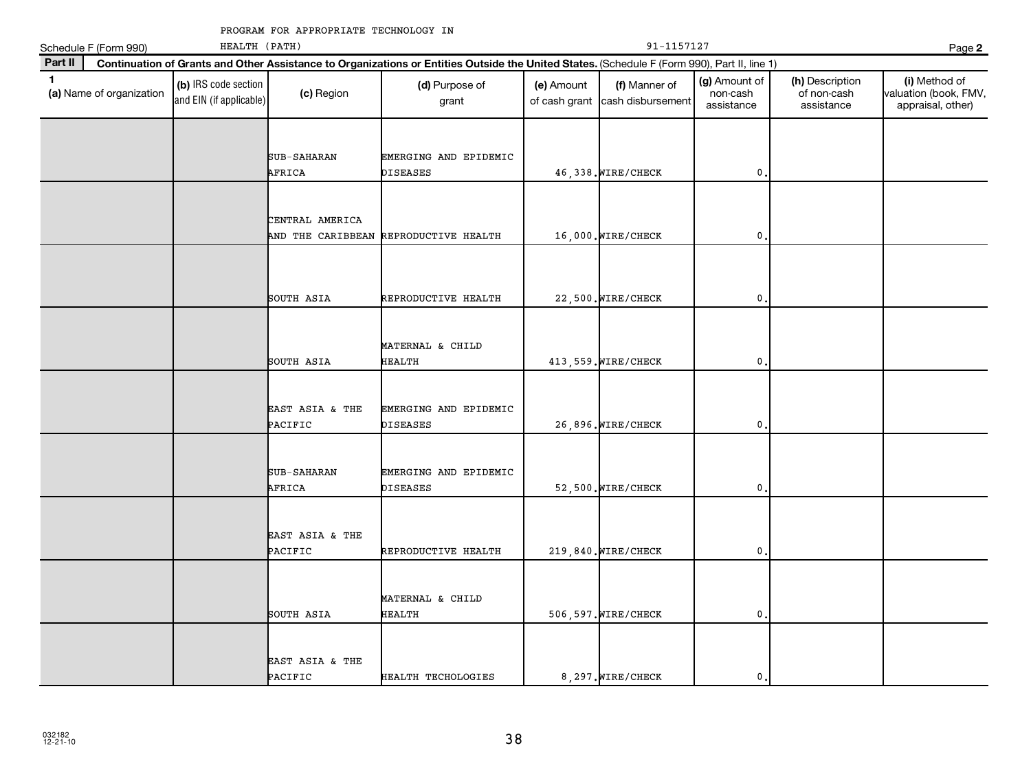|              | Schedule F (Form 990)    | HEALTH (PATH)                                   |                              | 91-1157127<br>Page 2                                                                                                                         |                             |                                    |                                         |                                              |                                                             |  |
|--------------|--------------------------|-------------------------------------------------|------------------------------|----------------------------------------------------------------------------------------------------------------------------------------------|-----------------------------|------------------------------------|-----------------------------------------|----------------------------------------------|-------------------------------------------------------------|--|
| Part II      |                          |                                                 |                              | Continuation of Grants and Other Assistance to Organizations or Entities Outside the United States. (Schedule F (Form 990), Part II, line 1) |                             |                                    |                                         |                                              |                                                             |  |
| $\mathbf{1}$ | (a) Name of organization | (b) IRS code section<br>and EIN (if applicable) | (c) Region                   | (d) Purpose of<br>grant                                                                                                                      | (e) Amount<br>of cash grant | (f) Manner of<br>cash disbursement | (g) Amount of<br>non-cash<br>assistance | (h) Description<br>of non-cash<br>assistance | (i) Method of<br>valuation (book, FMV,<br>appraisal, other) |  |
|              |                          |                                                 |                              |                                                                                                                                              |                             |                                    |                                         |                                              |                                                             |  |
|              |                          |                                                 | <b>SUB-SAHARAN</b><br>AFRICA | EMERGING AND EPIDEMIC<br><b>DISEASES</b>                                                                                                     |                             | 46,338. WIRE/CHECK                 | $\mathbf{0}$                            |                                              |                                                             |  |
|              |                          |                                                 |                              |                                                                                                                                              |                             |                                    |                                         |                                              |                                                             |  |
|              |                          |                                                 | CENTRAL AMERICA              | AND THE CARIBBEAN REPRODUCTIVE HEALTH                                                                                                        |                             | 16,000. WIRE/CHECK                 | $\mathbf 0$                             |                                              |                                                             |  |
|              |                          |                                                 |                              |                                                                                                                                              |                             |                                    |                                         |                                              |                                                             |  |
|              |                          |                                                 | SOUTH ASIA                   | REPRODUCTIVE HEALTH                                                                                                                          |                             | 22,500. WIRE/CHECK                 | 0                                       |                                              |                                                             |  |
|              |                          |                                                 |                              |                                                                                                                                              |                             |                                    |                                         |                                              |                                                             |  |
|              |                          |                                                 | SOUTH ASIA                   | MATERNAL & CHILD<br><b>HEALTH</b>                                                                                                            |                             | 413, 559. WIRE/CHECK               | $\mathbf{0}$                            |                                              |                                                             |  |
|              |                          |                                                 |                              |                                                                                                                                              |                             |                                    |                                         |                                              |                                                             |  |
|              |                          |                                                 | EAST ASIA & THE<br>PACIFIC   | EMERGING AND EPIDEMIC<br><b>DISEASES</b>                                                                                                     |                             | 26,896. WIRE/CHECK                 | 0                                       |                                              |                                                             |  |
|              |                          |                                                 |                              |                                                                                                                                              |                             |                                    |                                         |                                              |                                                             |  |
|              |                          |                                                 | SUB-SAHARAN<br>AFRICA        | EMERGING AND EPIDEMIC<br><b>DISEASES</b>                                                                                                     |                             | 52,500. WIRE/CHECK                 | 0                                       |                                              |                                                             |  |
|              |                          |                                                 |                              |                                                                                                                                              |                             |                                    |                                         |                                              |                                                             |  |
|              |                          |                                                 | EAST ASIA & THE<br>PACIFIC   | REPRODUCTIVE HEALTH                                                                                                                          |                             | 219,840. WIRE/CHECK                | $\mathbf{0}$                            |                                              |                                                             |  |
|              |                          |                                                 |                              |                                                                                                                                              |                             |                                    |                                         |                                              |                                                             |  |
|              |                          |                                                 | SOUTH ASIA                   | MATERNAL & CHILD<br><b>HEALTH</b>                                                                                                            |                             | 506, 597. WIRE/CHECK               | $\mathbf{0}$                            |                                              |                                                             |  |
|              |                          |                                                 |                              |                                                                                                                                              |                             |                                    |                                         |                                              |                                                             |  |
|              |                          |                                                 | EAST ASIA & THE<br>PACIFIC   | HEALTH TECHOLOGIES                                                                                                                           |                             | 8, 297. WIRE/CHECK                 | $\mathbf 0$ .                           |                                              |                                                             |  |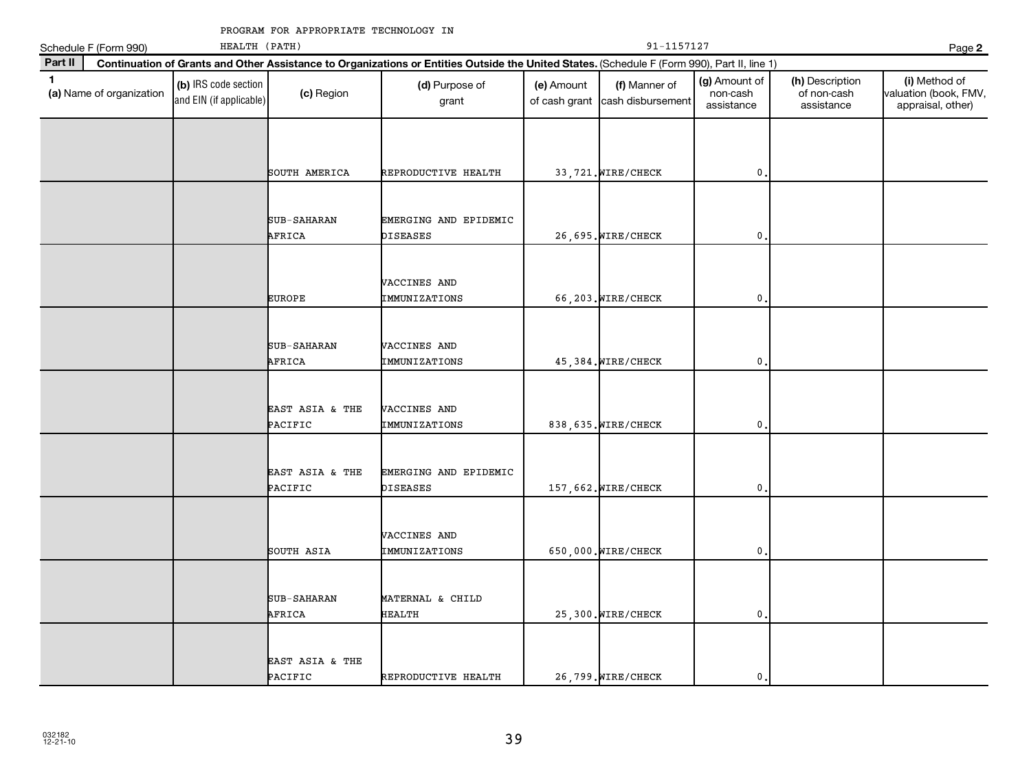|              | Schedule F (Form 990)    | HEALTH (PATH)                                   |                            |                                                                                                                                              |                             | Page 2                             |                                         |                                              |                                                             |
|--------------|--------------------------|-------------------------------------------------|----------------------------|----------------------------------------------------------------------------------------------------------------------------------------------|-----------------------------|------------------------------------|-----------------------------------------|----------------------------------------------|-------------------------------------------------------------|
| Part II      |                          |                                                 |                            | Continuation of Grants and Other Assistance to Organizations or Entities Outside the United States. (Schedule F (Form 990), Part II, line 1) |                             |                                    |                                         |                                              |                                                             |
| $\mathbf{1}$ | (a) Name of organization | (b) IRS code section<br>and EIN (if applicable) | (c) Region                 | (d) Purpose of<br>grant                                                                                                                      | (e) Amount<br>of cash grant | (f) Manner of<br>cash disbursement | (g) Amount of<br>non-cash<br>assistance | (h) Description<br>of non-cash<br>assistance | (i) Method of<br>valuation (book, FMV,<br>appraisal, other) |
|              |                          |                                                 |                            |                                                                                                                                              |                             |                                    |                                         |                                              |                                                             |
|              |                          |                                                 | SOUTH AMERICA              | REPRODUCTIVE HEALTH                                                                                                                          |                             | 33, 721. WIRE/CHECK                | $\mathbf{0}$                            |                                              |                                                             |
|              |                          |                                                 | SUB-SAHARAN<br>AFRICA      | EMERGING AND EPIDEMIC<br>DISEASES                                                                                                            |                             | 26,695. WIRE/CHECK                 | $\mathbf{0}$                            |                                              |                                                             |
|              |                          |                                                 | <b>EUROPE</b>              | VACCINES AND<br>IMMUNIZATIONS                                                                                                                |                             | 66,203. WIRE/CHECK                 | $\mathbf{0}$                            |                                              |                                                             |
|              |                          |                                                 | SUB-SAHARAN<br>AFRICA      | VACCINES AND<br>IMMUNIZATIONS                                                                                                                |                             | 45,384. WIRE/CHECK                 | $\mathbf{0}$                            |                                              |                                                             |
|              |                          |                                                 | EAST ASIA & THE<br>PACIFIC | VACCINES AND<br>IMMUNIZATIONS                                                                                                                |                             | 838, 635. WIRE/CHECK               | $\mathbf{0}$                            |                                              |                                                             |
|              |                          |                                                 | EAST ASIA & THE<br>PACIFIC | EMERGING AND EPIDEMIC<br>DISEASES                                                                                                            |                             | 157,662. WIRE/CHECK                | $\mathbf{0}$                            |                                              |                                                             |
|              |                          |                                                 | SOUTH ASIA                 | VACCINES AND<br>IMMUNIZATIONS                                                                                                                |                             | 650,000. WIRE/CHECK                | $\mathbf{0}$                            |                                              |                                                             |
|              |                          |                                                 | SUB-SAHARAN<br>AFRICA      | MATERNAL & CHILD<br>HEALTH                                                                                                                   |                             | 25,300. WIRE/CHECK                 | $\mathbf{0}$                            |                                              |                                                             |
|              |                          |                                                 | EAST ASIA & THE<br>PACIFIC | REPRODUCTIVE HEALTH                                                                                                                          |                             | 26,799. WIRE/CHECK                 | $\mathbf{0}$                            |                                              |                                                             |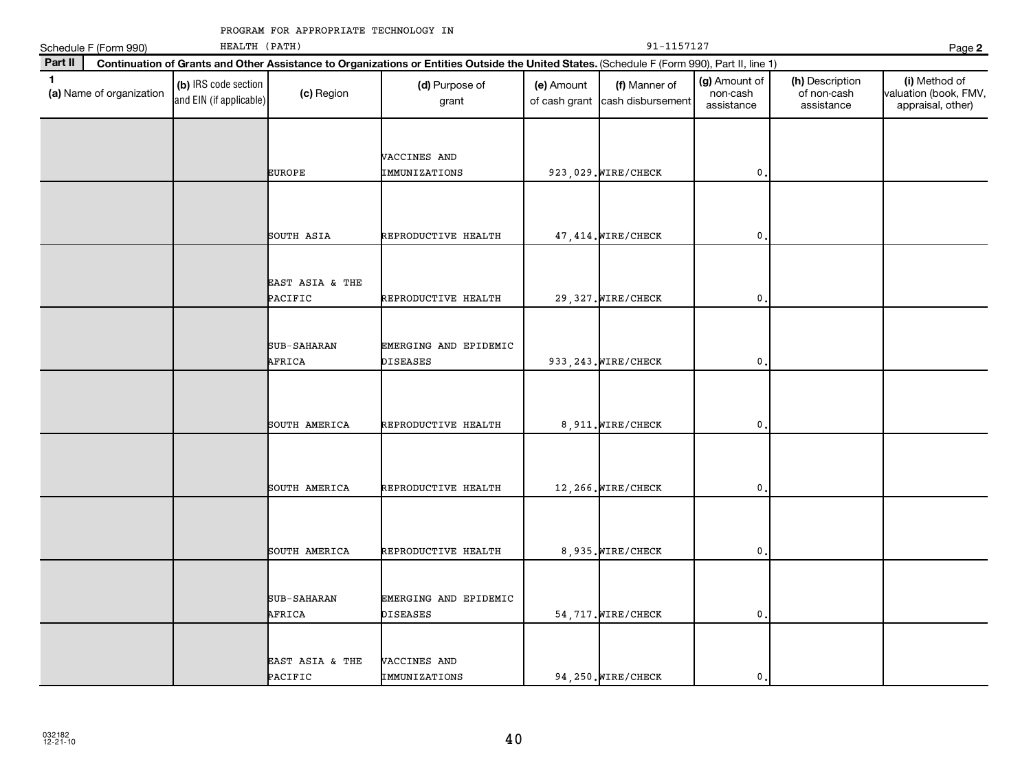|              | Schedule F (Form 990)    | HEALTH (PATH)                                   |                            |                                                                                                                                              |                             | Page 2                             |                                         |                                              |                                                             |
|--------------|--------------------------|-------------------------------------------------|----------------------------|----------------------------------------------------------------------------------------------------------------------------------------------|-----------------------------|------------------------------------|-----------------------------------------|----------------------------------------------|-------------------------------------------------------------|
| Part II      |                          |                                                 |                            | Continuation of Grants and Other Assistance to Organizations or Entities Outside the United States. (Schedule F (Form 990), Part II, line 1) |                             |                                    |                                         |                                              |                                                             |
| $\mathbf{1}$ | (a) Name of organization | (b) IRS code section<br>and EIN (if applicable) | (c) Region                 | (d) Purpose of<br>grant                                                                                                                      | (e) Amount<br>of cash grant | (f) Manner of<br>cash disbursement | (g) Amount of<br>non-cash<br>assistance | (h) Description<br>of non-cash<br>assistance | (i) Method of<br>valuation (book, FMV,<br>appraisal, other) |
|              |                          |                                                 | <b>EUROPE</b>              | VACCINES AND<br>IMMUNIZATIONS                                                                                                                |                             | 923,029. WIRE/CHECK                | 0                                       |                                              |                                                             |
|              |                          |                                                 | SOUTH ASIA                 | REPRODUCTIVE HEALTH                                                                                                                          |                             | 47, 414. WIRE/CHECK                | $\pmb{0}$                               |                                              |                                                             |
|              |                          |                                                 | EAST ASIA & THE<br>PACIFIC | REPRODUCTIVE HEALTH                                                                                                                          |                             | 29, 327. WIRE/CHECK                | $\pmb{0}$                               |                                              |                                                             |
|              |                          |                                                 | SUB-SAHARAN<br>AFRICA      | EMERGING AND EPIDEMIC<br><b>DISEASES</b>                                                                                                     |                             | 933, 243. WIRE/CHECK               | 0                                       |                                              |                                                             |
|              |                          |                                                 | SOUTH AMERICA              | REPRODUCTIVE HEALTH                                                                                                                          |                             | 8, 911. WIRE/CHECK                 | $\mathbf 0$                             |                                              |                                                             |
|              |                          |                                                 | SOUTH AMERICA              | REPRODUCTIVE HEALTH                                                                                                                          |                             | 12,266. WIRE/CHECK                 | 0                                       |                                              |                                                             |
|              |                          |                                                 | SOUTH AMERICA              | REPRODUCTIVE HEALTH                                                                                                                          |                             | 8,935. WIRE/CHECK                  | $\mathbf 0$                             |                                              |                                                             |
|              |                          |                                                 | SUB-SAHARAN<br>AFRICA      | EMERGING AND EPIDEMIC<br><b>DISEASES</b>                                                                                                     |                             | 54, 717. WIRE/CHECK                | 0                                       |                                              |                                                             |
|              |                          |                                                 | EAST ASIA & THE<br>PACIFIC | VACCINES AND<br>IMMUNIZATIONS                                                                                                                |                             | 94,250. WIRE/CHECK                 | 0,                                      |                                              |                                                             |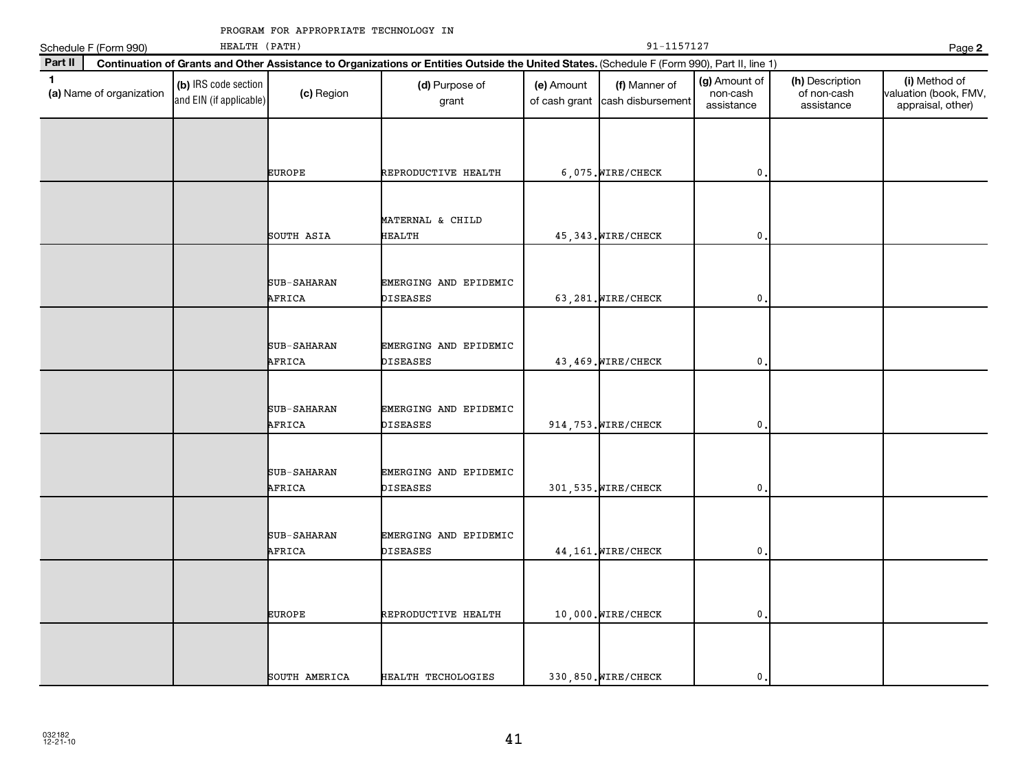|         | Schedule F (Form 990)    | HEALTH (PATH)                                   |                              |                                                                                                                                              | Page 2                      |                                    |                                         |                                              |                                                             |
|---------|--------------------------|-------------------------------------------------|------------------------------|----------------------------------------------------------------------------------------------------------------------------------------------|-----------------------------|------------------------------------|-----------------------------------------|----------------------------------------------|-------------------------------------------------------------|
| Part II |                          |                                                 |                              | Continuation of Grants and Other Assistance to Organizations or Entities Outside the United States. (Schedule F (Form 990), Part II, line 1) |                             |                                    |                                         |                                              |                                                             |
| 1       | (a) Name of organization | (b) IRS code section<br>and EIN (if applicable) | (c) Region                   | (d) Purpose of<br>grant                                                                                                                      | (e) Amount<br>of cash grant | (f) Manner of<br>cash disbursement | (g) Amount of<br>non-cash<br>assistance | (h) Description<br>of non-cash<br>assistance | (i) Method of<br>valuation (book, FMV,<br>appraisal, other) |
|         |                          |                                                 |                              |                                                                                                                                              |                             |                                    |                                         |                                              |                                                             |
|         |                          |                                                 | <b>EUROPE</b>                | REPRODUCTIVE HEALTH                                                                                                                          |                             | 6,075. WIRE/CHECK                  | 0                                       |                                              |                                                             |
|         |                          |                                                 | SOUTH ASIA                   | MATERNAL & CHILD<br>HEALTH                                                                                                                   |                             | 45, 343. WIRE/CHECK                | $\pmb{0}$                               |                                              |                                                             |
|         |                          |                                                 | SUB-SAHARAN<br>AFRICA        | EMERGING AND EPIDEMIC<br>DISEASES                                                                                                            |                             | 63,281. WIRE/CHECK                 | 0                                       |                                              |                                                             |
|         |                          |                                                 |                              |                                                                                                                                              |                             |                                    |                                         |                                              |                                                             |
|         |                          |                                                 | SUB-SAHARAN<br>AFRICA        | EMERGING AND EPIDEMIC<br>DISEASES                                                                                                            |                             | 43, 469. WIRE/CHECK                | 0                                       |                                              |                                                             |
|         |                          |                                                 | SUB-SAHARAN<br>AFRICA        | EMERGING AND EPIDEMIC<br>DISEASES                                                                                                            |                             | 914, 753. WIRE/CHECK               | 0                                       |                                              |                                                             |
|         |                          |                                                 | SUB-SAHARAN<br>AFRICA        | EMERGING AND EPIDEMIC<br>DISEASES                                                                                                            |                             | 301, 535. WIRE/CHECK               | 0                                       |                                              |                                                             |
|         |                          |                                                 | <b>SUB-SAHARAN</b><br>AFRICA | EMERGING AND EPIDEMIC<br><b>DISEASES</b>                                                                                                     |                             | 44, 161. WIRE/CHECK                | 0                                       |                                              |                                                             |
|         |                          |                                                 | <b>EUROPE</b>                | REPRODUCTIVE HEALTH                                                                                                                          |                             | 10,000. WIRE/CHECK                 | $\mathbf 0$                             |                                              |                                                             |
|         |                          |                                                 | SOUTH AMERICA                | HEALTH TECHOLOGIES                                                                                                                           |                             | 330.850. WIRE/CHECK                | $\mathbf 0$ .                           |                                              |                                                             |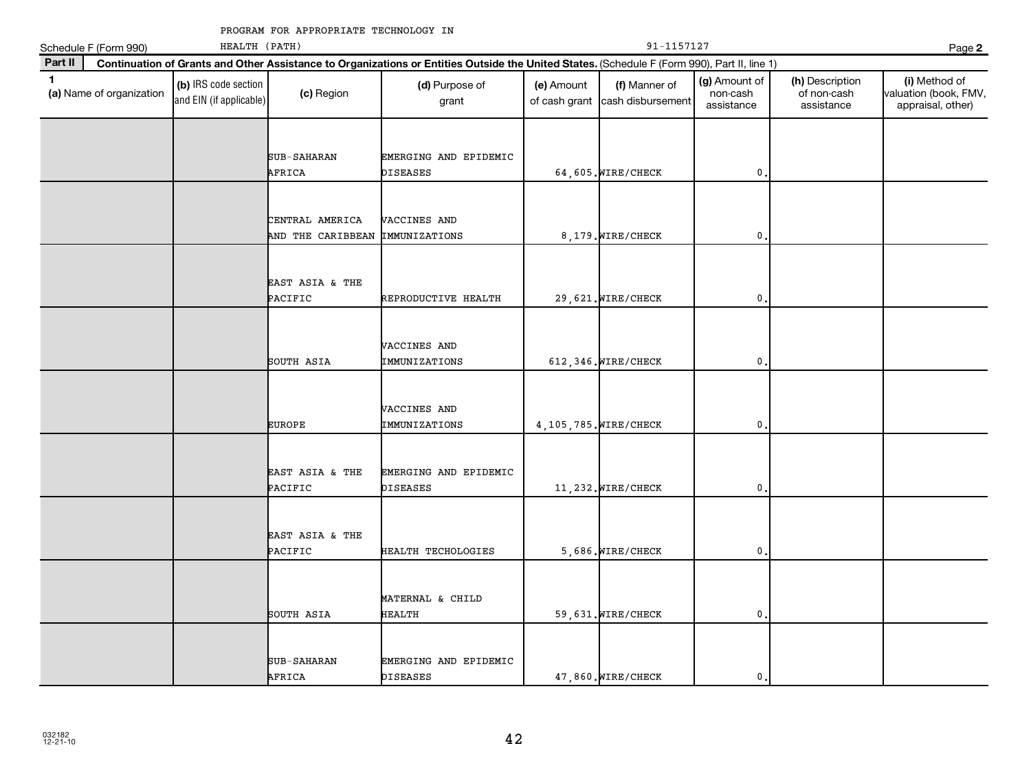|              | Schedule F (Form 990)    | HEALTH (PATH)                                   |                                      |                                                                                                                                              | 91-1157127                  |                                    |                                         |                                              |                                                             |  |
|--------------|--------------------------|-------------------------------------------------|--------------------------------------|----------------------------------------------------------------------------------------------------------------------------------------------|-----------------------------|------------------------------------|-----------------------------------------|----------------------------------------------|-------------------------------------------------------------|--|
| Part II      |                          |                                                 |                                      | Continuation of Grants and Other Assistance to Organizations or Entities Outside the United States. (Schedule F (Form 990), Part II, line 1) |                             |                                    |                                         |                                              | Page 2                                                      |  |
| $\mathbf{1}$ | (a) Name of organization | (b) IRS code section<br>and EIN (if applicable) | (c) Region                           | (d) Purpose of<br>grant                                                                                                                      | (e) Amount<br>of cash grant | (f) Manner of<br>cash disbursement | (g) Amount of<br>non-cash<br>assistance | (h) Description<br>of non-cash<br>assistance | (i) Method of<br>valuation (book, FMV,<br>appraisal, other) |  |
|              |                          |                                                 |                                      |                                                                                                                                              |                             |                                    |                                         |                                              |                                                             |  |
|              |                          |                                                 | SUB-SAHARAN<br>AFRICA                | EMERGING AND EPIDEMIC<br><b>DISEASES</b>                                                                                                     |                             | 64,605. WIRE/CHECK                 | 0                                       |                                              |                                                             |  |
|              |                          |                                                 |                                      |                                                                                                                                              |                             |                                    |                                         |                                              |                                                             |  |
|              |                          |                                                 | CENTRAL AMERICA<br>AND THE CARIBBEAN | VACCINES AND<br><b>IMMUNIZATIONS</b>                                                                                                         |                             | 8,179. WIRE/CHECK                  | $\mathbf 0$                             |                                              |                                                             |  |
|              |                          |                                                 |                                      |                                                                                                                                              |                             |                                    |                                         |                                              |                                                             |  |
|              |                          |                                                 | EAST ASIA & THE<br>PACIFIC           | REPRODUCTIVE HEALTH                                                                                                                          |                             | 29,621. WIRE/CHECK                 | $\pmb{0}$                               |                                              |                                                             |  |
|              |                          |                                                 |                                      |                                                                                                                                              |                             |                                    |                                         |                                              |                                                             |  |
|              |                          |                                                 | SOUTH ASIA                           | VACCINES AND<br>IMMUNIZATIONS                                                                                                                |                             | 612, 346. WIRE/CHECK               | 0                                       |                                              |                                                             |  |
|              |                          |                                                 |                                      |                                                                                                                                              |                             |                                    |                                         |                                              |                                                             |  |
|              |                          |                                                 | <b>EUROPE</b>                        | VACCINES AND<br>IMMUNIZATIONS                                                                                                                |                             | 4, 105, 785. WIRE/CHECK            | 0                                       |                                              |                                                             |  |
|              |                          |                                                 |                                      |                                                                                                                                              |                             |                                    |                                         |                                              |                                                             |  |
|              |                          |                                                 | EAST ASIA & THE<br>PACIFIC           | EMERGING AND EPIDEMIC<br><b>DISEASES</b>                                                                                                     |                             | 11,232. WIRE/CHECK                 | 0                                       |                                              |                                                             |  |
|              |                          |                                                 |                                      |                                                                                                                                              |                             |                                    |                                         |                                              |                                                             |  |
|              |                          |                                                 | EAST ASIA & THE<br>PACIFIC           | HEALTH TECHOLOGIES                                                                                                                           |                             | 5,686. WIRE/CHECK                  | $\mathbf{0}$                            |                                              |                                                             |  |
|              |                          |                                                 |                                      |                                                                                                                                              |                             |                                    |                                         |                                              |                                                             |  |
|              |                          |                                                 | SOUTH ASIA                           | MATERNAL & CHILD<br><b>HEALTH</b>                                                                                                            |                             | 59,631. WIRE/CHECK                 | 0                                       |                                              |                                                             |  |
|              |                          |                                                 |                                      |                                                                                                                                              |                             |                                    |                                         |                                              |                                                             |  |
|              |                          |                                                 | SUB-SAHARAN<br>AFRICA                | EMERGING AND EPIDEMIC<br><b>DISEASES</b>                                                                                                     |                             | 47,860. WIRE/CHECK                 | $\mathbf 0$                             |                                              |                                                             |  |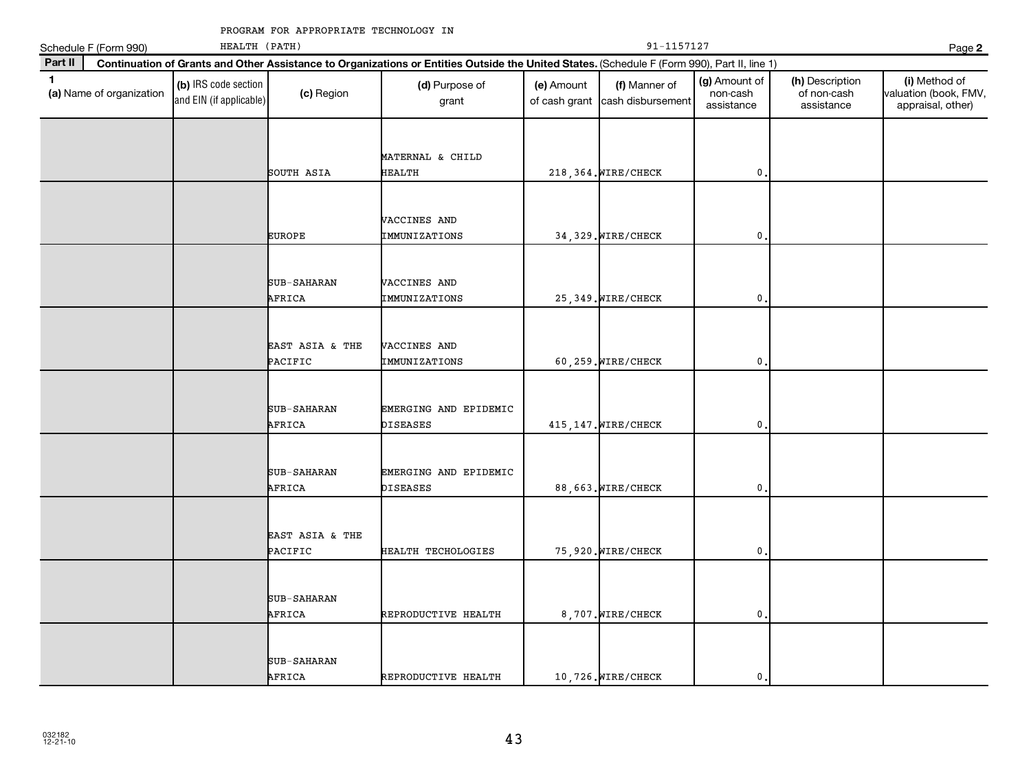|              | Schedule F (Form 990)    | HEALTH (PATH)                                   |                            |                                                                                                                                              |                             |                                    | Page 2                                  |                                              |                                                             |
|--------------|--------------------------|-------------------------------------------------|----------------------------|----------------------------------------------------------------------------------------------------------------------------------------------|-----------------------------|------------------------------------|-----------------------------------------|----------------------------------------------|-------------------------------------------------------------|
| Part II      |                          |                                                 |                            | Continuation of Grants and Other Assistance to Organizations or Entities Outside the United States. (Schedule F (Form 990), Part II, line 1) |                             |                                    |                                         |                                              |                                                             |
| $\mathbf{1}$ | (a) Name of organization | (b) IRS code section<br>and EIN (if applicable) | (c) Region                 | (d) Purpose of<br>grant                                                                                                                      | (e) Amount<br>of cash grant | (f) Manner of<br>cash disbursement | (g) Amount of<br>non-cash<br>assistance | (h) Description<br>of non-cash<br>assistance | (i) Method of<br>valuation (book, FMV,<br>appraisal, other) |
|              |                          |                                                 | SOUTH ASIA                 | MATERNAL & CHILD<br><b>HEALTH</b>                                                                                                            |                             | 218, 364. WIRE/CHECK               | 0                                       |                                              |                                                             |
|              |                          |                                                 | <b>EUROPE</b>              | VACCINES AND<br>IMMUNIZATIONS                                                                                                                |                             | 34, 329. WIRE/CHECK                | $\mathbf 0$                             |                                              |                                                             |
|              |                          |                                                 | SUB-SAHARAN<br>AFRICA      | VACCINES AND<br>IMMUNIZATIONS                                                                                                                |                             | 25, 349. WIRE/CHECK                | 0                                       |                                              |                                                             |
|              |                          |                                                 | EAST ASIA & THE<br>PACIFIC | VACCINES AND<br>IMMUNIZATIONS                                                                                                                |                             | 60,259. WIRE/CHECK                 | 0                                       |                                              |                                                             |
|              |                          |                                                 | SUB-SAHARAN<br>AFRICA      | EMERGING AND EPIDEMIC<br><b>DISEASES</b>                                                                                                     |                             | 415, 147. WIRE/CHECK               | 0                                       |                                              |                                                             |
|              |                          |                                                 | SUB-SAHARAN<br>AFRICA      | EMERGING AND EPIDEMIC<br><b>DISEASES</b>                                                                                                     |                             | 88,663. WIRE/CHECK                 | 0                                       |                                              |                                                             |
|              |                          |                                                 | EAST ASIA & THE<br>PACIFIC | HEALTH TECHOLOGIES                                                                                                                           |                             | 75,920. WIRE/CHECK                 | 0                                       |                                              |                                                             |
|              |                          |                                                 | SUB-SAHARAN<br>AFRICA      | REPRODUCTIVE HEALTH                                                                                                                          |                             | 8,707. WIRE/CHECK                  | $\mathbf 0$                             |                                              |                                                             |
|              |                          |                                                 | SUB-SAHARAN<br>AFRICA      | REPRODUCTIVE HEALTH                                                                                                                          |                             | 10,726. WIRE/CHECK                 | $\mathbf 0$                             |                                              |                                                             |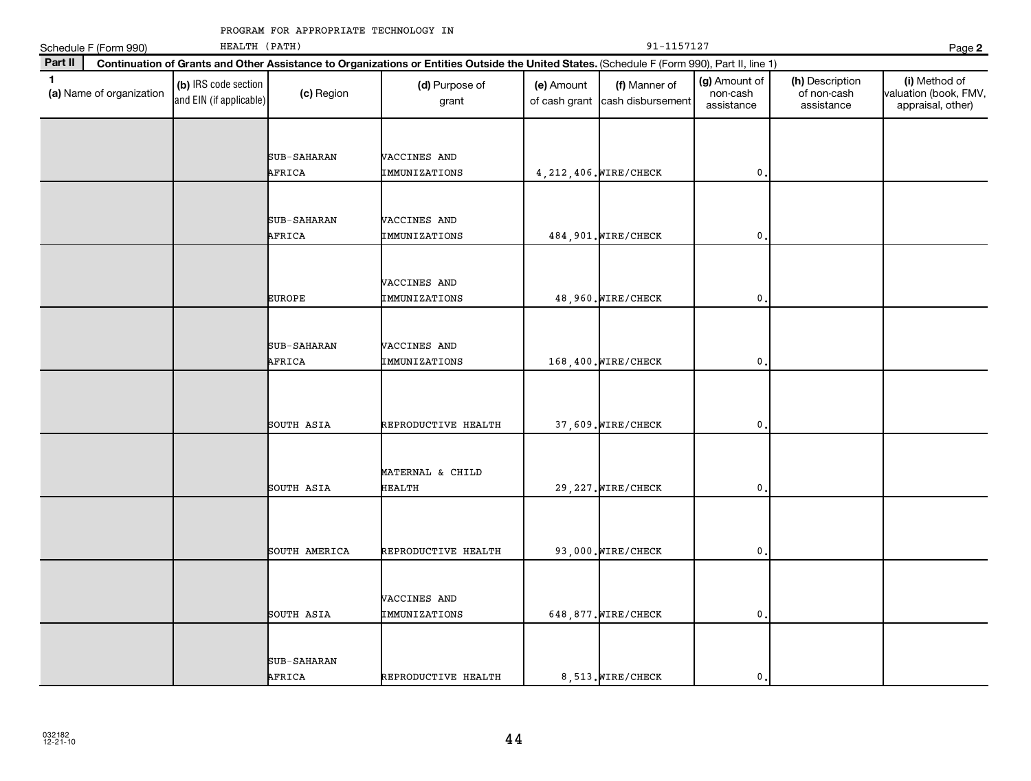|              | Schedule F (Form 990)    | HEALTH (PATH)                                   |                              |                                                                                                                                              | 91-1157127                  |                                    |                                         |                                              |                                                             |
|--------------|--------------------------|-------------------------------------------------|------------------------------|----------------------------------------------------------------------------------------------------------------------------------------------|-----------------------------|------------------------------------|-----------------------------------------|----------------------------------------------|-------------------------------------------------------------|
| Part II      |                          |                                                 |                              | Continuation of Grants and Other Assistance to Organizations or Entities Outside the United States. (Schedule F (Form 990), Part II, line 1) |                             |                                    |                                         |                                              | Page 2                                                      |
| $\mathbf{1}$ | (a) Name of organization | (b) IRS code section<br>and EIN (if applicable) | (c) Region                   | (d) Purpose of<br>grant                                                                                                                      | (e) Amount<br>of cash grant | (f) Manner of<br>cash disbursement | (g) Amount of<br>non-cash<br>assistance | (h) Description<br>of non-cash<br>assistance | (i) Method of<br>valuation (book, FMV,<br>appraisal, other) |
|              |                          |                                                 | SUB-SAHARAN<br>AFRICA        | VACCINES AND<br>IMMUNIZATIONS                                                                                                                |                             | 4, 212, 406. WIRE/CHECK            | $\mathbf{0}$                            |                                              |                                                             |
|              |                          |                                                 | SUB-SAHARAN<br>AFRICA        | VACCINES AND<br>IMMUNIZATIONS                                                                                                                |                             | 484, 901. WIRE/CHECK               | $\mathbf{0}$                            |                                              |                                                             |
|              |                          |                                                 | <b>EUROPE</b>                | VACCINES AND<br>IMMUNIZATIONS                                                                                                                |                             | 48,960. WIRE/CHECK                 | $\mathbf{0}$                            |                                              |                                                             |
|              |                          |                                                 | <b>SUB-SAHARAN</b><br>AFRICA | VACCINES AND<br>IMMUNIZATIONS                                                                                                                |                             | 168,400. WIRE/CHECK                | $\mathbf{0}$                            |                                              |                                                             |
|              |                          |                                                 | SOUTH ASIA                   | REPRODUCTIVE HEALTH                                                                                                                          |                             | 37,609. WIRE/CHECK                 | $\mathbf{0}$                            |                                              |                                                             |
|              |                          |                                                 | SOUTH ASIA                   | MATERNAL & CHILD<br>HEALTH                                                                                                                   |                             | 29, 227. WIRE/CHECK                | 0                                       |                                              |                                                             |
|              |                          |                                                 | SOUTH AMERICA                | REPRODUCTIVE HEALTH                                                                                                                          |                             | 93,000. WIRE/CHECK                 | $\mathbf{0}$                            |                                              |                                                             |
|              |                          |                                                 | SOUTH ASIA                   | VACCINES AND<br>IMMUNIZATIONS                                                                                                                |                             | 648, 877. WIRE/CHECK               | $\mathbf{0}$                            |                                              |                                                             |
|              |                          |                                                 | SUB-SAHARAN<br>AFRICA        | REPRODUCTIVE HEALTH                                                                                                                          |                             | 8,513. WIRE/CHECK                  | $\mathbf{0}$                            |                                              |                                                             |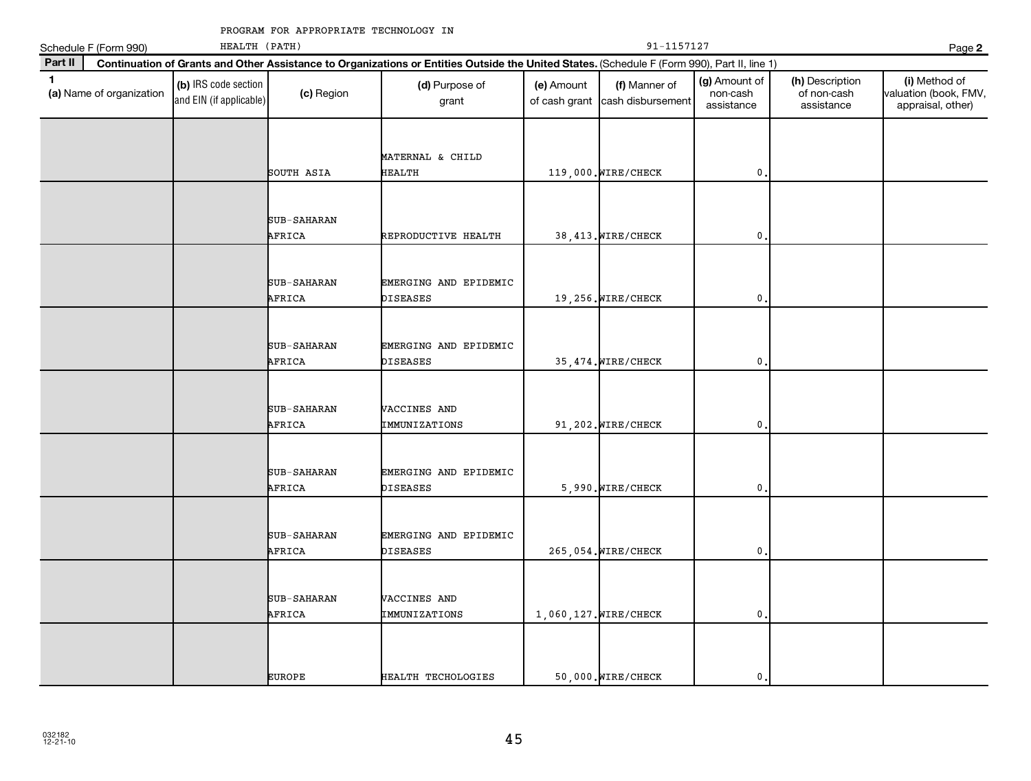|              | Schedule F (Form 990)    | HEALTH (PATH)                                   |                              |                                                                                                                                              |                             | Page 2                             |                                         |                                              |                                                             |
|--------------|--------------------------|-------------------------------------------------|------------------------------|----------------------------------------------------------------------------------------------------------------------------------------------|-----------------------------|------------------------------------|-----------------------------------------|----------------------------------------------|-------------------------------------------------------------|
| Part II      |                          |                                                 |                              | Continuation of Grants and Other Assistance to Organizations or Entities Outside the United States. (Schedule F (Form 990), Part II, line 1) |                             |                                    |                                         |                                              |                                                             |
| $\mathbf{1}$ | (a) Name of organization | (b) IRS code section<br>and EIN (if applicable) | (c) Region                   | (d) Purpose of<br>grant                                                                                                                      | (e) Amount<br>of cash grant | (f) Manner of<br>cash disbursement | (g) Amount of<br>non-cash<br>assistance | (h) Description<br>of non-cash<br>assistance | (i) Method of<br>valuation (book, FMV,<br>appraisal, other) |
|              |                          |                                                 | SOUTH ASIA                   | MATERNAL & CHILD<br>HEALTH                                                                                                                   |                             | 119,000. WIRE/CHECK                | 0                                       |                                              |                                                             |
|              |                          |                                                 | SUB-SAHARAN<br>AFRICA        | REPRODUCTIVE HEALTH                                                                                                                          |                             | 38, 413. WIRE/CHECK                | $\mathbf 0$                             |                                              |                                                             |
|              |                          |                                                 | SUB-SAHARAN<br>AFRICA        | EMERGING AND EPIDEMIC<br>DISEASES                                                                                                            |                             | 19,256. WIRE/CHECK                 | 0                                       |                                              |                                                             |
|              |                          |                                                 | SUB-SAHARAN<br>AFRICA        | EMERGING AND EPIDEMIC<br>DISEASES                                                                                                            |                             | 35, 474. WIRE/CHECK                | 0                                       |                                              |                                                             |
|              |                          |                                                 | SUB-SAHARAN<br>AFRICA        | VACCINES AND<br>IMMUNIZATIONS                                                                                                                |                             | 91,202. WIRE/CHECK                 | $\pmb{0}$                               |                                              |                                                             |
|              |                          |                                                 | <b>SUB-SAHARAN</b><br>AFRICA | EMERGING AND EPIDEMIC<br>DISEASES                                                                                                            |                             | 5,990. WIRE/CHECK                  | $\pmb{0}$                               |                                              |                                                             |
|              |                          |                                                 | SUB-SAHARAN<br>AFRICA        | EMERGING AND EPIDEMIC<br>DISEASES                                                                                                            |                             | 265,054. WIRE/CHECK                | 0                                       |                                              |                                                             |
|              |                          |                                                 | SUB-SAHARAN<br>AFRICA        | VACCINES AND<br>IMMUNIZATIONS                                                                                                                |                             | 1,060,127. WIRE/CHECK              | $\mathbf 0$                             |                                              |                                                             |
|              |                          |                                                 | <b>EUROPE</b>                | HEALTH TECHOLOGIES                                                                                                                           |                             | 50,000. WIRE/CHECK                 | $\mathbf{0}$ .                          |                                              |                                                             |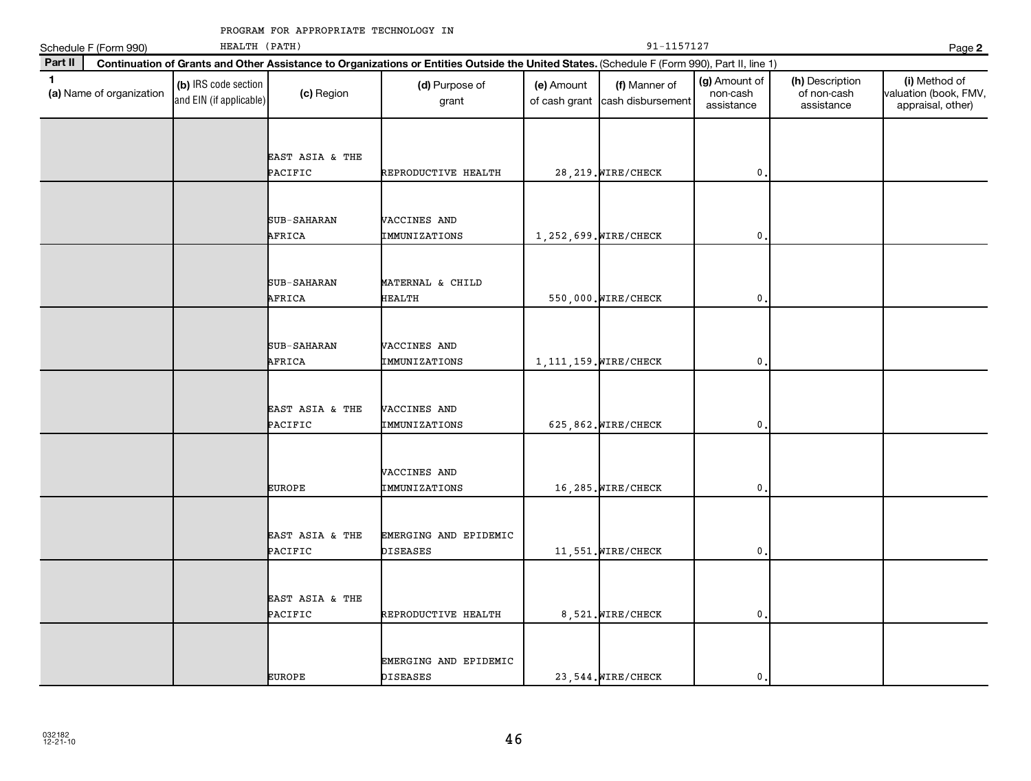|              | Schedule F (Form 990)    | HEALTH (PATH)                                   |                            |                                                                                                                                              |                             | Page 2                             |                                         |                                              |                                                             |
|--------------|--------------------------|-------------------------------------------------|----------------------------|----------------------------------------------------------------------------------------------------------------------------------------------|-----------------------------|------------------------------------|-----------------------------------------|----------------------------------------------|-------------------------------------------------------------|
| Part II      |                          |                                                 |                            | Continuation of Grants and Other Assistance to Organizations or Entities Outside the United States. (Schedule F (Form 990), Part II, line 1) |                             |                                    |                                         |                                              |                                                             |
| $\mathbf{1}$ | (a) Name of organization | (b) IRS code section<br>and EIN (if applicable) | (c) Region                 | (d) Purpose of<br>grant                                                                                                                      | (e) Amount<br>of cash grant | (f) Manner of<br>cash disbursement | (g) Amount of<br>non-cash<br>assistance | (h) Description<br>of non-cash<br>assistance | (i) Method of<br>valuation (book, FMV,<br>appraisal, other) |
|              |                          |                                                 | EAST ASIA & THE<br>PACIFIC | REPRODUCTIVE HEALTH                                                                                                                          |                             | 28, 219. WIRE/CHECK                | $\mathbf{0}$                            |                                              |                                                             |
|              |                          |                                                 | SUB-SAHARAN<br>AFRICA      | VACCINES AND<br>IMMUNIZATIONS                                                                                                                |                             | 1, 252, 699. WIRE/CHECK            | $\mathbf{0}$                            |                                              |                                                             |
|              |                          |                                                 | SUB-SAHARAN<br>AFRICA      | MATERNAL & CHILD<br>HEALTH                                                                                                                   |                             | 550,000. WIRE/CHECK                | $\mathsf{O}\,$ .                        |                                              |                                                             |
|              |                          |                                                 | SUB-SAHARAN<br>AFRICA      | VACCINES AND<br>IMMUNIZATIONS                                                                                                                |                             | 1, 111, 159. WIRE/CHECK            | $\mathbf{0}$                            |                                              |                                                             |
|              |                          |                                                 | EAST ASIA & THE<br>PACIFIC | <b>VACCINES AND</b><br>IMMUNIZATIONS                                                                                                         |                             | 625,862. WIRE/CHECK                | $\mathbf{0}$                            |                                              |                                                             |
|              |                          |                                                 | <b>EUROPE</b>              | VACCINES AND<br>IMMUNIZATIONS                                                                                                                |                             | 16,285. WIRE/CHECK                 | 0                                       |                                              |                                                             |
|              |                          |                                                 | EAST ASIA & THE<br>PACIFIC | EMERGING AND EPIDEMIC<br><b>DISEASES</b>                                                                                                     |                             | 11,551. WIRE/CHECK                 | $\mathbf{0}$                            |                                              |                                                             |
|              |                          |                                                 | EAST ASIA & THE<br>PACIFIC | REPRODUCTIVE HEALTH                                                                                                                          |                             | 8,521. WIRE/CHECK                  | $\mathbf{0}$ .                          |                                              |                                                             |
|              |                          |                                                 | <b>EUROPE</b>              | EMERGING AND EPIDEMIC<br><b>DISEASES</b>                                                                                                     |                             | 23.544. WIRE/CHECK                 | $\mathbf 0$ .                           |                                              |                                                             |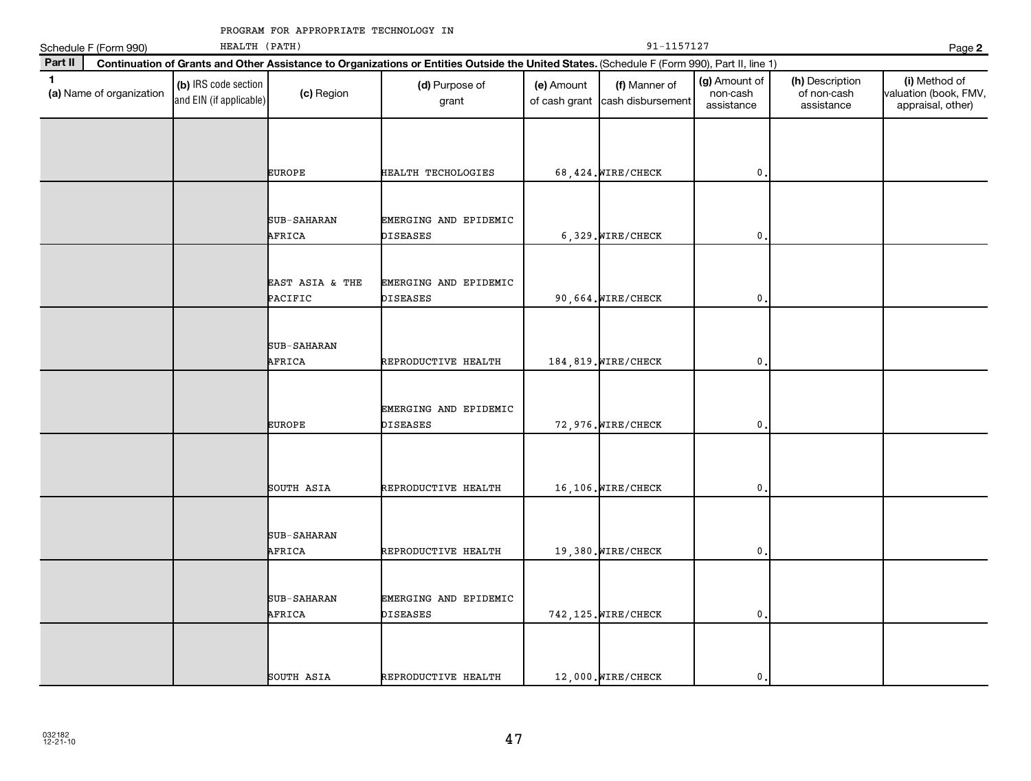|              | Schedule F (Form 990)    | HEALTH (PATH)                                   |                            |                                                                                                                                              | 91-1157127                  |                                    |                                         |                                              |                                                             |  |  |
|--------------|--------------------------|-------------------------------------------------|----------------------------|----------------------------------------------------------------------------------------------------------------------------------------------|-----------------------------|------------------------------------|-----------------------------------------|----------------------------------------------|-------------------------------------------------------------|--|--|
| Part II      |                          |                                                 |                            | Continuation of Grants and Other Assistance to Organizations or Entities Outside the United States. (Schedule F (Form 990), Part II, line 1) |                             |                                    |                                         |                                              |                                                             |  |  |
| $\mathbf{1}$ | (a) Name of organization | (b) IRS code section<br>and EIN (if applicable) | (c) Region                 | (d) Purpose of<br>grant                                                                                                                      | (e) Amount<br>of cash grant | (f) Manner of<br>cash disbursement | (g) Amount of<br>non-cash<br>assistance | (h) Description<br>of non-cash<br>assistance | (i) Method of<br>valuation (book, FMV,<br>appraisal, other) |  |  |
|              |                          |                                                 |                            |                                                                                                                                              |                             |                                    |                                         |                                              |                                                             |  |  |
|              |                          |                                                 | <b>EUROPE</b>              | HEALTH TECHOLOGIES                                                                                                                           |                             | 68,424. WIRE/CHECK                 | 0                                       |                                              |                                                             |  |  |
|              |                          |                                                 | SUB-SAHARAN<br>AFRICA      | EMERGING AND EPIDEMIC<br><b>DISEASES</b>                                                                                                     |                             | 6,329. WIRE/CHECK                  | $\mathbf 0$                             |                                              |                                                             |  |  |
|              |                          |                                                 | EAST ASIA & THE<br>PACIFIC | EMERGING AND EPIDEMIC<br><b>DISEASES</b>                                                                                                     |                             | 90,664. WIRE/CHECK                 | $\mathbf 0$                             |                                              |                                                             |  |  |
|              |                          |                                                 | SUB-SAHARAN<br>AFRICA      | REPRODUCTIVE HEALTH                                                                                                                          |                             | 184,819. WIRE/CHECK                | 0                                       |                                              |                                                             |  |  |
|              |                          |                                                 | <b>EUROPE</b>              | EMERGING AND EPIDEMIC<br><b>DISEASES</b>                                                                                                     |                             | 72,976. WIRE/CHECK                 | $\mathbf 0$                             |                                              |                                                             |  |  |
|              |                          |                                                 | SOUTH ASIA                 | REPRODUCTIVE HEALTH                                                                                                                          |                             | 16,106. WIRE/CHECK                 | 0                                       |                                              |                                                             |  |  |
|              |                          |                                                 | SUB-SAHARAN<br>AFRICA      | REPRODUCTIVE HEALTH                                                                                                                          |                             | 19,380. WIRE/CHECK                 | 0                                       |                                              |                                                             |  |  |
|              |                          |                                                 | SUB-SAHARAN<br>AFRICA      | EMERGING AND EPIDEMIC<br><b>DISEASES</b>                                                                                                     |                             | 742, 125. WIRE/CHECK               | $\mathbf{0}$                            |                                              |                                                             |  |  |
|              |                          |                                                 | SOUTH ASIA                 | REPRODUCTIVE HEALTH                                                                                                                          |                             | 12,000. WIRE/CHECK                 | $\mathbf{0}$                            |                                              |                                                             |  |  |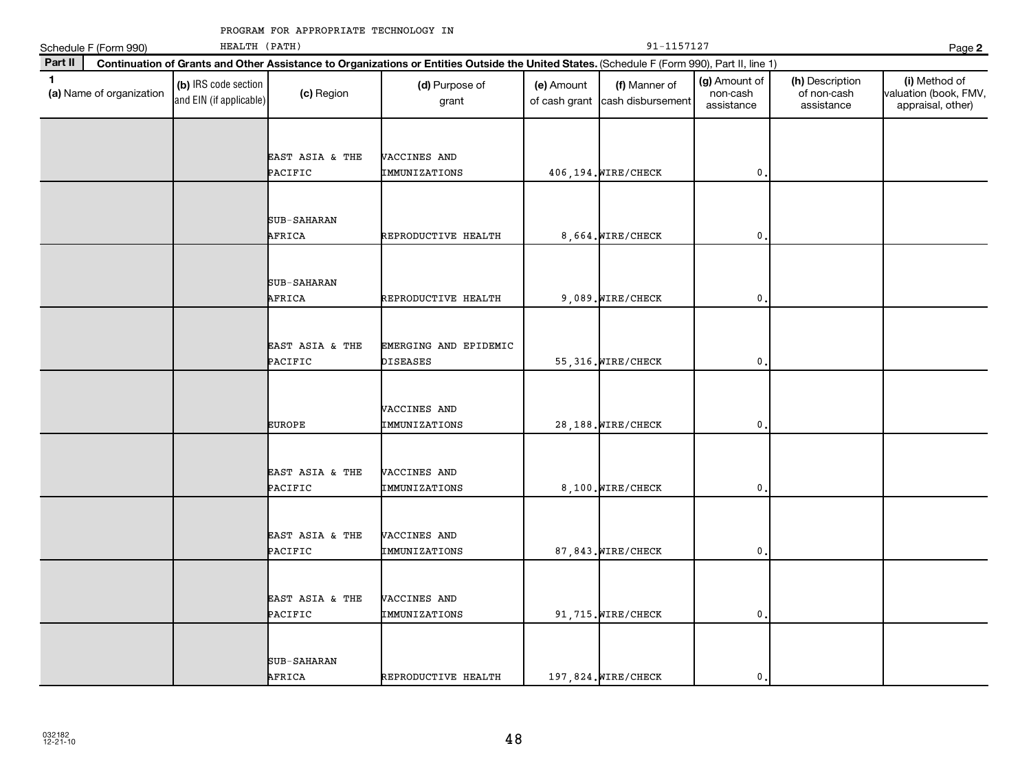|              | Schedule F (Form 990)    | HEALTH (PATH)                                   |                            |                                                                                                                                              |                             | 91-1157127                         |                                         |                                              | Page 2                                                      |
|--------------|--------------------------|-------------------------------------------------|----------------------------|----------------------------------------------------------------------------------------------------------------------------------------------|-----------------------------|------------------------------------|-----------------------------------------|----------------------------------------------|-------------------------------------------------------------|
| Part II      |                          |                                                 |                            | Continuation of Grants and Other Assistance to Organizations or Entities Outside the United States. (Schedule F (Form 990), Part II, line 1) |                             |                                    |                                         |                                              |                                                             |
| $\mathbf{1}$ | (a) Name of organization | (b) IRS code section<br>and EIN (if applicable) | (c) Region                 | (d) Purpose of<br>grant                                                                                                                      | (e) Amount<br>of cash grant | (f) Manner of<br>cash disbursement | (g) Amount of<br>non-cash<br>assistance | (h) Description<br>of non-cash<br>assistance | (i) Method of<br>valuation (book, FMV,<br>appraisal, other) |
|              |                          |                                                 | EAST ASIA & THE<br>PACIFIC | VACCINES AND<br>IMMUNIZATIONS                                                                                                                |                             | 406, 194. WIRE/CHECK               | 0                                       |                                              |                                                             |
|              |                          |                                                 | SUB-SAHARAN<br>AFRICA      | REPRODUCTIVE HEALTH                                                                                                                          |                             | 8,664. WIRE/CHECK                  | $\mathbf 0$                             |                                              |                                                             |
|              |                          |                                                 | SUB-SAHARAN<br>AFRICA      | REPRODUCTIVE HEALTH                                                                                                                          |                             | 9,089. WIRE/CHECK                  | $\mathbf 0$                             |                                              |                                                             |
|              |                          |                                                 | EAST ASIA & THE<br>PACIFIC | EMERGING AND EPIDEMIC<br><b>DISEASES</b>                                                                                                     |                             | 55, 316. WIRE/CHECK                | 0                                       |                                              |                                                             |
|              |                          |                                                 | <b>EUROPE</b>              | VACCINES AND<br>IMMUNIZATIONS                                                                                                                |                             | 28,188. WIRE/CHECK                 | 0                                       |                                              |                                                             |
|              |                          |                                                 | EAST ASIA & THE<br>PACIFIC | VACCINES AND<br>IMMUNIZATIONS                                                                                                                |                             | 8,100. WIRE/CHECK                  | 0                                       |                                              |                                                             |
|              |                          |                                                 | EAST ASIA & THE<br>PACIFIC | VACCINES AND<br>IMMUNIZATIONS                                                                                                                |                             | 87,843. WIRE/CHECK                 | $\mathbf{0}$                            |                                              |                                                             |
|              |                          |                                                 | EAST ASIA & THE<br>PACIFIC | VACCINES AND<br>IMMUNIZATIONS                                                                                                                |                             | 91,715. WIRE/CHECK                 | 0                                       |                                              |                                                             |
|              |                          |                                                 | SUB-SAHARAN<br>AFRICA      | REPRODUCTIVE HEALTH                                                                                                                          |                             | 197,824. WIRE/CHECK                | $\mathbf 0$                             |                                              |                                                             |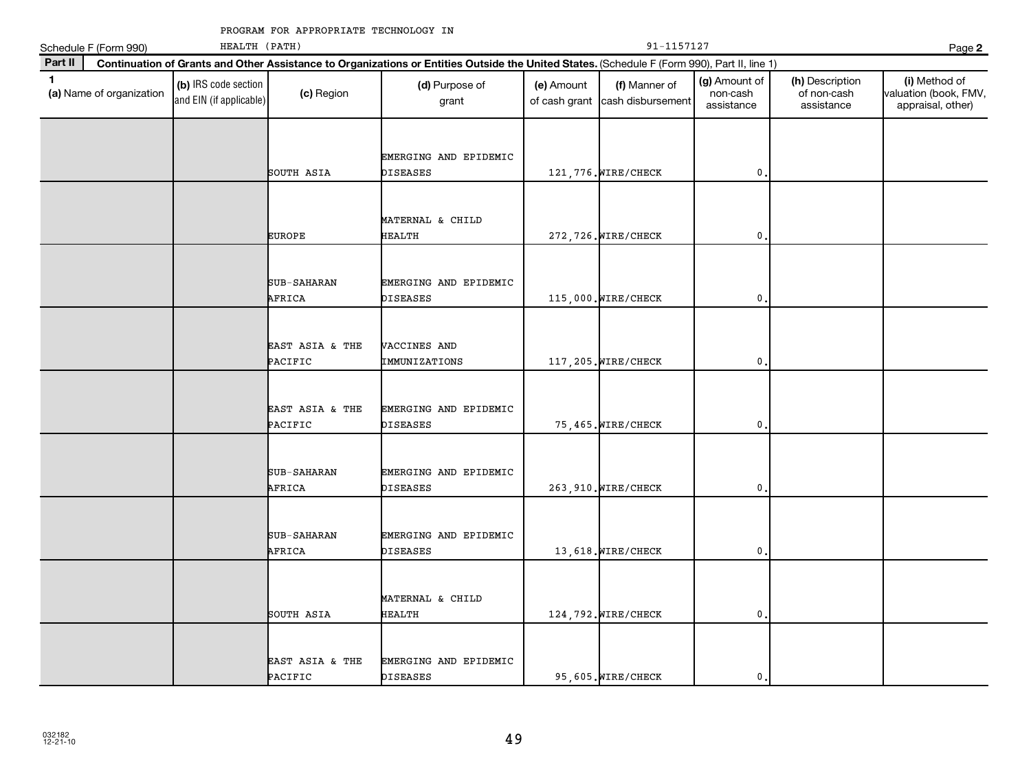|              | Schedule F (Form 990)    | HEALTH (PATH)                                   |                              |                                                                                                                                              |                             | 91-1157127                         |                                         |                                              | Page 2                                                      |
|--------------|--------------------------|-------------------------------------------------|------------------------------|----------------------------------------------------------------------------------------------------------------------------------------------|-----------------------------|------------------------------------|-----------------------------------------|----------------------------------------------|-------------------------------------------------------------|
| Part II      |                          |                                                 |                              | Continuation of Grants and Other Assistance to Organizations or Entities Outside the United States. (Schedule F (Form 990), Part II, line 1) |                             |                                    |                                         |                                              |                                                             |
| $\mathbf{1}$ | (a) Name of organization | (b) IRS code section<br>and EIN (if applicable) | (c) Region                   | (d) Purpose of<br>grant                                                                                                                      | (e) Amount<br>of cash grant | (f) Manner of<br>cash disbursement | (g) Amount of<br>non-cash<br>assistance | (h) Description<br>of non-cash<br>assistance | (i) Method of<br>valuation (book, FMV,<br>appraisal, other) |
|              |                          |                                                 | SOUTH ASIA                   | EMERGING AND EPIDEMIC<br>DISEASES                                                                                                            |                             | 121, 776. WIRE/CHECK               | 0                                       |                                              |                                                             |
|              |                          |                                                 | <b>EUROPE</b>                | MATERNAL & CHILD<br><b>HEALTH</b>                                                                                                            |                             | 272, 726. WIRE/CHECK               | $\mathbf 0$                             |                                              |                                                             |
|              |                          |                                                 | <b>SUB-SAHARAN</b><br>AFRICA | EMERGING AND EPIDEMIC<br>DISEASES                                                                                                            |                             | 115,000. WIRE/CHECK                | 0                                       |                                              |                                                             |
|              |                          |                                                 | EAST ASIA & THE<br>PACIFIC   | VACCINES AND<br>IMMUNIZATIONS                                                                                                                |                             | 117, 205. WIRE/CHECK               | 0                                       |                                              |                                                             |
|              |                          |                                                 | EAST ASIA & THE<br>PACIFIC   | EMERGING AND EPIDEMIC<br>DISEASES                                                                                                            |                             | 75,465. WIRE/CHECK                 | 0                                       |                                              |                                                             |
|              |                          |                                                 | SUB-SAHARAN<br>AFRICA        | EMERGING AND EPIDEMIC<br>DISEASES                                                                                                            |                             | 263, 910. WIRE/CHECK               | 0                                       |                                              |                                                             |
|              |                          |                                                 | SUB-SAHARAN<br>AFRICA        | EMERGING AND EPIDEMIC<br>DISEASES                                                                                                            |                             | 13,618. WIRE/CHECK                 | 0                                       |                                              |                                                             |
|              |                          |                                                 | SOUTH ASIA                   | MATERNAL & CHILD<br>HEALTH                                                                                                                   |                             | 124, 792. WIRE/CHECK               | 0                                       |                                              |                                                             |
|              |                          |                                                 | EAST ASIA & THE<br>PACIFIC   | EMERGING AND EPIDEMIC<br><b>DISEASES</b>                                                                                                     |                             | 95,605. WIRE/CHECK                 | $\mathbf{0}$ .                          |                                              |                                                             |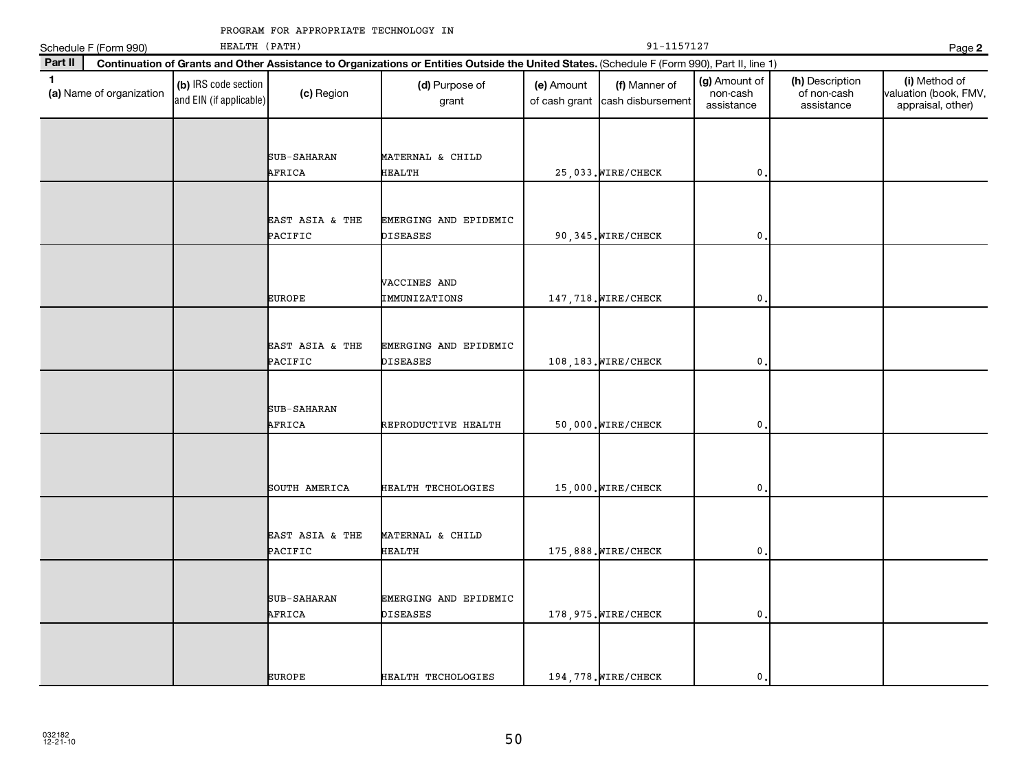|              | Schedule F (Form 990)    | HEALTH (PATH)                                   |                            |                                                                                                                                              |                             | 91-1157127                         |                                         |                                              | Page 2                                                      |
|--------------|--------------------------|-------------------------------------------------|----------------------------|----------------------------------------------------------------------------------------------------------------------------------------------|-----------------------------|------------------------------------|-----------------------------------------|----------------------------------------------|-------------------------------------------------------------|
| Part II      |                          |                                                 |                            | Continuation of Grants and Other Assistance to Organizations or Entities Outside the United States. (Schedule F (Form 990), Part II, line 1) |                             |                                    |                                         |                                              |                                                             |
| $\mathbf{1}$ | (a) Name of organization | (b) IRS code section<br>and EIN (if applicable) | (c) Region                 | (d) Purpose of<br>grant                                                                                                                      | (e) Amount<br>of cash grant | (f) Manner of<br>cash disbursement | (g) Amount of<br>non-cash<br>assistance | (h) Description<br>of non-cash<br>assistance | (i) Method of<br>valuation (book, FMV,<br>appraisal, other) |
|              |                          |                                                 |                            |                                                                                                                                              |                             |                                    |                                         |                                              |                                                             |
|              |                          |                                                 | SUB-SAHARAN<br>AFRICA      | MATERNAL & CHILD<br>HEALTH                                                                                                                   |                             | 25,033. WIRE/CHECK                 | 0                                       |                                              |                                                             |
|              |                          |                                                 |                            |                                                                                                                                              |                             |                                    |                                         |                                              |                                                             |
|              |                          |                                                 | EAST ASIA & THE<br>PACIFIC | EMERGING AND EPIDEMIC<br>DISEASES                                                                                                            |                             | 90,345. WIRE/CHECK                 | 0                                       |                                              |                                                             |
|              |                          |                                                 |                            |                                                                                                                                              |                             |                                    |                                         |                                              |                                                             |
|              |                          |                                                 | <b>EUROPE</b>              | VACCINES AND<br>IMMUNIZATIONS                                                                                                                |                             | 147, 718. WIRE/CHECK               | 0                                       |                                              |                                                             |
|              |                          |                                                 |                            |                                                                                                                                              |                             |                                    |                                         |                                              |                                                             |
|              |                          |                                                 | EAST ASIA & THE<br>PACIFIC | EMERGING AND EPIDEMIC<br><b>DISEASES</b>                                                                                                     |                             | 108,183. WIRE/CHECK                | 0                                       |                                              |                                                             |
|              |                          |                                                 |                            |                                                                                                                                              |                             |                                    |                                         |                                              |                                                             |
|              |                          |                                                 | SUB-SAHARAN<br>AFRICA      | REPRODUCTIVE HEALTH                                                                                                                          |                             | 50,000. WIRE/CHECK                 | $\mathbf{0}$                            |                                              |                                                             |
|              |                          |                                                 |                            |                                                                                                                                              |                             |                                    |                                         |                                              |                                                             |
|              |                          |                                                 | SOUTH AMERICA              | HEALTH TECHOLOGIES                                                                                                                           |                             | 15,000. WIRE/CHECK                 | 0                                       |                                              |                                                             |
|              |                          |                                                 |                            |                                                                                                                                              |                             |                                    |                                         |                                              |                                                             |
|              |                          |                                                 | EAST ASIA & THE<br>PACIFIC | MATERNAL & CHILD<br><b>HEALTH</b>                                                                                                            |                             | 175,888. WIRE/CHECK                | 0                                       |                                              |                                                             |
|              |                          |                                                 |                            |                                                                                                                                              |                             |                                    |                                         |                                              |                                                             |
|              |                          |                                                 | SUB-SAHARAN<br>AFRICA      | EMERGING AND EPIDEMIC<br>DISEASES                                                                                                            |                             | 178, 975. WIRE/CHECK               | 0                                       |                                              |                                                             |
|              |                          |                                                 |                            |                                                                                                                                              |                             |                                    |                                         |                                              |                                                             |
|              |                          |                                                 | <b>EUROPE</b>              | HEALTH TECHOLOGIES                                                                                                                           |                             | 194, 778. WIRE/CHECK               | $\mathbf{0}$                            |                                              |                                                             |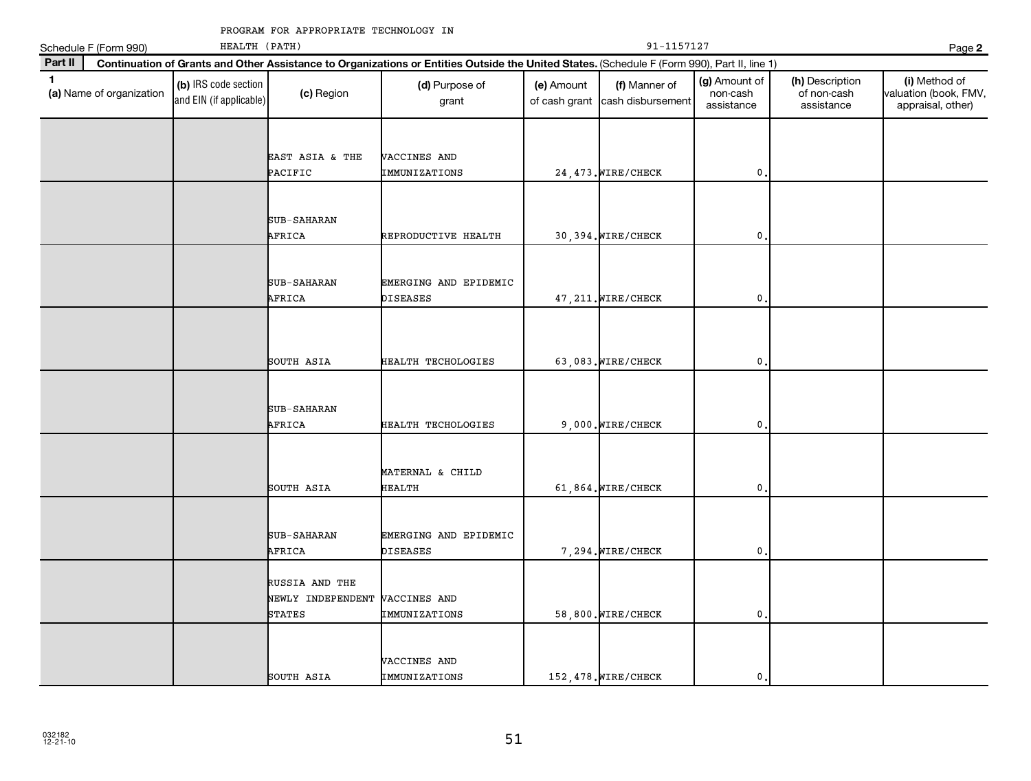|              | Schedule F (Form 990)    | HEALTH (PATH)                                   |                                    |                                                                                                                                              |                             | 91-1157127                         |                                         |                                              | Page 2                                                      |
|--------------|--------------------------|-------------------------------------------------|------------------------------------|----------------------------------------------------------------------------------------------------------------------------------------------|-----------------------------|------------------------------------|-----------------------------------------|----------------------------------------------|-------------------------------------------------------------|
| Part II      |                          |                                                 |                                    | Continuation of Grants and Other Assistance to Organizations or Entities Outside the United States. (Schedule F (Form 990), Part II, line 1) |                             |                                    |                                         |                                              |                                                             |
| $\mathbf{1}$ | (a) Name of organization | (b) IRS code section<br>and EIN (if applicable) | (c) Region                         | (d) Purpose of<br>grant                                                                                                                      | (e) Amount<br>of cash grant | (f) Manner of<br>cash disbursement | (g) Amount of<br>non-cash<br>assistance | (h) Description<br>of non-cash<br>assistance | (i) Method of<br>valuation (book, FMV,<br>appraisal, other) |
|              |                          |                                                 |                                    |                                                                                                                                              |                             |                                    |                                         |                                              |                                                             |
|              |                          |                                                 | EAST ASIA & THE<br>PACIFIC         | VACCINES AND<br>IMMUNIZATIONS                                                                                                                |                             | 24, 473. WIRE/CHECK                | 0                                       |                                              |                                                             |
|              |                          |                                                 | SUB-SAHARAN                        |                                                                                                                                              |                             |                                    |                                         |                                              |                                                             |
|              |                          |                                                 | AFRICA                             | REPRODUCTIVE HEALTH                                                                                                                          |                             | 30,394. WIRE/CHECK                 | 0                                       |                                              |                                                             |
|              |                          |                                                 | SUB-SAHARAN                        | EMERGING AND EPIDEMIC                                                                                                                        |                             |                                    |                                         |                                              |                                                             |
|              |                          |                                                 | AFRICA                             | <b>DISEASES</b>                                                                                                                              |                             | 47, 211. WIRE/CHECK                | 0                                       |                                              |                                                             |
|              |                          |                                                 |                                    |                                                                                                                                              |                             |                                    |                                         |                                              |                                                             |
|              |                          |                                                 | SOUTH ASIA                         | HEALTH TECHOLOGIES                                                                                                                           |                             | 63,083. WIRE/CHECK                 | 0                                       |                                              |                                                             |
|              |                          |                                                 |                                    |                                                                                                                                              |                             |                                    |                                         |                                              |                                                             |
|              |                          |                                                 | SUB-SAHARAN<br>AFRICA              | HEALTH TECHOLOGIES                                                                                                                           |                             | 9,000. WIRE/CHECK                  | $\mathbf 0$                             |                                              |                                                             |
|              |                          |                                                 |                                    |                                                                                                                                              |                             |                                    |                                         |                                              |                                                             |
|              |                          |                                                 | SOUTH ASIA                         | MATERNAL & CHILD<br><b>HEALTH</b>                                                                                                            |                             | 61,864. WIRE/CHECK                 | $\mathbf 0$                             |                                              |                                                             |
|              |                          |                                                 |                                    |                                                                                                                                              |                             |                                    |                                         |                                              |                                                             |
|              |                          |                                                 | SUB-SAHARAN<br>AFRICA              | EMERGING AND EPIDEMIC<br><b>DISEASES</b>                                                                                                     |                             | 7,294. WIRE/CHECK                  | 0                                       |                                              |                                                             |
|              |                          |                                                 | RUSSIA AND THE                     |                                                                                                                                              |                             |                                    |                                         |                                              |                                                             |
|              |                          |                                                 | NEWLY INDEPENDENT<br><b>STATES</b> | VACCINES AND<br>IMMUNIZATIONS                                                                                                                |                             | 58,800. WIRE/CHECK                 | $\mathbf 0$                             |                                              |                                                             |
|              |                          |                                                 |                                    |                                                                                                                                              |                             |                                    |                                         |                                              |                                                             |
|              |                          |                                                 | SOUTH ASIA                         | VACCINES AND<br>IMMUNIZATIONS                                                                                                                |                             | 152,478. WIRE/CHECK                | $\mathbf 0$                             |                                              |                                                             |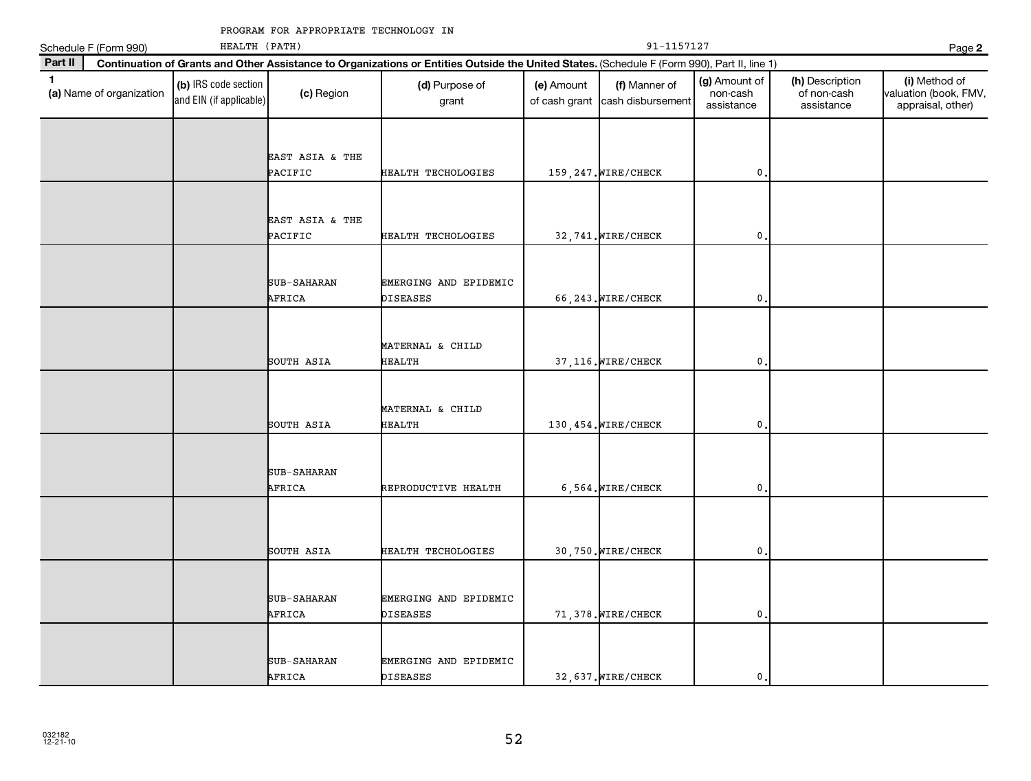| 91-1157127<br>HEALTH (PATH)<br>Schedule F (Form 990) |                          |                                                 |                              |                                                                                                                                              |            |                                                  |                                         | Page 2                                       |                                                             |
|------------------------------------------------------|--------------------------|-------------------------------------------------|------------------------------|----------------------------------------------------------------------------------------------------------------------------------------------|------------|--------------------------------------------------|-----------------------------------------|----------------------------------------------|-------------------------------------------------------------|
| Part II                                              |                          |                                                 |                              | Continuation of Grants and Other Assistance to Organizations or Entities Outside the United States. (Schedule F (Form 990), Part II, line 1) |            |                                                  |                                         |                                              |                                                             |
| $\mathbf{1}$                                         | (a) Name of organization | (b) IRS code section<br>and EIN (if applicable) | (c) Region                   | (d) Purpose of<br>grant                                                                                                                      | (e) Amount | (f) Manner of<br>of cash grant cash disbursement | (g) Amount of<br>non-cash<br>assistance | (h) Description<br>of non-cash<br>assistance | (i) Method of<br>valuation (book, FMV,<br>appraisal, other) |
|                                                      |                          |                                                 | EAST ASIA & THE<br>PACIFIC   | HEALTH TECHOLOGIES                                                                                                                           |            | 159, 247. WIRE/CHECK                             | $\mathbf{0}$                            |                                              |                                                             |
|                                                      |                          |                                                 | EAST ASIA & THE<br>PACIFIC   | HEALTH TECHOLOGIES                                                                                                                           |            | 32,741. WIRE/CHECK                               | $\mathbf{0}$                            |                                              |                                                             |
|                                                      |                          |                                                 | <b>SUB-SAHARAN</b><br>AFRICA | EMERGING AND EPIDEMIC<br>DISEASES                                                                                                            |            | 66, 243. WIRE/CHECK                              | 0                                       |                                              |                                                             |
|                                                      |                          |                                                 | SOUTH ASIA                   | MATERNAL & CHILD<br><b>HEALTH</b>                                                                                                            |            | 37, 116. WIRE/CHECK                              | $\mathbf{0}$                            |                                              |                                                             |
|                                                      |                          |                                                 | SOUTH ASIA                   | MATERNAL & CHILD<br><b>HEALTH</b>                                                                                                            |            | 130, 454. WIRE/CHECK                             | $\mathbf{0}$                            |                                              |                                                             |
|                                                      |                          |                                                 | SUB-SAHARAN<br>AFRICA        | REPRODUCTIVE HEALTH                                                                                                                          |            | 6,564. WIRE/CHECK                                | 0                                       |                                              |                                                             |
|                                                      |                          |                                                 | SOUTH ASIA                   | HEALTH TECHOLOGIES                                                                                                                           |            | 30,750. WIRE/CHECK                               | $\mathsf{0}$ .                          |                                              |                                                             |
|                                                      |                          |                                                 | <b>SUB-SAHARAN</b><br>AFRICA | EMERGING AND EPIDEMIC<br><b>DISEASES</b>                                                                                                     |            | 71,378. WIRE/CHECK                               | $\mathbf{0}$                            |                                              |                                                             |
|                                                      |                          |                                                 | SUB-SAHARAN<br>AFRICA        | EMERGING AND EPIDEMIC<br><b>DISEASES</b>                                                                                                     |            | 32,637. WIRE/CHECK                               | 0                                       |                                              |                                                             |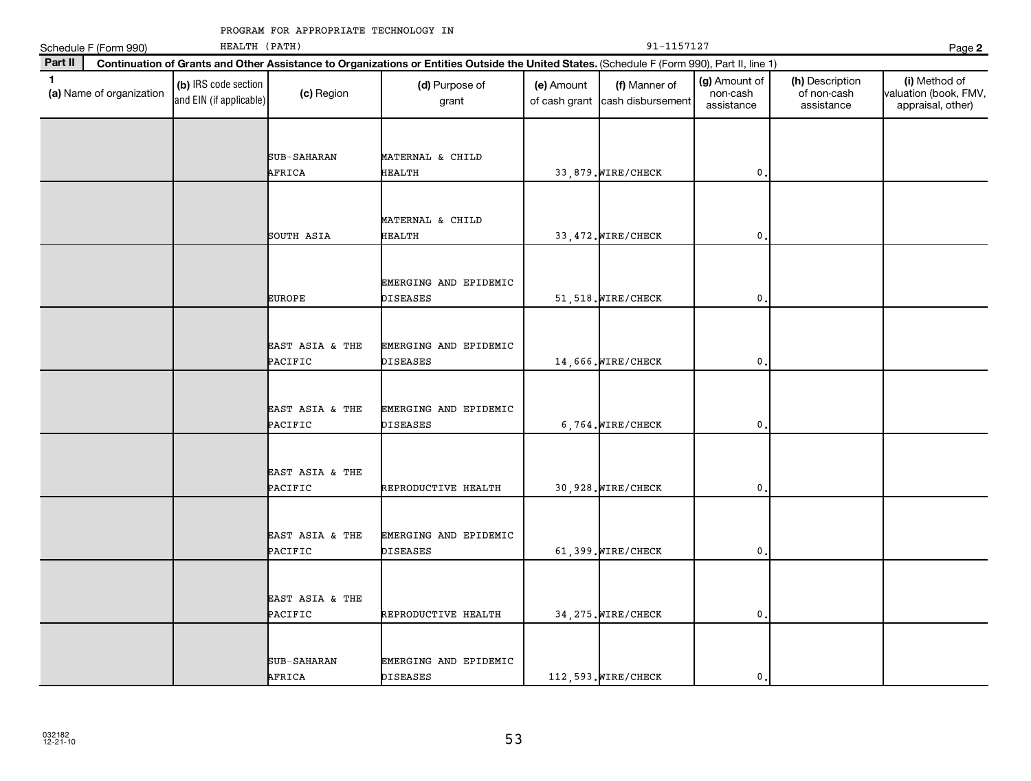|              | Schedule F (Form 990)    | HEALTH (PATH)                                   |                            |                                                                                                                                              |                             | 91-1157127                         |                                         |                                              | Page 2                                                      |
|--------------|--------------------------|-------------------------------------------------|----------------------------|----------------------------------------------------------------------------------------------------------------------------------------------|-----------------------------|------------------------------------|-----------------------------------------|----------------------------------------------|-------------------------------------------------------------|
| Part II      |                          |                                                 |                            | Continuation of Grants and Other Assistance to Organizations or Entities Outside the United States. (Schedule F (Form 990), Part II, line 1) |                             |                                    |                                         |                                              |                                                             |
| $\mathbf{1}$ | (a) Name of organization | (b) IRS code section<br>and EIN (if applicable) | (c) Region                 | (d) Purpose of<br>grant                                                                                                                      | (e) Amount<br>of cash grant | (f) Manner of<br>cash disbursement | (g) Amount of<br>non-cash<br>assistance | (h) Description<br>of non-cash<br>assistance | (i) Method of<br>valuation (book, FMV,<br>appraisal, other) |
|              |                          |                                                 |                            |                                                                                                                                              |                             |                                    |                                         |                                              |                                                             |
|              |                          |                                                 | SUB-SAHARAN                | MATERNAL & CHILD                                                                                                                             |                             |                                    |                                         |                                              |                                                             |
|              |                          |                                                 | AFRICA                     | <b>HEALTH</b>                                                                                                                                |                             | 33,879. WIRE/CHECK                 | 0                                       |                                              |                                                             |
|              |                          |                                                 |                            |                                                                                                                                              |                             |                                    |                                         |                                              |                                                             |
|              |                          |                                                 |                            | MATERNAL & CHILD                                                                                                                             |                             |                                    |                                         |                                              |                                                             |
|              |                          |                                                 | SOUTH ASIA                 | <b>HEALTH</b>                                                                                                                                |                             | 33, 472. WIRE/CHECK                | $\mathbf 0$                             |                                              |                                                             |
|              |                          |                                                 |                            |                                                                                                                                              |                             |                                    |                                         |                                              |                                                             |
|              |                          |                                                 |                            | EMERGING AND EPIDEMIC                                                                                                                        |                             |                                    |                                         |                                              |                                                             |
|              |                          |                                                 | <b>EUROPE</b>              | DISEASES                                                                                                                                     |                             | 51,518. WIRE/CHECK                 | $\pmb{0}$                               |                                              |                                                             |
|              |                          |                                                 |                            |                                                                                                                                              |                             |                                    |                                         |                                              |                                                             |
|              |                          |                                                 | EAST ASIA & THE            | EMERGING AND EPIDEMIC                                                                                                                        |                             |                                    |                                         |                                              |                                                             |
|              |                          |                                                 | PACIFIC                    | <b>DISEASES</b>                                                                                                                              |                             | 14,666. WIRE/CHECK                 | 0                                       |                                              |                                                             |
|              |                          |                                                 |                            |                                                                                                                                              |                             |                                    |                                         |                                              |                                                             |
|              |                          |                                                 |                            |                                                                                                                                              |                             |                                    |                                         |                                              |                                                             |
|              |                          |                                                 | EAST ASIA & THE<br>PACIFIC | EMERGING AND EPIDEMIC<br><b>DISEASES</b>                                                                                                     |                             | 6,764. WIRE/CHECK                  | $\mathbf 0$                             |                                              |                                                             |
|              |                          |                                                 |                            |                                                                                                                                              |                             |                                    |                                         |                                              |                                                             |
|              |                          |                                                 |                            |                                                                                                                                              |                             |                                    |                                         |                                              |                                                             |
|              |                          |                                                 | EAST ASIA & THE<br>PACIFIC | REPRODUCTIVE HEALTH                                                                                                                          |                             | 30,928. WIRE/CHECK                 | 0                                       |                                              |                                                             |
|              |                          |                                                 |                            |                                                                                                                                              |                             |                                    |                                         |                                              |                                                             |
|              |                          |                                                 |                            |                                                                                                                                              |                             |                                    |                                         |                                              |                                                             |
|              |                          |                                                 | EAST ASIA & THE<br>PACIFIC | EMERGING AND EPIDEMIC<br><b>DISEASES</b>                                                                                                     |                             | 61,399. WIRE/CHECK                 | $\mathbf 0$                             |                                              |                                                             |
|              |                          |                                                 |                            |                                                                                                                                              |                             |                                    |                                         |                                              |                                                             |
|              |                          |                                                 |                            |                                                                                                                                              |                             |                                    |                                         |                                              |                                                             |
|              |                          |                                                 | EAST ASIA & THE<br>PACIFIC | REPRODUCTIVE HEALTH                                                                                                                          |                             | 34, 275. WIRE/CHECK                | $\mathbf 0$                             |                                              |                                                             |
|              |                          |                                                 |                            |                                                                                                                                              |                             |                                    |                                         |                                              |                                                             |
|              |                          |                                                 |                            |                                                                                                                                              |                             |                                    |                                         |                                              |                                                             |
|              |                          |                                                 | SUB-SAHARAN                | EMERGING AND EPIDEMIC                                                                                                                        |                             |                                    |                                         |                                              |                                                             |
|              |                          |                                                 | AFRICA                     | <b>DISEASES</b>                                                                                                                              |                             | 112,593. WIRE/CHECK                | 0.                                      |                                              |                                                             |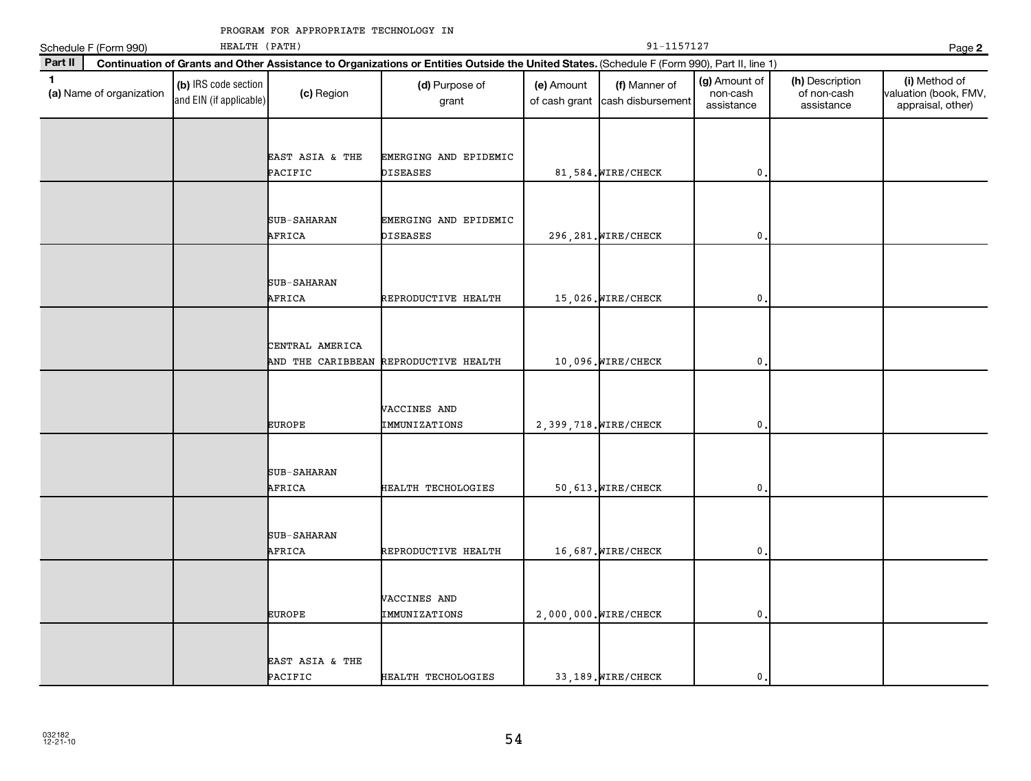| HEALTH (PATH)<br>Schedule F (Form 990) |                          |                                                 |                              |                                                                                                                                              |            | 91-1157127<br>Page 2                             |                                         |                                              |                                                             |
|----------------------------------------|--------------------------|-------------------------------------------------|------------------------------|----------------------------------------------------------------------------------------------------------------------------------------------|------------|--------------------------------------------------|-----------------------------------------|----------------------------------------------|-------------------------------------------------------------|
| Part II                                |                          |                                                 |                              | Continuation of Grants and Other Assistance to Organizations or Entities Outside the United States. (Schedule F (Form 990), Part II, line 1) |            |                                                  |                                         |                                              |                                                             |
| $\mathbf{1}$                           | (a) Name of organization | (b) IRS code section<br>and EIN (if applicable) | (c) Region                   | (d) Purpose of<br>grant                                                                                                                      | (e) Amount | (f) Manner of<br>of cash grant cash disbursement | (g) Amount of<br>non-cash<br>assistance | (h) Description<br>of non-cash<br>assistance | (i) Method of<br>valuation (book, FMV,<br>appraisal, other) |
|                                        |                          |                                                 | EAST ASIA & THE<br>PACIFIC   | EMERGING AND EPIDEMIC<br><b>DISEASES</b>                                                                                                     |            | 81,584. WIRE/CHECK                               | 0                                       |                                              |                                                             |
|                                        |                          |                                                 | SUB-SAHARAN<br>AFRICA        | EMERGING AND EPIDEMIC<br>DISEASES                                                                                                            |            | 296, 281. WIRE/CHECK                             | $\pmb{0}$                               |                                              |                                                             |
|                                        |                          |                                                 | <b>SUB-SAHARAN</b><br>AFRICA | REPRODUCTIVE HEALTH                                                                                                                          |            | 15,026. WIRE/CHECK                               | 0                                       |                                              |                                                             |
|                                        |                          |                                                 | CENTRAL AMERICA              | AND THE CARIBBEAN REPRODUCTIVE HEALTH                                                                                                        |            | 10,096. WIRE/CHECK                               | 0                                       |                                              |                                                             |
|                                        |                          |                                                 | <b>EUROPE</b>                | VACCINES AND<br>IMMUNIZATIONS                                                                                                                |            | 2,399,718. WIRE/CHECK                            | $\pmb{0}$                               |                                              |                                                             |
|                                        |                          |                                                 | SUB-SAHARAN<br>AFRICA        | HEALTH TECHOLOGIES                                                                                                                           |            | 50, 613. WIRE/CHECK                              | $\pmb{0}$                               |                                              |                                                             |
|                                        |                          |                                                 | SUB-SAHARAN<br>AFRICA        | REPRODUCTIVE HEALTH                                                                                                                          |            | 16,687. WIRE/CHECK                               | $\mathbf{0}$                            |                                              |                                                             |
|                                        |                          |                                                 | <b>EUROPE</b>                | VACCINES AND<br>IMMUNIZATIONS                                                                                                                |            | 2,000,000. WIRE/CHECK                            | 0                                       |                                              |                                                             |
|                                        |                          |                                                 | EAST ASIA & THE<br>PACIFIC   | HEALTH TECHOLOGIES                                                                                                                           |            | 33,189. WIRE/CHECK                               | $\mathbf{0}$                            |                                              |                                                             |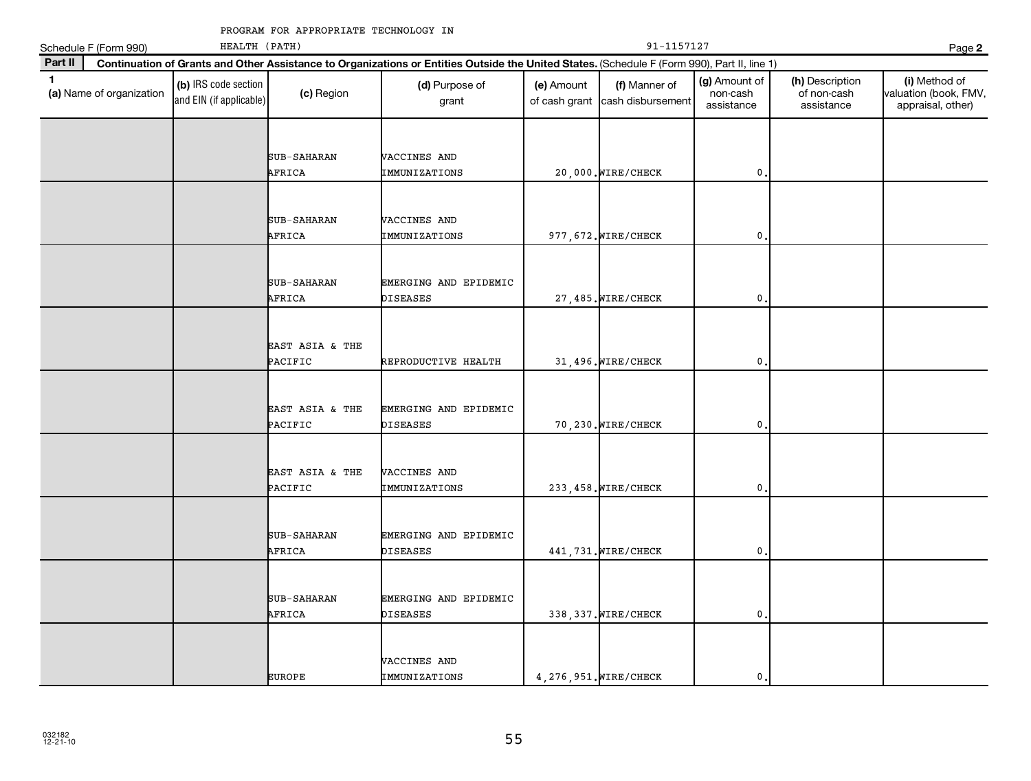|              | Schedule F (Form 990)    | HEALTH (PATH)                                   |                              |                                                                                                                                              | 91-1157127<br>Page 2        |                                    |                                         |                                              |                                                             |  |
|--------------|--------------------------|-------------------------------------------------|------------------------------|----------------------------------------------------------------------------------------------------------------------------------------------|-----------------------------|------------------------------------|-----------------------------------------|----------------------------------------------|-------------------------------------------------------------|--|
| Part II      |                          |                                                 |                              | Continuation of Grants and Other Assistance to Organizations or Entities Outside the United States. (Schedule F (Form 990), Part II, line 1) |                             |                                    |                                         |                                              |                                                             |  |
| $\mathbf{1}$ | (a) Name of organization | (b) IRS code section<br>and EIN (if applicable) | (c) Region                   | (d) Purpose of<br>grant                                                                                                                      | (e) Amount<br>of cash grant | (f) Manner of<br>cash disbursement | (g) Amount of<br>non-cash<br>assistance | (h) Description<br>of non-cash<br>assistance | (i) Method of<br>valuation (book, FMV,<br>appraisal, other) |  |
|              |                          |                                                 | SUB-SAHARAN<br>AFRICA        | VACCINES AND<br>IMMUNIZATIONS                                                                                                                |                             | 20,000. WIRE/CHECK                 | 0.                                      |                                              |                                                             |  |
|              |                          |                                                 | SUB-SAHARAN<br>AFRICA        | VACCINES AND<br>IMMUNIZATIONS                                                                                                                |                             | 977, 672. WIRE/CHECK               | $\mathbf 0$                             |                                              |                                                             |  |
|              |                          |                                                 | <b>SUB-SAHARAN</b><br>AFRICA | EMERGING AND EPIDEMIC<br>DISEASES                                                                                                            |                             | 27,485. WIRE/CHECK                 | $\mathbf{0}$                            |                                              |                                                             |  |
|              |                          |                                                 | EAST ASIA & THE<br>PACIFIC   | REPRODUCTIVE HEALTH                                                                                                                          |                             | 31,496. WIRE/CHECK                 | $\mathbf{0}$                            |                                              |                                                             |  |
|              |                          |                                                 | EAST ASIA & THE<br>PACIFIC   | EMERGING AND EPIDEMIC<br><b>DISEASES</b>                                                                                                     |                             | 70,230. WIRE/CHECK                 | $\mathbf{0}$                            |                                              |                                                             |  |
|              |                          |                                                 | EAST ASIA & THE<br>PACIFIC   | VACCINES AND<br>IMMUNIZATIONS                                                                                                                |                             | 233, 458. WIRE/CHECK               | 0                                       |                                              |                                                             |  |
|              |                          |                                                 | SUB-SAHARAN<br>AFRICA        | EMERGING AND EPIDEMIC<br><b>DISEASES</b>                                                                                                     |                             | 441, 731. WIRE/CHECK               | $\mathbf{0}$                            |                                              |                                                             |  |
|              |                          |                                                 | SUB-SAHARAN<br>AFRICA        | EMERGING AND EPIDEMIC<br><b>DISEASES</b>                                                                                                     |                             | 338, 337. WIRE/CHECK               | $\mathbf 0$ .                           |                                              |                                                             |  |
|              |                          |                                                 | <b>EUROPE</b>                | VACCINES AND<br>IMMUNIZATIONS                                                                                                                |                             | 4, 276, 951. WIRE/CHECK            | $\mathbf{0}$ .                          |                                              |                                                             |  |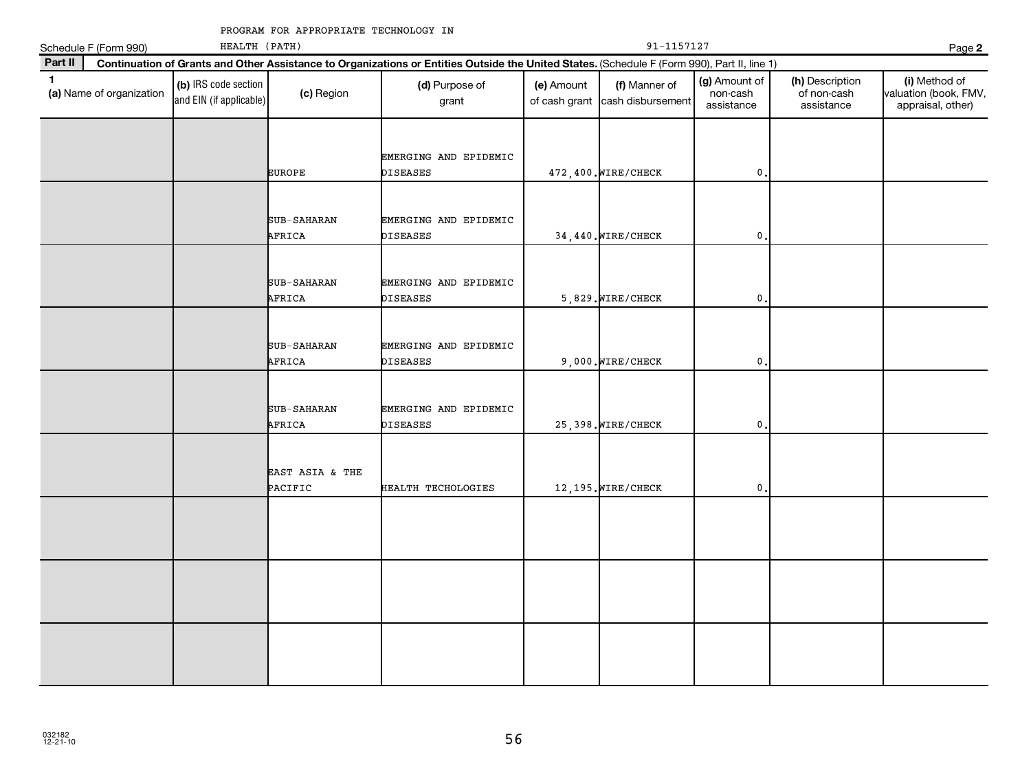|             | Schedule F (Form 990)    | $91 - 1157127$<br>HEALTH (PATH)                 |                            |                                                                                                                                              |                             |                                    |                                         |                                              |                                                             |
|-------------|--------------------------|-------------------------------------------------|----------------------------|----------------------------------------------------------------------------------------------------------------------------------------------|-----------------------------|------------------------------------|-----------------------------------------|----------------------------------------------|-------------------------------------------------------------|
| Part II     |                          |                                                 |                            | Continuation of Grants and Other Assistance to Organizations or Entities Outside the United States. (Schedule F (Form 990), Part II, line 1) |                             |                                    |                                         |                                              | Page 2                                                      |
| $\mathbf 1$ | (a) Name of organization | (b) IRS code section<br>and EIN (if applicable) | (c) Region                 | (d) Purpose of<br>grant                                                                                                                      | (e) Amount<br>of cash grant | (f) Manner of<br>cash disbursement | (g) Amount of<br>non-cash<br>assistance | (h) Description<br>of non-cash<br>assistance | (i) Method of<br>valuation (book, FMV,<br>appraisal, other) |
|             |                          |                                                 | <b>EUROPE</b>              | EMERGING AND EPIDEMIC<br>DISEASES                                                                                                            |                             | 472,400. WIRE/CHECK                | $\mathbf{0}$                            |                                              |                                                             |
|             |                          |                                                 | SUB-SAHARAN<br>AFRICA      | EMERGING AND EPIDEMIC<br>DISEASES                                                                                                            |                             | 34,440. WIRE/CHECK                 | 0                                       |                                              |                                                             |
|             |                          |                                                 | SUB-SAHARAN<br>AFRICA      | EMERGING AND EPIDEMIC<br><b>DISEASES</b>                                                                                                     |                             | 5,829. WIRE/CHECK                  | $\pmb{0}$                               |                                              |                                                             |
|             |                          |                                                 | SUB-SAHARAN<br>AFRICA      | EMERGING AND EPIDEMIC<br>DISEASES                                                                                                            |                             | 9,000. WIRE/CHECK                  | $\mathbf 0$ .                           |                                              |                                                             |
|             |                          |                                                 | SUB-SAHARAN<br>AFRICA      | EMERGING AND EPIDEMIC<br>DISEASES                                                                                                            |                             | 25,398. WIRE/CHECK                 | 0                                       |                                              |                                                             |
|             |                          |                                                 | EAST ASIA & THE<br>PACIFIC | HEALTH TECHOLOGIES                                                                                                                           |                             | 12, 195. WIRE/CHECK                | 0                                       |                                              |                                                             |
|             |                          |                                                 |                            |                                                                                                                                              |                             |                                    |                                         |                                              |                                                             |
|             |                          |                                                 |                            |                                                                                                                                              |                             |                                    |                                         |                                              |                                                             |
|             |                          |                                                 |                            |                                                                                                                                              |                             |                                    |                                         |                                              |                                                             |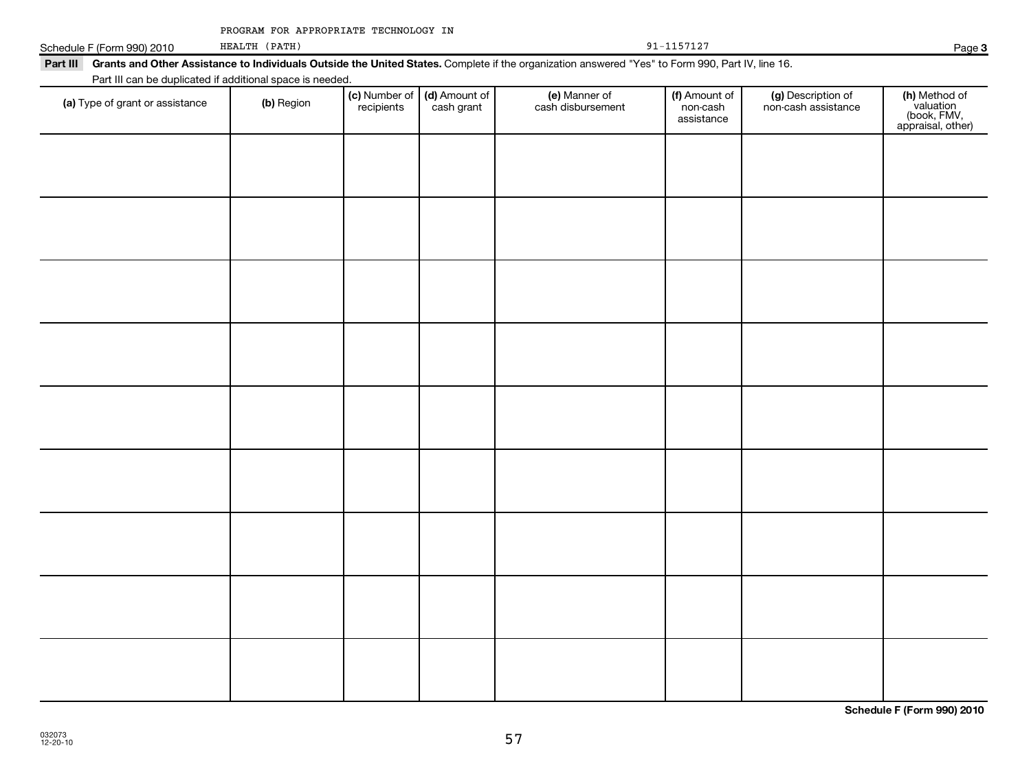|  | PROGRAM FOR APPROPRIATE TECHNOLOGY IN |  |
|--|---------------------------------------|--|
|  |                                       |  |

| Schedule F (Form 990) 2010 | (РАТН)<br>HEALTH                                          |                                                                                                                                                  | Page |
|----------------------------|-----------------------------------------------------------|--------------------------------------------------------------------------------------------------------------------------------------------------|------|
| Part III                   |                                                           | Grants and Other Assistance to Individuals Outside the United States. Complete if the organization answered "Yes" to Form 990, Part IV, line 16. |      |
|                            | Part III can be duplicated if additional space is needed. |                                                                                                                                                  |      |

| (a) Type of grant or assistance | (b) Region | (c) Number of (d) Amount of<br>recipients cash grant | (e) Manner of<br>cash disbursement | (f) Amount of<br>non-cash<br>assistance | (g) Description of<br>non-cash assistance | (h) Method of<br>valuation<br>(book, FMV,<br>appraisal, other) |
|---------------------------------|------------|------------------------------------------------------|------------------------------------|-----------------------------------------|-------------------------------------------|----------------------------------------------------------------|
|                                 |            |                                                      |                                    |                                         |                                           |                                                                |
|                                 |            |                                                      |                                    |                                         |                                           |                                                                |
|                                 |            |                                                      |                                    |                                         |                                           |                                                                |
|                                 |            |                                                      |                                    |                                         |                                           |                                                                |
|                                 |            |                                                      |                                    |                                         |                                           |                                                                |
|                                 |            |                                                      |                                    |                                         |                                           |                                                                |
|                                 |            |                                                      |                                    |                                         |                                           |                                                                |
|                                 |            |                                                      |                                    |                                         |                                           |                                                                |
|                                 |            |                                                      |                                    |                                         |                                           |                                                                |
|                                 |            |                                                      |                                    |                                         |                                           |                                                                |
|                                 |            |                                                      |                                    |                                         |                                           |                                                                |

**Schedule F (Form 990) 2010**

**3**

|  |  |  |  | 1571 |  |  |  | ⇁ |  |
|--|--|--|--|------|--|--|--|---|--|
|--|--|--|--|------|--|--|--|---|--|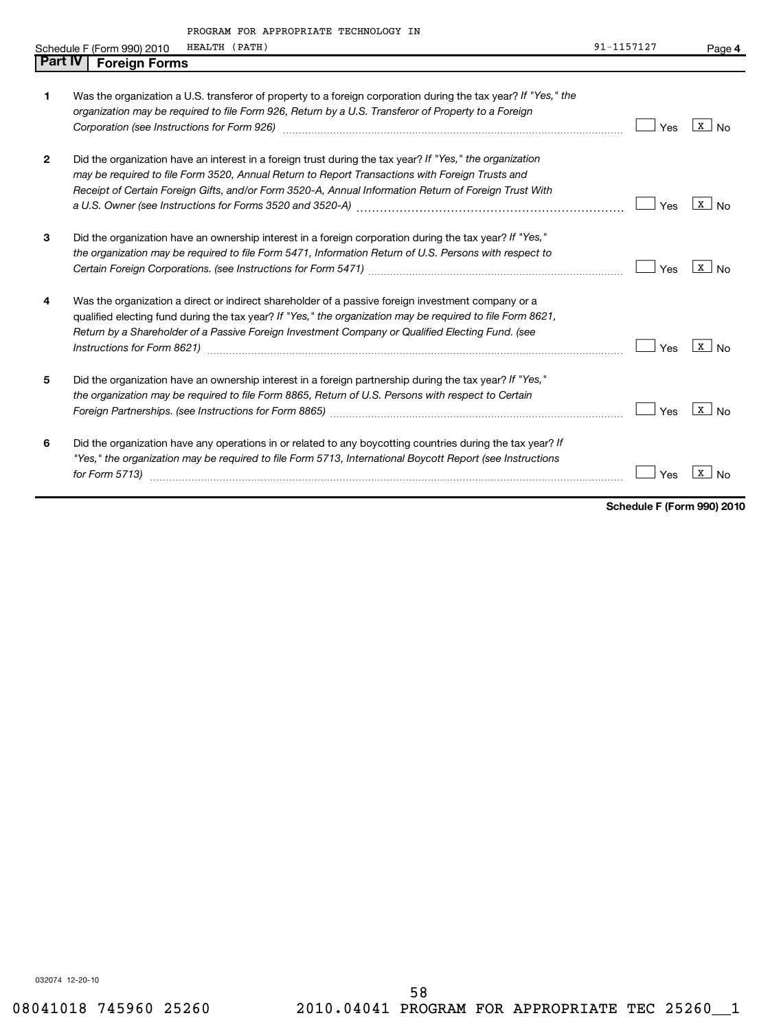|              | PROGRAM FOR APPROPRIATE TECHNOLOGY IN                                                                                                                                                                                          |            |                       |
|--------------|--------------------------------------------------------------------------------------------------------------------------------------------------------------------------------------------------------------------------------|------------|-----------------------|
|              | HEALTH (PATH)<br>Schedule F (Form 990) 2010                                                                                                                                                                                    | 91-1157127 | Page 4                |
| Part IV      | <b>Foreign Forms</b>                                                                                                                                                                                                           |            |                       |
|              |                                                                                                                                                                                                                                |            |                       |
| 1            | Was the organization a U.S. transferor of property to a foreign corporation during the tax year? If "Yes," the                                                                                                                 |            |                       |
|              | organization may be required to file Form 926, Return by a U.S. Transferor of Property to a Foreign                                                                                                                            |            |                       |
|              | Corporation (see Instructions for Form 926) [11] matter contracts and the state of the state of the state of the state of the state of the state of the state of the state of the state of the state of the state of the state | Yes        | x l<br>N <sub>0</sub> |
| $\mathbf{2}$ | Did the organization have an interest in a foreign trust during the tax year? If "Yes," the organization                                                                                                                       |            |                       |
|              | may be required to file Form 3520, Annual Return to Report Transactions with Foreign Trusts and                                                                                                                                |            |                       |
|              | Receipt of Certain Foreign Gifts, and/or Form 3520-A, Annual Information Return of Foreign Trust With                                                                                                                          |            |                       |
|              |                                                                                                                                                                                                                                | Yes        | x  <br><b>No</b>      |
| 3            | Did the organization have an ownership interest in a foreign corporation during the tax year? If "Yes,"                                                                                                                        |            |                       |
|              | the organization may be required to file Form 5471, Information Return of U.S. Persons with respect to                                                                                                                         |            |                       |
|              |                                                                                                                                                                                                                                | Yes        | $X \cup No$           |
| 4            | Was the organization a direct or indirect shareholder of a passive foreign investment company or a                                                                                                                             |            |                       |
|              | qualified electing fund during the tax year? If "Yes," the organization may be required to file Form 8621,                                                                                                                     |            |                       |
|              | Return by a Shareholder of a Passive Foreign Investment Company or Qualified Electing Fund. (see                                                                                                                               |            |                       |
|              |                                                                                                                                                                                                                                | Yes        | $X \mid N_0$          |
| 5            | Did the organization have an ownership interest in a foreign partnership during the tax year? If "Yes,"                                                                                                                        |            |                       |
|              | the organization may be required to file Form 8865, Return of U.S. Persons with respect to Certain                                                                                                                             |            |                       |
|              |                                                                                                                                                                                                                                |            | $X \cup No$           |
|              |                                                                                                                                                                                                                                | Yes        |                       |
| 6            | Did the organization have any operations in or related to any boycotting countries during the tax year? If                                                                                                                     |            |                       |
|              | "Yes," the organization may be required to file Form 5713, International Boycott Report (see Instructions                                                                                                                      |            |                       |
|              | for Form 5713)                                                                                                                                                                                                                 | Yes        | x                     |
|              |                                                                                                                                                                                                                                |            |                       |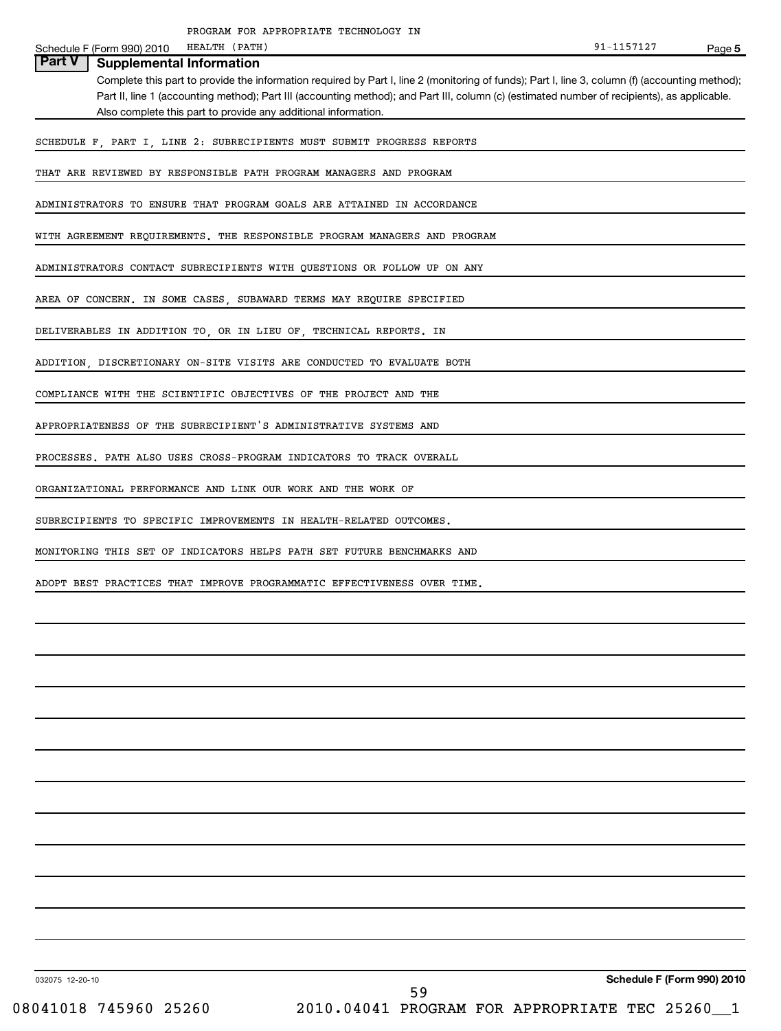|                                           | PROGRAM FOR APPROPRIATE TECHNOLOGY IN                                                                                                           |            |        |
|-------------------------------------------|-------------------------------------------------------------------------------------------------------------------------------------------------|------------|--------|
| Schedule F (Form 990) 2010                | HEALTH (PATH)                                                                                                                                   | 91-1157127 | Page 5 |
| Part V<br><b>Supplemental Information</b> |                                                                                                                                                 |            |        |
|                                           | Complete this part to provide the information required by Part I, line 2 (monitoring of funds); Part I, line 3, column (f) (accounting method); |            |        |
|                                           | Part II, line 1 (accounting method); Part III (accounting method); and Part III, column (c) (estimated number of recipients), as applicable.    |            |        |
|                                           | Also complete this part to provide any additional information.                                                                                  |            |        |
|                                           |                                                                                                                                                 |            |        |
|                                           | SCHEDULE F, PART I, LINE 2: SUBRECIPIENTS MUST SUBMIT PROGRESS REPORTS                                                                          |            |        |
|                                           | THAT ARE REVIEWED BY RESPONSIBLE PATH PROGRAM MANAGERS AND PROGRAM                                                                              |            |        |
|                                           | ADMINISTRATORS TO ENSURE THAT PROGRAM GOALS ARE ATTAINED IN ACCORDANCE                                                                          |            |        |
|                                           | WITH AGREEMENT REQUIREMENTS. THE RESPONSIBLE PROGRAM MANAGERS AND PROGRAM                                                                       |            |        |
|                                           | ADMINISTRATORS CONTACT SUBRECIPIENTS WITH QUESTIONS OR FOLLOW UP ON ANY                                                                         |            |        |
|                                           | AREA OF CONCERN. IN SOME CASES, SUBAWARD TERMS MAY REQUIRE SPECIFIED                                                                            |            |        |
|                                           | DELIVERABLES IN ADDITION TO, OR IN LIEU OF, TECHNICAL REPORTS. IN                                                                               |            |        |
|                                           | ADDITION, DISCRETIONARY ON-SITE VISITS ARE CONDUCTED TO EVALUATE BOTH                                                                           |            |        |
|                                           | COMPLIANCE WITH THE SCIENTIFIC OBJECTIVES OF THE PROJECT AND THE                                                                                |            |        |
|                                           | APPROPRIATENESS OF THE SUBRECIPIENT'S ADMINISTRATIVE SYSTEMS AND                                                                                |            |        |
|                                           | PROCESSES. PATH ALSO USES CROSS-PROGRAM INDICATORS TO TRACK OVERALL                                                                             |            |        |
|                                           | ORGANIZATIONAL PERFORMANCE AND LINK OUR WORK AND THE WORK OF                                                                                    |            |        |
|                                           | SUBRECIPIENTS TO SPECIFIC IMPROVEMENTS IN HEALTH-RELATED OUTCOMES.                                                                              |            |        |
|                                           | MONITORING THIS SET OF INDICATORS HELPS PATH SET FUTURE BENCHMARKS AND                                                                          |            |        |
|                                           | ADOPT BEST PRACTICES THAT IMPROVE PROGRAMMATIC EFFECTIVENESS OVER TIME.                                                                         |            |        |
|                                           |                                                                                                                                                 |            |        |
|                                           |                                                                                                                                                 |            |        |
|                                           |                                                                                                                                                 |            |        |
|                                           |                                                                                                                                                 |            |        |

032075 12-20-10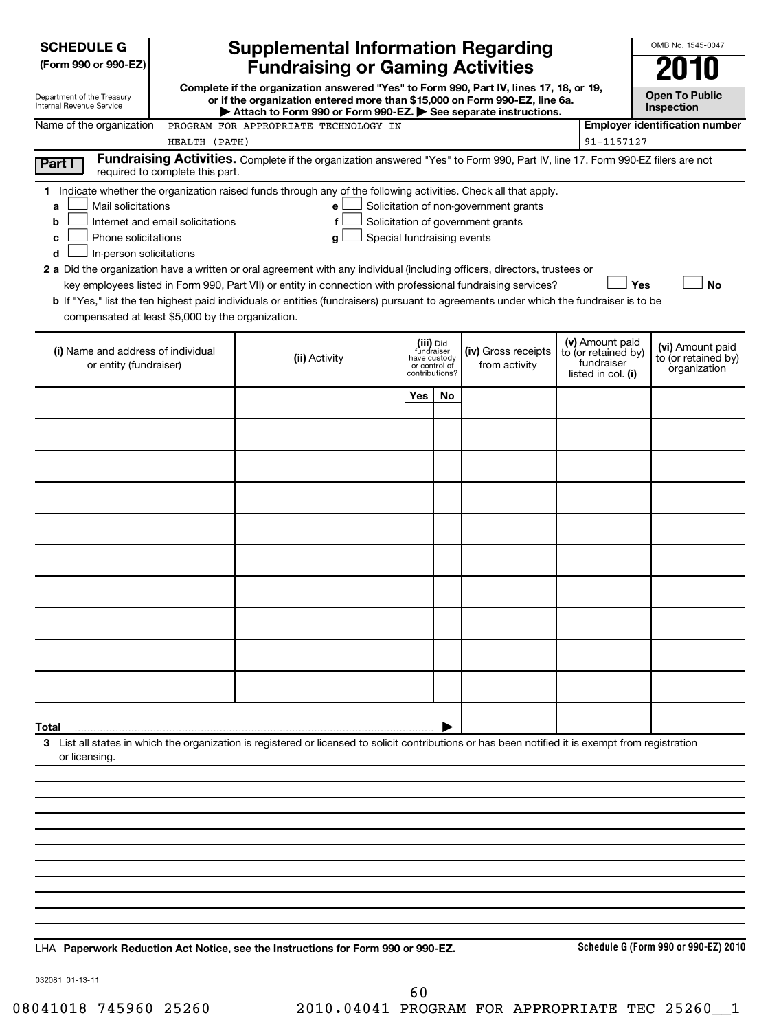| <b>SCHEDULE G</b>                                                                                                            |                                 | <b>Supplemental Information Regarding</b>                                                                                                                                                                                                                                                                                                                                                                                                                                                                                                          |     |                                                                            |                                                                            |                                                                            | OMB No. 1545-0047                                       |
|------------------------------------------------------------------------------------------------------------------------------|---------------------------------|----------------------------------------------------------------------------------------------------------------------------------------------------------------------------------------------------------------------------------------------------------------------------------------------------------------------------------------------------------------------------------------------------------------------------------------------------------------------------------------------------------------------------------------------------|-----|----------------------------------------------------------------------------|----------------------------------------------------------------------------|----------------------------------------------------------------------------|---------------------------------------------------------|
| (Form 990 or 990-EZ)                                                                                                         |                                 | <b>Fundraising or Gaming Activities</b>                                                                                                                                                                                                                                                                                                                                                                                                                                                                                                            |     |                                                                            |                                                                            |                                                                            |                                                         |
| Department of the Treasury<br>Internal Revenue Service                                                                       |                                 | Complete if the organization answered "Yes" to Form 990, Part IV, lines 17, 18, or 19,<br>or if the organization entered more than \$15,000 on Form 990-EZ, line 6a.                                                                                                                                                                                                                                                                                                                                                                               |     |                                                                            |                                                                            |                                                                            | <b>Open To Public</b><br>Inspection                     |
| Name of the organization                                                                                                     |                                 | Attach to Form 990 or Form 990-EZ. See separate instructions.<br>PROGRAM FOR APPROPRIATE TECHNOLOGY IN                                                                                                                                                                                                                                                                                                                                                                                                                                             |     |                                                                            |                                                                            |                                                                            | <b>Employer identification number</b>                   |
|                                                                                                                              | HEALTH (PATH)                   |                                                                                                                                                                                                                                                                                                                                                                                                                                                                                                                                                    |     |                                                                            |                                                                            | 91-1157127                                                                 |                                                         |
| Part I                                                                                                                       | required to complete this part. | Fundraising Activities. Complete if the organization answered "Yes" to Form 990, Part IV, line 17. Form 990-EZ filers are not                                                                                                                                                                                                                                                                                                                                                                                                                      |     |                                                                            |                                                                            |                                                                            |                                                         |
| Mail solicitations<br>a<br>Internet and email solicitations<br>b<br>Phone solicitations<br>c<br>In-person solicitations<br>d |                                 | 1 Indicate whether the organization raised funds through any of the following activities. Check all that apply.<br>e<br>f<br>Special fundraising events<br>g<br>2 a Did the organization have a written or oral agreement with any individual (including officers, directors, trustees or<br>key employees listed in Form 990, Part VII) or entity in connection with professional fundraising services?<br>b If "Yes," list the ten highest paid individuals or entities (fundraisers) pursuant to agreements under which the fundraiser is to be |     |                                                                            | Solicitation of non-government grants<br>Solicitation of government grants | Yes                                                                        | No                                                      |
| compensated at least \$5,000 by the organization.                                                                            |                                 |                                                                                                                                                                                                                                                                                                                                                                                                                                                                                                                                                    |     |                                                                            |                                                                            |                                                                            |                                                         |
| (i) Name and address of individual<br>or entity (fundraiser)                                                                 |                                 | (ii) Activity                                                                                                                                                                                                                                                                                                                                                                                                                                                                                                                                      |     | (iii) Did<br>fundraiser<br>have custody<br>or control of<br>contributions? | (iv) Gross receipts<br>from activity                                       | (v) Amount paid<br>to (or retained by)<br>fundraiser<br>listed in col. (i) | (vi) Amount paid<br>to (or retained by)<br>organization |
|                                                                                                                              |                                 |                                                                                                                                                                                                                                                                                                                                                                                                                                                                                                                                                    | Yes | No                                                                         |                                                                            |                                                                            |                                                         |
|                                                                                                                              |                                 |                                                                                                                                                                                                                                                                                                                                                                                                                                                                                                                                                    |     |                                                                            |                                                                            |                                                                            |                                                         |
|                                                                                                                              |                                 |                                                                                                                                                                                                                                                                                                                                                                                                                                                                                                                                                    |     |                                                                            |                                                                            |                                                                            |                                                         |
|                                                                                                                              |                                 |                                                                                                                                                                                                                                                                                                                                                                                                                                                                                                                                                    |     |                                                                            |                                                                            |                                                                            |                                                         |
|                                                                                                                              |                                 |                                                                                                                                                                                                                                                                                                                                                                                                                                                                                                                                                    |     |                                                                            |                                                                            |                                                                            |                                                         |
|                                                                                                                              |                                 |                                                                                                                                                                                                                                                                                                                                                                                                                                                                                                                                                    |     |                                                                            |                                                                            |                                                                            |                                                         |
|                                                                                                                              |                                 |                                                                                                                                                                                                                                                                                                                                                                                                                                                                                                                                                    |     |                                                                            |                                                                            |                                                                            |                                                         |
|                                                                                                                              |                                 |                                                                                                                                                                                                                                                                                                                                                                                                                                                                                                                                                    |     |                                                                            |                                                                            |                                                                            |                                                         |
|                                                                                                                              |                                 |                                                                                                                                                                                                                                                                                                                                                                                                                                                                                                                                                    |     |                                                                            |                                                                            |                                                                            |                                                         |
|                                                                                                                              |                                 |                                                                                                                                                                                                                                                                                                                                                                                                                                                                                                                                                    |     |                                                                            |                                                                            |                                                                            |                                                         |
| Total                                                                                                                        |                                 |                                                                                                                                                                                                                                                                                                                                                                                                                                                                                                                                                    |     |                                                                            |                                                                            |                                                                            |                                                         |
| or licensing.                                                                                                                |                                 | 3 List all states in which the organization is registered or licensed to solicit contributions or has been notified it is exempt from registration                                                                                                                                                                                                                                                                                                                                                                                                 |     |                                                                            |                                                                            |                                                                            |                                                         |
|                                                                                                                              |                                 |                                                                                                                                                                                                                                                                                                                                                                                                                                                                                                                                                    |     |                                                                            |                                                                            |                                                                            |                                                         |
|                                                                                                                              |                                 |                                                                                                                                                                                                                                                                                                                                                                                                                                                                                                                                                    |     |                                                                            |                                                                            |                                                                            |                                                         |
|                                                                                                                              |                                 |                                                                                                                                                                                                                                                                                                                                                                                                                                                                                                                                                    |     |                                                                            |                                                                            |                                                                            |                                                         |
|                                                                                                                              |                                 |                                                                                                                                                                                                                                                                                                                                                                                                                                                                                                                                                    |     |                                                                            |                                                                            |                                                                            |                                                         |
|                                                                                                                              |                                 |                                                                                                                                                                                                                                                                                                                                                                                                                                                                                                                                                    |     |                                                                            |                                                                            |                                                                            |                                                         |
|                                                                                                                              |                                 |                                                                                                                                                                                                                                                                                                                                                                                                                                                                                                                                                    |     |                                                                            |                                                                            |                                                                            |                                                         |
|                                                                                                                              |                                 |                                                                                                                                                                                                                                                                                                                                                                                                                                                                                                                                                    |     |                                                                            |                                                                            |                                                                            |                                                         |
|                                                                                                                              |                                 |                                                                                                                                                                                                                                                                                                                                                                                                                                                                                                                                                    |     |                                                                            |                                                                            |                                                                            |                                                         |
|                                                                                                                              |                                 |                                                                                                                                                                                                                                                                                                                                                                                                                                                                                                                                                    |     |                                                                            |                                                                            |                                                                            |                                                         |

**Paperwork Reduction Act Notice, see the Instructions for Form 990 or 990-EZ.** LHA

**Schedule G (Form 990 or 990-EZ) 2010**

032081 01-13-11

08041018 745960 25260 2010.04041 PROGRAM FOR APPROPRIATE TEC 25260\_\_1 60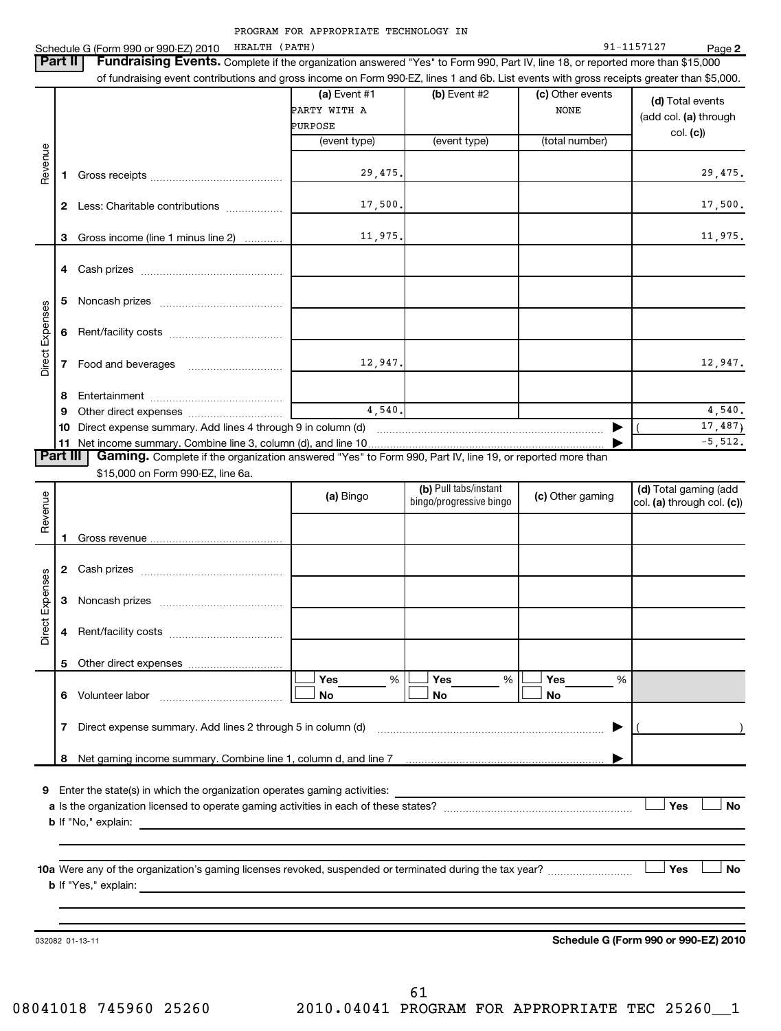|                 |    | НЕАLТН (РАТН)<br>Schedule G (Form 990 or 990-EZ) 2010                                                                                     |                                           |                                                  |                                 | 91-1157127<br>Page 2                                |
|-----------------|----|-------------------------------------------------------------------------------------------------------------------------------------------|-------------------------------------------|--------------------------------------------------|---------------------------------|-----------------------------------------------------|
| <b>Part II</b>  |    | Fundraising Events. Complete if the organization answered "Yes" to Form 990, Part IV, line 18, or reported more than \$15,000             |                                           |                                                  |                                 |                                                     |
|                 |    | of fundraising event contributions and gross income on Form 990-EZ, lines 1 and 6b. List events with gross receipts greater than \$5,000. |                                           |                                                  |                                 |                                                     |
|                 |    |                                                                                                                                           | (a) Event $#1$<br>PARTY WITH A<br>PURPOSE | $(b)$ Event #2                                   | (c) Other events<br><b>NONE</b> | (d) Total events<br>(add col. (a) through           |
|                 |    |                                                                                                                                           | (event type)                              | (event type)                                     | (total number)                  | col. (c))                                           |
| Revenue         | 1. |                                                                                                                                           | 29,475.                                   |                                                  |                                 | 29,475.                                             |
|                 |    | 2 Less: Charitable contributions                                                                                                          | 17,500.                                   |                                                  |                                 | 17,500.                                             |
|                 | 3  | Gross income (line 1 minus line 2)                                                                                                        | 11,975.                                   |                                                  |                                 | 11,975.                                             |
|                 |    |                                                                                                                                           |                                           |                                                  |                                 |                                                     |
|                 | 5  |                                                                                                                                           |                                           |                                                  |                                 |                                                     |
| Direct Expenses | 6  |                                                                                                                                           |                                           |                                                  |                                 |                                                     |
|                 | 7  |                                                                                                                                           | 12,947.                                   |                                                  |                                 | 12,947.                                             |
|                 | 8  |                                                                                                                                           |                                           |                                                  |                                 |                                                     |
|                 | 9  |                                                                                                                                           | 4,540.                                    |                                                  |                                 | 4,540.                                              |
|                 |    |                                                                                                                                           |                                           |                                                  | ▶                               | 17, 487                                             |
|                 |    |                                                                                                                                           |                                           |                                                  |                                 | $-5,512.$                                           |
| <b>Part III</b> |    | Gaming. Complete if the organization answered "Yes" to Form 990, Part IV, line 19, or reported more than                                  |                                           |                                                  |                                 |                                                     |
|                 |    | \$15,000 on Form 990-EZ, line 6a.                                                                                                         |                                           |                                                  |                                 |                                                     |
| Revenue         |    |                                                                                                                                           | (a) Bingo                                 | (b) Pull tabs/instant<br>bingo/progressive bingo | (c) Other gaming                | (d) Total gaming (add<br>col. (a) through col. (c)) |
|                 |    |                                                                                                                                           |                                           |                                                  |                                 |                                                     |
|                 |    |                                                                                                                                           |                                           |                                                  |                                 |                                                     |
| Expenses        | 3  |                                                                                                                                           |                                           |                                                  |                                 |                                                     |
| ect<br>هٔ       |    |                                                                                                                                           |                                           |                                                  |                                 |                                                     |
|                 |    |                                                                                                                                           |                                           |                                                  |                                 |                                                     |
|                 |    | 6 Volunteer labor                                                                                                                         | Yes<br>%<br>No                            | Yes<br>%<br>No                                   | Yes<br>%<br>No                  |                                                     |
|                 |    | 7 Direct expense summary. Add lines 2 through 5 in column (d) manufactured expense summanagement of                                       |                                           |                                                  | ▶                               |                                                     |
|                 | 8  |                                                                                                                                           |                                           |                                                  |                                 |                                                     |
|                 |    |                                                                                                                                           |                                           |                                                  |                                 | Yes<br><b>No</b>                                    |
|                 |    |                                                                                                                                           |                                           |                                                  |                                 |                                                     |
|                 |    | 10a Were any of the organization's gaming licenses revoked, suspended or terminated during the tax year?                                  |                                           |                                                  |                                 | Yes<br><b>No</b>                                    |
|                 |    |                                                                                                                                           |                                           |                                                  |                                 |                                                     |
|                 |    | 032082 01-13-11                                                                                                                           |                                           |                                                  |                                 | Schedule G (Form 990 or 990-EZ) 2010                |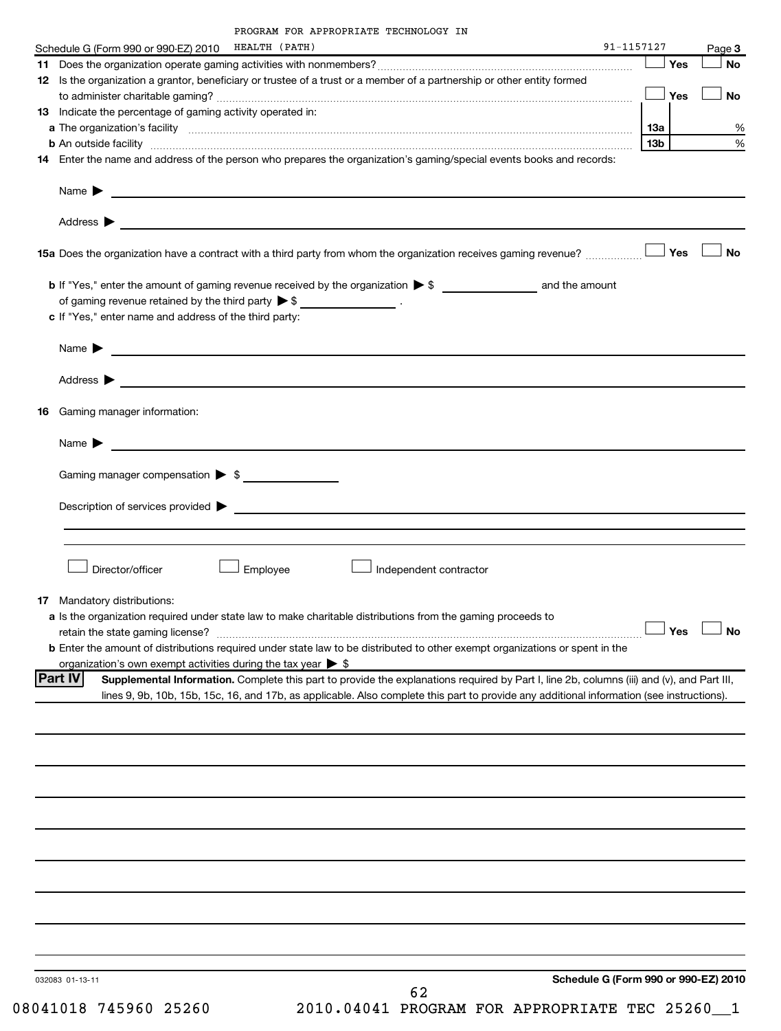| Schedule G (Form 990 or 990-EZ) 2010 HEALTH (PATH)                                                                                                                                                                  |          |                                                                                                                                                                                                                                      | 91-1157127                           |     |            | Page 3               |
|---------------------------------------------------------------------------------------------------------------------------------------------------------------------------------------------------------------------|----------|--------------------------------------------------------------------------------------------------------------------------------------------------------------------------------------------------------------------------------------|--------------------------------------|-----|------------|----------------------|
|                                                                                                                                                                                                                     |          |                                                                                                                                                                                                                                      |                                      |     | $\Box$ Yes | No                   |
| 12 Is the organization a grantor, beneficiary or trustee of a trust or a member of a partnership or other entity formed                                                                                             |          |                                                                                                                                                                                                                                      |                                      |     |            |                      |
|                                                                                                                                                                                                                     |          |                                                                                                                                                                                                                                      |                                      |     |            | <b>No</b>            |
| 13 Indicate the percentage of gaming activity operated in:                                                                                                                                                          |          |                                                                                                                                                                                                                                      |                                      |     |            |                      |
|                                                                                                                                                                                                                     |          |                                                                                                                                                                                                                                      |                                      | 13a |            | %                    |
| <b>b</b> An outside facility <i>www.communicality www.communicality.communicality www.communicality www.communicality.communicality</i>                                                                             |          |                                                                                                                                                                                                                                      |                                      | 13b |            | %                    |
| 14 Enter the name and address of the person who prepares the organization's gaming/special events books and records:                                                                                                |          |                                                                                                                                                                                                                                      |                                      |     |            |                      |
|                                                                                                                                                                                                                     |          |                                                                                                                                                                                                                                      |                                      |     |            |                      |
|                                                                                                                                                                                                                     |          |                                                                                                                                                                                                                                      |                                      |     |            |                      |
| 15a Does the organization have a contract with a third party from whom the organization receives gaming revenue?                                                                                                    |          |                                                                                                                                                                                                                                      |                                      |     | Yes        | <b>No</b>            |
|                                                                                                                                                                                                                     |          |                                                                                                                                                                                                                                      |                                      |     |            |                      |
| of gaming revenue retained by the third party $\triangleright$ \$ __________________.                                                                                                                               |          |                                                                                                                                                                                                                                      |                                      |     |            |                      |
| c If "Yes," enter name and address of the third party:                                                                                                                                                              |          |                                                                                                                                                                                                                                      |                                      |     |            |                      |
|                                                                                                                                                                                                                     |          |                                                                                                                                                                                                                                      |                                      |     |            |                      |
|                                                                                                                                                                                                                     |          | Name <b>Decision and Contract Contract Contract Contract Contract Contract Contract Contract Contract Contract Contract Contract Contract Contract Contract Contract Contract Contract Contract Contract Contract Contract Contr</b> |                                      |     |            |                      |
|                                                                                                                                                                                                                     |          |                                                                                                                                                                                                                                      |                                      |     |            |                      |
| 16 Gaming manager information:                                                                                                                                                                                      |          |                                                                                                                                                                                                                                      |                                      |     |            |                      |
|                                                                                                                                                                                                                     |          |                                                                                                                                                                                                                                      |                                      |     |            |                      |
|                                                                                                                                                                                                                     |          |                                                                                                                                                                                                                                      |                                      |     |            |                      |
|                                                                                                                                                                                                                     |          |                                                                                                                                                                                                                                      |                                      |     |            |                      |
| Gaming manager compensation > \$                                                                                                                                                                                    |          |                                                                                                                                                                                                                                      |                                      |     |            |                      |
|                                                                                                                                                                                                                     |          |                                                                                                                                                                                                                                      |                                      |     |            |                      |
|                                                                                                                                                                                                                     |          |                                                                                                                                                                                                                                      |                                      |     |            |                      |
|                                                                                                                                                                                                                     |          |                                                                                                                                                                                                                                      |                                      |     |            |                      |
|                                                                                                                                                                                                                     |          |                                                                                                                                                                                                                                      |                                      |     |            |                      |
| Director/officer                                                                                                                                                                                                    | Employee | Independent contractor                                                                                                                                                                                                               |                                      |     |            |                      |
|                                                                                                                                                                                                                     |          |                                                                                                                                                                                                                                      |                                      |     |            |                      |
| 17 Mandatory distributions:                                                                                                                                                                                         |          |                                                                                                                                                                                                                                      |                                      |     |            |                      |
| a Is the organization required under state law to make charitable distributions from the gaming proceeds to                                                                                                         |          |                                                                                                                                                                                                                                      |                                      |     |            | $\Box$ Yes $\Box$ No |
|                                                                                                                                                                                                                     |          |                                                                                                                                                                                                                                      |                                      |     |            |                      |
| <b>b</b> Enter the amount of distributions required under state law to be distributed to other exempt organizations or spent in the<br>organization's own exempt activities during the tax year $\triangleright$ \$ |          |                                                                                                                                                                                                                                      |                                      |     |            |                      |
| <b>Part IV</b>                                                                                                                                                                                                      |          | Supplemental Information. Complete this part to provide the explanations required by Part I, line 2b, columns (iii) and (v), and Part III,                                                                                           |                                      |     |            |                      |
|                                                                                                                                                                                                                     |          | lines 9, 9b, 10b, 15b, 15c, 16, and 17b, as applicable. Also complete this part to provide any additional information (see instructions).                                                                                            |                                      |     |            |                      |
|                                                                                                                                                                                                                     |          |                                                                                                                                                                                                                                      |                                      |     |            |                      |
|                                                                                                                                                                                                                     |          |                                                                                                                                                                                                                                      |                                      |     |            |                      |
|                                                                                                                                                                                                                     |          |                                                                                                                                                                                                                                      |                                      |     |            |                      |
|                                                                                                                                                                                                                     |          |                                                                                                                                                                                                                                      |                                      |     |            |                      |
|                                                                                                                                                                                                                     |          |                                                                                                                                                                                                                                      |                                      |     |            |                      |
|                                                                                                                                                                                                                     |          |                                                                                                                                                                                                                                      |                                      |     |            |                      |
|                                                                                                                                                                                                                     |          |                                                                                                                                                                                                                                      |                                      |     |            |                      |
|                                                                                                                                                                                                                     |          |                                                                                                                                                                                                                                      |                                      |     |            |                      |
|                                                                                                                                                                                                                     |          |                                                                                                                                                                                                                                      |                                      |     |            |                      |
|                                                                                                                                                                                                                     |          |                                                                                                                                                                                                                                      |                                      |     |            |                      |
|                                                                                                                                                                                                                     |          |                                                                                                                                                                                                                                      |                                      |     |            |                      |
|                                                                                                                                                                                                                     |          |                                                                                                                                                                                                                                      |                                      |     |            |                      |
| 032083 01-13-11                                                                                                                                                                                                     |          |                                                                                                                                                                                                                                      | Schedule G (Form 990 or 990-EZ) 2010 |     |            |                      |

08041018 745960 25260 2010.04041 PROGRAM FOR APPROPRIATE TEC 25260\_1 62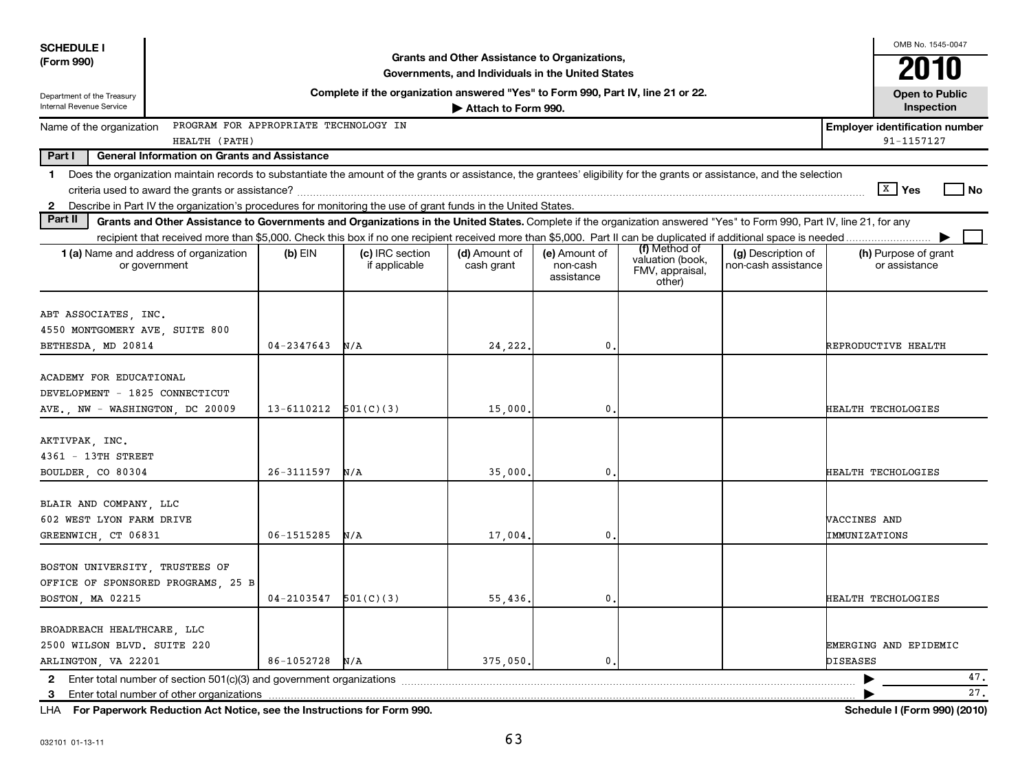| <b>SCHEDULE I</b>                                                                            |                                                                                                                                                                          |                |                                                                                  |                                                                                                    |                                         |                                                                |                                           |                               | OMB No. 1545-0047                                   |      |
|----------------------------------------------------------------------------------------------|--------------------------------------------------------------------------------------------------------------------------------------------------------------------------|----------------|----------------------------------------------------------------------------------|----------------------------------------------------------------------------------------------------|-----------------------------------------|----------------------------------------------------------------|-------------------------------------------|-------------------------------|-----------------------------------------------------|------|
| (Form 990)                                                                                   |                                                                                                                                                                          |                |                                                                                  | Grants and Other Assistance to Organizations,<br>Governments, and Individuals in the United States |                                         |                                                                |                                           |                               | 2010                                                |      |
| Department of the Treasury                                                                   |                                                                                                                                                                          |                | Complete if the organization answered "Yes" to Form 990, Part IV, line 21 or 22. |                                                                                                    |                                         |                                                                |                                           |                               | <b>Open to Public</b>                               |      |
| Internal Revenue Service                                                                     |                                                                                                                                                                          |                |                                                                                  | Attach to Form 990.                                                                                |                                         |                                                                |                                           |                               | Inspection                                          |      |
| Name of the organization                                                                     | PROGRAM FOR APPROPRIATE TECHNOLOGY IN<br>HEALTH (PATH)                                                                                                                   |                |                                                                                  |                                                                                                    |                                         |                                                                |                                           |                               | <b>Employer identification number</b><br>91-1157127 |      |
| Part I                                                                                       | <b>General Information on Grants and Assistance</b>                                                                                                                      |                |                                                                                  |                                                                                                    |                                         |                                                                |                                           |                               |                                                     |      |
| 1.                                                                                           | Does the organization maintain records to substantiate the amount of the grants or assistance, the grantees' eligibility for the grants or assistance, and the selection |                |                                                                                  |                                                                                                    |                                         |                                                                |                                           |                               |                                                     |      |
|                                                                                              |                                                                                                                                                                          |                |                                                                                  |                                                                                                    |                                         |                                                                |                                           |                               | $\sqrt{X}$ Yes                                      | l No |
| $\mathbf{2}$                                                                                 | Describe in Part IV the organization's procedures for monitoring the use of grant funds in the United States.                                                            |                |                                                                                  |                                                                                                    |                                         |                                                                |                                           |                               |                                                     |      |
| Part II                                                                                      | Grants and Other Assistance to Governments and Organizations in the United States. Complete if the organization answered "Yes" to Form 990, Part IV, line 21, for any    |                |                                                                                  |                                                                                                    |                                         |                                                                |                                           |                               |                                                     |      |
|                                                                                              | recipient that received more than \$5,000. Check this box if no one recipient received more than \$5,000. Part II can be duplicated if additional space is needed        |                |                                                                                  |                                                                                                    |                                         |                                                                |                                           |                               |                                                     |      |
|                                                                                              | <b>1 (a)</b> Name and address of organization<br>or government                                                                                                           | (b) EIN        | (c) IRC section<br>if applicable                                                 | (d) Amount of<br>cash grant                                                                        | (e) Amount of<br>non-cash<br>assistance | (f) Method of<br>valuation (book,<br>FMV, appraisal,<br>other) | (g) Description of<br>non-cash assistance |                               | (h) Purpose of grant<br>or assistance               |      |
| ABT ASSOCIATES, INC.<br>4550 MONTGOMERY AVE, SUITE 800<br>BETHESDA, MD 20814                 |                                                                                                                                                                          | $04 - 2347643$ | N/A                                                                              | 24,222                                                                                             | 0                                       |                                                                |                                           |                               | REPRODUCTIVE HEALTH                                 |      |
| ACADEMY FOR EDUCATIONAL<br>DEVELOPMENT - 1825 CONNECTICUT<br>AVE., NW - WASHINGTON, DC 20009 |                                                                                                                                                                          | 13-6110212     | 501(C)(3)                                                                        | 15,000                                                                                             | 0                                       |                                                                |                                           |                               | HEALTH TECHOLOGIES                                  |      |
| AKTIVPAK, INC.<br>4361 - 13TH STREET<br>BOULDER, CO 80304                                    |                                                                                                                                                                          | 26-3111597     | N/A                                                                              | 35,000                                                                                             | 0                                       |                                                                |                                           |                               | HEALTH TECHOLOGIES                                  |      |
| BLAIR AND COMPANY, LLC<br>602 WEST LYON FARM DRIVE<br>GREENWICH, CT 06831                    |                                                                                                                                                                          | $06 - 1515285$ | N/A                                                                              | 17,004                                                                                             | 0                                       |                                                                |                                           | VACCINES AND<br>IMMUNIZATIONS |                                                     |      |
| BOSTON UNIVERSITY, TRUSTEES OF<br>BOSTON, MA 02215                                           | OFFICE OF SPONSORED PROGRAMS, 25 B                                                                                                                                       | 04-2103547     | 501(C)(3)                                                                        | 55,436                                                                                             | $\mathbf{0}$                            |                                                                |                                           |                               | HEALTH TECHOLOGIES                                  |      |
| BROADREACH HEALTHCARE, LLC<br>2500 WILSON BLVD. SUITE 220<br>ARLINGTON, VA 22201             |                                                                                                                                                                          | 86-1052728     | N/A                                                                              | 375,050.                                                                                           | $\mathbf{0}$                            |                                                                |                                           | <b>DISEASES</b>               | EMERGING AND EPIDEMIC                               | 47.  |
| 2                                                                                            |                                                                                                                                                                          |                |                                                                                  |                                                                                                    |                                         |                                                                |                                           |                               |                                                     | 27.  |
| 3                                                                                            | LHA For Paperwork Reduction Act Notice, see the Instructions for Form 990.                                                                                               |                |                                                                                  |                                                                                                    |                                         |                                                                |                                           |                               | Schedule I (Form 990) (2010)                        |      |
|                                                                                              |                                                                                                                                                                          |                |                                                                                  |                                                                                                    |                                         |                                                                |                                           |                               |                                                     |      |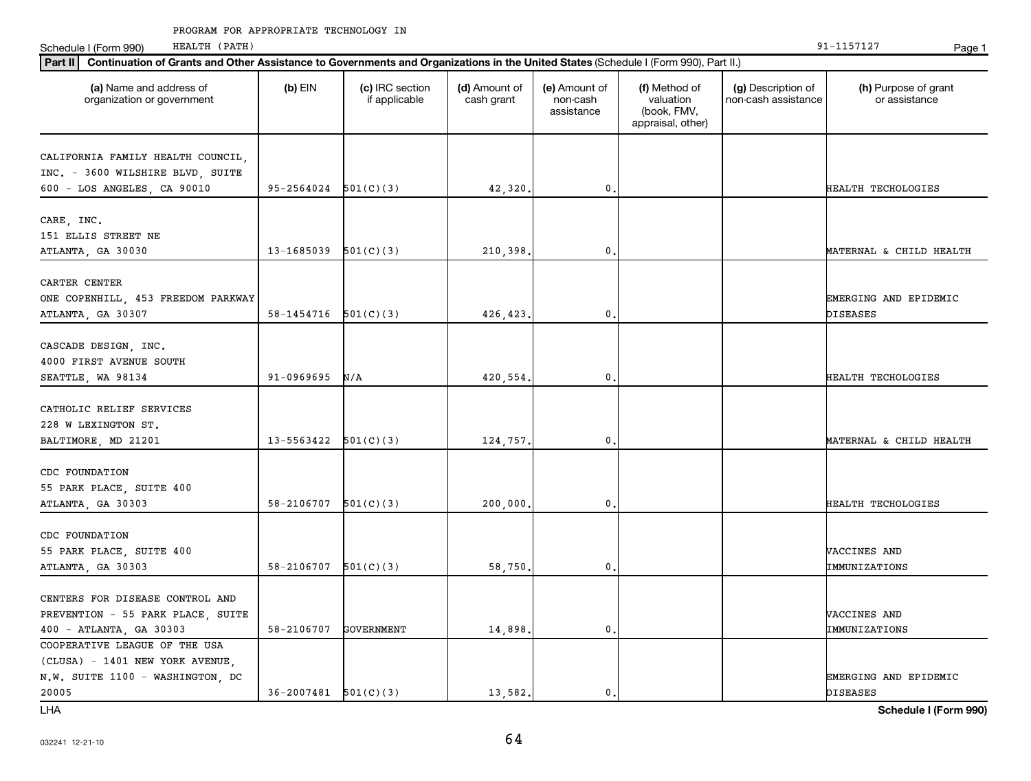Schedule I (Form 990) HEALTH (PATH) Page 1 HEALTH (PATH)

| Part II   Continuation of Grants and Other Assistance to Governments and Organizations in the United States (Schedule I (Form 990), Part II.) |                            |                                  |                             |                                         |                                                                |                                           |                                       |
|-----------------------------------------------------------------------------------------------------------------------------------------------|----------------------------|----------------------------------|-----------------------------|-----------------------------------------|----------------------------------------------------------------|-------------------------------------------|---------------------------------------|
| (a) Name and address of<br>organization or government                                                                                         | $(b)$ EIN                  | (c) IRC section<br>if applicable | (d) Amount of<br>cash grant | (e) Amount of<br>non-cash<br>assistance | (f) Method of<br>valuation<br>(book, FMV,<br>appraisal, other) | (g) Description of<br>non-cash assistance | (h) Purpose of grant<br>or assistance |
|                                                                                                                                               |                            |                                  |                             |                                         |                                                                |                                           |                                       |
| CALIFORNIA FAMILY HEALTH COUNCIL,<br>INC. - 3600 WILSHIRE BLVD, SUITE                                                                         |                            |                                  |                             |                                         |                                                                |                                           |                                       |
| 600 - LOS ANGELES, CA 90010                                                                                                                   | $95-2564024$ $501(C)(3)$   |                                  |                             | $\mathbf{0}$                            |                                                                |                                           | HEALTH TECHOLOGIES                    |
|                                                                                                                                               |                            |                                  | 42,320.                     |                                         |                                                                |                                           |                                       |
| CARE, INC.                                                                                                                                    |                            |                                  |                             |                                         |                                                                |                                           |                                       |
| 151 ELLIS STREET NE                                                                                                                           |                            |                                  |                             |                                         |                                                                |                                           |                                       |
| ATLANTA, GA 30030                                                                                                                             | 13-1685039                 | 501(C)(3)                        | 210,398.                    | $\mathbf{0}$                            |                                                                |                                           | MATERNAL & CHILD HEALTH               |
|                                                                                                                                               |                            |                                  |                             |                                         |                                                                |                                           |                                       |
| CARTER CENTER                                                                                                                                 |                            |                                  |                             |                                         |                                                                |                                           |                                       |
| ONE COPENHILL, 453 FREEDOM PARKWAY                                                                                                            |                            |                                  |                             |                                         |                                                                |                                           | EMERGING AND EPIDEMIC                 |
| ATLANTA, GA 30307                                                                                                                             | $58-1454716$ $501(C)(3)$   |                                  | 426, 423.                   | $\mathbf{0}$                            |                                                                |                                           | <b>DISEASES</b>                       |
|                                                                                                                                               |                            |                                  |                             |                                         |                                                                |                                           |                                       |
| CASCADE DESIGN, INC.                                                                                                                          |                            |                                  |                             |                                         |                                                                |                                           |                                       |
| 4000 FIRST AVENUE SOUTH                                                                                                                       |                            |                                  |                             |                                         |                                                                |                                           |                                       |
| SEATTLE, WA 98134                                                                                                                             | 91-0969695                 | N/A                              | 420,554.                    | $\mathbf{0}$                            |                                                                |                                           | HEALTH TECHOLOGIES                    |
|                                                                                                                                               |                            |                                  |                             |                                         |                                                                |                                           |                                       |
| CATHOLIC RELIEF SERVICES                                                                                                                      |                            |                                  |                             |                                         |                                                                |                                           |                                       |
| 228 W LEXINGTON ST.                                                                                                                           |                            |                                  |                             |                                         |                                                                |                                           |                                       |
| BALTIMORE, MD 21201                                                                                                                           | $13 - 5563422$ $501(C)(3)$ |                                  | 124,757.                    | $\mathbf{0}$                            |                                                                |                                           | MATERNAL & CHILD HEALTH               |
|                                                                                                                                               |                            |                                  |                             |                                         |                                                                |                                           |                                       |
| CDC FOUNDATION                                                                                                                                |                            |                                  |                             |                                         |                                                                |                                           |                                       |
| 55 PARK PLACE, SUITE 400                                                                                                                      |                            |                                  |                             |                                         |                                                                |                                           |                                       |
| ATLANTA, GA 30303                                                                                                                             | $58-2106707$ $501(C)(3)$   |                                  | 200,000,                    | $\mathbf{0}$                            |                                                                |                                           | HEALTH TECHOLOGIES                    |
|                                                                                                                                               |                            |                                  |                             |                                         |                                                                |                                           |                                       |
| CDC FOUNDATION                                                                                                                                |                            |                                  |                             |                                         |                                                                |                                           |                                       |
| 55 PARK PLACE, SUITE 400                                                                                                                      |                            |                                  |                             |                                         |                                                                |                                           | VACCINES AND                          |
| ATLANTA, GA 30303                                                                                                                             | $58 - 2106707$ $501(C)(3)$ |                                  | 58,750.                     | $\mathbf 0$ .                           |                                                                |                                           | IMMUNIZATIONS                         |
|                                                                                                                                               |                            |                                  |                             |                                         |                                                                |                                           |                                       |
| CENTERS FOR DISEASE CONTROL AND                                                                                                               |                            |                                  |                             |                                         |                                                                |                                           |                                       |
| PREVENTION - 55 PARK PLACE, SUITE                                                                                                             |                            |                                  |                             |                                         |                                                                |                                           | VACCINES AND                          |
| 400 - ATLANTA, GA 30303                                                                                                                       | 58-2106707                 | <b>GOVERNMENT</b>                | 14,898.                     | $\mathbf{0}$                            |                                                                |                                           | IMMUNIZATIONS                         |
| COOPERATIVE LEAGUE OF THE USA                                                                                                                 |                            |                                  |                             |                                         |                                                                |                                           |                                       |
| (CLUSA) - 1401 NEW YORK AVENUE,                                                                                                               |                            |                                  |                             |                                         |                                                                |                                           |                                       |
| N.W. SUITE 1100 - WASHINGTON, DC                                                                                                              |                            |                                  |                             |                                         |                                                                |                                           | EMERGING AND EPIDEMIC                 |
| 20005                                                                                                                                         | 36-2007481                 | 501(C)(3)                        | 13,582.                     | $\mathbf{0}$                            |                                                                |                                           | <b>DISEASES</b>                       |
| <b>LHA</b>                                                                                                                                    |                            |                                  |                             |                                         |                                                                |                                           | Schedule I (Form 990)                 |

032241 12-21-10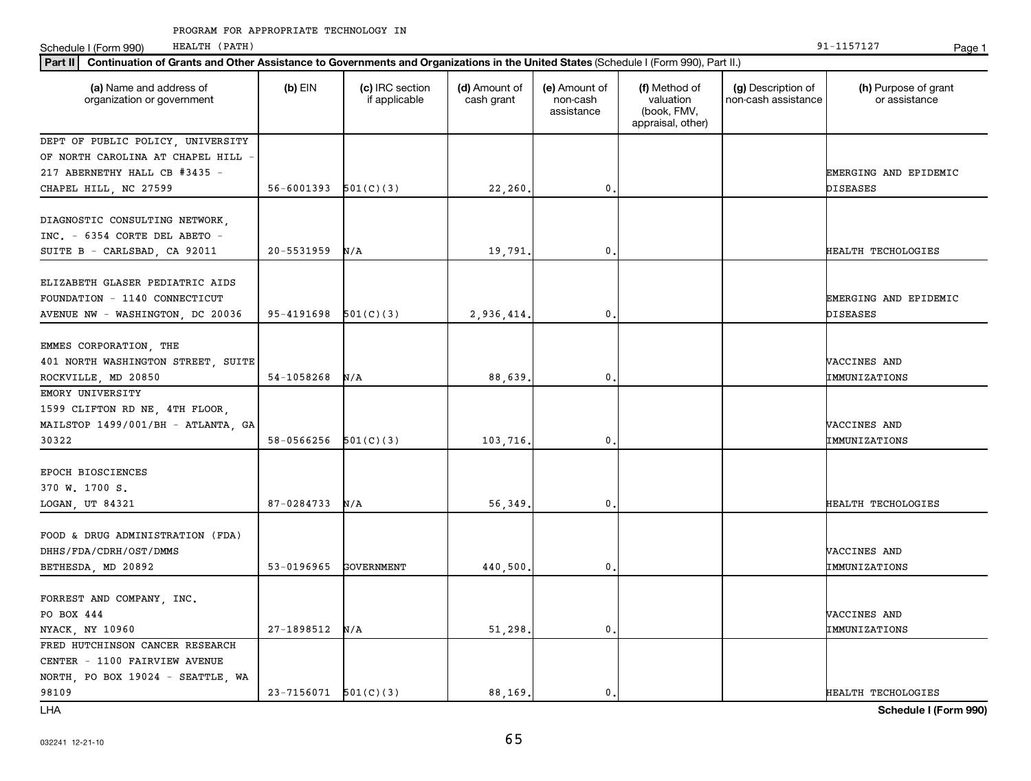Schedule I (Form 990) HEALTH (PATH) Page 1 HEALTH (PATH)

| Continuation of Grants and Other Assistance to Governments and Organizations in the United States (Schedule I (Form 990), Part II.)<br>Part II |                            |                                  |                             |                                         |                                                                |                                           |                                       |  |  |  |
|------------------------------------------------------------------------------------------------------------------------------------------------|----------------------------|----------------------------------|-----------------------------|-----------------------------------------|----------------------------------------------------------------|-------------------------------------------|---------------------------------------|--|--|--|
| (a) Name and address of<br>organization or government                                                                                          | $(b)$ EIN                  | (c) IRC section<br>if applicable | (d) Amount of<br>cash grant | (e) Amount of<br>non-cash<br>assistance | (f) Method of<br>valuation<br>(book, FMV,<br>appraisal, other) | (g) Description of<br>non-cash assistance | (h) Purpose of grant<br>or assistance |  |  |  |
| DEPT OF PUBLIC POLICY, UNIVERSITY                                                                                                              |                            |                                  |                             |                                         |                                                                |                                           |                                       |  |  |  |
| OF NORTH CAROLINA AT CHAPEL HILL                                                                                                               |                            |                                  |                             |                                         |                                                                |                                           |                                       |  |  |  |
| 217 ABERNETHY HALL CB #3435 -                                                                                                                  |                            |                                  |                             |                                         |                                                                |                                           | EMERGING AND EPIDEMIC                 |  |  |  |
| CHAPEL HILL, NC 27599                                                                                                                          | 56-6001393                 | 501(C)(3)                        | 22,260                      | 0.                                      |                                                                |                                           | <b>DISEASES</b>                       |  |  |  |
| DIAGNOSTIC CONSULTING NETWORK,<br>INC. - 6354 CORTE DEL ABETO -<br>SUITE B - CARLSBAD, CA 92011                                                | 20-5531959                 | N/A                              | 19,791                      | 0                                       |                                                                |                                           | HEALTH TECHOLOGIES                    |  |  |  |
|                                                                                                                                                |                            |                                  |                             |                                         |                                                                |                                           |                                       |  |  |  |
| ELIZABETH GLASER PEDIATRIC AIDS                                                                                                                |                            |                                  |                             |                                         |                                                                |                                           |                                       |  |  |  |
| FOUNDATION - 1140 CONNECTICUT                                                                                                                  |                            |                                  |                             |                                         |                                                                |                                           | EMERGING AND EPIDEMIC                 |  |  |  |
| AVENUE NW - WASHINGTON, DC 20036                                                                                                               | 95-4191698                 | 501(C)(3)                        | 2,936,414.                  | $\mathbf{0}$                            |                                                                |                                           | <b>DISEASES</b>                       |  |  |  |
| EMMES CORPORATION, THE<br>401 NORTH WASHINGTON STREET, SUITE<br>ROCKVILLE, MD 20850                                                            | 54-1058268                 | N/A                              | 88,639.                     | $\mathbf{0}$                            |                                                                |                                           | VACCINES AND<br>IMMUNIZATIONS         |  |  |  |
| EMORY UNIVERSITY                                                                                                                               |                            |                                  |                             |                                         |                                                                |                                           |                                       |  |  |  |
| 1599 CLIFTON RD NE, 4TH FLOOR,                                                                                                                 |                            |                                  |                             |                                         |                                                                |                                           |                                       |  |  |  |
| MAILSTOP 1499/001/BH - ATLANTA, GA                                                                                                             |                            |                                  |                             |                                         |                                                                |                                           | VACCINES AND                          |  |  |  |
| 30322                                                                                                                                          | 58-0566256                 | 501(C)(3)                        | 103,716.                    | 0                                       |                                                                |                                           | IMMUNIZATIONS                         |  |  |  |
| EPOCH BIOSCIENCES<br>370 W. 1700 S.<br>LOGAN, UT 84321                                                                                         | 87-0284733                 | N/A                              | 56,349                      | $\mathbf 0$ .                           |                                                                |                                           | HEALTH TECHOLOGIES                    |  |  |  |
|                                                                                                                                                |                            |                                  |                             |                                         |                                                                |                                           |                                       |  |  |  |
| FOOD & DRUG ADMINISTRATION (FDA)                                                                                                               |                            |                                  |                             |                                         |                                                                |                                           | VACCINES AND                          |  |  |  |
| DHHS/FDA/CDRH/OST/DMMS<br>BETHESDA, MD 20892                                                                                                   | 53-0196965                 | <b>GOVERNMENT</b>                | 440,500                     | 0.                                      |                                                                |                                           | IMMUNIZATIONS                         |  |  |  |
|                                                                                                                                                |                            |                                  |                             |                                         |                                                                |                                           |                                       |  |  |  |
| FORREST AND COMPANY, INC.                                                                                                                      |                            |                                  |                             |                                         |                                                                |                                           |                                       |  |  |  |
| PO BOX 444                                                                                                                                     |                            |                                  |                             |                                         |                                                                |                                           | VACCINES AND                          |  |  |  |
| NYACK, NY 10960                                                                                                                                | 27-1898512                 | N/A                              | 51,298                      | $\mathbf{0}$                            |                                                                |                                           | IMMUNIZATIONS                         |  |  |  |
| FRED HUTCHINSON CANCER RESEARCH                                                                                                                |                            |                                  |                             |                                         |                                                                |                                           |                                       |  |  |  |
| CENTER - 1100 FAIRVIEW AVENUE                                                                                                                  |                            |                                  |                             |                                         |                                                                |                                           |                                       |  |  |  |
| NORTH, PO BOX 19024 - SEATTLE, WA                                                                                                              |                            |                                  |                             |                                         |                                                                |                                           |                                       |  |  |  |
| 98109                                                                                                                                          | $23 - 7156071$ $501(C)(3)$ |                                  | 88,169.                     | $\mathbf{0}$ .                          |                                                                |                                           | HEALTH TECHOLOGIES                    |  |  |  |
|                                                                                                                                                |                            |                                  |                             |                                         |                                                                |                                           |                                       |  |  |  |

LHA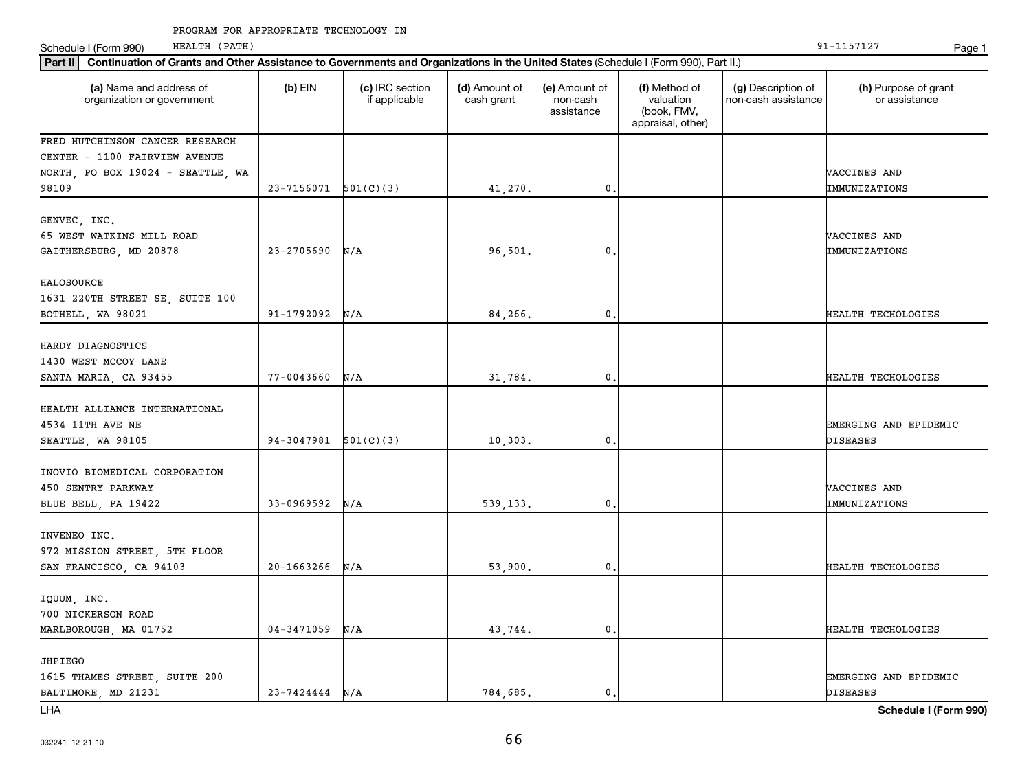Schedule I (Form 990) HEALTH (PATH) Page 1 HEALTH (PATH)

| Part II   Continuation of Grants and Other Assistance to Governments and Organizations in the United States (Schedule I (Form 990), Part II.) |                            |                                  |                             |                                         |                                                                |                                           |                                       |
|-----------------------------------------------------------------------------------------------------------------------------------------------|----------------------------|----------------------------------|-----------------------------|-----------------------------------------|----------------------------------------------------------------|-------------------------------------------|---------------------------------------|
| (a) Name and address of<br>organization or government                                                                                         | $(b)$ EIN                  | (c) IRC section<br>if applicable | (d) Amount of<br>cash grant | (e) Amount of<br>non-cash<br>assistance | (f) Method of<br>valuation<br>(book, FMV,<br>appraisal, other) | (g) Description of<br>non-cash assistance | (h) Purpose of grant<br>or assistance |
| FRED HUTCHINSON CANCER RESEARCH                                                                                                               |                            |                                  |                             |                                         |                                                                |                                           |                                       |
| CENTER - 1100 FAIRVIEW AVENUE                                                                                                                 |                            |                                  |                             |                                         |                                                                |                                           |                                       |
| NORTH, PO BOX 19024 - SEATTLE, WA                                                                                                             |                            |                                  |                             |                                         |                                                                |                                           | VACCINES AND                          |
| 98109                                                                                                                                         | $23 - 7156071$ $501(C)(3)$ |                                  | 41,270.                     | $\mathbf{0}$                            |                                                                |                                           | IMMUNIZATIONS                         |
| GENVEC, INC.                                                                                                                                  |                            |                                  |                             |                                         |                                                                |                                           |                                       |
| 65 WEST WATKINS MILL ROAD                                                                                                                     |                            |                                  |                             |                                         |                                                                |                                           | VACCINES AND                          |
| GAITHERSBURG, MD 20878                                                                                                                        | $23 - 2705690$             | N/A                              | 96,501.                     | $\mathbf{0}$                            |                                                                |                                           | IMMUNIZATIONS                         |
|                                                                                                                                               |                            |                                  |                             |                                         |                                                                |                                           |                                       |
| HALOSOURCE                                                                                                                                    |                            |                                  |                             |                                         |                                                                |                                           |                                       |
| 1631 220TH STREET SE, SUITE 100                                                                                                               |                            |                                  |                             |                                         |                                                                |                                           |                                       |
| BOTHELL, WA 98021                                                                                                                             | 91-1792092                 | N/A                              | 84,266.                     | $\mathbf{0}$                            |                                                                |                                           | HEALTH TECHOLOGIES                    |
| HARDY DIAGNOSTICS                                                                                                                             |                            |                                  |                             |                                         |                                                                |                                           |                                       |
| 1430 WEST MCCOY LANE                                                                                                                          |                            |                                  |                             |                                         |                                                                |                                           |                                       |
| SANTA MARIA, CA 93455                                                                                                                         | $77 - 0043660$             | N/A                              | 31,784.                     | $\mathbf{0}$                            |                                                                |                                           | HEALTH TECHOLOGIES                    |
|                                                                                                                                               |                            |                                  |                             |                                         |                                                                |                                           |                                       |
| HEALTH ALLIANCE INTERNATIONAL                                                                                                                 |                            |                                  |                             |                                         |                                                                |                                           |                                       |
| 4534 11TH AVE NE                                                                                                                              |                            |                                  |                             |                                         |                                                                |                                           | EMERGING AND EPIDEMIC                 |
| SEATTLE, WA 98105                                                                                                                             | 94-3047981                 | 501(C)(3)                        | 10,303.                     | $\mathbf{0}$                            |                                                                |                                           | <b>DISEASES</b>                       |
|                                                                                                                                               |                            |                                  |                             |                                         |                                                                |                                           |                                       |
| INOVIO BIOMEDICAL CORPORATION                                                                                                                 |                            |                                  |                             |                                         |                                                                |                                           |                                       |
| 450 SENTRY PARKWAY                                                                                                                            |                            |                                  |                             |                                         |                                                                |                                           | VACCINES AND                          |
| BLUE BELL, PA 19422                                                                                                                           | 33-0969592                 | N/A                              | 539,133.                    | $\mathbf{0}$                            |                                                                |                                           | IMMUNIZATIONS                         |
|                                                                                                                                               |                            |                                  |                             |                                         |                                                                |                                           |                                       |
| INVENEO INC.                                                                                                                                  |                            |                                  |                             |                                         |                                                                |                                           |                                       |
| 972 MISSION STREET, 5TH FLOOR                                                                                                                 |                            |                                  |                             |                                         |                                                                |                                           |                                       |
| SAN FRANCISCO, CA 94103                                                                                                                       | $20 - 1663266$             | N/A                              | 53,900.                     | $\mathbf{0}$                            |                                                                |                                           | HEALTH TECHOLOGIES                    |
| IQUUM, INC.                                                                                                                                   |                            |                                  |                             |                                         |                                                                |                                           |                                       |
| 700 NICKERSON ROAD                                                                                                                            |                            |                                  |                             |                                         |                                                                |                                           |                                       |
| MARLBOROUGH, MA 01752                                                                                                                         | $04 - 3471059$             | N/A                              | 43,744.                     | $\mathbf{0}$                            |                                                                |                                           | HEALTH TECHOLOGIES                    |
|                                                                                                                                               |                            |                                  |                             |                                         |                                                                |                                           |                                       |
| JHPIEGO                                                                                                                                       |                            |                                  |                             |                                         |                                                                |                                           |                                       |
| 1615 THAMES STREET, SUITE 200                                                                                                                 |                            |                                  |                             |                                         |                                                                |                                           | EMERGING AND EPIDEMIC                 |
| BALTIMORE, MD 21231                                                                                                                           | $23 - 7424444$ N/A         |                                  | 784,685.                    | $\mathbf{0}$ .                          |                                                                |                                           | <b>DISEASES</b>                       |

LHA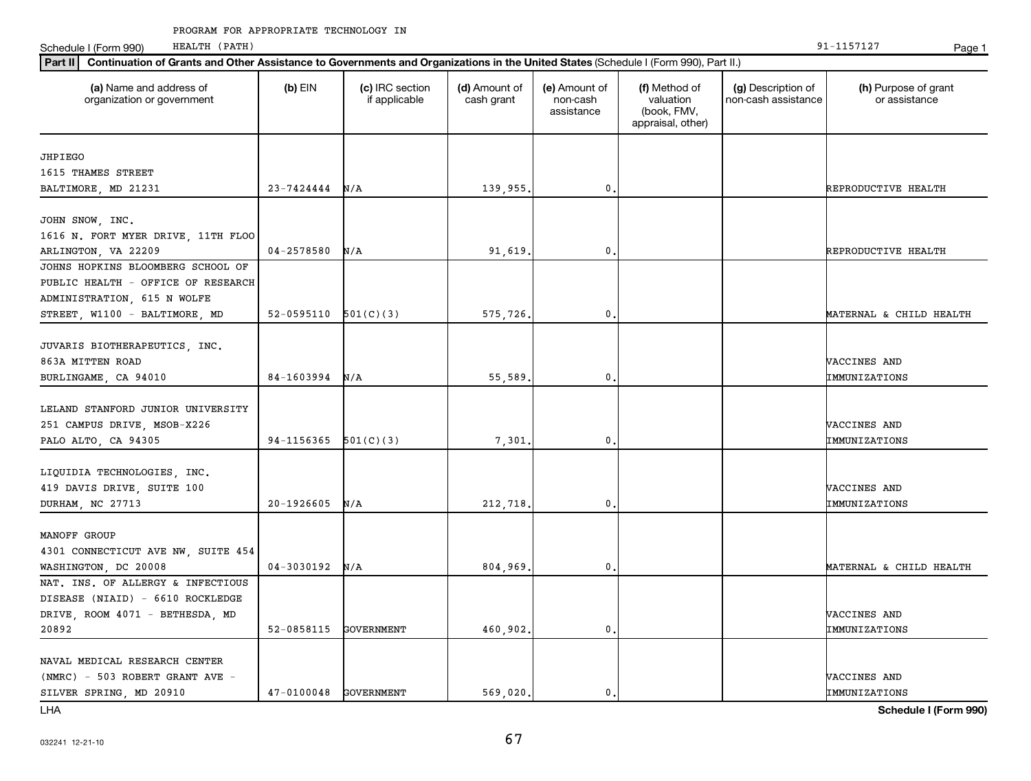Schedule I (Form 990) HEALTH (PATH) Page 1 HEALTH (PATH)

| Part II   Continuation of Grants and Other Assistance to Governments and Organizations in the United States (Schedule I (Form 990), Part II.) |                          |                                  |                             |                                         |                                                                |                                           |                                       |
|-----------------------------------------------------------------------------------------------------------------------------------------------|--------------------------|----------------------------------|-----------------------------|-----------------------------------------|----------------------------------------------------------------|-------------------------------------------|---------------------------------------|
| (a) Name and address of<br>organization or government                                                                                         | $(b)$ EIN                | (c) IRC section<br>if applicable | (d) Amount of<br>cash grant | (e) Amount of<br>non-cash<br>assistance | (f) Method of<br>valuation<br>(book, FMV,<br>appraisal, other) | (g) Description of<br>non-cash assistance | (h) Purpose of grant<br>or assistance |
|                                                                                                                                               |                          |                                  |                             |                                         |                                                                |                                           |                                       |
| JHPIEGO<br>1615 THAMES STREET                                                                                                                 |                          |                                  |                             |                                         |                                                                |                                           |                                       |
|                                                                                                                                               | 23-7424444               |                                  | 139,955.                    | $\mathbf{0}$                            |                                                                |                                           |                                       |
| BALTIMORE, MD 21231                                                                                                                           |                          | N/A                              |                             |                                         |                                                                |                                           | REPRODUCTIVE HEALTH                   |
| JOHN SNOW, INC.                                                                                                                               |                          |                                  |                             |                                         |                                                                |                                           |                                       |
| 1616 N. FORT MYER DRIVE, 11TH FLOO                                                                                                            |                          |                                  |                             |                                         |                                                                |                                           |                                       |
| ARLINGTON, VA 22209                                                                                                                           | $04 - 2578580$           | N/A                              | 91,619.                     | 0                                       |                                                                |                                           | REPRODUCTIVE HEALTH                   |
| JOHNS HOPKINS BLOOMBERG SCHOOL OF                                                                                                             |                          |                                  |                             |                                         |                                                                |                                           |                                       |
| PUBLIC HEALTH - OFFICE OF RESEARCH                                                                                                            |                          |                                  |                             |                                         |                                                                |                                           |                                       |
| ADMINISTRATION, 615 N WOLFE                                                                                                                   |                          |                                  |                             |                                         |                                                                |                                           |                                       |
| STREET, W1100 - BALTIMORE, MD                                                                                                                 | $52-0595110$ $501(C)(3)$ |                                  | 575,726.                    | $\mathbf 0$ .                           |                                                                |                                           | MATERNAL & CHILD HEALTH               |
|                                                                                                                                               |                          |                                  |                             |                                         |                                                                |                                           |                                       |
| JUVARIS BIOTHERAPEUTICS, INC.                                                                                                                 |                          |                                  |                             |                                         |                                                                |                                           |                                       |
| 863A MITTEN ROAD                                                                                                                              |                          |                                  |                             |                                         |                                                                |                                           | VACCINES AND                          |
| BURLINGAME, CA 94010                                                                                                                          | 84-1603994               | N/A                              | 55,589.                     | $\mathbf 0$ .                           |                                                                |                                           | IMMUNIZATIONS                         |
|                                                                                                                                               |                          |                                  |                             |                                         |                                                                |                                           |                                       |
| LELAND STANFORD JUNIOR UNIVERSITY                                                                                                             |                          |                                  |                             |                                         |                                                                |                                           |                                       |
| 251 CAMPUS DRIVE, MSOB-X226                                                                                                                   |                          |                                  |                             |                                         |                                                                |                                           | VACCINES AND                          |
|                                                                                                                                               | 94-1156365               | 501(C)(3)                        |                             | 0                                       |                                                                |                                           |                                       |
| PALO ALTO, CA 94305                                                                                                                           |                          |                                  | 7,301                       |                                         |                                                                |                                           | IMMUNIZATIONS                         |
| LIQUIDIA TECHNOLOGIES, INC.                                                                                                                   |                          |                                  |                             |                                         |                                                                |                                           |                                       |
| 419 DAVIS DRIVE, SUITE 100                                                                                                                    |                          |                                  |                             |                                         |                                                                |                                           | VACCINES AND                          |
|                                                                                                                                               | 20-1926605               | N/A                              |                             | $\mathbf{0}$                            |                                                                |                                           | IMMUNIZATIONS                         |
| DURHAM, NC 27713                                                                                                                              |                          |                                  | 212,718.                    |                                         |                                                                |                                           |                                       |
| MANOFF GROUP                                                                                                                                  |                          |                                  |                             |                                         |                                                                |                                           |                                       |
|                                                                                                                                               |                          |                                  |                             |                                         |                                                                |                                           |                                       |
| 4301 CONNECTICUT AVE NW, SUITE 454                                                                                                            | 04-3030192               |                                  |                             | $\mathbf{0}$                            |                                                                |                                           |                                       |
| WASHINGTON, DC 20008<br>NAT. INS. OF ALLERGY & INFECTIOUS                                                                                     |                          | N/A                              | 804,969.                    |                                         |                                                                |                                           | MATERNAL & CHILD HEALTH               |
|                                                                                                                                               |                          |                                  |                             |                                         |                                                                |                                           |                                       |
| DISEASE (NIAID) - 6610 ROCKLEDGE                                                                                                              |                          |                                  |                             |                                         |                                                                |                                           |                                       |
| DRIVE, ROOM 4071 - BETHESDA, MD                                                                                                               |                          |                                  |                             |                                         |                                                                |                                           | VACCINES AND                          |
| 20892                                                                                                                                         | 52-0858115               | <b>GOVERNMENT</b>                | 460,902.                    | $\mathbf{0}$                            |                                                                |                                           | IMMUNIZATIONS                         |
| NAVAL MEDICAL RESEARCH CENTER                                                                                                                 |                          |                                  |                             |                                         |                                                                |                                           |                                       |
|                                                                                                                                               |                          |                                  |                             |                                         |                                                                |                                           | VACCINES AND                          |
| (NMRC) - 503 ROBERT GRANT AVE -                                                                                                               | 47-0100048 GOVERNMENT    |                                  |                             | 0.                                      |                                                                |                                           |                                       |
| SILVER SPRING, MD 20910                                                                                                                       |                          |                                  | 569.020.                    |                                         |                                                                |                                           | IMMUNIZATIONS                         |

LHA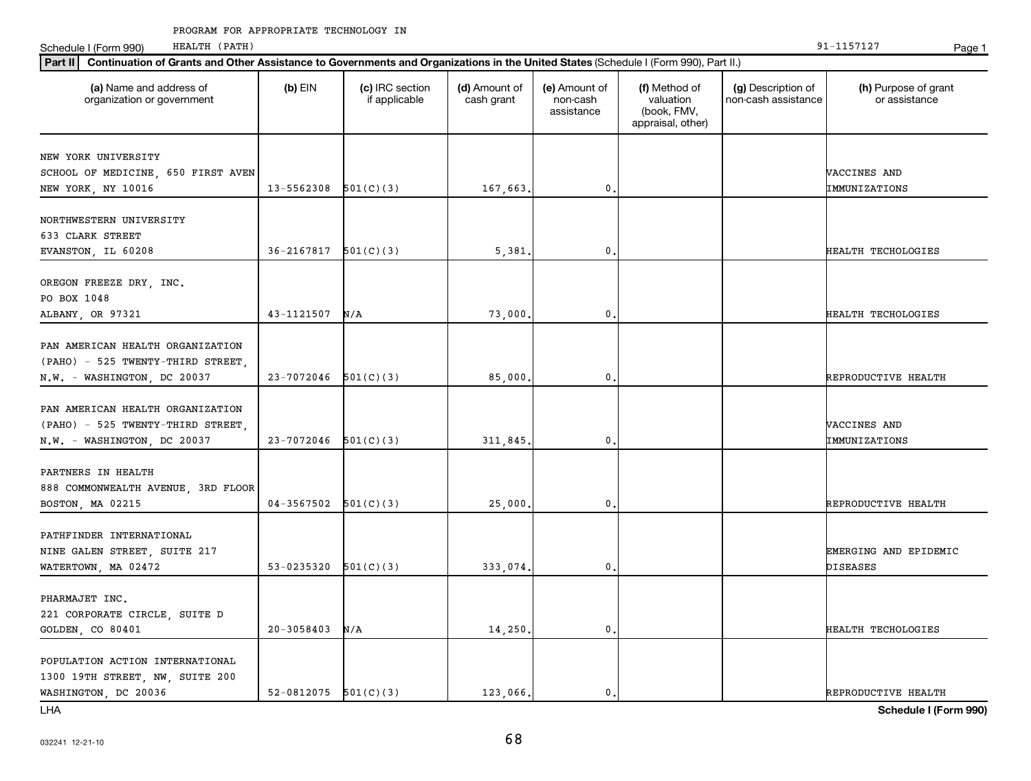Schedule I (Form 990) HEALTH (PATH) Page 1 HEALTH (PATH)

| Part II   Continuation of Grants and Other Assistance to Governments and Organizations in the United States (Schedule I (Form 990), Part II.) |                          |                                  |                             |                                         |                                                                |                                           |                                       |  |
|-----------------------------------------------------------------------------------------------------------------------------------------------|--------------------------|----------------------------------|-----------------------------|-----------------------------------------|----------------------------------------------------------------|-------------------------------------------|---------------------------------------|--|
| (a) Name and address of<br>organization or government                                                                                         | $(b)$ EIN                | (c) IRC section<br>if applicable | (d) Amount of<br>cash grant | (e) Amount of<br>non-cash<br>assistance | (f) Method of<br>valuation<br>(book, FMV,<br>appraisal, other) | (g) Description of<br>non-cash assistance | (h) Purpose of grant<br>or assistance |  |
|                                                                                                                                               |                          |                                  |                             |                                         |                                                                |                                           |                                       |  |
| NEW YORK UNIVERSITY<br>SCHOOL OF MEDICINE, 650 FIRST AVEN                                                                                     |                          |                                  |                             |                                         |                                                                |                                           | VACCINES AND                          |  |
| NEW YORK, NY 10016                                                                                                                            | 13-5562308               | 501(C)(3)                        | 167,663.                    | $\mathbf{0}$                            |                                                                |                                           | IMMUNIZATIONS                         |  |
|                                                                                                                                               |                          |                                  |                             |                                         |                                                                |                                           |                                       |  |
| NORTHWESTERN UNIVERSITY                                                                                                                       |                          |                                  |                             |                                         |                                                                |                                           |                                       |  |
| 633 CLARK STREET                                                                                                                              |                          |                                  |                             |                                         |                                                                |                                           |                                       |  |
| EVANSTON, IL 60208                                                                                                                            | 36-2167817               | 501(C)(3)                        | 5,381                       | 0                                       |                                                                |                                           | HEALTH TECHOLOGIES                    |  |
| OREGON FREEZE DRY, INC.                                                                                                                       |                          |                                  |                             |                                         |                                                                |                                           |                                       |  |
| PO BOX 1048                                                                                                                                   |                          |                                  |                             |                                         |                                                                |                                           |                                       |  |
| ALBANY, OR 97321                                                                                                                              | 43-1121507               | N/A                              | 73,000.                     | $\mathbf{0}$                            |                                                                |                                           | HEALTH TECHOLOGIES                    |  |
|                                                                                                                                               |                          |                                  |                             |                                         |                                                                |                                           |                                       |  |
| PAN AMERICAN HEALTH ORGANIZATION                                                                                                              |                          |                                  |                             |                                         |                                                                |                                           |                                       |  |
| (PAHO) - 525 TWENTY-THIRD STREET,                                                                                                             |                          |                                  |                             |                                         |                                                                |                                           |                                       |  |
| N.W. - WASHINGTON, DC 20037                                                                                                                   | 23-7072046               | 501(C)(3)                        | 85,000.                     | $\mathbf{0}$                            |                                                                |                                           | REPRODUCTIVE HEALTH                   |  |
|                                                                                                                                               |                          |                                  |                             |                                         |                                                                |                                           |                                       |  |
| PAN AMERICAN HEALTH ORGANIZATION                                                                                                              |                          |                                  |                             |                                         |                                                                |                                           |                                       |  |
| (PAHO) - 525 TWENTY-THIRD STREET,                                                                                                             | 23-7072046               | 501(C)(3)                        | 311,845.                    | $\mathbf{0}$                            |                                                                |                                           | VACCINES AND<br>IMMUNIZATIONS         |  |
| N.W. - WASHINGTON, DC 20037                                                                                                                   |                          |                                  |                             |                                         |                                                                |                                           |                                       |  |
| PARTNERS IN HEALTH                                                                                                                            |                          |                                  |                             |                                         |                                                                |                                           |                                       |  |
| 888 COMMONWEALTH AVENUE, 3RD FLOOR                                                                                                            |                          |                                  |                             |                                         |                                                                |                                           |                                       |  |
| BOSTON, MA 02215                                                                                                                              | $04-3567502$ $501(C)(3)$ |                                  | 25,000.                     | $\mathbf 0$ .                           |                                                                |                                           | REPRODUCTIVE HEALTH                   |  |
|                                                                                                                                               |                          |                                  |                             |                                         |                                                                |                                           |                                       |  |
| PATHFINDER INTERNATIONAL                                                                                                                      |                          |                                  |                             |                                         |                                                                |                                           |                                       |  |
| NINE GALEN STREET, SUITE 217                                                                                                                  |                          |                                  |                             |                                         |                                                                |                                           | EMERGING AND EPIDEMIC                 |  |
| WATERTOWN, MA 02472                                                                                                                           | 53-0235320               | 501(C)(3)                        | 333,074.                    | $\mathbf{0}$                            |                                                                |                                           | DISEASES                              |  |
|                                                                                                                                               |                          |                                  |                             |                                         |                                                                |                                           |                                       |  |
| PHARMAJET INC.                                                                                                                                |                          |                                  |                             |                                         |                                                                |                                           |                                       |  |
| 221 CORPORATE CIRCLE, SUITE D                                                                                                                 | $20 - 3058403$           | N/A                              | 14,250.                     | 0                                       |                                                                |                                           | HEALTH TECHOLOGIES                    |  |
| GOLDEN, CO 80401                                                                                                                              |                          |                                  |                             |                                         |                                                                |                                           |                                       |  |
| POPULATION ACTION INTERNATIONAL                                                                                                               |                          |                                  |                             |                                         |                                                                |                                           |                                       |  |
| 1300 19TH STREET, NW, SUITE 200                                                                                                               |                          |                                  |                             |                                         |                                                                |                                           |                                       |  |
| WASHINGTON, DC 20036                                                                                                                          | $52-0812075$ $501(C)(3)$ |                                  | 123,066.                    | $\mathbf{0}$ .                          |                                                                |                                           | REPRODUCTIVE HEALTH                   |  |
|                                                                                                                                               |                          |                                  |                             |                                         |                                                                |                                           |                                       |  |

LHA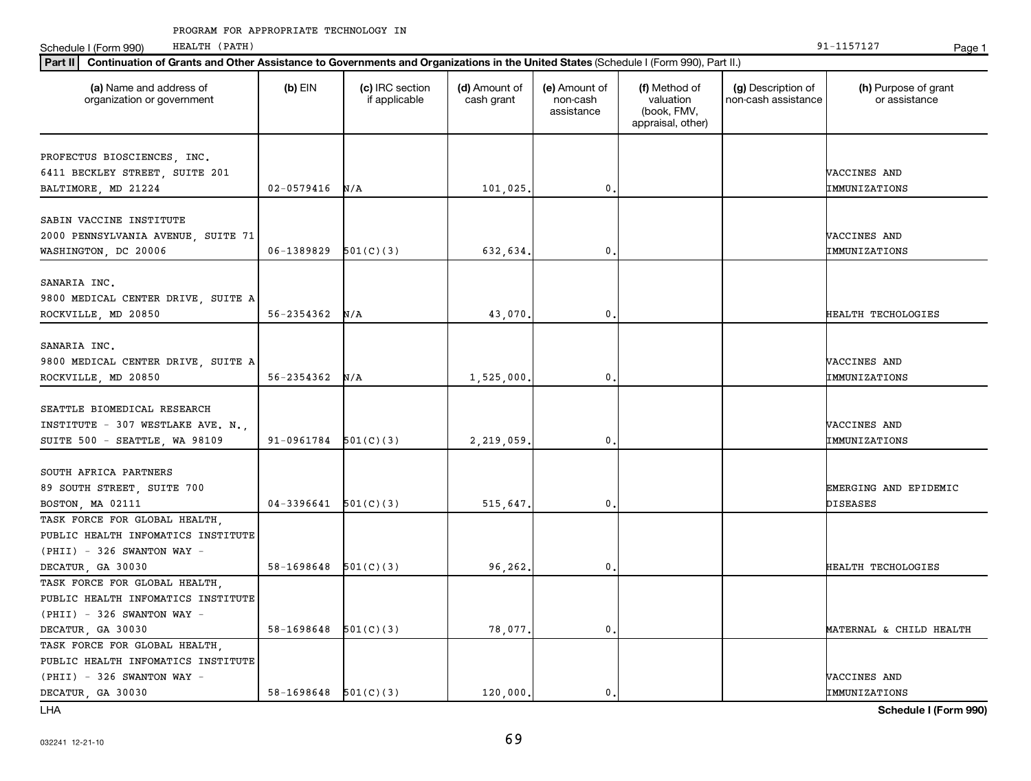Schedule I (Form 990) HEALTH (PATH) Page 1 HEALTH (PATH)

| Part II   Continuation of Grants and Other Assistance to Governments and Organizations in the United States (Schedule I (Form 990), Part II.) |                          |                                  |                             |                                         |                                                                |                                           |                                       |  |
|-----------------------------------------------------------------------------------------------------------------------------------------------|--------------------------|----------------------------------|-----------------------------|-----------------------------------------|----------------------------------------------------------------|-------------------------------------------|---------------------------------------|--|
| (a) Name and address of<br>organization or government                                                                                         | $(b)$ EIN                | (c) IRC section<br>if applicable | (d) Amount of<br>cash grant | (e) Amount of<br>non-cash<br>assistance | (f) Method of<br>valuation<br>(book, FMV,<br>appraisal, other) | (g) Description of<br>non-cash assistance | (h) Purpose of grant<br>or assistance |  |
| PROFECTUS BIOSCIENCES, INC.                                                                                                                   |                          |                                  |                             |                                         |                                                                |                                           |                                       |  |
| 6411 BECKLEY STREET, SUITE 201                                                                                                                |                          |                                  |                             |                                         |                                                                |                                           | VACCINES AND                          |  |
| BALTIMORE, MD 21224                                                                                                                           | $02 - 0579416$           | N/A                              | 101,025.                    | 0                                       |                                                                |                                           | IMMUNIZATIONS                         |  |
|                                                                                                                                               |                          |                                  |                             |                                         |                                                                |                                           |                                       |  |
| SABIN VACCINE INSTITUTE                                                                                                                       |                          |                                  |                             |                                         |                                                                |                                           |                                       |  |
| 2000 PENNSYLVANIA AVENUE, SUITE 71                                                                                                            |                          |                                  |                             |                                         |                                                                |                                           | VACCINES AND                          |  |
| WASHINGTON, DC 20006                                                                                                                          | 06-1389829               | 501(C)(3)                        | 632,634.                    | 0                                       |                                                                |                                           | IMMUNIZATIONS                         |  |
|                                                                                                                                               |                          |                                  |                             |                                         |                                                                |                                           |                                       |  |
| SANARIA INC.                                                                                                                                  |                          |                                  |                             |                                         |                                                                |                                           |                                       |  |
| 9800 MEDICAL CENTER DRIVE, SUITE A                                                                                                            |                          |                                  |                             |                                         |                                                                |                                           |                                       |  |
| ROCKVILLE, MD 20850                                                                                                                           | 56-2354362               | N/A                              | 43,070                      | $\mathbf{0}$                            |                                                                |                                           | HEALTH TECHOLOGIES                    |  |
|                                                                                                                                               |                          |                                  |                             |                                         |                                                                |                                           |                                       |  |
| SANARIA INC.                                                                                                                                  |                          |                                  |                             |                                         |                                                                |                                           |                                       |  |
| 9800 MEDICAL CENTER DRIVE, SUITE A                                                                                                            | 56-2354362               |                                  |                             | 0                                       |                                                                |                                           | VACCINES AND                          |  |
| ROCKVILLE, MD 20850                                                                                                                           |                          | N/A                              | 1,525,000.                  |                                         |                                                                |                                           | IMMUNIZATIONS                         |  |
| SEATTLE BIOMEDICAL RESEARCH                                                                                                                   |                          |                                  |                             |                                         |                                                                |                                           |                                       |  |
| INSTITUTE - 307 WESTLAKE AVE. N.,                                                                                                             |                          |                                  |                             |                                         |                                                                |                                           | VACCINES AND                          |  |
| SUITE 500 - SEATTLE, WA 98109                                                                                                                 | 91-0961784               | 501(C)(3)                        | 2,219,059.                  | 0                                       |                                                                |                                           | IMMUNIZATIONS                         |  |
|                                                                                                                                               |                          |                                  |                             |                                         |                                                                |                                           |                                       |  |
| SOUTH AFRICA PARTNERS                                                                                                                         |                          |                                  |                             |                                         |                                                                |                                           |                                       |  |
| 89 SOUTH STREET, SUITE 700                                                                                                                    |                          |                                  |                             |                                         |                                                                |                                           | EMERGING AND EPIDEMIC                 |  |
| BOSTON, MA 02111                                                                                                                              | 04-3396641               | 501(C)(3)                        | 515,647.                    | 0.                                      |                                                                |                                           | DISEASES                              |  |
| TASK FORCE FOR GLOBAL HEALTH,                                                                                                                 |                          |                                  |                             |                                         |                                                                |                                           |                                       |  |
| PUBLIC HEALTH INFOMATICS INSTITUTE                                                                                                            |                          |                                  |                             |                                         |                                                                |                                           |                                       |  |
| $(PHII) - 326$ SWANTON WAY -                                                                                                                  |                          |                                  |                             |                                         |                                                                |                                           |                                       |  |
| DECATUR, GA 30030                                                                                                                             | $58-1698648$ $501(C)(3)$ |                                  | 96,262.                     | 0                                       |                                                                |                                           | HEALTH TECHOLOGIES                    |  |
| TASK FORCE FOR GLOBAL HEALTH,                                                                                                                 |                          |                                  |                             |                                         |                                                                |                                           |                                       |  |
| PUBLIC HEALTH INFOMATICS INSTITUTE                                                                                                            |                          |                                  |                             |                                         |                                                                |                                           |                                       |  |
| $(PHII) - 326$ SWANTON WAY -                                                                                                                  |                          |                                  |                             |                                         |                                                                |                                           |                                       |  |
| DECATUR, GA 30030                                                                                                                             | 58-1698648               | 501(C)(3)                        | 78,077.                     | $\mathsf{0}$ .                          |                                                                |                                           | MATERNAL & CHILD HEALTH               |  |
| TASK FORCE FOR GLOBAL HEALTH,                                                                                                                 |                          |                                  |                             |                                         |                                                                |                                           |                                       |  |
| PUBLIC HEALTH INFOMATICS INSTITUTE                                                                                                            |                          |                                  |                             |                                         |                                                                |                                           |                                       |  |
| $(PHII) - 326$ SWANTON WAY -                                                                                                                  |                          |                                  |                             |                                         |                                                                |                                           | VACCINES AND                          |  |
| DECATUR, GA 30030                                                                                                                             | $58-1698648$ $501(C)(3)$ |                                  | 120,000,                    | $\mathbf{0}$ .                          |                                                                |                                           | IMMUNIZATIONS                         |  |

LHA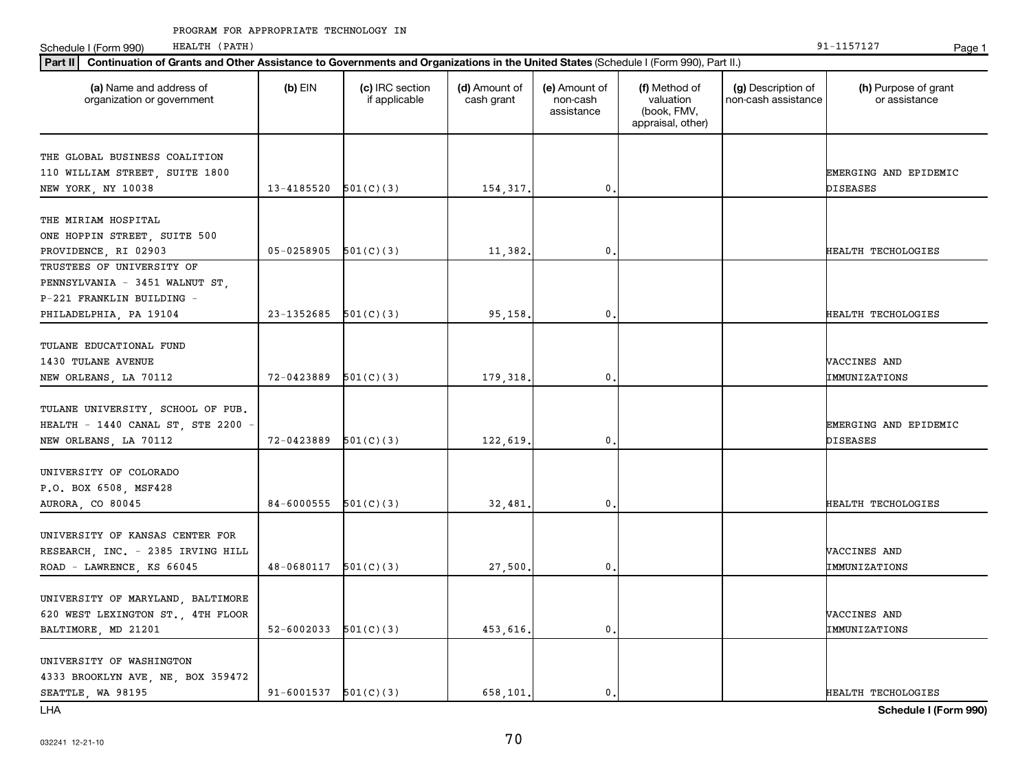Schedule I (Form 990) HEALTH (PATH) Page 1 HEALTH (PATH)

| Part II   Continuation of Grants and Other Assistance to Governments and Organizations in the United States (Schedule I (Form 990), Part II.) |                          |                                  |                             |                                         |                                                                |                                           |                                       |  |
|-----------------------------------------------------------------------------------------------------------------------------------------------|--------------------------|----------------------------------|-----------------------------|-----------------------------------------|----------------------------------------------------------------|-------------------------------------------|---------------------------------------|--|
| (a) Name and address of<br>organization or government                                                                                         | $(b)$ EIN                | (c) IRC section<br>if applicable | (d) Amount of<br>cash grant | (e) Amount of<br>non-cash<br>assistance | (f) Method of<br>valuation<br>(book, FMV,<br>appraisal, other) | (g) Description of<br>non-cash assistance | (h) Purpose of grant<br>or assistance |  |
| THE GLOBAL BUSINESS COALITION                                                                                                                 |                          |                                  |                             |                                         |                                                                |                                           |                                       |  |
| 110 WILLIAM STREET, SUITE 1800                                                                                                                |                          |                                  |                             |                                         |                                                                |                                           | EMERGING AND EPIDEMIC                 |  |
| NEW YORK, NY 10038                                                                                                                            | $13-4185520$ $501(C)(3)$ |                                  | 154,317.                    | 0                                       |                                                                |                                           | <b>DISEASES</b>                       |  |
|                                                                                                                                               |                          |                                  |                             |                                         |                                                                |                                           |                                       |  |
| THE MIRIAM HOSPITAL                                                                                                                           |                          |                                  |                             |                                         |                                                                |                                           |                                       |  |
| ONE HOPPIN STREET, SUITE 500                                                                                                                  |                          |                                  |                             |                                         |                                                                |                                           |                                       |  |
| PROVIDENCE, RI 02903<br>TRUSTEES OF UNIVERSITY OF                                                                                             | 05-0258905               | 501(C)(3)                        | 11,382.                     | 0                                       |                                                                |                                           | HEALTH TECHOLOGIES                    |  |
| PENNSYLVANIA - 3451 WALNUT ST,                                                                                                                |                          |                                  |                             |                                         |                                                                |                                           |                                       |  |
| P-221 FRANKLIN BUILDING -                                                                                                                     |                          |                                  |                             |                                         |                                                                |                                           |                                       |  |
| PHILADELPHIA, PA 19104                                                                                                                        | 23-1352685               | 501(C)(3)                        | 95,158.                     | $\mathbf{0}$                            |                                                                |                                           | HEALTH TECHOLOGIES                    |  |
|                                                                                                                                               |                          |                                  |                             |                                         |                                                                |                                           |                                       |  |
| TULANE EDUCATIONAL FUND                                                                                                                       |                          |                                  |                             |                                         |                                                                |                                           |                                       |  |
| 1430 TULANE AVENUE                                                                                                                            |                          |                                  |                             |                                         |                                                                |                                           | VACCINES AND                          |  |
| NEW ORLEANS, LA 70112                                                                                                                         | 72-0423889               | 501(C)(3)                        | 179,318.                    | 0                                       |                                                                |                                           | IMMUNIZATIONS                         |  |
|                                                                                                                                               |                          |                                  |                             |                                         |                                                                |                                           |                                       |  |
| TULANE UNIVERSITY, SCHOOL OF PUB.                                                                                                             |                          |                                  |                             |                                         |                                                                |                                           |                                       |  |
| HEALTH - 1440 CANAL ST, STE 2200                                                                                                              |                          |                                  |                             |                                         |                                                                |                                           | EMERGING AND EPIDEMIC                 |  |
| NEW ORLEANS, LA 70112                                                                                                                         | 72-0423889               | 501(C)(3)                        | 122,619.                    | 0                                       |                                                                |                                           | <b>DISEASES</b>                       |  |
|                                                                                                                                               |                          |                                  |                             |                                         |                                                                |                                           |                                       |  |
| UNIVERSITY OF COLORADO                                                                                                                        |                          |                                  |                             |                                         |                                                                |                                           |                                       |  |
| P.O. BOX 6508, MSF428<br>AURORA, CO 80045                                                                                                     | 84-6000555               | 501(C)(3)                        | 32,481.                     | 0.                                      |                                                                |                                           | HEALTH TECHOLOGIES                    |  |
|                                                                                                                                               |                          |                                  |                             |                                         |                                                                |                                           |                                       |  |
| UNIVERSITY OF KANSAS CENTER FOR                                                                                                               |                          |                                  |                             |                                         |                                                                |                                           |                                       |  |
| RESEARCH, INC. - 2385 IRVING HILL                                                                                                             |                          |                                  |                             |                                         |                                                                |                                           | VACCINES AND                          |  |
| ROAD - LAWRENCE, KS 66045                                                                                                                     | 48-0680117               | 501(C)(3)                        | 27,500.                     | $\mathbf{0}$ .                          |                                                                |                                           | IMMUNIZATIONS                         |  |
|                                                                                                                                               |                          |                                  |                             |                                         |                                                                |                                           |                                       |  |
| UNIVERSITY OF MARYLAND, BALTIMORE                                                                                                             |                          |                                  |                             |                                         |                                                                |                                           |                                       |  |
| 620 WEST LEXINGTON ST., 4TH FLOOR                                                                                                             |                          |                                  |                             |                                         |                                                                |                                           | VACCINES AND                          |  |
| BALTIMORE, MD 21201                                                                                                                           | 52-6002033               | 501(C)(3)                        | 453,616.                    | 0                                       |                                                                |                                           | IMMUNIZATIONS                         |  |
|                                                                                                                                               |                          |                                  |                             |                                         |                                                                |                                           |                                       |  |
| UNIVERSITY OF WASHINGTON                                                                                                                      |                          |                                  |                             |                                         |                                                                |                                           |                                       |  |
| 4333 BROOKLYN AVE, NE, BOX 359472                                                                                                             |                          |                                  |                             |                                         |                                                                |                                           |                                       |  |
| SEATTLE, WA 98195                                                                                                                             | $91-6001537$ $501(C)(3)$ |                                  | 658,101.                    | $\mathfrak{o}$ .                        |                                                                |                                           | HEALTH TECHOLOGIES                    |  |

LHA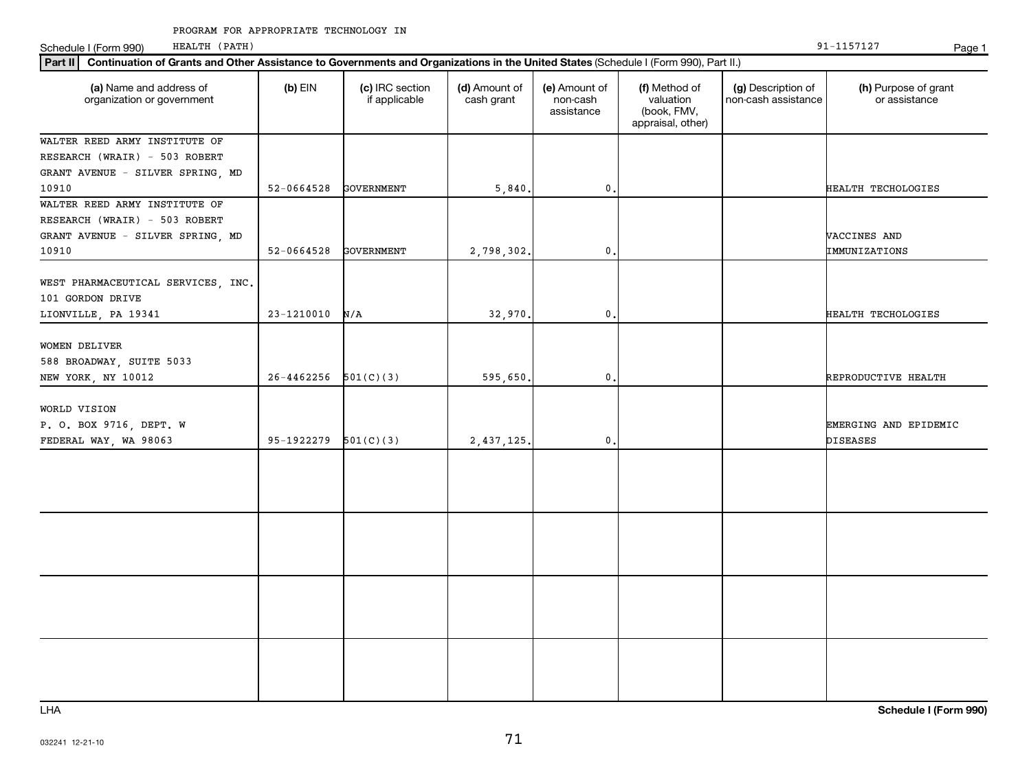Schedule I (Form 990) HEALTH (PATH) Page 1 HEALTH (PATH)

| Continuation of Grants and Other Assistance to Governments and Organizations in the United States (Schedule I (Form 990), Part II.)<br>Part II |                |                                  |                             |                                         |                                                                |                                           |                                          |  |
|------------------------------------------------------------------------------------------------------------------------------------------------|----------------|----------------------------------|-----------------------------|-----------------------------------------|----------------------------------------------------------------|-------------------------------------------|------------------------------------------|--|
| (a) Name and address of<br>organization or government                                                                                          | $(b)$ EIN      | (c) IRC section<br>if applicable | (d) Amount of<br>cash grant | (e) Amount of<br>non-cash<br>assistance | (f) Method of<br>valuation<br>(book, FMV,<br>appraisal, other) | (g) Description of<br>non-cash assistance | (h) Purpose of grant<br>or assistance    |  |
| WALTER REED ARMY INSTITUTE OF                                                                                                                  |                |                                  |                             |                                         |                                                                |                                           |                                          |  |
| RESEARCH (WRAIR) - 503 ROBERT                                                                                                                  |                |                                  |                             |                                         |                                                                |                                           |                                          |  |
| GRANT AVENUE - SILVER SPRING, MD                                                                                                               |                |                                  |                             |                                         |                                                                |                                           |                                          |  |
| 10910                                                                                                                                          | 52-0664528     | GOVERNMENT                       | 5,840.                      | $\mathbf{0}$                            |                                                                |                                           | HEALTH TECHOLOGIES                       |  |
| WALTER REED ARMY INSTITUTE OF<br>RESEARCH (WRAIR) - 503 ROBERT<br>GRANT AVENUE - SILVER SPRING, MD                                             |                |                                  |                             |                                         |                                                                |                                           | VACCINES AND                             |  |
| 10910                                                                                                                                          | 52-0664528     | GOVERNMENT                       | 2,798,302.                  | 0                                       |                                                                |                                           | IMMUNIZATIONS                            |  |
| WEST PHARMACEUTICAL SERVICES, INC.<br>101 GORDON DRIVE<br>LIONVILLE, PA 19341                                                                  | $23 - 1210010$ | N/A                              | 32,970.                     | $\mathbf{0}$                            |                                                                |                                           | HEALTH TECHOLOGIES                       |  |
|                                                                                                                                                |                |                                  |                             |                                         |                                                                |                                           |                                          |  |
| WOMEN DELIVER<br>588 BROADWAY, SUITE 5033<br>NEW YORK, NY 10012                                                                                | $26 - 4462256$ | 501(C)(3)                        | 595,650.                    | 0                                       |                                                                |                                           | REPRODUCTIVE HEALTH                      |  |
|                                                                                                                                                |                |                                  |                             |                                         |                                                                |                                           |                                          |  |
| WORLD VISION<br>P. O. BOX 9716, DEPT. W<br>FEDERAL WAY, WA 98063                                                                               | 95-1922279     | 501(C)(3)                        | 2,437,125.                  | $\mathbf{0}$                            |                                                                |                                           | EMERGING AND EPIDEMIC<br><b>DISEASES</b> |  |
|                                                                                                                                                |                |                                  |                             |                                         |                                                                |                                           |                                          |  |
|                                                                                                                                                |                |                                  |                             |                                         |                                                                |                                           |                                          |  |
|                                                                                                                                                |                |                                  |                             |                                         |                                                                |                                           |                                          |  |
|                                                                                                                                                |                |                                  |                             |                                         |                                                                |                                           |                                          |  |

LHA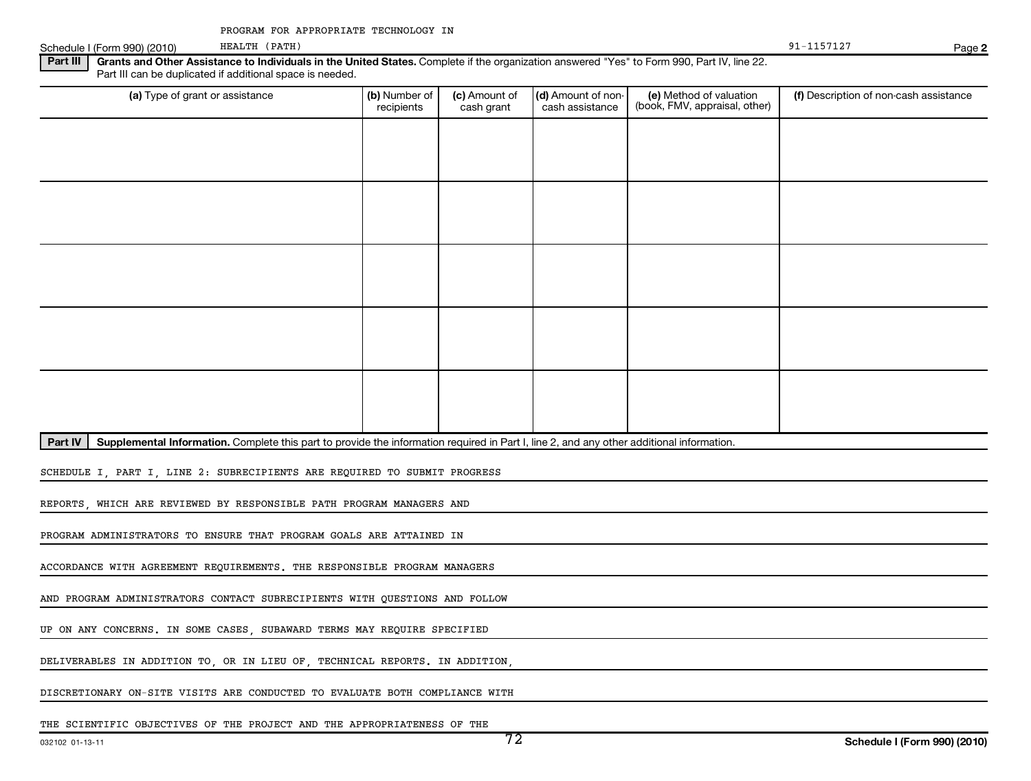#### Part III | Grants and Other Assistance to Individuals in the United States. Complete if the organization answered "Yes" to Form 990, Part IV, line 22. Schedule I (Form 990) (2010) PERALTH (PATH) PARTH (PATH) PAGE 2010 PAGE 2010 PAGE 2010 PAGE 2010 PAGE 2010 PAGE Part III can be duplicated if additional space is needed. HEALTH (PATH) 91-1157127

| (a) Type of grant or assistance | (b) Number of<br>recipients | (c) Amount of<br>cash grant | (d) Amount of non-<br>cash assistance | (e) Method of valuation<br>(book, FMV, appraisal, other) | (f) Description of non-cash assistance |
|---------------------------------|-----------------------------|-----------------------------|---------------------------------------|----------------------------------------------------------|----------------------------------------|
|                                 |                             |                             |                                       |                                                          |                                        |
|                                 |                             |                             |                                       |                                                          |                                        |
|                                 |                             |                             |                                       |                                                          |                                        |
|                                 |                             |                             |                                       |                                                          |                                        |
|                                 |                             |                             |                                       |                                                          |                                        |
|                                 |                             |                             |                                       |                                                          |                                        |
|                                 |                             |                             |                                       |                                                          |                                        |
|                                 |                             |                             |                                       |                                                          |                                        |
|                                 |                             |                             |                                       |                                                          |                                        |
|                                 |                             |                             |                                       |                                                          |                                        |
|                                 |                             |                             |                                       |                                                          |                                        |
|                                 |                             |                             |                                       |                                                          |                                        |
|                                 |                             |                             |                                       |                                                          |                                        |
|                                 |                             |                             |                                       |                                                          |                                        |
|                                 |                             |                             |                                       |                                                          |                                        |
|                                 |                             |                             |                                       |                                                          |                                        |

Part IV | Supplemental Information. Complete this part to provide the information required in Part I, line 2, and any other additional information.

SCHEDULE I, PART I, LINE 2: SUBRECIPIENTS ARE REQUIRED TO SUBMIT PROGRESS

REPORTS, WHICH ARE REVIEWED BY RESPONSIBLE PATH PROGRAM MANAGERS AND

PROGRAM ADMINISTRATORS TO ENSURE THAT PROGRAM GOALS ARE ATTAINED IN

ACCORDANCE WITH AGREEMENT REQUIREMENTS. THE RESPONSIBLE PROGRAM MANAGERS

AND PROGRAM ADMINISTRATORS CONTACT SUBRECIPIENTS WITH QUESTIONS AND FOLLOW

UP ON ANY CONCERNS. IN SOME CASES, SUBAWARD TERMS MAY REQUIRE SPECIFIED

DELIVERABLES IN ADDITION TO, OR IN LIEU OF, TECHNICAL REPORTS. IN ADDITION,

DISCRETIONARY ON-SITE VISITS ARE CONDUCTED TO EVALUATE BOTH COMPLIANCE WITH

**2**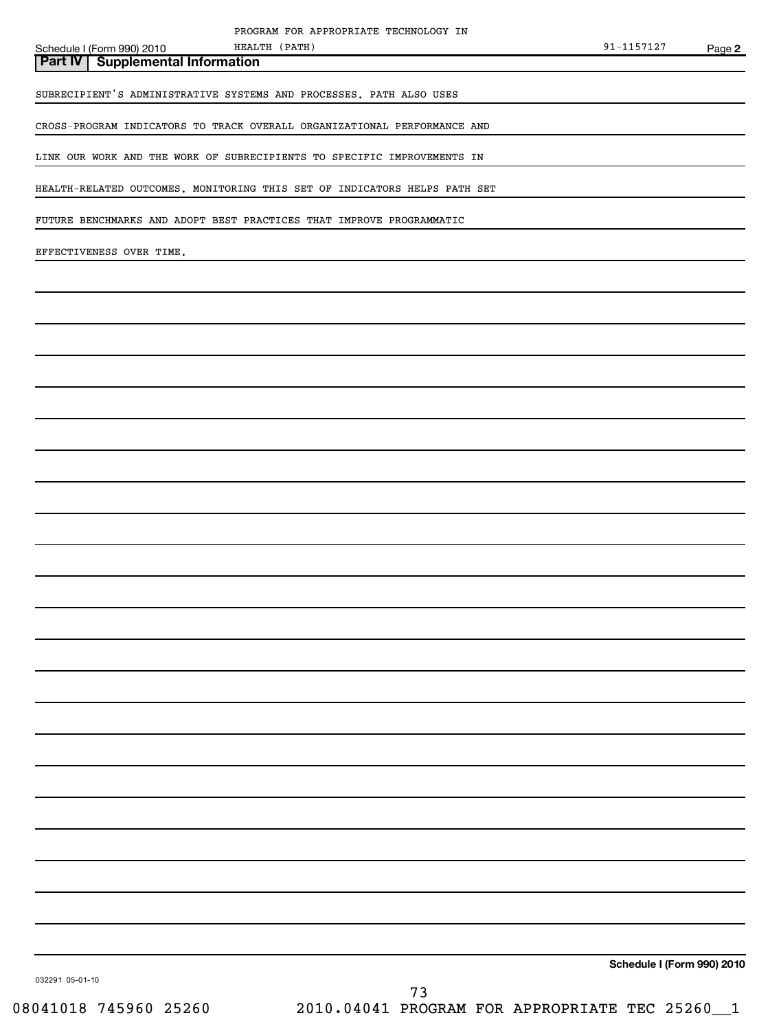**Part IV Supplemental Information** HEALTH (PATH)

SUBRECIPIENT'S ADMINISTRATIVE SYSTEMS AND PROCESSES. PATH ALSO USES

CROSS-PROGRAM INDICATORS TO TRACK OVERALL ORGANIZATIONAL PERFORMANCE AND

LINK OUR WORK AND THE WORK OF SUBRECIPIENTS TO SPECIFIC IMPROVEMENTS IN

HEALTH-RELATED OUTCOMES. MONITORING THIS SET OF INDICATORS HELPS PATH SET

FUTURE BENCHMARKS AND ADOPT BEST PRACTICES THAT IMPROVE PROGRAMMATIC

EFFECTIVENESS OVER TIME.

**Schedule I (Form 990) 2010**

032291 05-01-10

08041018 745960 25260 2010.04041 PROGRAM FOR APPROPRIATE TEC 25260\_\_1 73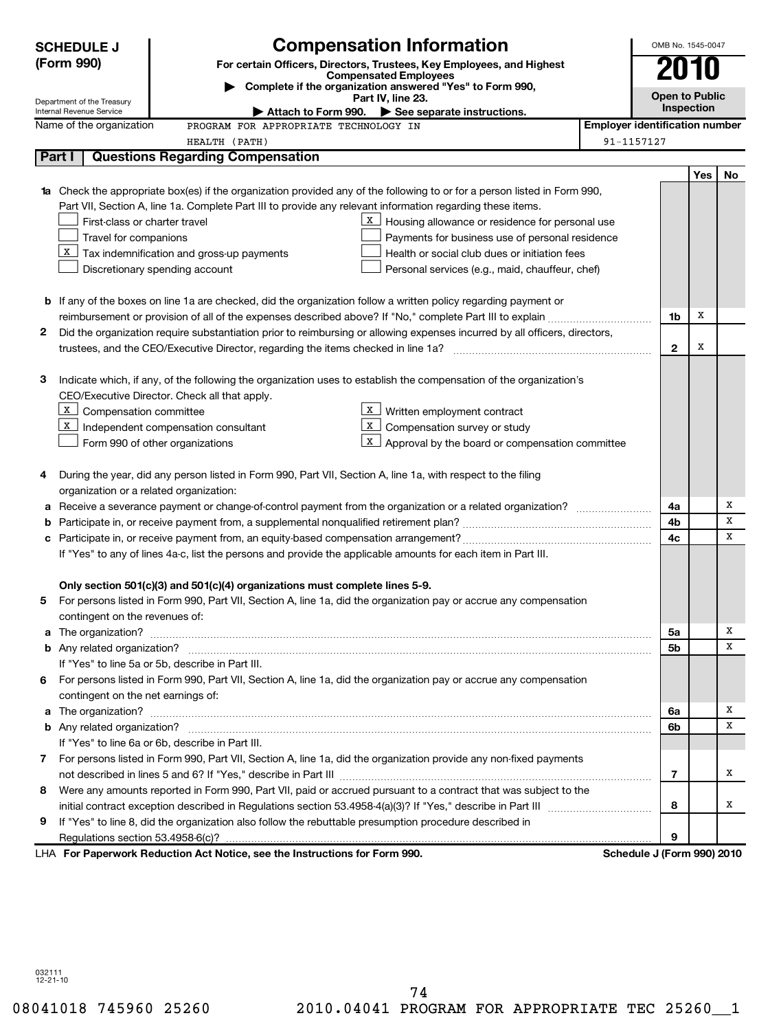|    | <b>Compensation Information</b><br><b>SCHEDULE J</b>   |                                                                                                                                                                                                                                     | OMB No. 1545-0047 |                                       |     |    |  |
|----|--------------------------------------------------------|-------------------------------------------------------------------------------------------------------------------------------------------------------------------------------------------------------------------------------------|-------------------|---------------------------------------|-----|----|--|
|    | (Form 990)                                             | For certain Officers, Directors, Trustees, Key Employees, and Highest                                                                                                                                                               |                   |                                       |     |    |  |
|    |                                                        | <b>Compensated Employees</b><br>Complete if the organization answered "Yes" to Form 990,                                                                                                                                            |                   |                                       |     |    |  |
|    | Department of the Treasury<br>Internal Revenue Service | Part IV, line 23.<br>Attach to Form 990. $\blacktriangleright$ See separate instructions.                                                                                                                                           |                   | <b>Open to Public</b><br>Inspection   |     |    |  |
|    | Name of the organization                               | PROGRAM FOR APPROPRIATE TECHNOLOGY IN                                                                                                                                                                                               |                   | <b>Employer identification number</b> |     |    |  |
|    |                                                        | HEALTH (PATH)                                                                                                                                                                                                                       | 91-1157127        |                                       |     |    |  |
|    | Part I                                                 | <b>Questions Regarding Compensation</b>                                                                                                                                                                                             |                   |                                       |     |    |  |
|    |                                                        |                                                                                                                                                                                                                                     |                   |                                       | Yes | No |  |
|    |                                                        | <b>1a</b> Check the appropriate box(es) if the organization provided any of the following to or for a person listed in Form 990,                                                                                                    |                   |                                       |     |    |  |
|    |                                                        | Part VII, Section A, line 1a. Complete Part III to provide any relevant information regarding these items.                                                                                                                          |                   |                                       |     |    |  |
|    | First-class or charter travel                          | X.<br>Housing allowance or residence for personal use                                                                                                                                                                               |                   |                                       |     |    |  |
|    | Travel for companions                                  | Payments for business use of personal residence                                                                                                                                                                                     |                   |                                       |     |    |  |
|    |                                                        | $X$ Tax indemnification and gross-up payments<br>Health or social club dues or initiation fees                                                                                                                                      |                   |                                       |     |    |  |
|    |                                                        | Discretionary spending account<br>Personal services (e.g., maid, chauffeur, chef)                                                                                                                                                   |                   |                                       |     |    |  |
|    |                                                        |                                                                                                                                                                                                                                     |                   |                                       |     |    |  |
|    |                                                        | <b>b</b> If any of the boxes on line 1a are checked, did the organization follow a written policy regarding payment or                                                                                                              |                   |                                       |     |    |  |
|    |                                                        |                                                                                                                                                                                                                                     |                   | 1b                                    | Х   |    |  |
| 2  |                                                        | Did the organization require substantiation prior to reimbursing or allowing expenses incurred by all officers, directors,                                                                                                          |                   |                                       |     |    |  |
|    |                                                        |                                                                                                                                                                                                                                     |                   | $\mathbf{2}$                          | х   |    |  |
|    |                                                        | Indicate which, if any, of the following the organization uses to establish the compensation of the organization's                                                                                                                  |                   |                                       |     |    |  |
| з  |                                                        | CEO/Executive Director. Check all that apply.                                                                                                                                                                                       |                   |                                       |     |    |  |
|    | X  <br>Compensation committee                          | Written employment contract                                                                                                                                                                                                         |                   |                                       |     |    |  |
|    | X                                                      | X<br>Compensation survey or study<br>Independent compensation consultant                                                                                                                                                            |                   |                                       |     |    |  |
|    |                                                        | X<br>Approval by the board or compensation committee<br>Form 990 of other organizations                                                                                                                                             |                   |                                       |     |    |  |
|    |                                                        |                                                                                                                                                                                                                                     |                   |                                       |     |    |  |
| 4  |                                                        | During the year, did any person listed in Form 990, Part VII, Section A, line 1a, with respect to the filing                                                                                                                        |                   |                                       |     |    |  |
|    | organization or a related organization:                |                                                                                                                                                                                                                                     |                   |                                       |     |    |  |
| а  |                                                        |                                                                                                                                                                                                                                     |                   | 4a                                    |     | x  |  |
| b  |                                                        |                                                                                                                                                                                                                                     |                   | 4b                                    |     | х  |  |
| с  |                                                        |                                                                                                                                                                                                                                     |                   | 4c                                    |     | X  |  |
|    |                                                        | If "Yes" to any of lines 4a-c, list the persons and provide the applicable amounts for each item in Part III.                                                                                                                       |                   |                                       |     |    |  |
|    |                                                        |                                                                                                                                                                                                                                     |                   |                                       |     |    |  |
|    |                                                        | Only section 501(c)(3) and 501(c)(4) organizations must complete lines 5-9.                                                                                                                                                         |                   |                                       |     |    |  |
| 5  |                                                        | For persons listed in Form 990, Part VII, Section A, line 1a, did the organization pay or accrue any compensation                                                                                                                   |                   |                                       |     |    |  |
|    | contingent on the revenues of:                         |                                                                                                                                                                                                                                     |                   |                                       |     |    |  |
|    |                                                        | a The organization? <b>Process and Construction Construction</b> and The organization?                                                                                                                                              |                   | 5a                                    |     | х  |  |
|    |                                                        |                                                                                                                                                                                                                                     |                   | 5b                                    |     | х  |  |
|    |                                                        | If "Yes" to line 5a or 5b, describe in Part III.                                                                                                                                                                                    |                   |                                       |     |    |  |
| 6  | contingent on the net earnings of:                     | For persons listed in Form 990, Part VII, Section A, line 1a, did the organization pay or accrue any compensation                                                                                                                   |                   |                                       |     |    |  |
|    |                                                        |                                                                                                                                                                                                                                     |                   | 6а                                    |     | х  |  |
|    |                                                        | a The organization? <b>contracts</b> and contracts are contracted and contract and contract and contract and contract and contract and contract and contract and contract and contract and contract and contract and contract and c |                   | 6b                                    |     | х  |  |
|    |                                                        | If "Yes" to line 6a or 6b, describe in Part III.                                                                                                                                                                                    |                   |                                       |     |    |  |
| 7. |                                                        | For persons listed in Form 990, Part VII, Section A, line 1a, did the organization provide any non-fixed payments                                                                                                                   |                   |                                       |     |    |  |
|    |                                                        |                                                                                                                                                                                                                                     |                   | 7                                     |     | х  |  |
| 8  |                                                        | Were any amounts reported in Form 990, Part VII, paid or accrued pursuant to a contract that was subject to the                                                                                                                     |                   |                                       |     |    |  |
|    |                                                        |                                                                                                                                                                                                                                     |                   | 8                                     |     | x  |  |
| 9  |                                                        | If "Yes" to line 8, did the organization also follow the rebuttable presumption procedure described in                                                                                                                              |                   |                                       |     |    |  |
|    |                                                        |                                                                                                                                                                                                                                     |                   | 9                                     |     |    |  |
|    |                                                        | LHA For Paperwork Reduction Act Notice, see the Instructions for Form 990.                                                                                                                                                          |                   | Schedule J (Form 990) 2010            |     |    |  |
|    |                                                        |                                                                                                                                                                                                                                     |                   |                                       |     |    |  |

032111 12-21-10

08041018 745960 25260 2010.04041 PROGRAM FOR APPROPRIATE TEC 25260\_1 74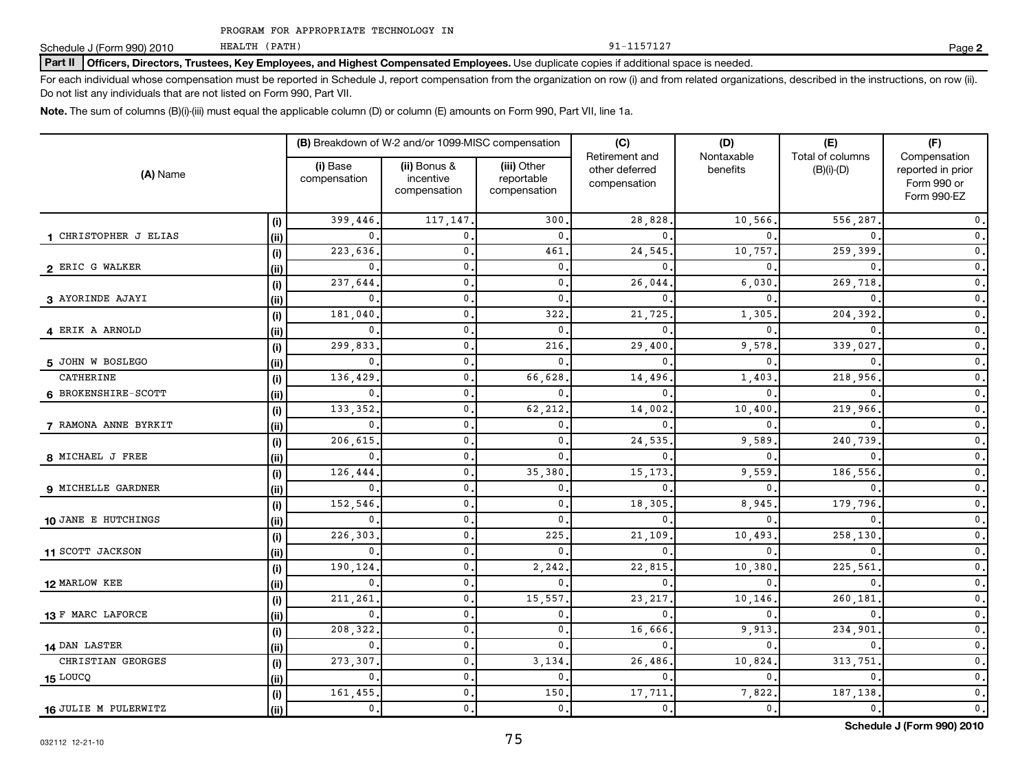PROGRAM FOR APPROPRIATE TECHNOLOGY IN

HEALTH (PATH)

Schedule J (Form 990) 2010 Page

## Part II | Officers, Directors, Trustees, Key Employees, and Highest Compensated Employees. Use duplicate copies if additional space is needed.

For each individual whose compensation must be reported in Schedule J, report compensation from the organization on row (i) and from related organizations, described in the instructions, on row (ii). Do not list any individuals that are not listed on Form 990, Part VII.

**Note.**  The sum of columns (B)(i)-(iii) must equal the applicable column (D) or column (E) amounts on Form 990, Part VII, line 1a.

| (A) Name              |      | (B) Breakdown of W-2 and/or 1099-MISC compensation |                                           |                                           | (C)                                              | (D)                       | (E)                                  | (F)                                                             |
|-----------------------|------|----------------------------------------------------|-------------------------------------------|-------------------------------------------|--------------------------------------------------|---------------------------|--------------------------------------|-----------------------------------------------------------------|
|                       |      | (i) Base<br>compensation                           | (ii) Bonus &<br>incentive<br>compensation | (iii) Other<br>reportable<br>compensation | Retirement and<br>other deferred<br>compensation | Nontaxable<br>benefits    | Total of columns<br>$(B)(i)$ - $(D)$ | Compensation<br>reported in prior<br>Form 990 or<br>Form 990-EZ |
|                       | (i)  | 399,446                                            | 117,147                                   | 300                                       | 28,828                                           | 10,566                    | 556,287                              | 0.                                                              |
| 1 CHRISTOPHER J ELIAS | (ii) | $\mathbf 0$ .                                      | 0                                         | $\mathbf{0}$                              | $\mathbf{0}$                                     | 0                         |                                      | $\mathfrak o$ .                                                 |
|                       | (i)  | 223,636                                            | 0                                         | 461                                       | 24,545                                           | 10,757                    | 259,399                              | $\mathbf 0$ .                                                   |
| 2 ERIC G WALKER       | (ii) | 0.                                                 | 0                                         | 0.                                        | $\mathbf{0}$                                     | 0                         |                                      | $\mathbf 0$ .                                                   |
|                       | (i)  | 237,644                                            | $\mathbf 0$ .                             | 0.                                        | 26,044                                           | 6,030                     | 269,718                              | $\mathbf 0$ .                                                   |
| 3 AYORINDE AJAYI      | (i)  | 0.                                                 | $\mathbf{0}$ .                            | 0.                                        | $^{\circ}$                                       | 0                         | $\mathbf{0}$                         | $\mathfrak o$ .                                                 |
|                       | (i)  | 181,040                                            | $\mathbf{0}$ .                            | 322                                       | 21,725                                           | 1,305                     | 204,392                              | $\mathfrak o$ .                                                 |
| 4 ERIK A ARNOLD       | (ii) | 0.                                                 | $\mathbf{0}$ .                            | $\mathbf{0}$                              | $\mathbf{0}$                                     | 0                         | $\mathbf{0}$                         | $\mathfrak o$ .                                                 |
|                       | (i)  | 299,833                                            | $\mathbf 0$ .                             | 216                                       | 29,400                                           | 9,578                     | 339,027                              | $\mathbf 0$ .                                                   |
| 5 JOHN W BOSLEGO      | (ii) | 0.                                                 | 0.                                        | 0.                                        | 0                                                | 0                         | 0                                    | $\mathbf 0$ .                                                   |
| CATHERINE             | (i)  | 136,429                                            | 0.                                        | 66,628                                    | 14,496                                           | 1,403                     | 218,956                              | $\mathfrak o$ .                                                 |
| 6 BROKENSHIRE-SCOTT   | (ii) | 0.                                                 | $\mathbf{0}$ .                            | 0.                                        | $\mathbf{0}$                                     | 0                         | 0                                    | $\mathbf 0$ .                                                   |
|                       | (i)  | 133, 352.                                          | $\mathbf{0}$ .                            | 62,212                                    | 14,002                                           | 10,400                    | 219,966                              | $\mathbf 0$ .                                                   |
| 7 RAMONA ANNE BYRKIT  | (ii) | 0.                                                 | 0.                                        | 0.                                        | $\mathbf{0}$                                     | 0                         | 0                                    | $\mathbf 0$ .                                                   |
|                       | (i)  | 206,615                                            | 0.                                        | 0.                                        | 24,535                                           | 9,589                     | 240,739                              | $\mathbf 0$ .                                                   |
| 8 MICHAEL J FREE      | (ii) | 0.                                                 | 0.                                        | $\mathbf{0}$                              | $\mathbf{0}$                                     | $\mathbf{0}$ .            | 0                                    | $\mathbf 0$ .                                                   |
|                       | (i)  | 126,444                                            | $\mathbf 0$ .                             | 35,380                                    | 15,173                                           | 9,559                     | 186,556                              | $\mathbf 0$ .                                                   |
| 9 MICHELLE GARDNER    | (ii) | 0.                                                 | $\mathbf 0$ .                             | 0.                                        | $\mathbf{0}$                                     | $\mathbf{0}$              | 0                                    | $\mathbf 0$ .                                                   |
|                       | (i)  | 152,546                                            | 0.                                        | $\mathbf{0}$                              | 18,305                                           | 8,945                     | 179,796                              | $\mathbf 0$ .                                                   |
| 10 JANE E HUTCHINGS   | (ii) | $\mathbf 0$ .                                      | 0                                         | $\mathbf{0}$                              | 0                                                | $\mathbf{0}$              | 0                                    | $\mathbf 0$ .                                                   |
|                       | (i)  | 226,303                                            | 0                                         | 225                                       | 21,109                                           | 10,493                    | 258,130                              | $\mathbf 0$ .                                                   |
| 11 SCOTT JACKSON      | (ii) | $\mathbf{0}$                                       | 0                                         | $\mathbf{0}$                              | 0                                                | $\Omega$                  | $\Omega$                             | $\mathbf 0$ .                                                   |
|                       | (i)  | 190,124                                            | $\mathbf{0}$ .                            | 2,242                                     | 22,815                                           | 10,380                    | 225,561                              | $\mathbf 0$ .                                                   |
| 12 MARLOW KEE         | (ii) | $\mathbf{0}$                                       | 0                                         | 0.                                        | $\mathbf{0}$                                     | 0                         |                                      | $\mathbf 0$ .                                                   |
|                       | (i)  | 211,261                                            | 0                                         | 15,557                                    | 23, 217                                          | 10,146.                   | 260,181                              | $\mathbf 0$ .                                                   |
| 13 F MARC LAFORCE     | (ii) | $\mathbf 0$ .                                      | 0                                         | 0.                                        | 0                                                | $\mathbf{0}$              |                                      | $\mathbf 0$ .                                                   |
|                       | (i)  | 208,322                                            | 0                                         | 0.                                        | 16,666                                           | 9,913                     | 234,901                              | $\mathbf 0$ .                                                   |
| 14 DAN LASTER         | (ii) | $\mathbf{0}$ .                                     | 0                                         | $\mathbf{0}$                              | $\mathbf{0}$                                     | $\Omega$                  | $\Omega$                             | $\mathbf 0$ .                                                   |
| CHRISTIAN GEORGES     | (i)  | 273,307                                            | $\mathbf 0$ .                             | 3,134                                     | 26,486                                           | 10,824                    | 313,751                              | $\mathbf 0$ .                                                   |
| 15 LOUCQ              | (ii) | $\mathbf{0}$ .                                     | $\mathbf 0$ .                             | 0.                                        | $\mathbf{0}$                                     | 0                         | 0                                    | $\mathbf 0$ .                                                   |
|                       | (i)  | 161,455                                            | $\mathbf 0$ .                             | 150                                       | 17,711                                           | 7,822                     | 187,138                              | $\mathbf 0$ .                                                   |
| 16 JULIE M PULERWITZ  | (ii) | $\mathsf{0}$ .                                     | $\mathbf 0$ .                             | 0.                                        | $\mathsf{0}$ .                                   | $\overline{\mathbf{0}}$ . | $\mathbf{0}$                         | $\mathbf 0$ .                                                   |

**Schedule J (Form 990) 2010**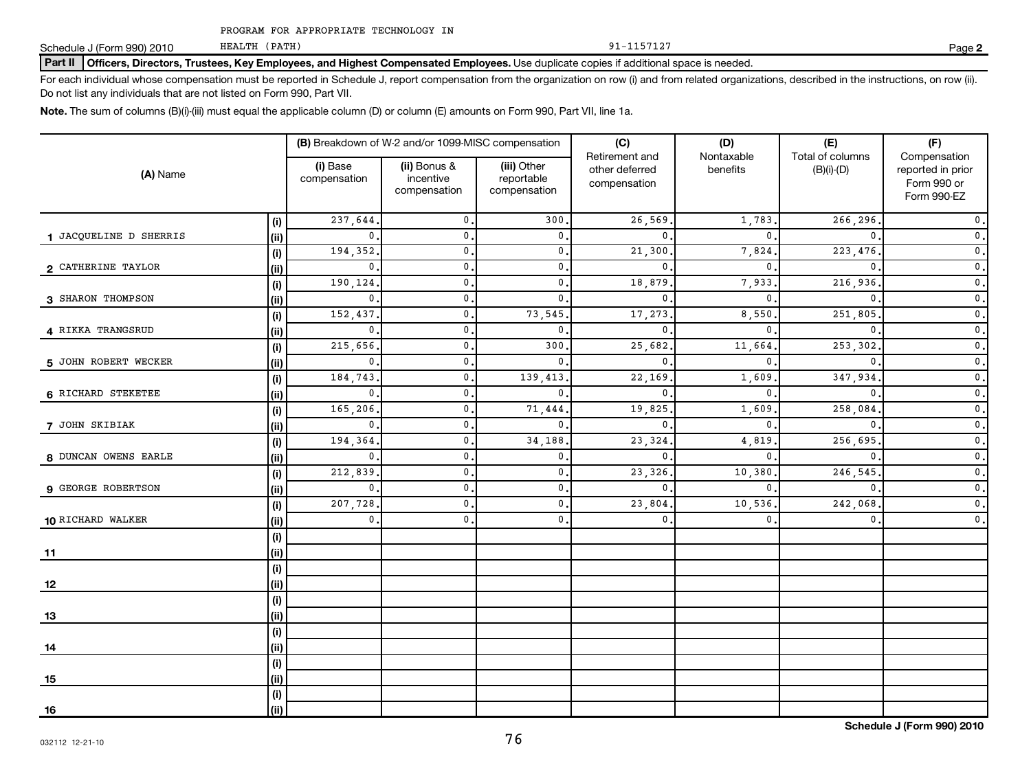PROGRAM FOR APPROPRIATE TECHNOLOGY IN

HEALTH (PATH)

Schedule J (Form 990) 2010 Page

## Part II | Officers, Directors, Trustees, Key Employees, and Highest Compensated Employees. Use duplicate copies if additional space is needed.

For each individual whose compensation must be reported in Schedule J, report compensation from the organization on row (i) and from related organizations, described in the instructions, on row (ii). Do not list any individuals that are not listed on Form 990, Part VII.

**Note.**  The sum of columns (B)(i)-(iii) must equal the applicable column (D) or column (E) amounts on Form 990, Part VII, line 1a.

| (A) Name               |            | (B) Breakdown of W-2 and/or 1099-MISC compensation |                                           |                                           | (C)                                              | (D)                    | (E)                                  | (F)                                                             |
|------------------------|------------|----------------------------------------------------|-------------------------------------------|-------------------------------------------|--------------------------------------------------|------------------------|--------------------------------------|-----------------------------------------------------------------|
|                        |            | (i) Base<br>compensation                           | (ii) Bonus &<br>incentive<br>compensation | (iii) Other<br>reportable<br>compensation | Retirement and<br>other deferred<br>compensation | Nontaxable<br>benefits | Total of columns<br>$(B)(i)$ - $(D)$ | Compensation<br>reported in prior<br>Form 990 or<br>Form 990-EZ |
|                        | (i)        | 237,644                                            | $\mathbf{0}$ .                            | 300                                       | 26,569                                           | 1,783.                 | 266,296                              | $\mathbf 0$ .                                                   |
| 1 JACQUELINE D SHERRIS | (i)        | $\mathbf{0}$ .                                     | $\mathbf{0}$                              | $\mathbf{0}$                              | $\mathbf 0$                                      | $\mathbf{0}$ .         | $\mathbf{0}$                         | $\mathfrak o$ .                                                 |
|                        | (i)        | 194,352                                            | $\mathbf 0$ .                             | $\mathbf{0}$                              | 21,300                                           | 7,824.                 | 223,476                              | $\mathfrak o$ .                                                 |
| 2 CATHERINE TAYLOR     | (i)        | $\mathbf{0}$                                       | $\mathbf{0}$                              | $\mathbf{0}$ .                            | 0                                                | $\mathbf 0$ .          | $\mathbf{0}$                         | $\mathfrak o$ .                                                 |
|                        | $(\sf{i})$ | 190,124.                                           | $\mathbf{0}$ .                            | $\mathbf{0}$                              | 18,879                                           | 7,933.                 | 216,936.                             | $\mathbf 0$ .                                                   |
| 3 SHARON THOMPSON      | (i)        | 0.                                                 | $\mathbf{0}$ .                            | $\mathbf{0}$ .                            | 0                                                | $\mathbf{0}$ .         | $\mathbf{0}$                         | $\mathbf 0$ .                                                   |
|                        | (i)        | 152,437.                                           | $\mathbf{0}$ .                            | 73,545                                    | 17,273                                           | 8,550.                 | 251,805                              | $\mathfrak o$ .                                                 |
| 4 RIKKA TRANGSRUD      | (i)        | $\mathbf 0$ .                                      | 0.                                        | $\mathbf{0}$                              | $\mathbf 0$                                      | $\mathbf{0}$ .         | $\mathbf{0}$                         | $\mathfrak o$ .                                                 |
|                        | $(\sf{i})$ | 215,656.                                           | $\mathbf{0}$ .                            | 300                                       | 25,682                                           | 11,664.                | 253,302                              | $\mathfrak o$ .                                                 |
| 5 JOHN ROBERT WECKER   | (i)        | $\mathbf{0}$ .                                     | 0.                                        | $\mathbf 0$ .                             | 0                                                | $\mathbf 0$ .          | $\mathbf{0}$                         | $\mathfrak o$ .                                                 |
|                        | (i)        | 184,743                                            | 0.                                        | 139,413                                   | 22,169                                           | 1,609                  | 347,934                              | $\mathbf 0$ .                                                   |
| 6 RICHARD STEKETEE     | (i)        | $\mathbf{0}$ .                                     | $\mathbf{0}$ .                            | $\mathbf{0}$                              | $\mathbf 0$                                      | $\mathbf{0}$ .         | $\mathbf{0}$                         | $\mathfrak o$ .                                                 |
|                        | (i)        | 165,206                                            | $\mathbf{0}$ .                            | 71,444                                    | 19,825                                           | 1,609                  | 258,084                              | $\mathfrak o$ .                                                 |
| 7 JOHN SKIBIAK         | (ii)       | $\mathbf{0}$                                       | $\mathbf{0}$ .                            | $\mathbf{0}$                              | $\mathbf 0$                                      | $\mathbf{0}$ .         | $\mathbf{0}$                         | $\mathfrak o$ .                                                 |
|                        | (i)        | 194,364                                            | $\mathbf{0}$ .                            | 34,188                                    | 23,324                                           | 4,819                  | 256,695                              | $\mathfrak o$ .                                                 |
| 8 DUNCAN OWENS EARLE   | (ii)       | $\mathbf{0}$                                       | $\mathbf{0}$                              | $\mathbf 0$ .                             | $\mathbf 0$                                      | $\mathbf{0}$ .         | $\mathbf{0}$                         | $\mathfrak o$ .                                                 |
|                        | (i)        | 212,839                                            | $\mathbf{0}$                              | $\mathbf{0}$                              | 23,326                                           | 10,380                 | 246,545                              | $\mathfrak o$ .                                                 |
| 9 GEORGE ROBERTSON     | (ii)       | $\mathbf 0$ .                                      | $\mathbf{0}$                              | $\mathbf{0}$                              | $\mathbf 0$                                      | $\mathbf{0}$ .         | $\mathbf{0}$                         | $\overline{\mathbf{0}}$ .                                       |
|                        | (i)        | 207,728.                                           | $\mathbf{0}$                              | $\mathbf{0}$                              | 23,804                                           | 10,536.                | 242,068                              | $\overline{\mathbf{0}}$ .                                       |
| 10 RICHARD WALKER      | (ii)       | $\mathbf 0$ .                                      | $\mathbf{0}$ .                            | $\mathbf{0}$ .                            | $\mathbf{0}$                                     | $\mathbf{0}$ .         | $\mathbf{0}$                         | $\mathfrak o$ .                                                 |
|                        | $(\sf{i})$ |                                                    |                                           |                                           |                                                  |                        |                                      |                                                                 |
| 11                     | (i)        |                                                    |                                           |                                           |                                                  |                        |                                      |                                                                 |
|                        | (i)        |                                                    |                                           |                                           |                                                  |                        |                                      |                                                                 |
| 12                     | (i)        |                                                    |                                           |                                           |                                                  |                        |                                      |                                                                 |
|                        | $(\sf{i})$ |                                                    |                                           |                                           |                                                  |                        |                                      |                                                                 |
| 13                     | (ii)       |                                                    |                                           |                                           |                                                  |                        |                                      |                                                                 |
|                        | (i)        |                                                    |                                           |                                           |                                                  |                        |                                      |                                                                 |
| 14                     | (ii)       |                                                    |                                           |                                           |                                                  |                        |                                      |                                                                 |
|                        | (i)        |                                                    |                                           |                                           |                                                  |                        |                                      |                                                                 |
| 15                     | (ii)       |                                                    |                                           |                                           |                                                  |                        |                                      |                                                                 |
|                        | (i)        |                                                    |                                           |                                           |                                                  |                        |                                      |                                                                 |
| 16                     | (ii)       |                                                    |                                           |                                           |                                                  |                        |                                      |                                                                 |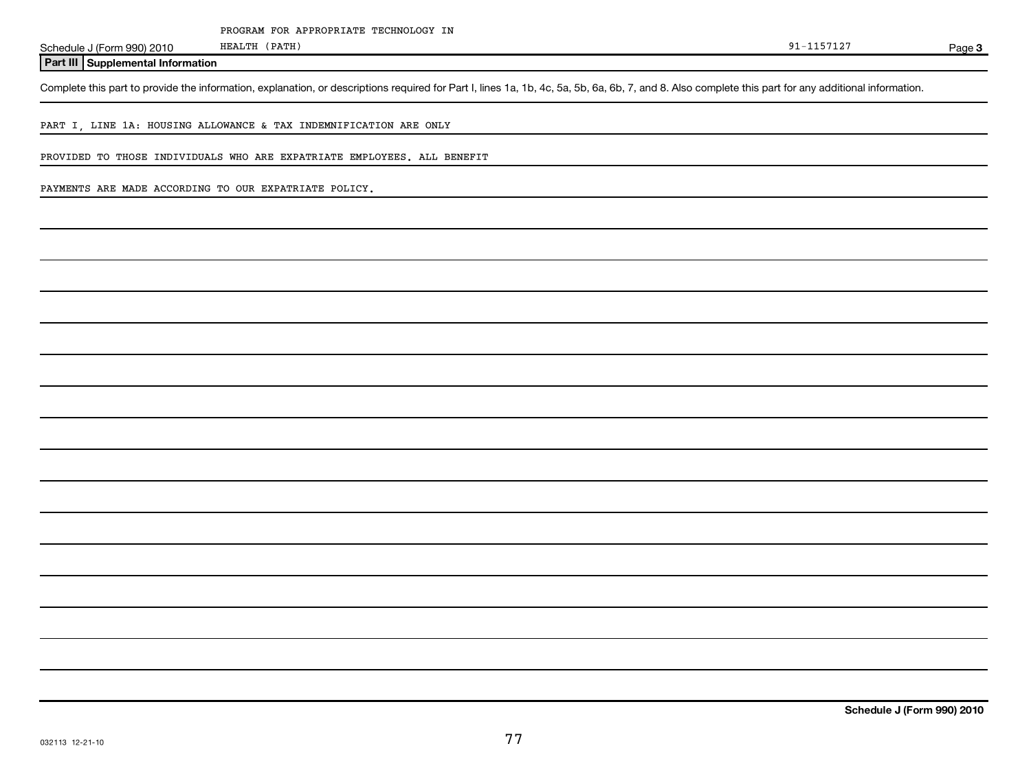Schedule J (Form 990) 2010 HEALTH (PATH) SCHEDULE 3 (PATH)

**Part III Supplemental Information**

Complete this part to provide the information, explanation, or descriptions required for Part I, lines 1a, 1b, 4c, 5a, 5b, 6a, 6b, 7, and 8. Also complete this part for any additional information.

PART I, LINE 1A: HOUSING ALLOWANCE & TAX INDEMNIFICATION ARE ONLY

PROVIDED TO THOSE INDIVIDUALS WHO ARE EXPATRIATE EMPLOYEES. ALL BENEFIT

HEALTH (PATH)

PAYMENTS ARE MADE ACCORDING TO OUR EXPATRIATE POLICY.

| <u> 1989 - Johann Stoff, amerikansk politiker (* 1908)</u>                                                            |  |                                                                                                                     |
|-----------------------------------------------------------------------------------------------------------------------|--|---------------------------------------------------------------------------------------------------------------------|
|                                                                                                                       |  |                                                                                                                     |
|                                                                                                                       |  |                                                                                                                     |
|                                                                                                                       |  |                                                                                                                     |
|                                                                                                                       |  |                                                                                                                     |
|                                                                                                                       |  |                                                                                                                     |
| <u> 1989 - Andrea Andrew Maria (h. 1989).</u><br>1905 - Johann Barn, fransk politik amerikansk politik (h. 1986).     |  | <u> 1989 - John Harry Harry Harry Harry Harry Harry Harry Harry Harry Harry Harry Harry Harry Harry Harry Harry</u> |
|                                                                                                                       |  |                                                                                                                     |
|                                                                                                                       |  |                                                                                                                     |
| <u> 1989 - Johann Harry Harry Harry Harry Harry Harry Harry Harry Harry Harry Harry Harry Harry Harry Harry Harry</u> |  |                                                                                                                     |
|                                                                                                                       |  |                                                                                                                     |
|                                                                                                                       |  |                                                                                                                     |
|                                                                                                                       |  |                                                                                                                     |
|                                                                                                                       |  |                                                                                                                     |
|                                                                                                                       |  |                                                                                                                     |
|                                                                                                                       |  |                                                                                                                     |
|                                                                                                                       |  |                                                                                                                     |
|                                                                                                                       |  |                                                                                                                     |
|                                                                                                                       |  |                                                                                                                     |
|                                                                                                                       |  |                                                                                                                     |
|                                                                                                                       |  |                                                                                                                     |
|                                                                                                                       |  |                                                                                                                     |
|                                                                                                                       |  |                                                                                                                     |
|                                                                                                                       |  |                                                                                                                     |
|                                                                                                                       |  |                                                                                                                     |
|                                                                                                                       |  |                                                                                                                     |
|                                                                                                                       |  |                                                                                                                     |
|                                                                                                                       |  |                                                                                                                     |
|                                                                                                                       |  |                                                                                                                     |
|                                                                                                                       |  |                                                                                                                     |
|                                                                                                                       |  |                                                                                                                     |
|                                                                                                                       |  |                                                                                                                     |
|                                                                                                                       |  |                                                                                                                     |
|                                                                                                                       |  |                                                                                                                     |
|                                                                                                                       |  |                                                                                                                     |

Page 3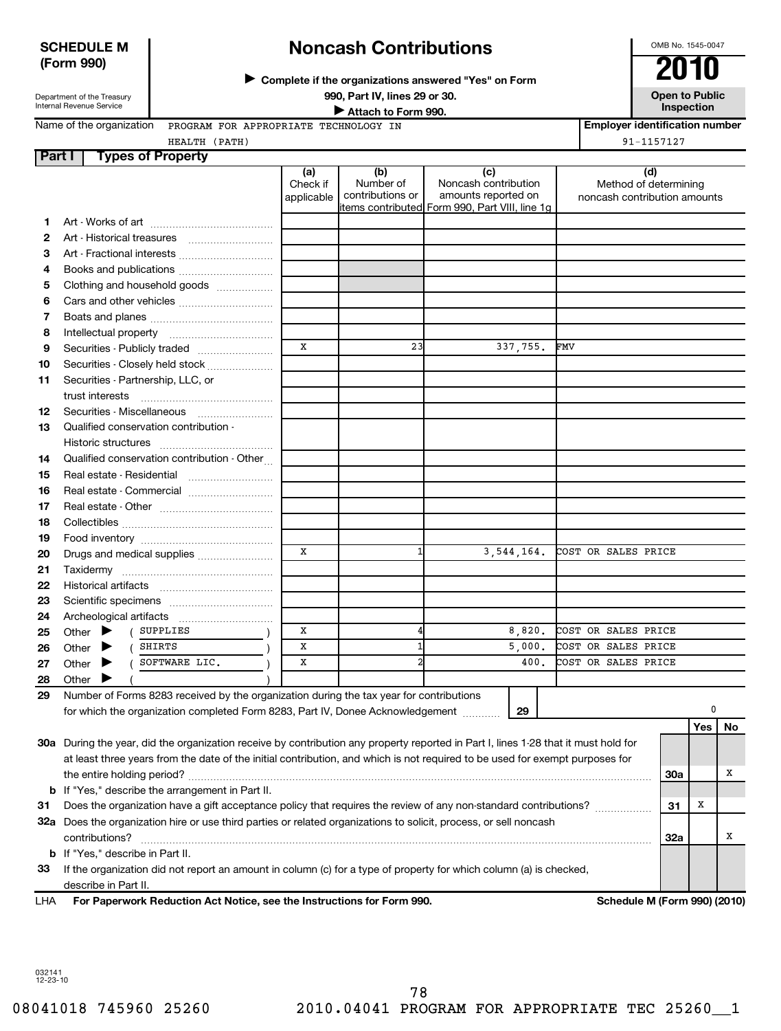## **SCHEDULE M (Form 990)**

# **Noncash Contributions**

**Complete if the organizations answered "Yes" on Form** <sup>J</sup>**2010**

Department of the Treasury Internal Revenue Service

**Inspection Inspection Inspection Inspection Inspection** 

OMB No. 1545-0047

**990, Part IV, lines 29 or 30. Open to Public Unspection**<br> **■** Attach to Form 990

Name of the organization PROGRAM FOR APPROPRIATE TECHNOLOGY IN

**Employer identification number** HEALTH (PATH) 91-1157127

|  | Tynes of Pronerty |  |
|--|-------------------|--|

| Part I   |                                                                                                                   | <b>Types of Property</b>                                                                                                            |                               |                                      |                                                    |                                                       |            |     |    |
|----------|-------------------------------------------------------------------------------------------------------------------|-------------------------------------------------------------------------------------------------------------------------------------|-------------------------------|--------------------------------------|----------------------------------------------------|-------------------------------------------------------|------------|-----|----|
|          |                                                                                                                   |                                                                                                                                     | (a)<br>Check if<br>applicable | (b)<br>Number of<br>contributions or | (c)<br>Noncash contribution<br>amounts reported on | Method of determining<br>noncash contribution amounts | (d)        |     |    |
| 1        |                                                                                                                   |                                                                                                                                     |                               |                                      | items contributed  Form 990, Part VIII, line 1g    |                                                       |            |     |    |
| 2        |                                                                                                                   |                                                                                                                                     |                               |                                      |                                                    |                                                       |            |     |    |
| З        |                                                                                                                   | Art - Fractional interests                                                                                                          |                               |                                      |                                                    |                                                       |            |     |    |
| 4        |                                                                                                                   | Books and publications                                                                                                              |                               |                                      |                                                    |                                                       |            |     |    |
| 5        |                                                                                                                   | Clothing and household goods                                                                                                        |                               |                                      |                                                    |                                                       |            |     |    |
| 6        |                                                                                                                   |                                                                                                                                     |                               |                                      |                                                    |                                                       |            |     |    |
| 7        |                                                                                                                   |                                                                                                                                     |                               |                                      |                                                    |                                                       |            |     |    |
| 8        |                                                                                                                   |                                                                                                                                     |                               |                                      |                                                    |                                                       |            |     |    |
| 9        |                                                                                                                   | Securities - Publicly traded                                                                                                        | X                             | 23                                   | 337,755.                                           | FMV                                                   |            |     |    |
| 10       |                                                                                                                   | Securities - Closely held stock                                                                                                     |                               |                                      |                                                    |                                                       |            |     |    |
| 11       |                                                                                                                   | Securities - Partnership, LLC, or                                                                                                   |                               |                                      |                                                    |                                                       |            |     |    |
|          |                                                                                                                   |                                                                                                                                     |                               |                                      |                                                    |                                                       |            |     |    |
| 12       |                                                                                                                   |                                                                                                                                     |                               |                                      |                                                    |                                                       |            |     |    |
| 13       |                                                                                                                   | Qualified conservation contribution -                                                                                               |                               |                                      |                                                    |                                                       |            |     |    |
|          |                                                                                                                   |                                                                                                                                     |                               |                                      |                                                    |                                                       |            |     |    |
| 14       |                                                                                                                   | Qualified conservation contribution - Other                                                                                         |                               |                                      |                                                    |                                                       |            |     |    |
| 15       |                                                                                                                   |                                                                                                                                     |                               |                                      |                                                    |                                                       |            |     |    |
| 16       |                                                                                                                   | Real estate - Commercial                                                                                                            |                               |                                      |                                                    |                                                       |            |     |    |
| 17       |                                                                                                                   |                                                                                                                                     |                               |                                      |                                                    |                                                       |            |     |    |
| 18       |                                                                                                                   |                                                                                                                                     |                               |                                      |                                                    |                                                       |            |     |    |
| 19       |                                                                                                                   |                                                                                                                                     |                               |                                      |                                                    |                                                       |            |     |    |
| 20       |                                                                                                                   | Drugs and medical supplies                                                                                                          | X                             |                                      | 3,544,164.                                         | COST OR SALES PRICE                                   |            |     |    |
| 21       |                                                                                                                   |                                                                                                                                     |                               |                                      |                                                    |                                                       |            |     |    |
| 22       |                                                                                                                   |                                                                                                                                     |                               |                                      |                                                    |                                                       |            |     |    |
| 23       |                                                                                                                   |                                                                                                                                     |                               |                                      |                                                    |                                                       |            |     |    |
| 24       |                                                                                                                   | SUPPLIES                                                                                                                            | х                             | 4                                    | 8,820.                                             | COST OR SALES PRICE                                   |            |     |    |
| 25<br>26 | Other<br>Other                                                                                                    | SHIRTS                                                                                                                              | X                             |                                      | 5,000.                                             | COST OR SALES PRICE                                   |            |     |    |
| 27       | Other                                                                                                             | SOFTWARE LIC.                                                                                                                       | x                             |                                      | 400.                                               | COST OR SALES PRICE                                   |            |     |    |
| 28       | Other                                                                                                             |                                                                                                                                     |                               |                                      |                                                    |                                                       |            |     |    |
| 29       |                                                                                                                   | Number of Forms 8283 received by the organization during the tax year for contributions                                             |                               |                                      |                                                    |                                                       |            |     |    |
|          |                                                                                                                   | for which the organization completed Form 8283, Part IV, Donee Acknowledgement                                                      |                               |                                      | 29                                                 |                                                       |            | 0   |    |
|          |                                                                                                                   |                                                                                                                                     |                               |                                      |                                                    |                                                       |            | Yes | No |
|          |                                                                                                                   | 30a During the year, did the organization receive by contribution any property reported in Part I, lines 1-28 that it must hold for |                               |                                      |                                                    |                                                       |            |     |    |
|          |                                                                                                                   | at least three years from the date of the initial contribution, and which is not required to be used for exempt purposes for        |                               |                                      |                                                    |                                                       |            |     |    |
|          |                                                                                                                   |                                                                                                                                     |                               |                                      |                                                    |                                                       | <b>30a</b> |     | х  |
| b        | If "Yes," describe the arrangement in Part II.                                                                    |                                                                                                                                     |                               |                                      |                                                    |                                                       |            |     |    |
| 31       | Does the organization have a gift acceptance policy that requires the review of any non-standard contributions?   |                                                                                                                                     |                               |                                      |                                                    |                                                       | 31         | х   |    |
|          | 32a Does the organization hire or use third parties or related organizations to solicit, process, or sell noncash |                                                                                                                                     |                               |                                      |                                                    |                                                       |            |     |    |
|          | contributions?                                                                                                    |                                                                                                                                     |                               |                                      |                                                    |                                                       | 32a        |     | х  |
| b        | If "Yes," describe in Part II.                                                                                    |                                                                                                                                     |                               |                                      |                                                    |                                                       |            |     |    |
| 33       |                                                                                                                   | If the organization did not report an amount in column (c) for a type of property for which column (a) is checked,                  |                               |                                      |                                                    |                                                       |            |     |    |
|          | describe in Part II.                                                                                              |                                                                                                                                     |                               |                                      |                                                    |                                                       |            |     |    |

**For Paperwork Reduction Act Notice, see the Instructions for Form 990. Schedule M (Form 990) (2010)** LHA

032141 12-23-10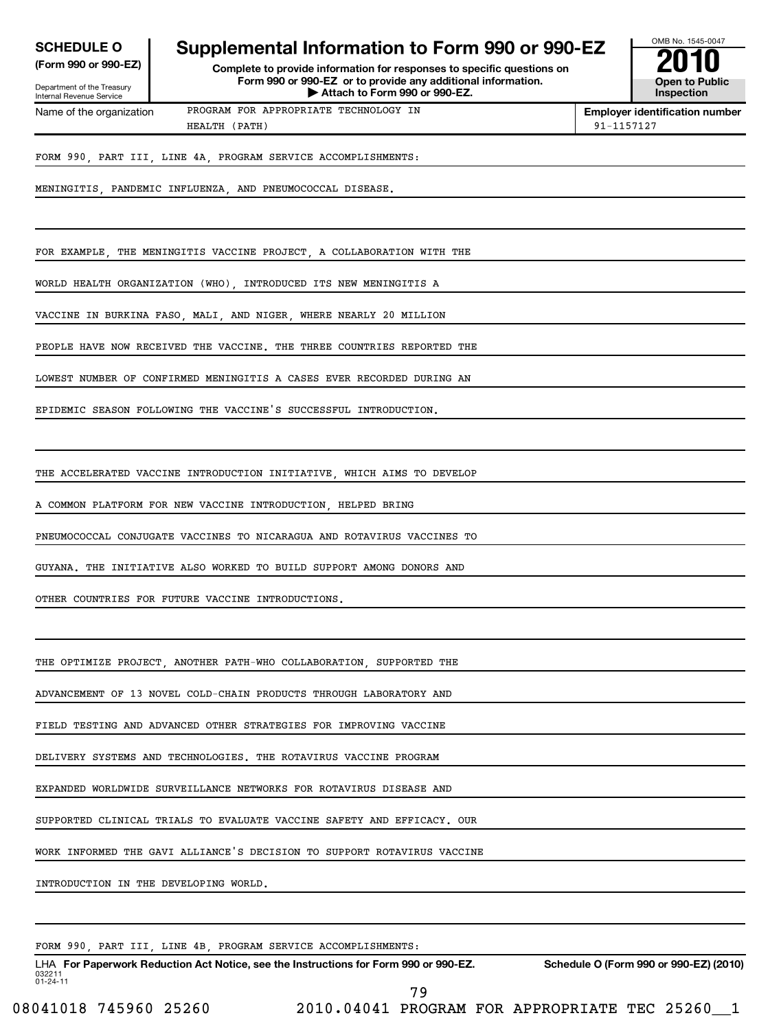| <b>SCHEDULE O</b>          |                                                                        | OMB No. 1545-004 |
|----------------------------|------------------------------------------------------------------------|------------------|
|                            | Supplemental Information to Form 990 or 990-EZ                         |                  |
| (Form 990 or 990-EZ) 1     | Complete to provide information for responses to specific questions on | 2010             |
| Department of the Treasury | Form 990 or 990-EZ or to provide any additional information.           | Open to Publ     |
| Internal Devenue Consine   | $\blacktriangleright$ Attach to Form 990 or 990-EZ.                    | Inspection       |



1ternal Revenue Service

Name of the organization

**(Form 990 or 990-EZ) Complete to provide information for responses to specific questions on Form 990 or 990-EZ or to provide any additional information. | Attach to Form 990 or 990-EZ. Open to Public**

PROGRAM FOR APPROPRIATE TECHNOLOGY IN HEALTH (PATH) 91-1157127

**Employer identification number**

FORM 990, PART III, LINE 4A, PROGRAM SERVICE ACCOMPLISHMENTS:

MENINGITIS, PANDEMIC INFLUENZA, AND PNEUMOCOCCAL DISEASE.

FOR EXAMPLE, THE MENINGITIS VACCINE PROJECT, A COLLABORATION WITH THE

WORLD HEALTH ORGANIZATION (WHO), INTRODUCED ITS NEW MENINGITIS A

VACCINE IN BURKINA FASO, MALI, AND NIGER, WHERE NEARLY 20 MILLION

PEOPLE HAVE NOW RECEIVED THE VACCINE. THE THREE COUNTRIES REPORTED THE

LOWEST NUMBER OF CONFIRMED MENINGITIS A CASES EVER RECORDED DURING AN

EPIDEMIC SEASON FOLLOWING THE VACCINE'S SUCCESSFUL INTRODUCTION.

THE ACCELERATED VACCINE INTRODUCTION INITIATIVE, WHICH AIMS TO DEVELOP

A COMMON PLATFORM FOR NEW VACCINE INTRODUCTION, HELPED BRING

PNEUMOCOCCAL CONJUGATE VACCINES TO NICARAGUA AND ROTAVIRUS VACCINES TO

GUYANA. THE INITIATIVE ALSO WORKED TO BUILD SUPPORT AMONG DONORS AND

OTHER COUNTRIES FOR FUTURE VACCINE INTRODUCTIONS.

THE OPTIMIZE PROJECT, ANOTHER PATH-WHO COLLABORATION, SUPPORTED THE

ADVANCEMENT OF 13 NOVEL COLD-CHAIN PRODUCTS THROUGH LABORATORY AND

FIELD TESTING AND ADVANCED OTHER STRATEGIES FOR IMPROVING VACCINE

DELIVERY SYSTEMS AND TECHNOLOGIES. THE ROTAVIRUS VACCINE PROGRAM

EXPANDED WORLDWIDE SURVEILLANCE NETWORKS FOR ROTAVIRUS DISEASE AND

SUPPORTED CLINICAL TRIALS TO EVALUATE VACCINE SAFETY AND EFFICACY. OUR

WORK INFORMED THE GAVI ALLIANCE'S DECISION TO SUPPORT ROTAVIRUS VACCINE

INTRODUCTION IN THE DEVELOPING WORLD.

FORM 990, PART III, LINE 4B, PROGRAM SERVICE ACCOMPLISHMENTS:

032211 01-24-11 LHA For Paperwork Reduction Act Notice, see the Instructions for Form 990 or 990-EZ. Schedule O (Form 990 or 990-EZ) (2010) 79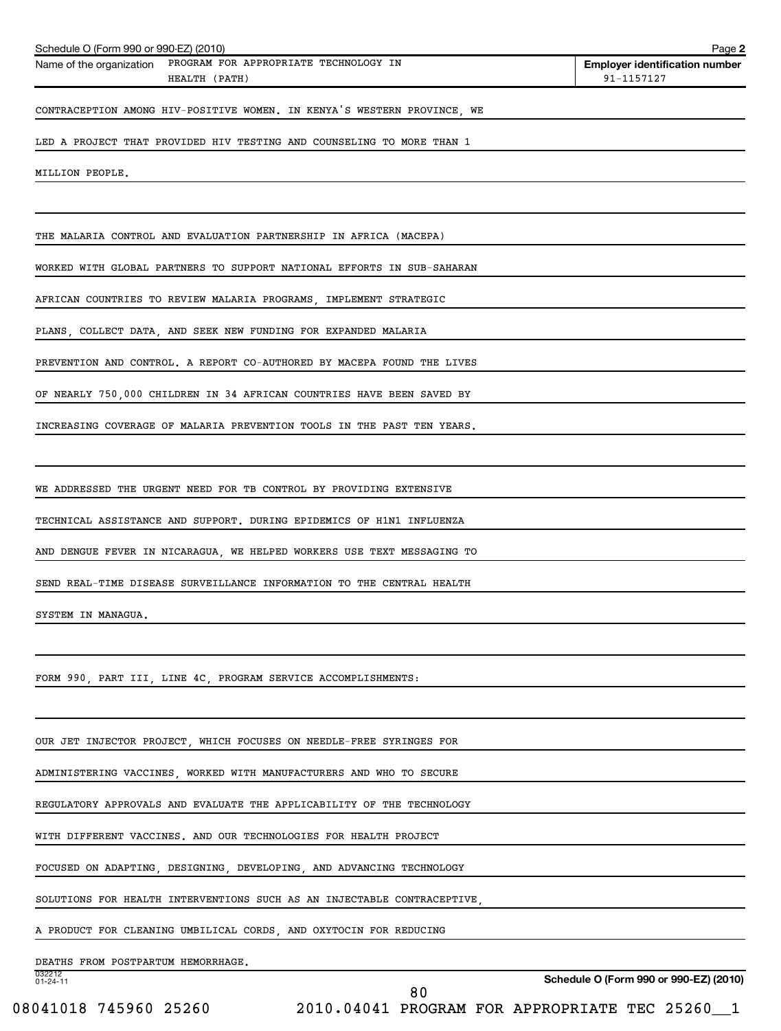| Schedule O (Form 990 or 990-EZ) (2010)                                          |                                                                         | Page 2                                              |
|---------------------------------------------------------------------------------|-------------------------------------------------------------------------|-----------------------------------------------------|
| Name of the organization PROGRAM FOR APPROPRIATE TECHNOLOGY IN<br>HEALTH (PATH) |                                                                         | <b>Employer identification number</b><br>91-1157127 |
|                                                                                 | CONTRACEPTION AMONG HIV-POSITIVE WOMEN. IN KENYA'S WESTERN PROVINCE, WE |                                                     |
| LED A PROJECT THAT PROVIDED HIV TESTING AND COUNSELING TO MORE THAN 1           |                                                                         |                                                     |
| MILLION PEOPLE.                                                                 |                                                                         |                                                     |
| THE MALARIA CONTROL AND EVALUATION PARTNERSHIP IN AFRICA (MACEPA)               |                                                                         |                                                     |
| WORKED WITH GLOBAL PARTNERS TO SUPPORT NATIONAL EFFORTS IN SUB-SAHARAN          |                                                                         |                                                     |
| AFRICAN COUNTRIES TO REVIEW MALARIA PROGRAMS, IMPLEMENT STRATEGIC               |                                                                         |                                                     |
| PLANS, COLLECT DATA, AND SEEK NEW FUNDING FOR EXPANDED MALARIA                  |                                                                         |                                                     |
| PREVENTION AND CONTROL. A REPORT CO-AUTHORED BY MACEPA FOUND THE LIVES          |                                                                         |                                                     |
| OF NEARLY 750,000 CHILDREN IN 34 AFRICAN COUNTRIES HAVE BEEN SAVED BY           |                                                                         |                                                     |
| INCREASING COVERAGE OF MALARIA PREVENTION TOOLS IN THE PAST TEN YEARS.          |                                                                         |                                                     |
| WE ADDRESSED THE URGENT NEED FOR TB CONTROL BY PROVIDING EXTENSIVE              |                                                                         |                                                     |
| TECHNICAL ASSISTANCE AND SUPPORT. DURING EPIDEMICS OF H1N1 INFLUENZA            |                                                                         |                                                     |
| AND DENGUE FEVER IN NICARAGUA, WE HELPED WORKERS USE TEXT MESSAGING TO          |                                                                         |                                                     |
| SEND REAL-TIME DISEASE SURVEILLANCE INFORMATION TO THE CENTRAL HEALTH           |                                                                         |                                                     |
| SYSTEM IN MANAGUA.                                                              |                                                                         |                                                     |
| FORM 990, PART III, LINE 4C, PROGRAM SERVICE ACCOMPLISHMENTS:                   |                                                                         |                                                     |
| OUR JET INJECTOR PROJECT, WHICH FOCUSES ON NEEDLE-FREE SYRINGES FOR             |                                                                         |                                                     |
| ADMINISTERING VACCINES, WORKED WITH MANUFACTURERS AND WHO TO SECURE             |                                                                         |                                                     |
| REGULATORY APPROVALS AND EVALUATE THE APPLICABILITY OF THE TECHNOLOGY           |                                                                         |                                                     |
| WITH DIFFERENT VACCINES. AND OUR TECHNOLOGIES FOR HEALTH PROJECT                |                                                                         |                                                     |
| FOCUSED ON ADAPTING, DESIGNING, DEVELOPING, AND ADVANCING TECHNOLOGY            |                                                                         |                                                     |
| SOLUTIONS FOR HEALTH INTERVENTIONS SUCH AS AN INJECTABLE CONTRACEPTIVE,         |                                                                         |                                                     |
| A PRODUCT FOR CLEANING UMBILICAL CORDS, AND OXYTOCIN FOR REDUCING               |                                                                         |                                                     |
| DEATHS FROM POSTPARTUM HEMORRHAGE.<br>032212                                    |                                                                         |                                                     |
| $01 - 24 - 11$                                                                  | 80                                                                      | Schedule O (Form 990 or 990-EZ) (2010)              |
| 08041018 745960 25260                                                           |                                                                         | 2010.04041 PROGRAM FOR APPROPRIATE TEC 25260        |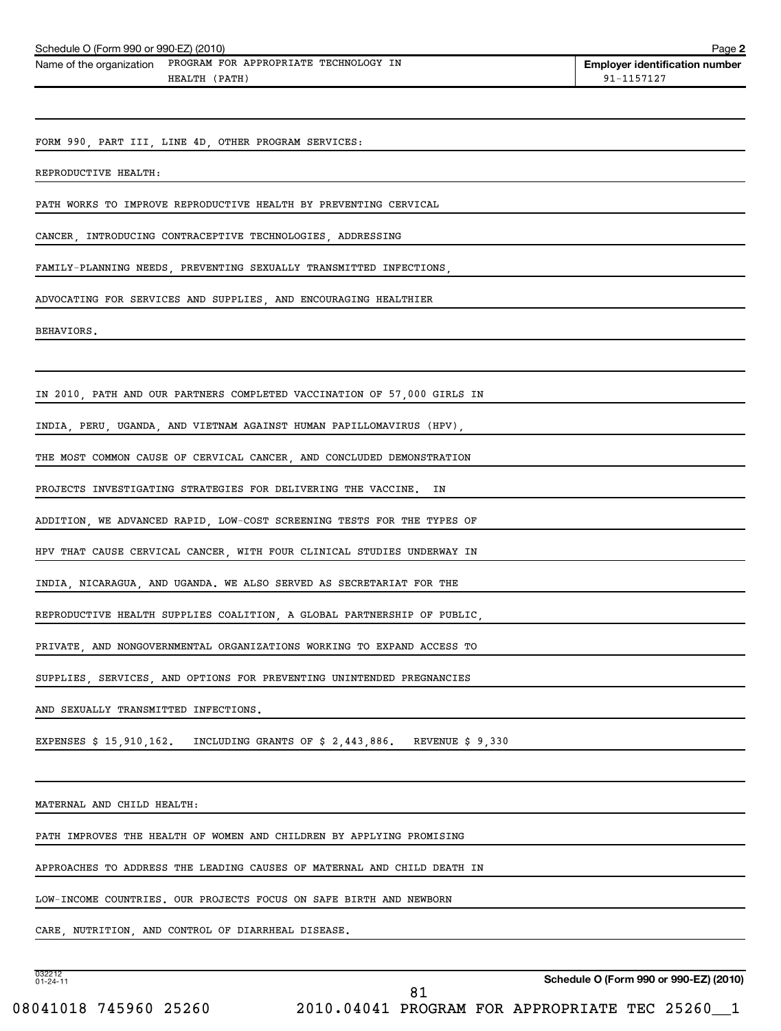| Schedule O (Form 990 or 990-EZ) (2010)                                       | Page 2                                |
|------------------------------------------------------------------------------|---------------------------------------|
| PROGRAM FOR APPROPRIATE TECHNOLOGY IN<br>Name of the organization            | <b>Employer identification number</b> |
| HEALTH (PATH)                                                                | 91-1157127                            |
|                                                                              |                                       |
| FORM 990, PART III, LINE 4D, OTHER PROGRAM SERVICES:                         |                                       |
|                                                                              |                                       |
| REPRODUCTIVE HEALTH:                                                         |                                       |
| PATH WORKS TO IMPROVE REPRODUCTIVE HEALTH BY PREVENTING CERVICAL             |                                       |
| CANCER, INTRODUCING CONTRACEPTIVE TECHNOLOGIES, ADDRESSING                   |                                       |
| FAMILY-PLANNING NEEDS, PREVENTING SEXUALLY TRANSMITTED INFECTIONS,           |                                       |
|                                                                              |                                       |
| ADVOCATING FOR SERVICES AND SUPPLIES, AND ENCOURAGING HEALTHIER              |                                       |
| BEHAVIORS.                                                                   |                                       |
|                                                                              |                                       |
|                                                                              |                                       |
| IN 2010, PATH AND OUR PARTNERS COMPLETED VACCINATION OF 57,000 GIRLS IN      |                                       |
| INDIA, PERU, UGANDA, AND VIETNAM AGAINST HUMAN PAPILLOMAVIRUS (HPV),         |                                       |
| THE MOST COMMON CAUSE OF CERVICAL CANCER, AND CONCLUDED DEMONSTRATION        |                                       |
| PROJECTS INVESTIGATING STRATEGIES FOR DELIVERING THE VACCINE.<br>IN          |                                       |
|                                                                              |                                       |
| ADDITION, WE ADVANCED RAPID, LOW-COST SCREENING TESTS FOR THE TYPES OF       |                                       |
| HPV THAT CAUSE CERVICAL CANCER, WITH FOUR CLINICAL STUDIES UNDERWAY IN       |                                       |
| INDIA, NICARAGUA, AND UGANDA. WE ALSO SERVED AS SECRETARIAT FOR THE          |                                       |
| REPRODUCTIVE HEALTH SUPPLIES COALITION, A GLOBAL PARTNERSHIP OF PUBLIC,      |                                       |
|                                                                              |                                       |
| PRIVATE AND NONGOVERNMENTAL ORGANIZATIONS WORKING TO EXPAND ACCESS TO        |                                       |
| SUPPLIES, SERVICES, AND OPTIONS FOR PREVENTING UNINTENDED PREGNANCIES        |                                       |
| AND SEXUALLY TRANSMITTED INFECTIONS.                                         |                                       |
| EXPENSES $$15,910,162$ . INCLUDING GRANTS OF $$2,443,886$ . REVENUE $$9,330$ |                                       |
|                                                                              |                                       |
|                                                                              |                                       |
| MATERNAL AND CHILD HEALTH:                                                   |                                       |
| PATH IMPROVES THE HEALTH OF WOMEN AND CHILDREN BY APPLYING PROMISING         |                                       |
| APPROACHES TO ADDRESS THE LEADING CAUSES OF MATERNAL AND CHILD DEATH IN      |                                       |
|                                                                              |                                       |
| LOW-INCOME COUNTRIES. OUR PROJECTS FOCUS ON SAFE BIRTH AND NEWBORN           |                                       |

CARE, NUTRITION, AND CONTROL OF DIARRHEAL DISEASE.

032212 01-24-11

**Schedule O (Form 990 or 990-EZ) (2010)**

08041018 745960 25260 2010.04041 PROGRAM FOR APPROPRIATE TEC 25260\_1 81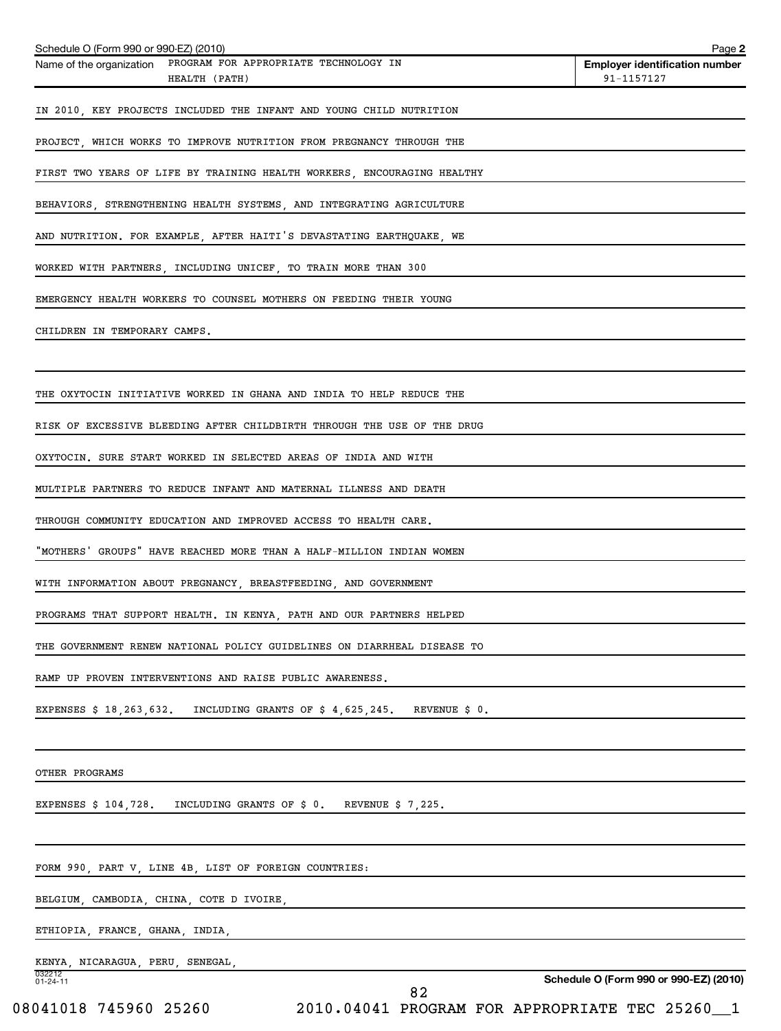| Schedule O (Form 990 or 990-EZ) (2010)<br>Name of the organization PROGRAM FOR APPROPRIATE TECHNOLOGY IN | Page 2<br><b>Employer identification number</b> |
|----------------------------------------------------------------------------------------------------------|-------------------------------------------------|
| HEALTH (PATH)                                                                                            | 91-1157127                                      |
| IN 2010, KEY PROJECTS INCLUDED THE INFANT AND YOUNG CHILD NUTRITION                                      |                                                 |
| PROJECT, WHICH WORKS TO IMPROVE NUTRITION FROM PREGNANCY THROUGH THE                                     |                                                 |
| FIRST TWO YEARS OF LIFE BY TRAINING HEALTH WORKERS, ENCOURAGING HEALTHY                                  |                                                 |
| BEHAVIORS, STRENGTHENING HEALTH SYSTEMS, AND INTEGRATING AGRICULTURE                                     |                                                 |
| AND NUTRITION. FOR EXAMPLE, AFTER HAITI'S DEVASTATING EARTHQUAKE, WE                                     |                                                 |
| WORKED WITH PARTNERS, INCLUDING UNICEF, TO TRAIN MORE THAN 300                                           |                                                 |
| EMERGENCY HEALTH WORKERS TO COUNSEL MOTHERS ON FEEDING THEIR YOUNG                                       |                                                 |
| CHILDREN IN TEMPORARY CAMPS.                                                                             |                                                 |
|                                                                                                          |                                                 |
| THE OXYTOCIN INITIATIVE WORKED IN GHANA AND INDIA TO HELP REDUCE THE                                     |                                                 |
| RISK OF EXCESSIVE BLEEDING AFTER CHILDBIRTH THROUGH THE USE OF THE DRUG                                  |                                                 |
| OXYTOCIN. SURE START WORKED IN SELECTED AREAS OF INDIA AND WITH                                          |                                                 |
| MULTIPLE PARTNERS TO REDUCE INFANT AND MATERNAL ILLNESS AND DEATH                                        |                                                 |
| THROUGH COMMUNITY EDUCATION AND IMPROVED ACCESS TO HEALTH CARE.                                          |                                                 |
| "MOTHERS' GROUPS" HAVE REACHED MORE THAN A HALF-MILLION INDIAN WOMEN                                     |                                                 |
| WITH INFORMATION ABOUT PREGNANCY, BREASTFEEDING, AND GOVERNMENT                                          |                                                 |
| PROGRAMS THAT SUPPORT HEALTH. IN KENYA, PATH AND OUR PARTNERS HELPED                                     |                                                 |
| THE GOVERNMENT RENEW NATIONAL POLICY GUIDELINES ON DIARRHEAL DISEASE TO                                  |                                                 |
| RAMP UP PROVEN INTERVENTIONS AND RAISE PUBLIC AWARENESS.                                                 |                                                 |
| EXPENSES \$ 18,263,632.<br>REVENUE \$ 0.<br>INCLUDING GRANTS OF $$4,625,245$ .                           |                                                 |
|                                                                                                          |                                                 |
| OTHER PROGRAMS                                                                                           |                                                 |
| EXPENSES $$104,728$ .<br>INCLUDING GRANTS OF \$ 0. REVENUE \$ 7,225.                                     |                                                 |
|                                                                                                          |                                                 |
| FORM 990, PART V, LINE 4B, LIST OF FOREIGN COUNTRIES:                                                    |                                                 |
| BELGIUM, CAMBODIA, CHINA, COTE D IVOIRE,                                                                 |                                                 |
| ETHIOPIA, FRANCE, GHANA, INDIA,                                                                          |                                                 |
| KENYA, NICARAGUA, PERU, SENEGAL,                                                                         |                                                 |
| 032212<br>01-24-11<br>82                                                                                 | Schedule O (Form 990 or 990-EZ) (2010)          |
| 08041018 745960 25260                                                                                    | 2010.04041 PROGRAM FOR APPROPRIATE TEC 25260_1  |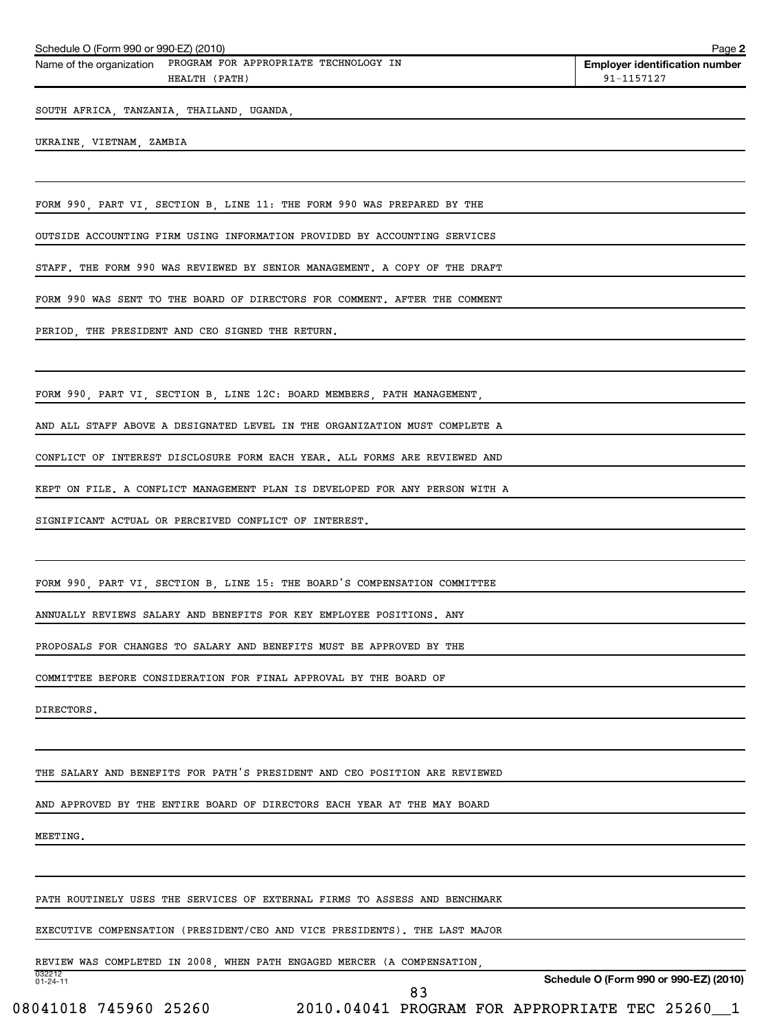|  | Schedule O (Form 990 or 990-EZ) (2010) | Page |  |
|--|----------------------------------------|------|--|
|--|----------------------------------------|------|--|

Name of the organization PROGRAM FOR APPROPRIATE TECHNOLOGY IN HEALTH (PATH) 91-1157127

**Employer identification number**

**2**

SOUTH AFRICA, TANZANIA, THAILAND, UGANDA,

UKRAINE, VIETNAM, ZAMBIA

FORM 990, PART VI, SECTION B, LINE 11: THE FORM 990 WAS PREPARED BY THE

OUTSIDE ACCOUNTING FIRM USING INFORMATION PROVIDED BY ACCOUNTING SERVICES

STAFF. THE FORM 990 WAS REVIEWED BY SENIOR MANAGEMENT. A COPY OF THE DRAFT

FORM 990 WAS SENT TO THE BOARD OF DIRECTORS FOR COMMENT. AFTER THE COMMENT

PERIOD, THE PRESIDENT AND CEO SIGNED THE RETURN.

FORM 990, PART VI, SECTION B, LINE 12C: BOARD MEMBERS, PATH MANAGEMENT,

AND ALL STAFF ABOVE A DESIGNATED LEVEL IN THE ORGANIZATION MUST COMPLETE A

CONFLICT OF INTEREST DISCLOSURE FORM EACH YEAR. ALL FORMS ARE REVIEWED AND

KEPT ON FILE. A CONFLICT MANAGEMENT PLAN IS DEVELOPED FOR ANY PERSON WITH A

SIGNIFICANT ACTUAL OR PERCEIVED CONFLICT OF INTEREST.

FORM 990, PART VI, SECTION B, LINE 15: THE BOARD'S COMPENSATION COMMITTEE

ANNUALLY REVIEWS SALARY AND BENEFITS FOR KEY EMPLOYEE POSITIONS. ANY

PROPOSALS FOR CHANGES TO SALARY AND BENEFITS MUST BE APPROVED BY THE

COMMITTEE BEFORE CONSIDERATION FOR FINAL APPROVAL BY THE BOARD OF

DIRECTORS.

THE SALARY AND BENEFITS FOR PATH'S PRESIDENT AND CEO POSITION ARE REVIEWED

AND APPROVED BY THE ENTIRE BOARD OF DIRECTORS EACH YEAR AT THE MAY BOARD

MEETING.

032212 01-24-11

PATH ROUTINELY USES THE SERVICES OF EXTERNAL FIRMS TO ASSESS AND BENCHMARK

EXECUTIVE COMPENSATION (PRESIDENT/CEO AND VICE PRESIDENTS). THE LAST MAJOR

REVIEW WAS COMPLETED IN 2008, WHEN PATH ENGAGED MERCER (A COMPENSATION,

**Schedule O (Form 990 or 990-EZ) (2010)**

08041018 745960 25260 2010.04041 PROGRAM FOR APPROPRIATE TEC 25260 1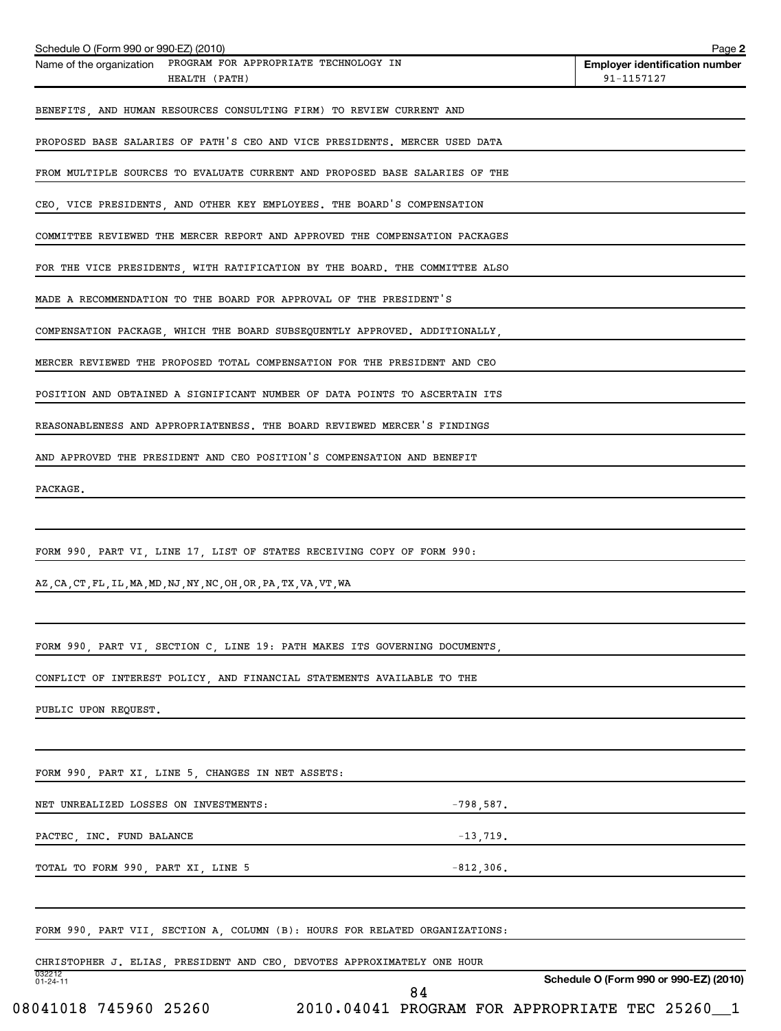| Schedule O (Form 990 or 990-EZ) (2010)                                          |                                                | Page 2                                              |
|---------------------------------------------------------------------------------|------------------------------------------------|-----------------------------------------------------|
| Name of the organization PROGRAM FOR APPROPRIATE TECHNOLOGY IN<br>HEALTH (PATH) |                                                | <b>Employer identification number</b><br>91-1157127 |
| BENEFITS, AND HUMAN RESOURCES CONSULTING FIRM) TO REVIEW CURRENT AND            |                                                |                                                     |
| PROPOSED BASE SALARIES OF PATH'S CEO AND VICE PRESIDENTS. MERCER USED DATA      |                                                |                                                     |
|                                                                                 |                                                |                                                     |
| FROM MULTIPLE SOURCES TO EVALUATE CURRENT AND PROPOSED BASE SALARIES OF THE     |                                                |                                                     |
| CEO, VICE PRESIDENTS, AND OTHER KEY EMPLOYEES. THE BOARD'S COMPENSATION         |                                                |                                                     |
| COMMITTEE REVIEWED THE MERCER REPORT AND APPROVED THE COMPENSATION PACKAGES     |                                                |                                                     |
| FOR THE VICE PRESIDENTS, WITH RATIFICATION BY THE BOARD. THE COMMITTEE ALSO     |                                                |                                                     |
| MADE A RECOMMENDATION TO THE BOARD FOR APPROVAL OF THE PRESIDENT'S              |                                                |                                                     |
| COMPENSATION PACKAGE, WHICH THE BOARD SUBSEQUENTLY APPROVED. ADDITIONALLY,      |                                                |                                                     |
| MERCER REVIEWED THE PROPOSED TOTAL COMPENSATION FOR THE PRESIDENT AND CEO       |                                                |                                                     |
| POSITION AND OBTAINED A SIGNIFICANT NUMBER OF DATA POINTS TO ASCERTAIN ITS      |                                                |                                                     |
| REASONABLENESS AND APPROPRIATENESS. THE BOARD REVIEWED MERCER'S FINDINGS        |                                                |                                                     |
| AND APPROVED THE PRESIDENT AND CEO POSITION'S COMPENSATION AND BENEFIT          |                                                |                                                     |
| PACKAGE.                                                                        |                                                |                                                     |
|                                                                                 |                                                |                                                     |
| FORM 990, PART VI, LINE 17, LIST OF STATES RECEIVING COPY OF FORM 990:          |                                                |                                                     |
| AZ, CA, CT, FL, IL, MA, MD, NJ, NY, NC, OH, OR, PA, TX, VA, VT, WA              |                                                |                                                     |
|                                                                                 |                                                |                                                     |
| FORM 990, PART VI, SECTION C, LINE 19: PATH MAKES ITS GOVERNING DOCUMENTS,      |                                                |                                                     |
| CONFLICT OF INTEREST POLICY, AND FINANCIAL STATEMENTS AVAILABLE TO THE          |                                                |                                                     |
| PUBLIC UPON REQUEST.                                                            |                                                |                                                     |
|                                                                                 |                                                |                                                     |
| FORM 990, PART XI, LINE 5, CHANGES IN NET ASSETS:                               |                                                |                                                     |
| NET UNREALIZED LOSSES ON INVESTMENTS:                                           | $-798,587.$                                    |                                                     |
| PACTEC, INC. FUND BALANCE                                                       | $-13,719.$                                     |                                                     |
| TOTAL TO FORM 990, PART XI, LINE 5                                              | $-812,306$ .                                   |                                                     |
|                                                                                 |                                                |                                                     |
| FORM 990, PART VII, SECTION A, COLUMN (B): HOURS FOR RELATED ORGANIZATIONS:     |                                                |                                                     |
| CHRISTOPHER J. ELIAS, PRESIDENT AND CEO, DEVOTES APPROXIMATELY ONE HOUR         |                                                |                                                     |
| 032212<br>01-24-11                                                              | 84                                             | Schedule O (Form 990 or 990-EZ) (2010)              |
| 08041018 745960 25260                                                           | 2010.04041 PROGRAM FOR APPROPRIATE TEC 25260_1 |                                                     |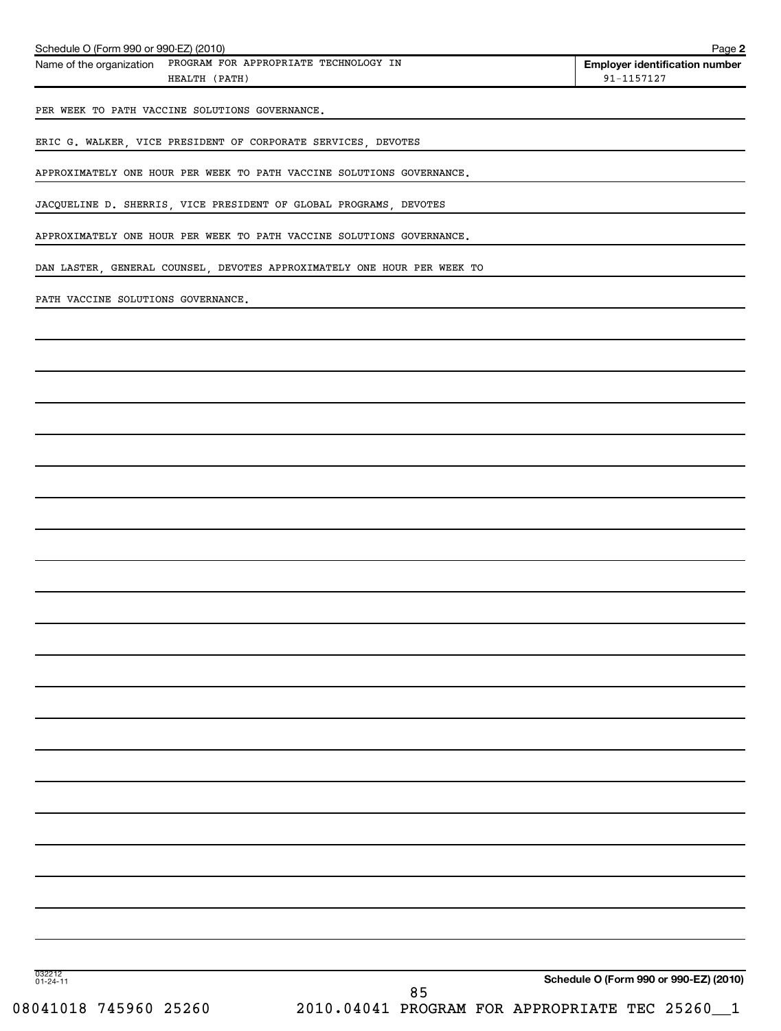| Schedule O (Form 990 or 990-EZ) (2010)<br>PROGRAM FOR APPROPRIATE TECHNOLOGY IN<br>Name of the organization<br>HEALTH (PATH) | Page 2<br><b>Employer identification number</b><br>91-1157127 |
|------------------------------------------------------------------------------------------------------------------------------|---------------------------------------------------------------|
|                                                                                                                              |                                                               |
| PER WEEK TO PATH VACCINE SOLUTIONS GOVERNANCE.                                                                               |                                                               |
| ERIC G. WALKER, VICE PRESIDENT OF CORPORATE SERVICES, DEVOTES                                                                |                                                               |
| APPROXIMATELY ONE HOUR PER WEEK TO PATH VACCINE SOLUTIONS GOVERNANCE.                                                        |                                                               |
| JACQUELINE D. SHERRIS, VICE PRESIDENT OF GLOBAL PROGRAMS, DEVOTES                                                            |                                                               |
| APPROXIMATELY ONE HOUR PER WEEK TO PATH VACCINE SOLUTIONS GOVERNANCE.                                                        |                                                               |
| DAN LASTER, GENERAL COUNSEL, DEVOTES APPROXIMATELY ONE HOUR PER WEEK TO                                                      |                                                               |
| PATH VACCINE SOLUTIONS GOVERNANCE.                                                                                           |                                                               |
|                                                                                                                              |                                                               |
|                                                                                                                              |                                                               |
|                                                                                                                              |                                                               |
|                                                                                                                              |                                                               |
|                                                                                                                              |                                                               |
|                                                                                                                              |                                                               |
|                                                                                                                              |                                                               |
|                                                                                                                              |                                                               |
|                                                                                                                              |                                                               |
|                                                                                                                              |                                                               |
|                                                                                                                              |                                                               |
|                                                                                                                              |                                                               |
|                                                                                                                              |                                                               |
|                                                                                                                              |                                                               |
|                                                                                                                              |                                                               |
|                                                                                                                              |                                                               |
|                                                                                                                              |                                                               |
|                                                                                                                              |                                                               |
|                                                                                                                              |                                                               |
|                                                                                                                              |                                                               |
|                                                                                                                              |                                                               |
|                                                                                                                              |                                                               |
| 032212<br>01-24-11                                                                                                           | Schedule O (Form 990 or 990-EZ) (2010)                        |
| 85<br>08041018 745960 25260<br>2010.04041 PROGRAM FOR APPROPRIATE TEC 25260                                                  | $\_1$                                                         |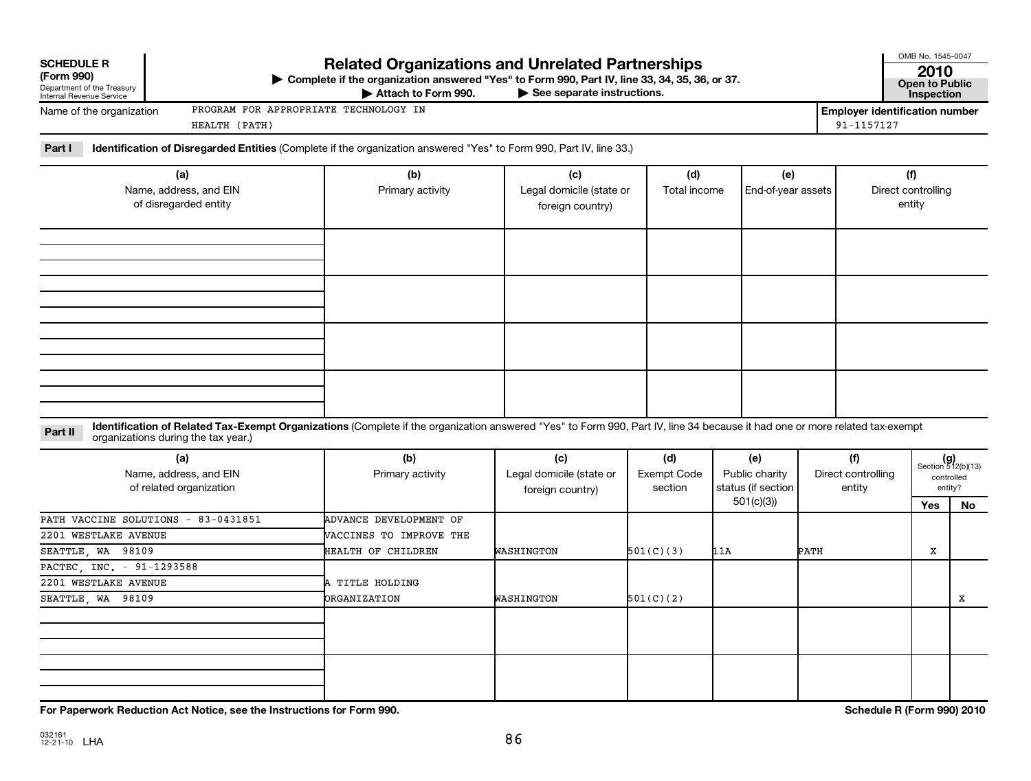| OMB No. 1545-0047<br><b>Related Organizations and Unrelated Partnerships</b><br><b>SCHEDULE R</b><br>(Form 990)<br>▶ Complete if the organization answered "Yes" to Form 990, Part IV, line 33, 34, 35, 36, or 37.<br><b>Open to Public</b><br>Department of the Treasury<br>Internal Revenue Service<br>Attach to Form 990.<br>See separate instructions. |                                                                                |                                                     |                                      |                                                          |                                     |                                                     |                                     |                                                      |  |
|------------------------------------------------------------------------------------------------------------------------------------------------------------------------------------------------------------------------------------------------------------------------------------------------------------------------------------------------------------|--------------------------------------------------------------------------------|-----------------------------------------------------|--------------------------------------|----------------------------------------------------------|-------------------------------------|-----------------------------------------------------|-------------------------------------|------------------------------------------------------|--|
| PROGRAM FOR APPROPRIATE TECHNOLOGY IN<br>Name of the organization<br>HEALTH (PATH)                                                                                                                                                                                                                                                                         |                                                                                |                                                     |                                      |                                                          |                                     | <b>Employer identification number</b><br>91-1157127 |                                     |                                                      |  |
| Identification of Disregarded Entities (Complete if the organization answered "Yes" to Form 990, Part IV, line 33.)<br>Part I                                                                                                                                                                                                                              |                                                                                |                                                     |                                      |                                                          |                                     |                                                     |                                     |                                                      |  |
| (a)<br>Name, address, and EIN<br>of disregarded entity                                                                                                                                                                                                                                                                                                     | (b)<br>Primary activity                                                        | (c)<br>Legal domicile (state or<br>foreign country) | (d)<br>Total income                  | (e)<br>End-of-year assets                                |                                     |                                                     | (f)<br>Direct controlling<br>entity |                                                      |  |
|                                                                                                                                                                                                                                                                                                                                                            |                                                                                |                                                     |                                      |                                                          |                                     |                                                     |                                     |                                                      |  |
|                                                                                                                                                                                                                                                                                                                                                            |                                                                                |                                                     |                                      |                                                          |                                     |                                                     |                                     |                                                      |  |
| Identification of Related Tax-Exempt Organizations (Complete if the organization answered "Yes" to Form 990, Part IV, line 34 because it had one or more related tax-exempt<br>Part II<br>organizations during the tax year.)                                                                                                                              |                                                                                |                                                     |                                      |                                                          |                                     |                                                     |                                     |                                                      |  |
| (a)<br>Name, address, and EIN<br>of related organization                                                                                                                                                                                                                                                                                                   | (b)<br>Primary activity                                                        | (c)<br>Legal domicile (state or<br>foreign country) | (d)<br><b>Exempt Code</b><br>section | (e)<br>Public charity<br>status (if section<br>501(c)(3) | (f)<br>Direct controlling<br>entity |                                                     |                                     | $(g)$<br>Section 512(b)(13)<br>controlled<br>entity? |  |
| PATH VACCINE SOLUTIONS<br>$-83 - 0431851$<br>2201 WESTLAKE AVENUE<br>SEATTLE, WA 98109                                                                                                                                                                                                                                                                     | <b>ADVANCE DEVELOPMENT OF</b><br>VACCINES TO IMPROVE THE<br>HEALTH OF CHILDREN | WASHINGTON                                          | 501(C)(3)                            | 11A                                                      | РАТН                                |                                                     | Yes<br>X                            | No                                                   |  |
| PACTEC INC. - 91-1293588<br>2201 WESTLAKE AVENUE<br>SEATTLE, WA 98109                                                                                                                                                                                                                                                                                      | A TITLE HOLDING<br><b>ORGANIZATION</b>                                         | WASHINGTON                                          | 501(C)(2)                            |                                                          |                                     |                                                     |                                     | X                                                    |  |
|                                                                                                                                                                                                                                                                                                                                                            |                                                                                |                                                     |                                      |                                                          |                                     |                                                     |                                     |                                                      |  |
|                                                                                                                                                                                                                                                                                                                                                            |                                                                                |                                                     |                                      |                                                          |                                     |                                                     |                                     |                                                      |  |

**For Paperwork Reduction Act Notice, see the Instructions for Form 990. Schedule R (Form 990) 2010**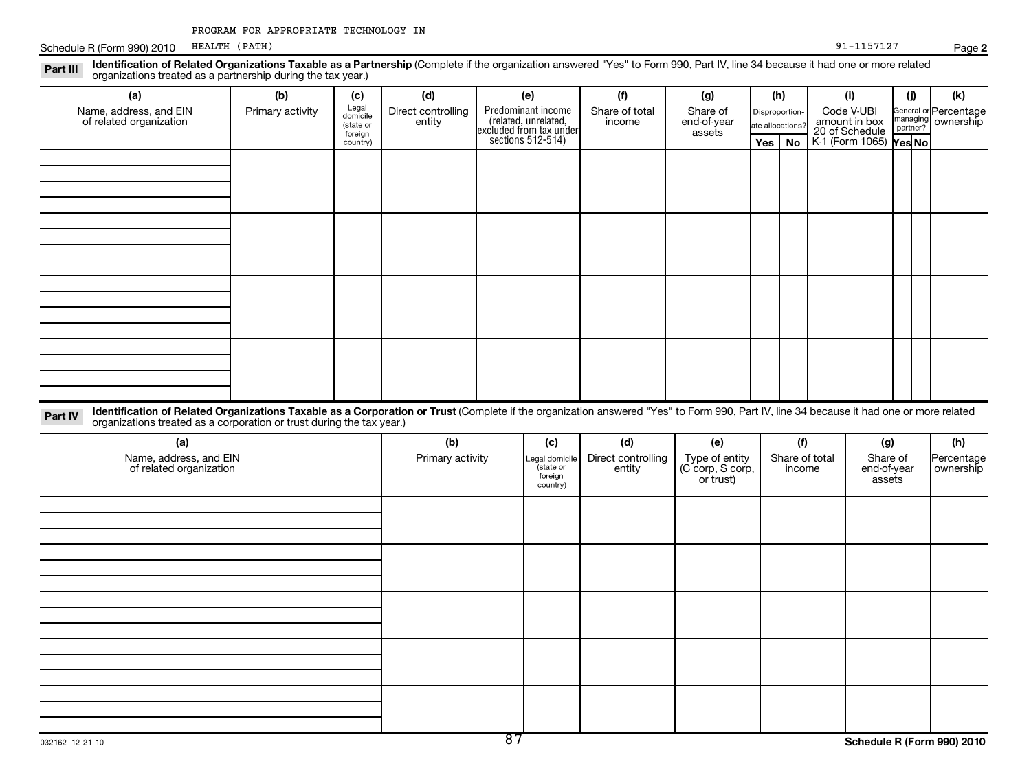Schedule R (Form 990) 2010 HEALTH (PATH) Page Page 191-1157127

| Identification of Related Organizations Taxable as a Partnership (Complete if the organization answered "Yes" to Form 990, Part IV, line 34 because it had one or more related<br>Part III<br>organizations treated as a partnership during the tax year.)                  |                         |                                       |                                     |                                                     |                                 |                                                 |     |                                           |                                                      |                                   |                             |                                           |
|-----------------------------------------------------------------------------------------------------------------------------------------------------------------------------------------------------------------------------------------------------------------------------|-------------------------|---------------------------------------|-------------------------------------|-----------------------------------------------------|---------------------------------|-------------------------------------------------|-----|-------------------------------------------|------------------------------------------------------|-----------------------------------|-----------------------------|-------------------------------------------|
| (a)<br>Name, address, and EIN<br>of related organization                                                                                                                                                                                                                    | (b)<br>Primary activity | (c)<br>Legal<br>domicile<br>(state or | (d)<br>Direct controlling<br>entity | (e)<br>Predominant income<br>reduction in the moon. | (f)<br>Share of total<br>income | (g)<br>Share of<br>end-of-year                  |     | (h)<br>Disproportion-<br>ate allocations? | (i)<br>Code V-UBI<br>amount in box<br>20 of Schedule |                                   | (i)<br>managing<br>partner? | (k)<br>General or Percentage<br>ownership |
|                                                                                                                                                                                                                                                                             |                         | foreign<br>country)                   |                                     | excluded from tax under<br>sections 512-514)        |                                 | assets                                          | Yes | No                                        | K-1 (Form 1065) Yes No                               |                                   |                             |                                           |
|                                                                                                                                                                                                                                                                             |                         |                                       |                                     |                                                     |                                 |                                                 |     |                                           |                                                      |                                   |                             |                                           |
|                                                                                                                                                                                                                                                                             |                         |                                       |                                     |                                                     |                                 |                                                 |     |                                           |                                                      |                                   |                             |                                           |
|                                                                                                                                                                                                                                                                             |                         |                                       |                                     |                                                     |                                 |                                                 |     |                                           |                                                      |                                   |                             |                                           |
|                                                                                                                                                                                                                                                                             |                         |                                       |                                     |                                                     |                                 |                                                 |     |                                           |                                                      |                                   |                             |                                           |
| Identification of Related Organizations Taxable as a Corporation or Trust (Complete if the organization answered "Yes" to Form 990, Part IV, line 34 because it had one or more related<br>Part IV<br>organizations treated as a corporation or trust during the tax year.) |                         |                                       |                                     |                                                     |                                 |                                                 |     |                                           |                                                      |                                   |                             |                                           |
| (a)                                                                                                                                                                                                                                                                         |                         |                                       | (b)                                 | (c)                                                 | (d)                             | (e)                                             |     | (f)                                       |                                                      | (g)                               |                             | (h)                                       |
| Name, address, and EIN<br>of related organization                                                                                                                                                                                                                           |                         |                                       | Primary activity                    | Legal domicile<br>(state or<br>foreign<br>country)  | Direct controlling<br>entity    | Type of entity<br>(C corp, S corp,<br>or trust) |     | Share of total<br>income                  |                                                      | Share of<br>end-of-year<br>assets |                             | Percentage<br>ownership                   |
|                                                                                                                                                                                                                                                                             |                         |                                       |                                     |                                                     |                                 |                                                 |     |                                           |                                                      |                                   |                             |                                           |
|                                                                                                                                                                                                                                                                             |                         |                                       |                                     |                                                     |                                 |                                                 |     |                                           |                                                      |                                   |                             |                                           |
|                                                                                                                                                                                                                                                                             |                         |                                       |                                     |                                                     |                                 |                                                 |     |                                           |                                                      |                                   |                             |                                           |
|                                                                                                                                                                                                                                                                             |                         |                                       |                                     |                                                     |                                 |                                                 |     |                                           |                                                      |                                   |                             |                                           |
|                                                                                                                                                                                                                                                                             |                         |                                       |                                     |                                                     |                                 |                                                 |     |                                           |                                                      |                                   |                             |                                           |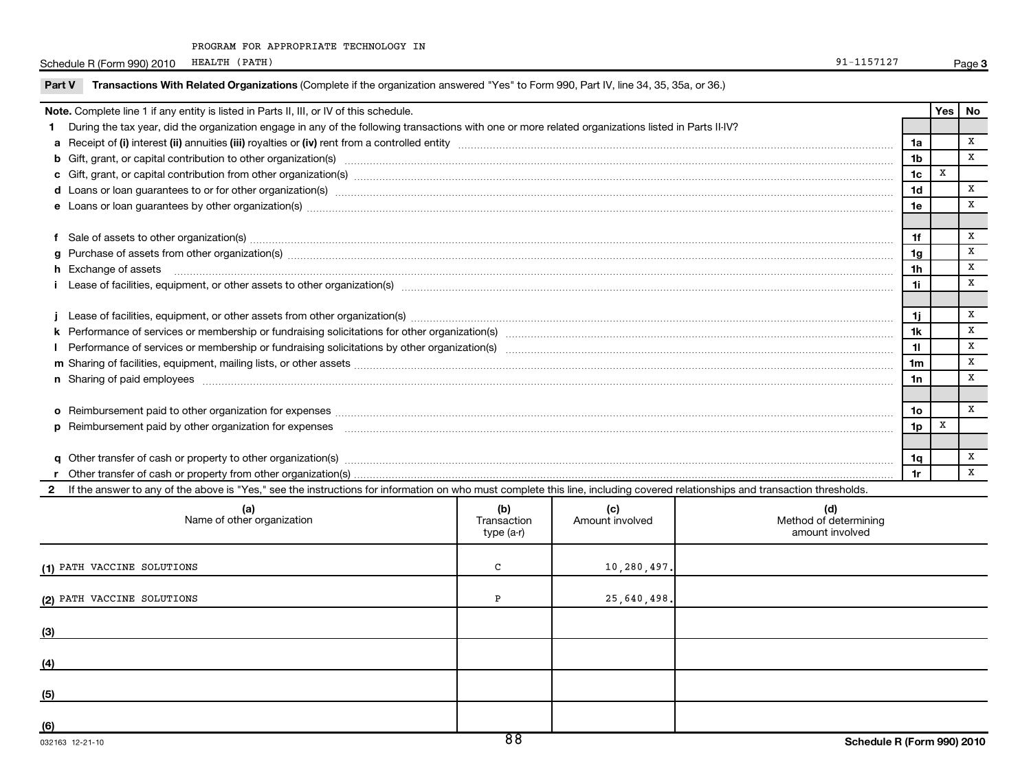PROGRAM FOR APPROPRIATE TECHNOLOGY IN

Schedule R (Form 990) 2010 HEALTH (PATH) Page Page 191-1157127

| Note. Complete line 1 if any entity is listed in Parts II, III, or IV of this schedule.<br>During the tax year, did the organization engage in any of the following transactions with one or more related organizations listed in Parts II-IV?<br>1.<br>b Gift, grant, or capital contribution to other organization(s) encourance contains an example and contribution to other organization(s) encourance contains and contribution to other organization(s) encourance contains and<br>d Loans or loan guarantees to or for other organization(s) manufactured content to content the organization (s)<br>e Loans or loan guarantees by other organization(s) manufaction contracts and an account of the contract of the contract of the contract of the contract of the contract of the contract of the contract of the contract of th | 1a<br>1 <sub>b</sub><br>1c<br>1d<br>1e | Yes<br>X | No<br>X<br>x |  |  |  |  |  |
|---------------------------------------------------------------------------------------------------------------------------------------------------------------------------------------------------------------------------------------------------------------------------------------------------------------------------------------------------------------------------------------------------------------------------------------------------------------------------------------------------------------------------------------------------------------------------------------------------------------------------------------------------------------------------------------------------------------------------------------------------------------------------------------------------------------------------------------------|----------------------------------------|----------|--------------|--|--|--|--|--|
|                                                                                                                                                                                                                                                                                                                                                                                                                                                                                                                                                                                                                                                                                                                                                                                                                                             |                                        |          |              |  |  |  |  |  |
|                                                                                                                                                                                                                                                                                                                                                                                                                                                                                                                                                                                                                                                                                                                                                                                                                                             |                                        |          |              |  |  |  |  |  |
|                                                                                                                                                                                                                                                                                                                                                                                                                                                                                                                                                                                                                                                                                                                                                                                                                                             |                                        |          |              |  |  |  |  |  |
|                                                                                                                                                                                                                                                                                                                                                                                                                                                                                                                                                                                                                                                                                                                                                                                                                                             |                                        |          |              |  |  |  |  |  |
|                                                                                                                                                                                                                                                                                                                                                                                                                                                                                                                                                                                                                                                                                                                                                                                                                                             |                                        |          | X            |  |  |  |  |  |
|                                                                                                                                                                                                                                                                                                                                                                                                                                                                                                                                                                                                                                                                                                                                                                                                                                             |                                        |          | x            |  |  |  |  |  |
|                                                                                                                                                                                                                                                                                                                                                                                                                                                                                                                                                                                                                                                                                                                                                                                                                                             |                                        |          |              |  |  |  |  |  |
| f Sale of assets to other organization(s) manufactured assemblance contract and a set of assets to other organization(s) manufactured assets to other organization(s)                                                                                                                                                                                                                                                                                                                                                                                                                                                                                                                                                                                                                                                                       | 1f                                     |          | X            |  |  |  |  |  |
| g Purchase of assets from other organization(s) material contents and content to the content of the content of the content of the content of the content of the content of the content of the content of the content of the co                                                                                                                                                                                                                                                                                                                                                                                                                                                                                                                                                                                                              | 1q                                     |          | x            |  |  |  |  |  |
| h Exchange of assets <b>with a set of a sets</b> and a set of a set of a set of a set of a set of a set of a set of a set of a set of a set of a set of a set of a set of a set of a set of a set of a set of a set of a set of a s<br>1h                                                                                                                                                                                                                                                                                                                                                                                                                                                                                                                                                                                                   |                                        |          |              |  |  |  |  |  |
| i Lease of facilities, equipment, or other assets to other organization(s) manufaction content to content the content of the content of facilities, equipment, or other assets to other organization(s) manufaction content to<br>1i.                                                                                                                                                                                                                                                                                                                                                                                                                                                                                                                                                                                                       |                                        |          |              |  |  |  |  |  |
|                                                                                                                                                                                                                                                                                                                                                                                                                                                                                                                                                                                                                                                                                                                                                                                                                                             |                                        |          |              |  |  |  |  |  |
|                                                                                                                                                                                                                                                                                                                                                                                                                                                                                                                                                                                                                                                                                                                                                                                                                                             | 1i.                                    |          | x            |  |  |  |  |  |
|                                                                                                                                                                                                                                                                                                                                                                                                                                                                                                                                                                                                                                                                                                                                                                                                                                             | 1k<br>11                               |          | x<br>X       |  |  |  |  |  |
|                                                                                                                                                                                                                                                                                                                                                                                                                                                                                                                                                                                                                                                                                                                                                                                                                                             |                                        |          |              |  |  |  |  |  |
|                                                                                                                                                                                                                                                                                                                                                                                                                                                                                                                                                                                                                                                                                                                                                                                                                                             |                                        |          |              |  |  |  |  |  |
| n Sharing of paid employees <b>www.areas and an architecture and architecture and architecture and architecture and architecture and architecture and architecture and architecture and architecture and architecture and archit</b>                                                                                                                                                                                                                                                                                                                                                                                                                                                                                                                                                                                                        | 1n                                     |          | X            |  |  |  |  |  |
|                                                                                                                                                                                                                                                                                                                                                                                                                                                                                                                                                                                                                                                                                                                                                                                                                                             | 10 <sub>o</sub>                        |          | x            |  |  |  |  |  |
|                                                                                                                                                                                                                                                                                                                                                                                                                                                                                                                                                                                                                                                                                                                                                                                                                                             |                                        |          |              |  |  |  |  |  |
|                                                                                                                                                                                                                                                                                                                                                                                                                                                                                                                                                                                                                                                                                                                                                                                                                                             | 1 <sub>p</sub>                         | x        |              |  |  |  |  |  |
| q Other transfer of cash or property to other organization(s) material contents and content to the content of the content of the content of the content of the content of the content of the content of the content of the con                                                                                                                                                                                                                                                                                                                                                                                                                                                                                                                                                                                                              | 1q                                     |          | X            |  |  |  |  |  |
|                                                                                                                                                                                                                                                                                                                                                                                                                                                                                                                                                                                                                                                                                                                                                                                                                                             | 1r                                     |          | X            |  |  |  |  |  |
| If the answer to any of the above is "Yes," see the instructions for information on who must complete this line, including covered relationships and transaction thresholds.<br>$\mathbf{2}$                                                                                                                                                                                                                                                                                                                                                                                                                                                                                                                                                                                                                                                |                                        |          |              |  |  |  |  |  |
| (a)<br>(b)<br>(c)<br>(d)<br>Name of other organization<br>Method of determining<br>Amount involved<br>Transaction<br>amount involved<br>type (a-r)                                                                                                                                                                                                                                                                                                                                                                                                                                                                                                                                                                                                                                                                                          |                                        |          |              |  |  |  |  |  |
| C<br>10,280,497.<br>(1) PATH VACCINE SOLUTIONS                                                                                                                                                                                                                                                                                                                                                                                                                                                                                                                                                                                                                                                                                                                                                                                              |                                        |          |              |  |  |  |  |  |
| (2) PATH VACCINE SOLUTIONS<br>25,640,498.<br>P                                                                                                                                                                                                                                                                                                                                                                                                                                                                                                                                                                                                                                                                                                                                                                                              |                                        |          |              |  |  |  |  |  |
| (3)                                                                                                                                                                                                                                                                                                                                                                                                                                                                                                                                                                                                                                                                                                                                                                                                                                         |                                        |          |              |  |  |  |  |  |
| (4)                                                                                                                                                                                                                                                                                                                                                                                                                                                                                                                                                                                                                                                                                                                                                                                                                                         |                                        |          |              |  |  |  |  |  |
| (5)                                                                                                                                                                                                                                                                                                                                                                                                                                                                                                                                                                                                                                                                                                                                                                                                                                         |                                        |          |              |  |  |  |  |  |

**(6)**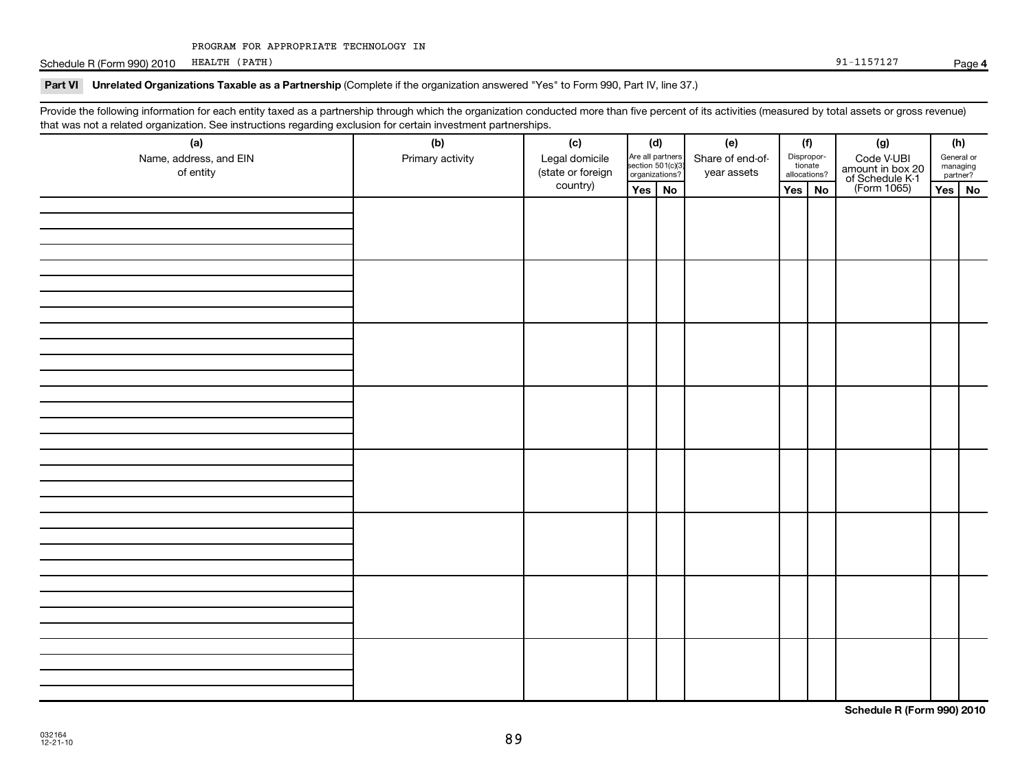Schedule R (Form 990) 2010 HEALTH (PATH) 31-1157127 HEALTH (PATH) 91-1157127

### Part VI Unrelated Organizations Taxable as a Partnership (Complete if the organization answered "Yes" to Form 990, Part IV, line 37.)

Provide the following information for each entity taxed as a partnership through which the organization conducted more than five percent of its activities (measured by total assets or gross revenue) that was not a related organization. See instructions regarding exclusion for certain investment partnerships.

| ັ<br>$\tilde{\phantom{a}}$<br>$\overline{\phantom{a}}$<br>(a)<br>Name, address, and EIN<br>of entity | (b)<br>Primary activity | (c)<br>Legal domicile<br>(state or foreign | (d)<br>Are all partners<br>section 501(c)(3)<br>organizations? |  |  |        |  |  |        |  |  | (e)<br>Share of end-of-<br>year assets |  | (f)<br>(g)<br>Dispropor-<br>Code V-UBI<br>amount in box 20<br>of Schedule K-1<br>(Form 1065)<br>tionate<br>allocations? |  | (h)<br>General or<br>managing<br>partner? |
|------------------------------------------------------------------------------------------------------|-------------------------|--------------------------------------------|----------------------------------------------------------------|--|--|--------|--|--|--------|--|--|----------------------------------------|--|-------------------------------------------------------------------------------------------------------------------------|--|-------------------------------------------|
|                                                                                                      |                         | country)                                   | Yes No                                                         |  |  | Yes No |  |  | Yes No |  |  |                                        |  |                                                                                                                         |  |                                           |
|                                                                                                      |                         |                                            |                                                                |  |  |        |  |  |        |  |  |                                        |  |                                                                                                                         |  |                                           |
|                                                                                                      |                         |                                            |                                                                |  |  |        |  |  |        |  |  |                                        |  |                                                                                                                         |  |                                           |
|                                                                                                      |                         |                                            |                                                                |  |  |        |  |  |        |  |  |                                        |  |                                                                                                                         |  |                                           |
|                                                                                                      |                         |                                            |                                                                |  |  |        |  |  |        |  |  |                                        |  |                                                                                                                         |  |                                           |
|                                                                                                      |                         |                                            |                                                                |  |  |        |  |  |        |  |  |                                        |  |                                                                                                                         |  |                                           |
|                                                                                                      |                         |                                            |                                                                |  |  |        |  |  |        |  |  |                                        |  |                                                                                                                         |  |                                           |
|                                                                                                      |                         |                                            |                                                                |  |  |        |  |  |        |  |  |                                        |  |                                                                                                                         |  |                                           |
|                                                                                                      |                         |                                            |                                                                |  |  |        |  |  |        |  |  |                                        |  |                                                                                                                         |  |                                           |

**Schedule R (Form 990) 2010**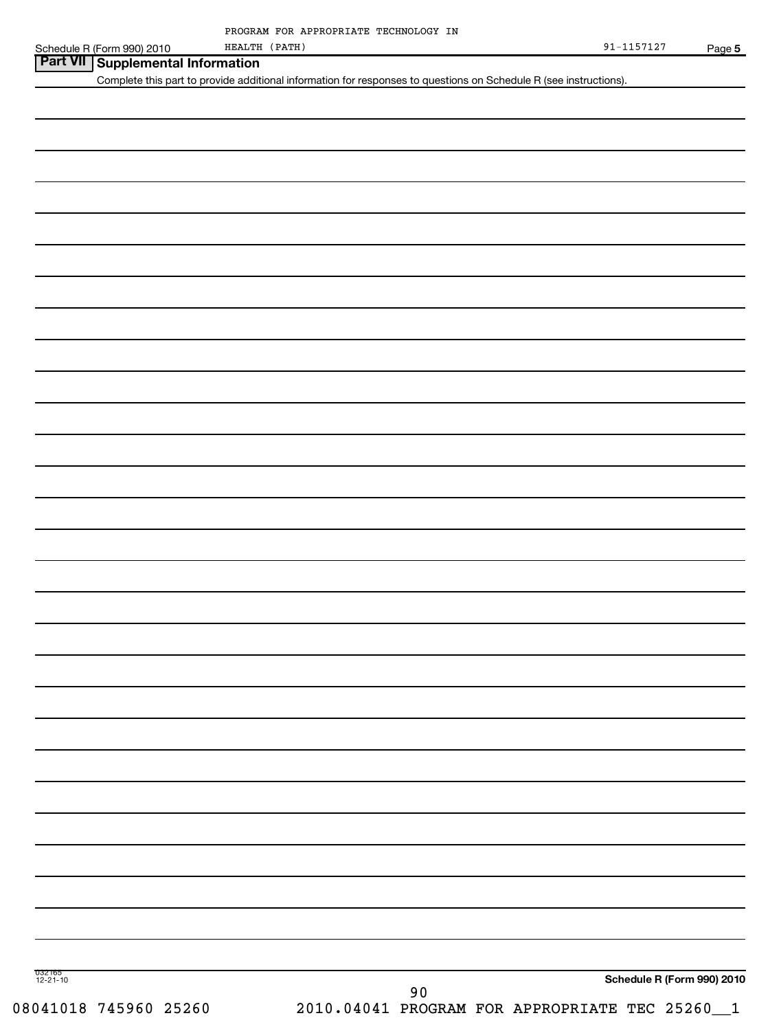| Schedule R (Form 990) 2010                                                                                                                             | HEALTH (PATH) |      | 91-1157127                                     | Page 5 |
|--------------------------------------------------------------------------------------------------------------------------------------------------------|---------------|------|------------------------------------------------|--------|
| Part VII Supplemental Information<br>Complete this part to provide additional information for responses to questions on Schedule R (see instructions). |               |      |                                                |        |
|                                                                                                                                                        |               |      |                                                |        |
|                                                                                                                                                        |               |      |                                                |        |
|                                                                                                                                                        |               |      |                                                |        |
|                                                                                                                                                        |               |      |                                                |        |
|                                                                                                                                                        |               |      |                                                |        |
|                                                                                                                                                        |               |      |                                                |        |
|                                                                                                                                                        |               |      |                                                |        |
|                                                                                                                                                        |               |      |                                                |        |
|                                                                                                                                                        |               |      |                                                |        |
|                                                                                                                                                        |               |      |                                                |        |
|                                                                                                                                                        |               |      |                                                |        |
|                                                                                                                                                        |               |      |                                                |        |
|                                                                                                                                                        |               |      |                                                |        |
|                                                                                                                                                        |               |      |                                                |        |
|                                                                                                                                                        |               |      |                                                |        |
|                                                                                                                                                        |               |      |                                                |        |
|                                                                                                                                                        |               |      |                                                |        |
|                                                                                                                                                        |               |      |                                                |        |
|                                                                                                                                                        |               |      |                                                |        |
|                                                                                                                                                        |               |      |                                                |        |
|                                                                                                                                                        |               |      |                                                |        |
|                                                                                                                                                        |               |      |                                                |        |
|                                                                                                                                                        |               |      |                                                |        |
|                                                                                                                                                        |               |      |                                                |        |
|                                                                                                                                                        |               |      |                                                |        |
|                                                                                                                                                        |               |      |                                                |        |
|                                                                                                                                                        |               |      |                                                |        |
|                                                                                                                                                        |               |      |                                                |        |
|                                                                                                                                                        |               |      |                                                |        |
|                                                                                                                                                        |               |      |                                                |        |
|                                                                                                                                                        |               |      |                                                |        |
|                                                                                                                                                        |               |      |                                                |        |
|                                                                                                                                                        |               |      |                                                |        |
|                                                                                                                                                        |               |      |                                                |        |
|                                                                                                                                                        |               |      |                                                |        |
|                                                                                                                                                        |               |      |                                                |        |
|                                                                                                                                                        |               |      |                                                |        |
|                                                                                                                                                        |               |      |                                                |        |
|                                                                                                                                                        |               |      |                                                |        |
|                                                                                                                                                        |               |      |                                                |        |
|                                                                                                                                                        |               |      |                                                |        |
|                                                                                                                                                        |               |      |                                                |        |
| 032 165<br>12-21-10                                                                                                                                    |               |      | Schedule R (Form 990) 2010                     |        |
|                                                                                                                                                        |               | $90$ |                                                |        |
| 08041018 745960 25260                                                                                                                                  |               |      | 2010.04041 PROGRAM FOR APPROPRIATE TEC 25260_1 |        |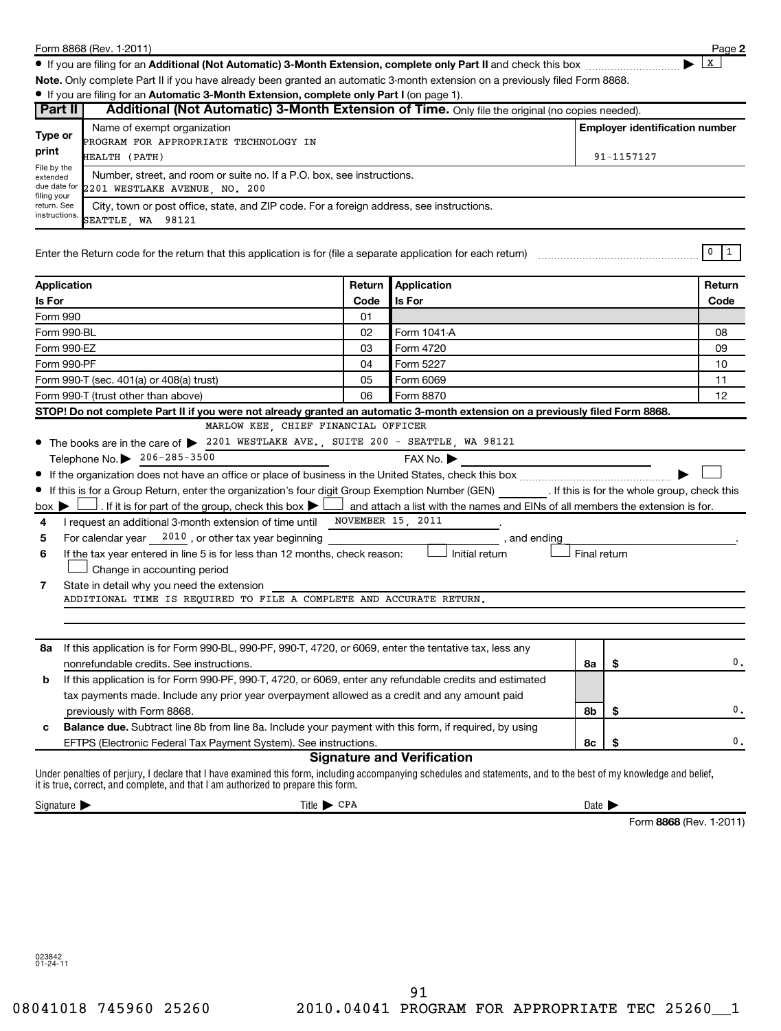|                                                        | Form 8868 (Rev. 1-2011)                                                                                                                                            |        |                                                                                |                            |                                       | Page 2         |
|--------------------------------------------------------|--------------------------------------------------------------------------------------------------------------------------------------------------------------------|--------|--------------------------------------------------------------------------------|----------------------------|---------------------------------------|----------------|
|                                                        | • If you are filing for an Additional (Not Automatic) 3-Month Extension, complete only Part II and check this box                                                  |        |                                                                                |                            |                                       | X              |
|                                                        | Note. Only complete Part II if you have already been granted an automatic 3-month extension on a previously filed Form 8868.                                       |        |                                                                                |                            |                                       |                |
|                                                        | . If you are filing for an Automatic 3-Month Extension, complete only Part I (on page 1).                                                                          |        |                                                                                |                            |                                       |                |
| Part II                                                | Additional (Not Automatic) 3-Month Extension of Time. Only file the original (no copies needed).                                                                   |        |                                                                                |                            |                                       |                |
|                                                        | Name of exempt organization                                                                                                                                        |        |                                                                                |                            | <b>Employer identification number</b> |                |
| Type or                                                | PROGRAM FOR APPROPRIATE TECHNOLOGY IN                                                                                                                              |        |                                                                                |                            |                                       |                |
| print                                                  | HEALTH (PATH)                                                                                                                                                      |        |                                                                                |                            | 91-1157127                            |                |
| File by the<br>extended                                | Number, street, and room or suite no. If a P.O. box, see instructions.                                                                                             |        |                                                                                |                            |                                       |                |
| due date for                                           | 2201 WESTLAKE AVENUE, NO. 200                                                                                                                                      |        |                                                                                |                            |                                       |                |
| filing your<br>return. See                             | City, town or post office, state, and ZIP code. For a foreign address, see instructions.                                                                           |        |                                                                                |                            |                                       |                |
| instructions.                                          | SEATTLE WA 98121                                                                                                                                                   |        |                                                                                |                            |                                       |                |
|                                                        |                                                                                                                                                                    |        |                                                                                |                            |                                       |                |
|                                                        | Enter the Return code for the return that this application is for (file a separate application for each return)                                                    |        |                                                                                |                            |                                       | 0<br>$\vert$ 1 |
|                                                        |                                                                                                                                                                    |        |                                                                                |                            |                                       |                |
| Application                                            |                                                                                                                                                                    | Return | Application                                                                    |                            |                                       | Return         |
| Is For                                                 |                                                                                                                                                                    | Code   | Is For                                                                         |                            |                                       | Code           |
| Form 990                                               |                                                                                                                                                                    | 01     |                                                                                |                            |                                       |                |
| Form 990-BL                                            |                                                                                                                                                                    | 02     | Form 1041-A                                                                    |                            |                                       | 08             |
| Form 990-EZ                                            |                                                                                                                                                                    | 03     | Form 4720                                                                      |                            |                                       | 09             |
| Form 990-PF                                            |                                                                                                                                                                    | 04     | Form 5227                                                                      |                            |                                       | 10             |
|                                                        | Form 990-T (sec. 401(a) or 408(a) trust)                                                                                                                           | 05     | Form 6069                                                                      |                            |                                       | 11             |
| 06<br>Form 8870<br>Form 990-T (trust other than above) |                                                                                                                                                                    |        |                                                                                |                            |                                       | 12             |
|                                                        | STOP! Do not complete Part II if you were not already granted an automatic 3-month extension on a previously filed Form 8868.                                      |        |                                                                                |                            |                                       |                |
|                                                        | MARLOW KEE, CHIEF FINANCIAL OFFICER                                                                                                                                |        |                                                                                |                            |                                       |                |
|                                                        | • The books are in the care of > 2201 WESTLAKE AVE., SUITE 200 - SEATTLE, WA 98121                                                                                 |        |                                                                                |                            |                                       |                |
|                                                        | Telephone No. 206-285-3500                                                                                                                                         |        | FAX No.                                                                        |                            |                                       |                |
|                                                        |                                                                                                                                                                    |        |                                                                                |                            |                                       |                |
|                                                        | If this is for a Group Return, enter the organization's four digit Group Exemption Number (GEN) [If this is for the whole group, check this                        |        |                                                                                |                            |                                       |                |
| $box \triangleright$                                   | . If it is for part of the group, check this box $\blacktriangleright$ l                                                                                           |        | and attach a list with the names and EINs of all members the extension is for. |                            |                                       |                |
| 4                                                      | I request an additional 3-month extension of time until                                                                                                            |        | NOVEMBER 15, 2011                                                              |                            |                                       |                |
| 5                                                      | For calendar year $12010$ , or other tax year beginning                                                                                                            |        | , and ending                                                                   |                            |                                       |                |
| 6                                                      | If the tax year entered in line 5 is for less than 12 months, check reason:                                                                                        |        | Initial return                                                                 | Final return               |                                       |                |
|                                                        | Change in accounting period                                                                                                                                        |        |                                                                                |                            |                                       |                |
| 7                                                      | State in detail why you need the extension                                                                                                                         |        |                                                                                |                            |                                       |                |
|                                                        | ADDITIONAL TIME IS REQUIRED TO FILE A COMPLETE AND ACCURATE RETURN.                                                                                                |        |                                                                                |                            |                                       |                |
|                                                        |                                                                                                                                                                    |        |                                                                                |                            |                                       |                |
|                                                        |                                                                                                                                                                    |        |                                                                                |                            |                                       |                |
| 8a                                                     | If this application is for Form 990-BL, 990-PF, 990-T, 4720, or 6069, enter the tentative tax, less any                                                            |        |                                                                                |                            |                                       |                |
|                                                        | nonrefundable credits. See instructions.                                                                                                                           |        |                                                                                | 8a                         | \$                                    | 0.             |
| b                                                      | If this application is for Form 990-PF, 990-T, 4720, or 6069, enter any refundable credits and estimated                                                           |        |                                                                                |                            |                                       |                |
|                                                        | tax payments made. Include any prior year overpayment allowed as a credit and any amount paid                                                                      |        |                                                                                |                            |                                       |                |
|                                                        | previously with Form 8868.                                                                                                                                         |        |                                                                                | 8b                         | \$                                    | 0.             |
| c                                                      | Balance due. Subtract line 8b from line 8a. Include your payment with this form, if required, by using                                                             |        |                                                                                |                            |                                       |                |
|                                                        | EFTPS (Electronic Federal Tax Payment System). See instructions.                                                                                                   |        |                                                                                | 8с                         | \$                                    | 0.             |
|                                                        |                                                                                                                                                                    |        | <b>Signature and Verification</b>                                              |                            |                                       |                |
|                                                        | Under penalties of perjury, I declare that I have examined this form, including accompanying schedules and statements, and to the best of my knowledge and belief, |        |                                                                                |                            |                                       |                |
|                                                        | it is true, correct, and complete, and that I am authorized to prepare this form.                                                                                  |        |                                                                                |                            |                                       |                |
| Signature $\blacktriangleright$                        | $Title \triangleright CPA$                                                                                                                                         |        |                                                                                | Date $\blacktriangleright$ |                                       |                |

Form 8868 (Rev. 1-2011)

023842 01-24-11